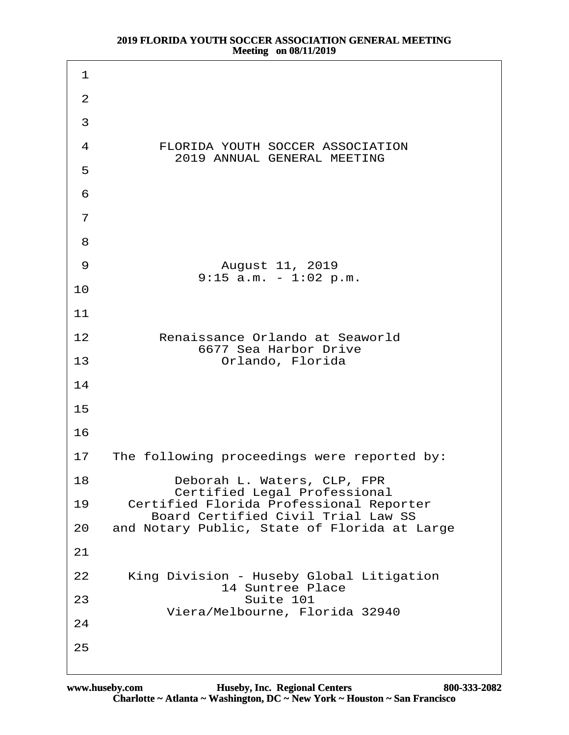| 1              |                                                                                             |
|----------------|---------------------------------------------------------------------------------------------|
| 2              |                                                                                             |
| 3              |                                                                                             |
| $\overline{4}$ | <b>FLORIDA YOUTH SOCCER ASSOCIATION</b>                                                     |
| 5              | 2019 ANNUAL GENERAL MEETING                                                                 |
| 6              |                                                                                             |
| $\overline{7}$ |                                                                                             |
| 8              |                                                                                             |
| 9              | August 11, 2019<br>9:15 a.m. - 1:02 p.m.                                                    |
| 10             |                                                                                             |
| 11             |                                                                                             |
| 12             | Renaissance Orlando at Seaworld<br>6677 Sea Harbor Drive                                    |
| 13             | Orlando, Florida                                                                            |
| 14             |                                                                                             |
| 15             |                                                                                             |
| 16             |                                                                                             |
| 17             | The following proceedings were reported by:                                                 |
| 18             | Deborah L. Waters, CLP, FPR<br><b>Certified Legal Professional</b>                          |
| 19             | <b>Certified Florida Professional Reporter</b><br><b>Board Certified Civil Trial Law SS</b> |
| 20             | and Notary Public, State of Florida at Large                                                |
| 21             |                                                                                             |
| 22             | King Division - Huseby Global Litigation<br><b>14 Suntree Place</b>                         |
| 23             | Suite 101<br>Viera/Melbourne, Florida 32940                                                 |
| 24             |                                                                                             |
| 25             |                                                                                             |
|                |                                                                                             |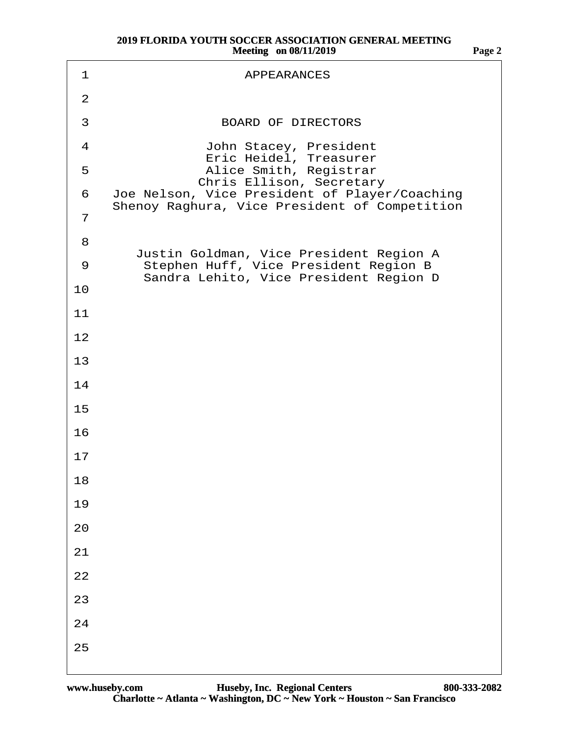| 1              | <b>APPEARANCES</b>                                                                             |
|----------------|------------------------------------------------------------------------------------------------|
| $\overline{2}$ |                                                                                                |
| 3              | <b>BOARD OF DIRECTORS</b>                                                                      |
| $\overline{4}$ | John Stacey, President<br>Eric Heidel, Treasurer                                               |
| 5              | Alice Smith, Registrar<br><b>Chris Ellison, Secretary</b>                                      |
| 6              | Joe Nelson, Vice President of Player/Coaching<br>Shenoy Raghura, Vice President of Competition |
| $\overline{7}$ |                                                                                                |
| 8              | Justin Goldman, Vice President Region A                                                        |
| 9              | Stephen Huff, Vice President Region B<br>Sandra Lehito, Vice President Region D                |
| 10             |                                                                                                |
| 11             |                                                                                                |
| 12             |                                                                                                |
| 13             |                                                                                                |
| 14             |                                                                                                |
| 15             |                                                                                                |
| 16             |                                                                                                |
| 17             |                                                                                                |
| 18             |                                                                                                |
| 19             |                                                                                                |
| 20             |                                                                                                |
| 21             |                                                                                                |
| 22             |                                                                                                |
| 23             |                                                                                                |
| 24             |                                                                                                |
| 25             |                                                                                                |
|                |                                                                                                |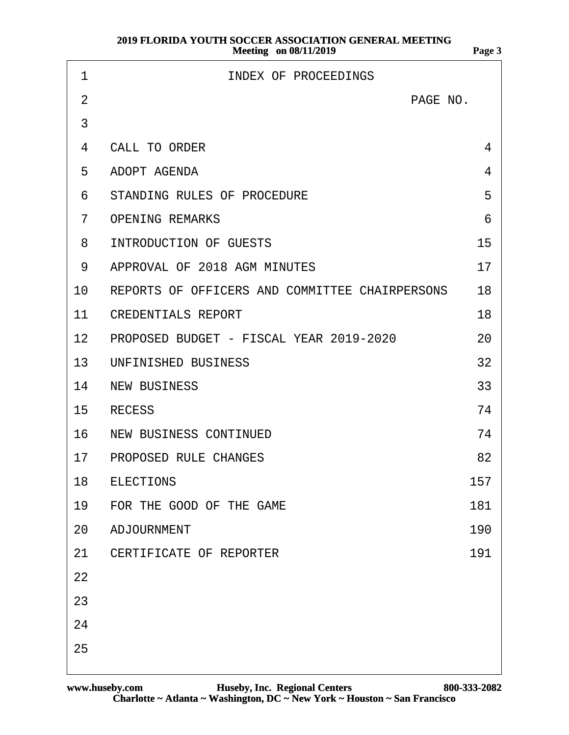| 1              | <b>INDEX OF PROCEEDINGS</b>                    |                |
|----------------|------------------------------------------------|----------------|
| $\overline{2}$ | PAGE NO.                                       |                |
| 3              |                                                |                |
| 4              | <b>CALL TO ORDER</b>                           | 4              |
| 5              | <b>ADOPT AGENDA</b>                            | $\overline{4}$ |
| 6              | STANDING RULES OF PROCEDURE                    | 5              |
| $\overline{7}$ | <b>OPENING REMARKS</b>                         | 6              |
| 8              | <b>INTRODUCTION OF GUESTS</b>                  | 15             |
| 9              | APPROVAL OF 2018 AGM MINUTES                   | 17             |
| 10             | REPORTS OF OFFICERS AND COMMITTEE CHAIRPERSONS | 18             |
| 11             | <b>CREDENTIALS REPORT</b>                      | 18             |
|                | 12 PROPOSED BUDGET - FISCAL YEAR 2019-2020     | 20             |
|                | 13 UNFINISHED BUSINESS                         | 32             |
| 14             | <b>NEW BUSINESS</b>                            | 33             |
| 15             | <b>RECESS</b>                                  | 74             |
| 16             | NEW BUSINESS CONTINUED                         | 74             |
|                | 17 PROPOSED RULE CHANGES                       | 82             |
|                | 18 ELECTIONS                                   | 157            |
| 19             | FOR THE GOOD OF THE GAME                       | 181            |
| <b>20</b>      | ADJOURNMENT                                    | 190            |
| 21             | <b>CERTIFICATE OF REPORTER</b>                 | 191            |
| 22             |                                                |                |
| 23             |                                                |                |
| 24             |                                                |                |
| 25             |                                                |                |
|                |                                                |                |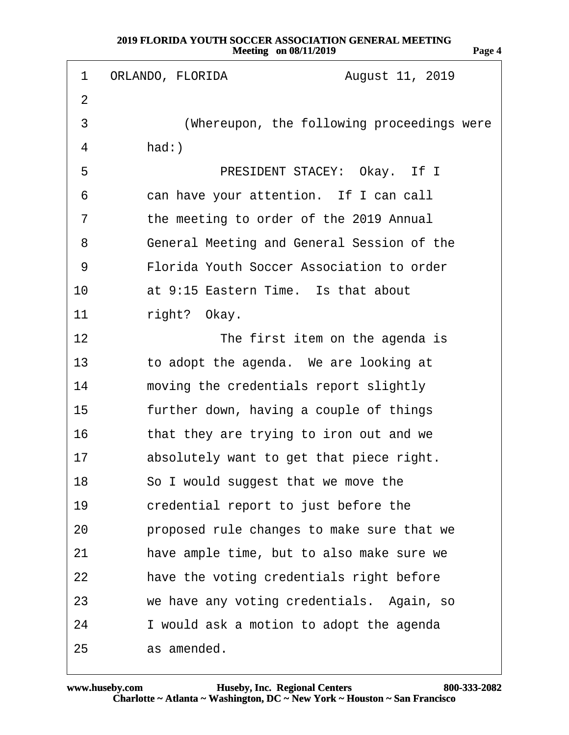| 1              | ORLANDO, FLORIDA<br>August 11, 2019        |
|----------------|--------------------------------------------|
| $\overline{2}$ |                                            |
| 3              | (Whereupon, the following proceedings were |
| 4              | had:)                                      |
| 5              | PRESIDENT STACEY: Okay. If I               |
| 6              | can have your attention. If I can call     |
| 7              | the meeting to order of the 2019 Annual    |
| 8              | General Meeting and General Session of the |
| 9              | Florida Youth Soccer Association to order  |
| 10             | at 9:15 Eastern Time. Is that about        |
| 11             | right? Okay.                               |
| 12             | The first item on the agenda is            |
| 13             | to adopt the agenda. We are looking at     |
| 14             | moving the credentials report slightly     |
| 15             | further down, having a couple of things    |
| 16             | that they are trying to iron out and we    |
| 17             | absolutely want to get that piece right.   |
| 18             | So I would suggest that we move the        |
| 19             | credential report to just before the       |
| 20             | proposed rule changes to make sure that we |
| 21             | have ample time, but to also make sure we  |
| 22             | have the voting credentials right before   |
| 23             | we have any voting credentials. Again, so  |
| 24             | I would ask a motion to adopt the agenda   |
| 25             | as amended.                                |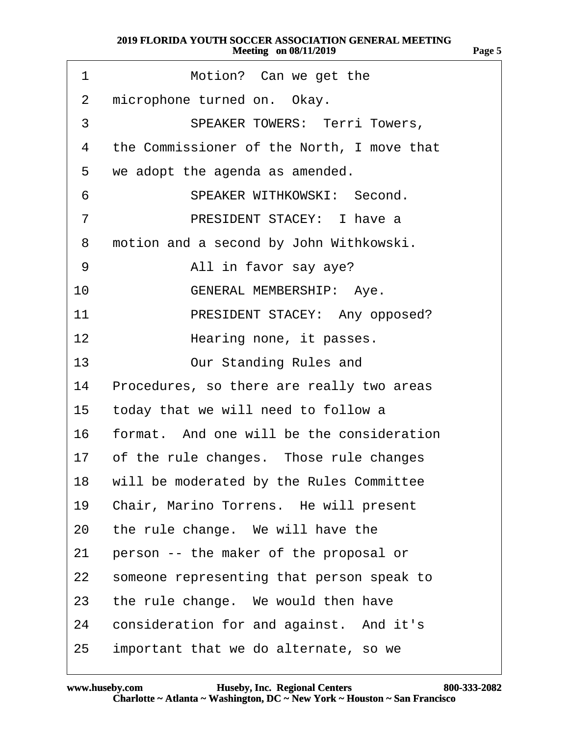| 1               | Motion? Can we get the                       |
|-----------------|----------------------------------------------|
| 2               | microphone turned on. Okay.                  |
| 3               | <b>SPEAKER TOWERS: Terri Towers,</b>         |
| 4               | the Commissioner of the North, I move that   |
| 5               | we adopt the agenda as amended.              |
| 6               | SPEAKER WITHKOWSKI: Second.                  |
| $\overline{7}$  | PRESIDENT STACEY: I have a                   |
| 8               | motion and a second by John Withkowski.      |
| 9               | All in favor say aye?                        |
| 10              | <b>GENERAL MEMBERSHIP: Aye.</b>              |
| 11              | PRESIDENT STACEY: Any opposed?               |
| 12 <sub>2</sub> | Hearing none, it passes.                     |
| 13              | Our Standing Rules and                       |
| 14              | Procedures, so there are really two areas    |
| 15              | today that we will need to follow a          |
|                 | 16 format. And one will be the consideration |
|                 | 17 of the rule changes. Those rule changes   |
| 18              | will be moderated by the Rules Committee     |
| 19              | Chair, Marino Torrens. He will present       |
| 20              | the rule change. We will have the            |
| 21              | person -- the maker of the proposal or       |
| 22              | someone representing that person speak to    |
| 23              | the rule change. We would then have          |
| 24              | consideration for and against. And it's      |
| 25              | important that we do alternate, so we        |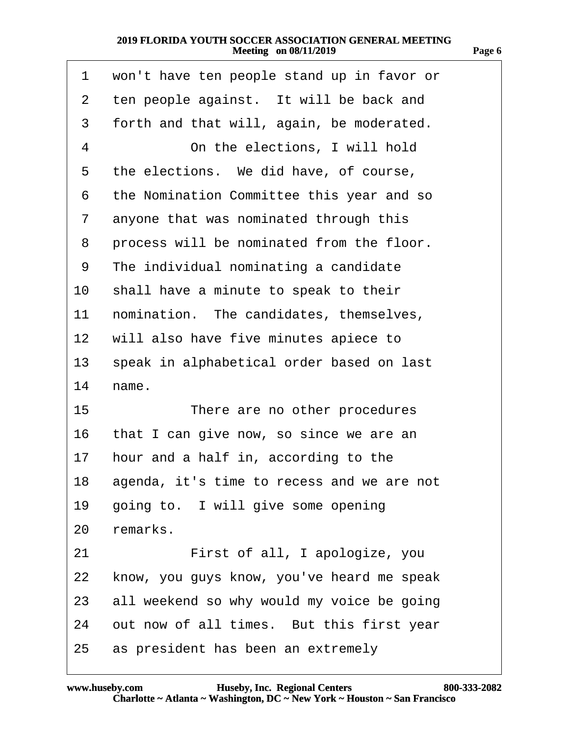| 1              | won't have ten people stand up in favor or    |
|----------------|-----------------------------------------------|
| 2              | ten people against. It will be back and       |
| 3              | forth and that will, again, be moderated.     |
| 4              | On the elections, I will hold                 |
| 5              | the elections. We did have, of course,        |
| 6              | the Nomination Committee this year and so     |
| $\overline{7}$ | anyone that was nominated through this        |
| 8              | process will be nominated from the floor.     |
| 9              | The individual nominating a candidate         |
| 10             | shall have a minute to speak to their         |
| 11             | nomination. The candidates, themselves,       |
| 12             | will also have five minutes apiece to         |
| 13             | speak in alphabetical order based on last     |
| 14             | name.                                         |
| 15             | There are no other procedures                 |
| 16             | that I can give now, so since we are an       |
| 17             | hour and a half in, according to the          |
|                | 18 agenda, it's time to recess and we are not |
| 19             | going to. I will give some opening            |
| 20             | remarks.                                      |
| 21             | First of all, I apologize, you                |
| 22             | know, you guys know, you've heard me speak    |
| 23             | all weekend so why would my voice be going    |
| 24             | out now of all times. But this first year     |
| 25             | as president has been an extremely            |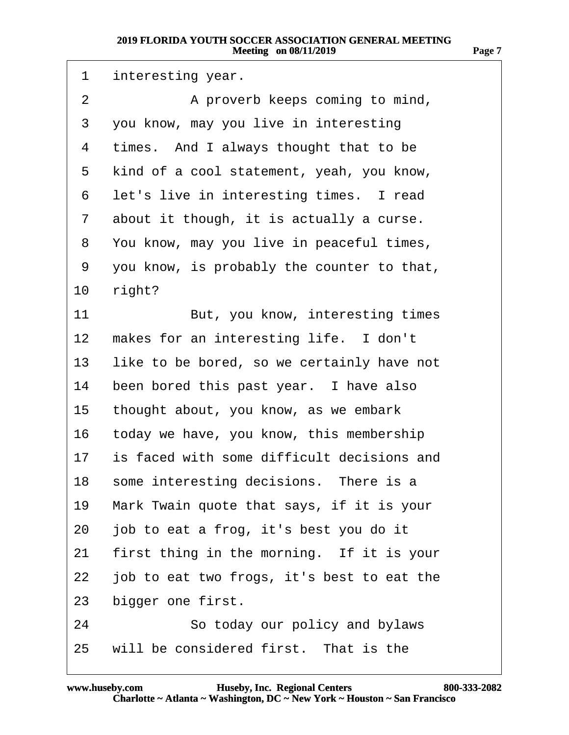| 1         | interesting year.                          |
|-----------|--------------------------------------------|
| 2         | A proverb keeps coming to mind,            |
| 3         | you know, may you live in interesting      |
| 4         | times. And I always thought that to be     |
| 5         | kind of a cool statement, yeah, you know,  |
| 6         | let's live in interesting times. I read    |
| 7         | about it though, it is actually a curse.   |
| 8         | You know, may you live in peaceful times,  |
| 9         | you know, is probably the counter to that, |
| 10        | right?                                     |
| 11        | But, you know, interesting times           |
| $12 \,$   | makes for an interesting life. I don't     |
| 13        | like to be bored, so we certainly have not |
| 14        | been bored this past year. I have also     |
| 15        | thought about, you know, as we embark      |
| 16        | today we have, you know, this membership   |
| 17        | is faced with some difficult decisions and |
| 18        | some interesting decisions. There is a     |
| 19        | Mark Twain quote that says, if it is your  |
| 20        | job to eat a frog, it's best you do it     |
| 21        | first thing in the morning. If it is your  |
| <u>22</u> | job to eat two frogs, it's best to eat the |
| 23        | bigger one first.                          |
| 24        | So today our policy and bylaws             |
| 25        | will be considered first. That is the      |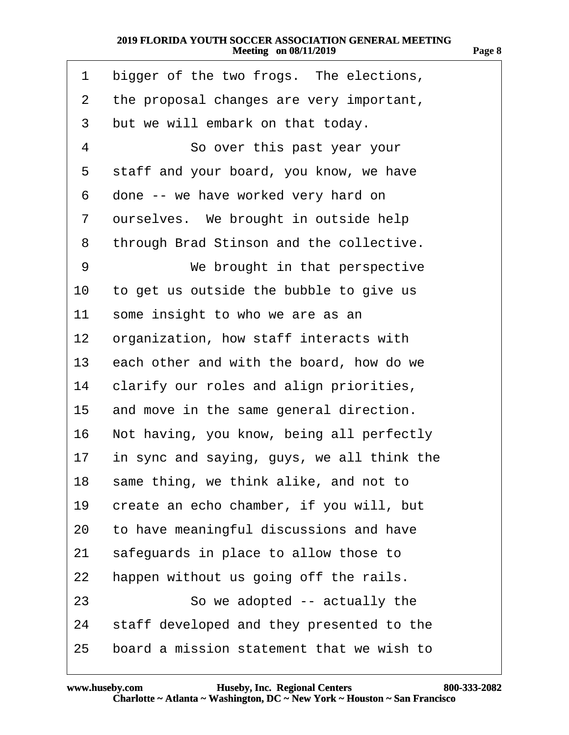| 1              | bigger of the two frogs. The elections,    |
|----------------|--------------------------------------------|
| $\overline{2}$ | the proposal changes are very important,   |
| 3              | but we will embark on that today.          |
| 4              | So over this past year your                |
| 5              | staff and your board, you know, we have    |
| 6              | done -- we have worked very hard on        |
| 7              | ourselves. We brought in outside help      |
| 8              | through Brad Stinson and the collective.   |
| 9              | We brought in that perspective             |
| 10             | to get us outside the bubble to give us    |
| 11             | some insight to who we are as an           |
| 12             | organization, how staff interacts with     |
| 13             | each other and with the board, how do we   |
| 14             | clarify our roles and align priorities,    |
| 15             | and move in the same general direction.    |
| 16             | Not having, you know, being all perfectly  |
| 17             | in sync and saying, guys, we all think the |
| 18             | same thing, we think alike, and not to     |
| 19             | create an echo chamber, if you will, but   |
| 20             | to have meaningful discussions and have    |
| 21             | safeguards in place to allow those to      |
| 22             | happen without us going off the rails.     |
| 23             | So we adopted -- actually the              |
| 24             | staff developed and they presented to the  |
| 25             | board a mission statement that we wish to  |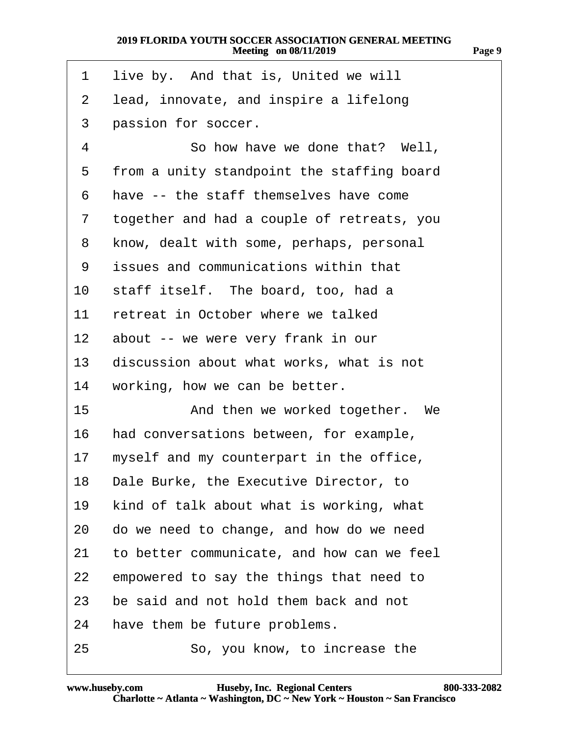|  |  |  | 1 live by. And that is, United we will |
|--|--|--|----------------------------------------|
|--|--|--|----------------------------------------|

- 2 lead, innovate, and inspire a lifelong
- 3 passion for soccer.
- 4 **· · So how have we done that?** Well,
- 5 from a unity standpoint the staffing board
- ·6· ·have -- the staff themselves have come
- ·7· ·together and had a couple of retreats, you
- 8 know, dealt with some, perhaps, personal
- ·9· ·issues and communications within that
- 10 staff itself. The board, too, had a
- 11 retreat in October where we talked
- 12 about -- we were very frank in our
- 13 discussion about what works, what is not
- 14 working, how we can be better.
- 15 **And then we worked together.** We
- 16 had conversations between, for example,
- 17 myself and my counterpart in the office,
- 18 Dale Burke, the Executive Director, to
- 19 kind of talk about what is working, what
- 20 do we need to change, and how do we need
- 21 to better communicate, and how can we feel
- 22 empowered to say the things that need to
- 23 be said and not hold them back and not
- 24 have them be future problems.
- 25 **· · · · So, you know, to increase the**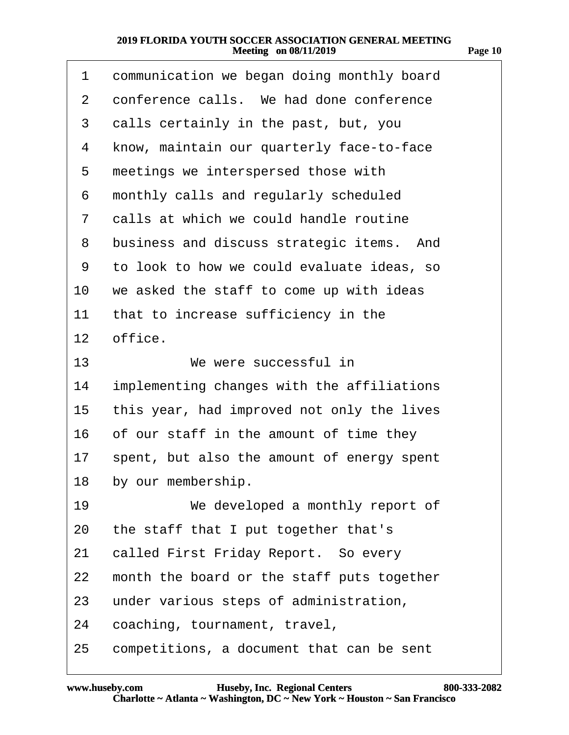| 1               | communication we began doing monthly board |
|-----------------|--------------------------------------------|
| 2               | conference calls. We had done conference   |
| 3               | calls certainly in the past, but, you      |
| 4               | know, maintain our quarterly face-to-face  |
| 5               | meetings we interspersed those with        |
| 6               | monthly calls and regularly scheduled      |
| $\overline{7}$  | calls at which we could handle routine     |
| 8               | business and discuss strategic items. And  |
| 9               | to look to how we could evaluate ideas, so |
| 10              | we asked the staff to come up with ideas   |
| 11              | that to increase sufficiency in the        |
| 12 <sup>2</sup> | office.                                    |
| 13              | We were successful in                      |
| 14              | implementing changes with the affiliations |
| 15              | this year, had improved not only the lives |
| 16              | of our staff in the amount of time they    |
| 17              | spent, but also the amount of energy spent |
| 18              | by our membership.                         |
| 19              | We developed a monthly report of           |
| 20              | the staff that I put together that's       |
| 21              | called First Friday Report. So every       |
| 22              | month the board or the staff puts together |
| 23              | under various steps of administration,     |
| 24              | coaching, tournament, travel,              |
| 25              | competitions, a document that can be sent  |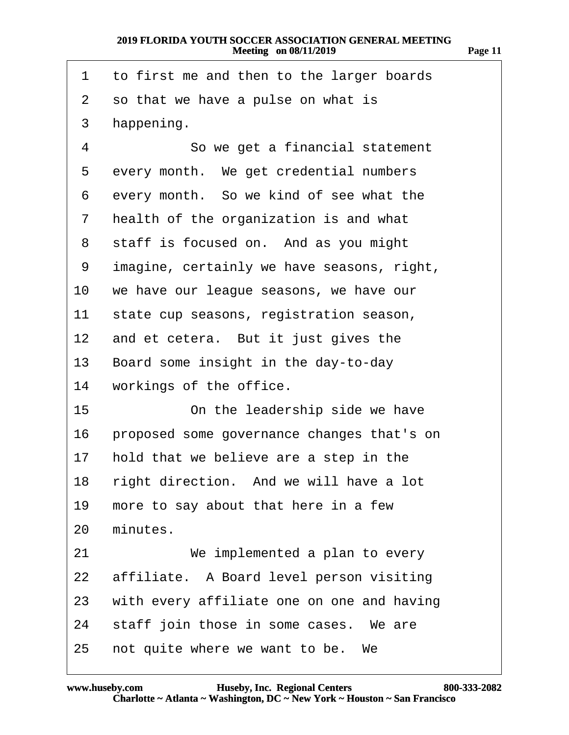1 to first me and then to the larger boards 2 so that we have a pulse on what is 3 happening. 4 **So we get a financial statement** 5 every month. We get credential numbers 6 every month. So we kind of see what the 7 health of the organization is and what 8 staff is focused on. And as you might 9 imagine, certainly we have seasons, right, 10 we have our league seasons, we have our 11 state cup seasons, registration season, 12 and et cetera. But it just gives the 13 Board some insight in the day-to-day 14 workings of the office. 15 **• On the leadership side we have** 16 proposed some governance changes that's on 17 hold that we believe are a step in the 18 right direction. And we will have a lot 19 more to say about that here in a few 20 minutes. 21 We implemented a plan to every 22 affiliate. A Board level person visiting 23 with every affiliate one on one and having 24 staff join those in some cases. We are 25 not quite where we want to be. We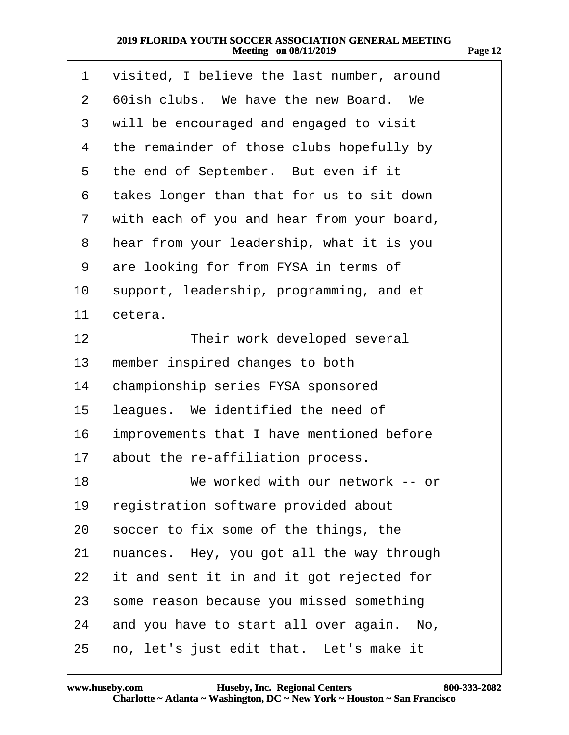| 1               | visited, I believe the last number, around |
|-----------------|--------------------------------------------|
| 2               | 60 folish clubs. We have the new Board. We |
| 3               | will be encouraged and engaged to visit    |
| 4               | the remainder of those clubs hopefully by  |
| 5               | the end of September. But even if it       |
| 6               | takes longer than that for us to sit down  |
| $\overline{7}$  | with each of you and hear from your board, |
| 8               | hear from your leadership, what it is you  |
| 9               | are looking for from FYSA in terms of      |
| 10              | support, leadership, programming, and et   |
| 11              | cetera.                                    |
| 12              | Their work developed several               |
| 13              | member inspired changes to both            |
| 14              | championship series FYSA sponsored         |
| 15              | leagues. We identified the need of         |
| 16              | improvements that I have mentioned before  |
| 17 <sup>1</sup> | about the re-affiliation process.          |
| 18              | We worked with our network -- or           |
| 19              | registration software provided about       |
| 20              | soccer to fix some of the things, the      |
| 21              | nuances. Hey, you got all the way through  |
| 22              | it and sent it in and it got rejected for  |
| 23              | some reason because you missed something   |
| 24              | and you have to start all over again. No,  |
| 25              | no, let's just edit that. Let's make it    |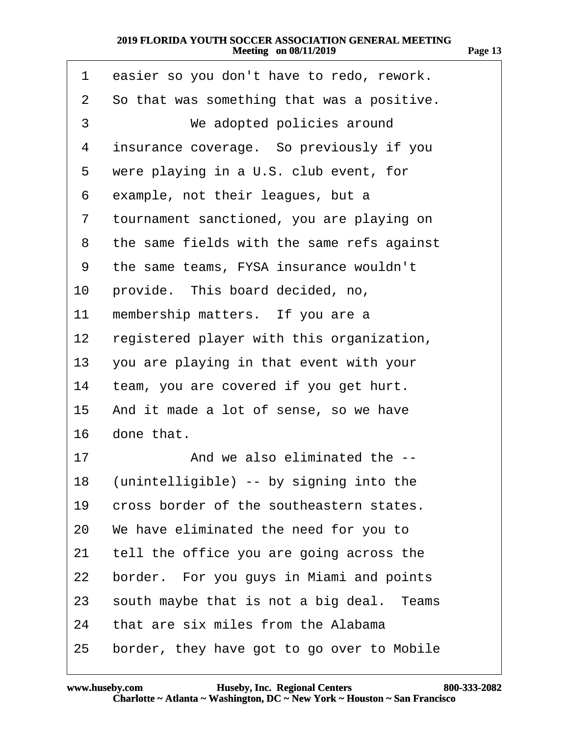| 1  | easier so you don't have to redo, rework.  |
|----|--------------------------------------------|
| 2  | So that was something that was a positive. |
| 3  | We adopted policies around                 |
| 4  | insurance coverage. So previously if you   |
| 5  | were playing in a U.S. club event, for     |
| 6  | example, not their leagues, but a          |
| 7  | tournament sanctioned, you are playing on  |
| 8  | the same fields with the same refs against |
| 9  | the same teams, FYSA insurance wouldn't    |
| 10 | provide. This board decided, no,           |
| 11 | membership matters. If you are a           |
| 12 | registered player with this organization,  |
| 13 | you are playing in that event with your    |
| 14 | team, you are covered if you get hurt.     |
| 15 | And it made a lot of sense, so we have     |
| 16 | done that.                                 |
| 17 | And we also eliminated the --              |
| 18 | (unintelligible) -- by signing into the    |
| 19 | cross border of the southeastern states.   |
| 20 | We have eliminated the need for you to     |
| 21 | tell the office you are going across the   |
| 22 | border. For you guys in Miami and points   |
| 23 | south maybe that is not a big deal. Teams  |
| 24 | that are six miles from the Alabama        |
| 25 | border, they have got to go over to Mobile |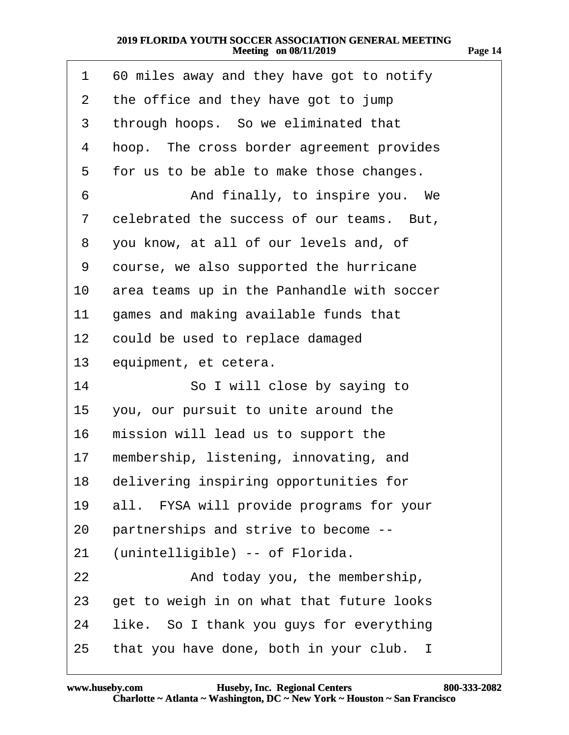| 1  | 60 miles away and they have got to notify  |
|----|--------------------------------------------|
| 2  | the office and they have got to jump       |
| 3  | through hoops. So we eliminated that       |
| 4  | hoop. The cross border agreement provides  |
| 5  | for us to be able to make those changes.   |
| 6  | And finally, to inspire you. We            |
| 7  | celebrated the success of our teams. But,  |
| 8  | you know, at all of our levels and, of     |
| 9  | course, we also supported the hurricane    |
| 10 | area teams up in the Panhandle with soccer |
| 11 | games and making available funds that      |
| 12 | could be used to replace damaged           |
| 13 | equipment, et cetera.                      |
| 14 | So I will close by saying to               |
| 15 | you, our pursuit to unite around the       |
| 16 | mission will lead us to support the        |
| 17 | membership, listening, innovating, and     |
|    | 18 delivering inspiring opportunities for  |
| 19 | all. FYSA will provide programs for your   |
| 20 | partnerships and strive to become --       |
| 21 | (unintelligible) -- of Florida.            |
| 22 | And today you, the membership,             |
| 23 | get to weigh in on what that future looks  |
| 24 | like. So I thank you guys for everything   |
| 25 | that you have done, both in your club. I   |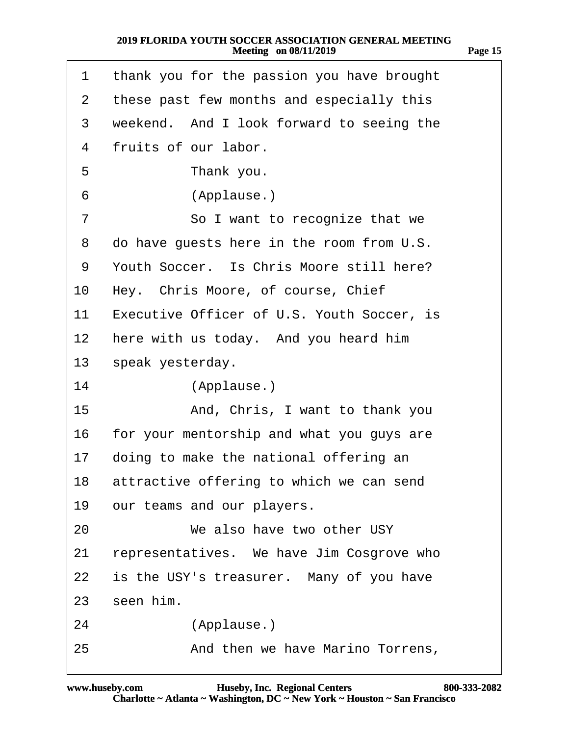| <br>r. |
|--------|
|--------|

| 1  | thank you for the passion you have brought  |
|----|---------------------------------------------|
| 2  | these past few months and especially this   |
| 3  | weekend. And I look forward to seeing the   |
| 4  | fruits of our labor.                        |
| 5  | Thank you.                                  |
| 6  | (Applause.)                                 |
| 7  | So I want to recognize that we              |
| 8  | do have guests here in the room from U.S.   |
| 9  | Youth Soccer. Is Chris Moore still here?    |
| 10 | Hey. Chris Moore, of course, Chief          |
| 11 | Executive Officer of U.S. Youth Soccer, is  |
| 12 | here with us today. And you heard him       |
| 13 | speak yesterday.                            |
| 14 | (Applause.)                                 |
| 15 | And, Chris, I want to thank you             |
| 16 | for your mentorship and what you guys are   |
| 17 | doing to make the national offering an      |
|    | 18 attractive offering to which we can send |
| 19 | our teams and our players.                  |
| 20 | We also have two other USY                  |
| 21 | representatives. We have Jim Cosgrove who   |
| 22 | is the USY's treasurer. Many of you have    |
| 23 | seen him.                                   |
| 24 | (Applause.)                                 |
| 25 | And then we have Marino Torrens,            |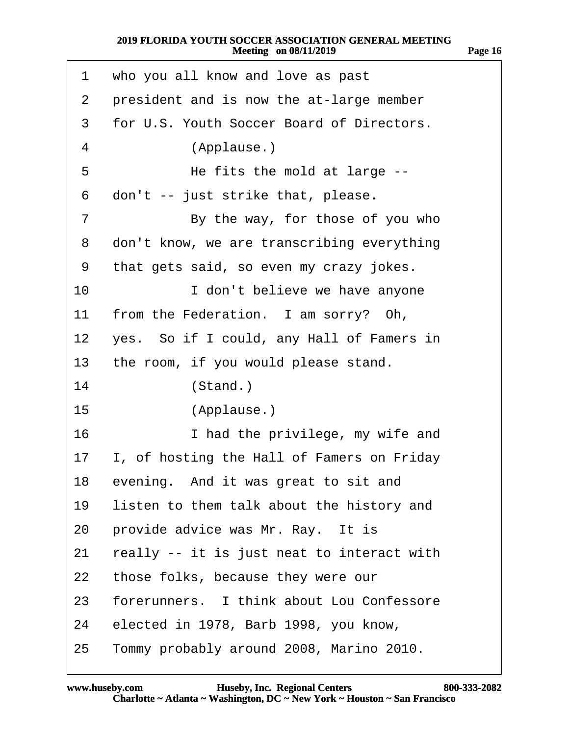| 1  | who you all know and love as past          |
|----|--------------------------------------------|
| 2  | president and is now the at-large member   |
| 3  | for U.S. Youth Soccer Board of Directors.  |
| 4  | (Applause.)                                |
| 5  | He fits the mold at large --               |
| 6  | don't -- just strike that, please.         |
| 7  | By the way, for those of you who           |
| 8  | don't know, we are transcribing everything |
| 9  | that gets said, so even my crazy jokes.    |
| 10 | I don't believe we have anyone             |
| 11 | from the Federation. I am sorry? Oh,       |
| 12 | yes. So if I could, any Hall of Famers in  |
| 13 | the room, if you would please stand.       |
| 14 | (Stand.)                                   |
| 15 | (Applause.)                                |
| 16 | I had the privilege, my wife and           |
| 17 | I, of hosting the Hall of Famers on Friday |
| 18 | evening. And it was great to sit and       |
| 19 | listen to them talk about the history and  |
| 20 | provide advice was Mr. Ray. It is          |
| 21 | really -- it is just neat to interact with |
| 22 | those folks, because they were our         |
| 23 | forerunners. I think about Lou Confessore  |
| 24 | elected in 1978, Barb 1998, you know,      |
| 25 | Tommy probably around 2008, Marino 2010.   |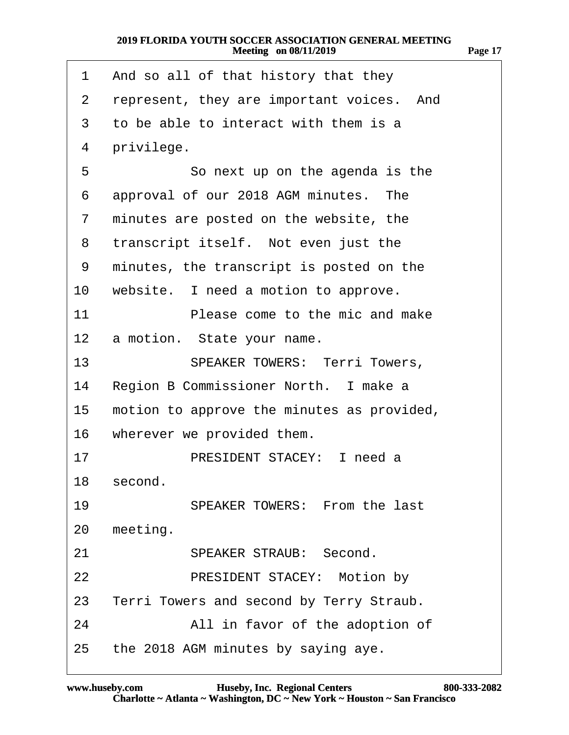| 1               | And so all of that history that they       |
|-----------------|--------------------------------------------|
| $\overline{2}$  | represent, they are important voices. And  |
| 3               | to be able to interact with them is a      |
| 4               | privilege.                                 |
| 5               | So next up on the agenda is the            |
| 6               | approval of our 2018 AGM minutes. The      |
| $\overline{7}$  | minutes are posted on the website, the     |
| 8               | transcript itself. Not even just the       |
| 9               | minutes, the transcript is posted on the   |
| 10              | website. I need a motion to approve.       |
| 11              | Please come to the mic and make            |
| 12 <sub>2</sub> | a motion. State your name.                 |
| 13              | <b>SPEAKER TOWERS: Terri Towers,</b>       |
| 14              | Region B Commissioner North. I make a      |
| 15              | motion to approve the minutes as provided, |
| 16              | wherever we provided them.                 |
| 17              | PRESIDENT STACEY: I need a                 |
| 18              | second.                                    |
| 19              | <b>SPEAKER TOWERS: From the last</b>       |
| 20              | meeting.                                   |
| 21              | <b>SPEAKER STRAUB: Second.</b>             |
| 22              | <b>PRESIDENT STACEY: Motion by</b>         |
| 23              | Terri Towers and second by Terry Straub.   |
| 24              | All in favor of the adoption of            |
| 25              | the 2018 AGM minutes by saying aye.        |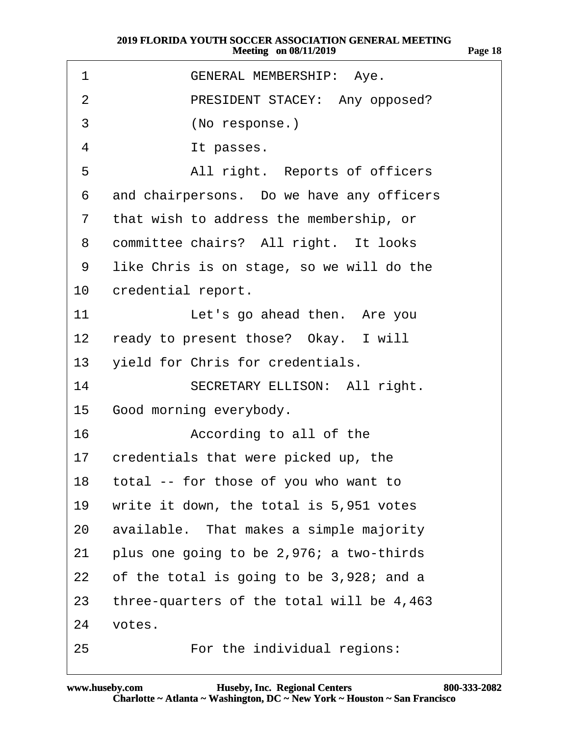- 1 **GENERAL MEMBERSHIP:** Aye.
- 2 PRESIDENT STACEY: Any opposed?
- 3 (No response.)
- 4 **It passes.**
- 5 All right. Reports of officers

6 and chairpersons. Do we have any officers

·7· ·that wish to address the membership, or

8 committee chairs? All right. It looks

- ·9· ·like Chris is on stage, so we will do the
- 10 credential report.
- 11 Let's go ahead then. Are you
- 12 ready to present those? Okay. I will
- 13 yield for Chris for credentials.
- 14 **· · SECRETARY ELLISON: All right.**
- 15 Good morning everybody.
- 16 **According to all of the**
- 17 credentials that were picked up, the
- 18 total -- for those of you who want to
- 19 write it down, the total is 5,951 votes
- 20 available. That makes a simple majority
- 21 plus one going to be 2,976; a two-thirds
- 22 of the total is going to be  $3,928$ ; and a
- 23 three-quarters of the total will be  $4,463$
- 24 votes.
- 25  **• For the individual regions:**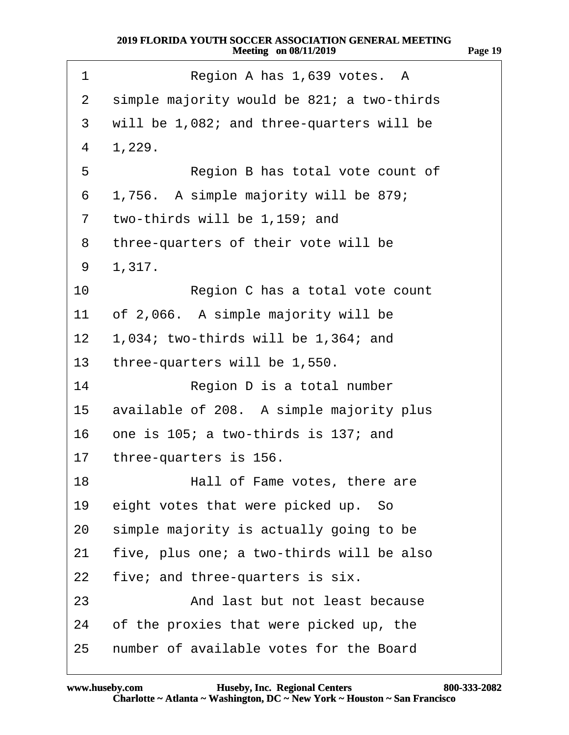| 1               | Region A has 1,639 votes. A                |
|-----------------|--------------------------------------------|
| 2               | simple majority would be 821; a two-thirds |
| 3               | will be 1,082; and three-quarters will be  |
| 4               | 1,229.                                     |
| 5               | Region B has total vote count of           |
| 6               | 1,756. A simple majority will be 879;      |
| $\overline{7}$  | two-thirds will be 1,159; and              |
| 8               | three-quarters of their vote will be       |
| 9               | 1,317.                                     |
| 10              | Region C has a total vote count            |
| 11              | of 2,066. A simple majority will be        |
| 12 <sup>1</sup> | 1,034; two-thirds will be 1,364; and       |
| 13              | three-quarters will be 1,550.              |
| 14              | Region D is a total number                 |
| 15              | available of 208. A simple majority plus   |
| 16              | one is 105; a two-thirds is 137; and       |
| 17              | three-quarters is 156.                     |
| 18              | Hall of Fame votes, there are              |
| 19              | eight votes that were picked up. So        |
| 20              | simple majority is actually going to be    |
| 21              | five, plus one; a two-thirds will be also  |
| 22              | five; and three-quarters is six.           |
| 23              | And last but not least because             |
| 24              | of the proxies that were picked up, the    |
| 25              | number of available votes for the Board    |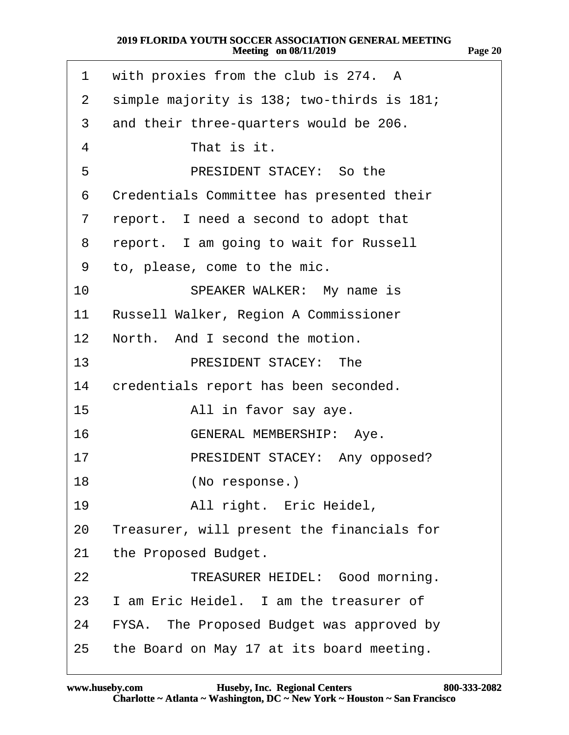| 1               | with proxies from the club is 274. A         |
|-----------------|----------------------------------------------|
| $\overline{2}$  | simple majority is 138; two-thirds is 181;   |
| 3               | and their three-quarters would be 206.       |
| 4               | That is it.                                  |
| 5               | PRESIDENT STACEY: So the                     |
| 6               | Credentials Committee has presented their    |
| 7               | report. I need a second to adopt that        |
| 8               | report. I am going to wait for Russell       |
| 9               | to, please, come to the mic.                 |
| 10              | SPEAKER WALKER: My name is                   |
| 11              | <b>Russell Walker, Region A Commissioner</b> |
| 12 <sup>°</sup> | North. And I second the motion.              |
| 13 <sup>2</sup> | <b>PRESIDENT STACEY: The</b>                 |
| 14              | credentials report has been seconded.        |
| 15              | All in favor say aye.                        |
| 16              | <b>GENERAL MEMBERSHIP: Aye.</b>              |
| 17              | PRESIDENT STACEY: Any opposed?               |
| 18              | (No response.)                               |
| 19              | All right. Eric Heidel,                      |
| 20              | Treasurer, will present the financials for   |
| 21              | the Proposed Budget.                         |
| 22              | TREASURER HEIDEL: Good morning.              |
| 23              | I am Eric Heidel. I am the treasurer of      |
| 24              | FYSA. The Proposed Budget was approved by    |
| 25              | the Board on May 17 at its board meeting.    |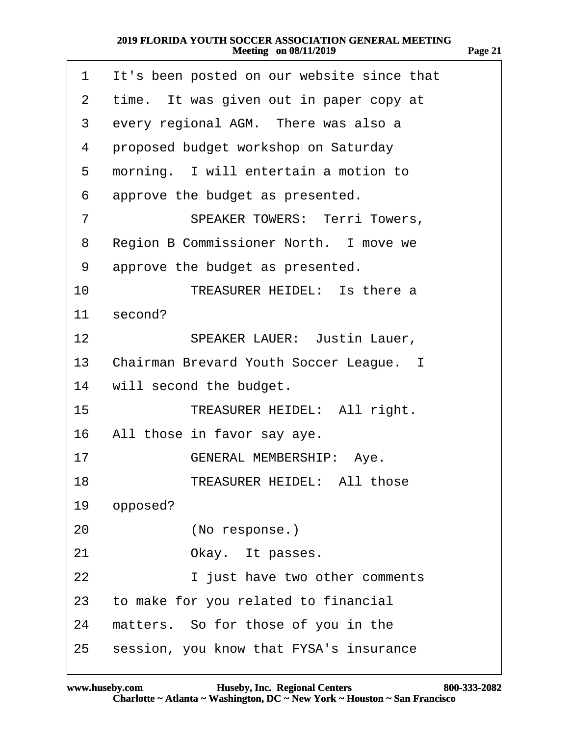| 1               | It's been posted on our website since that |
|-----------------|--------------------------------------------|
| 2               | time. It was given out in paper copy at    |
| 3               | every regional AGM. There was also a       |
| 4               | proposed budget workshop on Saturday       |
| 5               | morning. I will entertain a motion to      |
| 6               | approve the budget as presented.           |
| 7               | <b>SPEAKER TOWERS: Terri Towers,</b>       |
| 8               | Region B Commissioner North. I move we     |
| 9               | approve the budget as presented.           |
| 10              | TREASURER HEIDEL: Is there a               |
| 11              | second?                                    |
| 12 <sup>2</sup> | <b>SPEAKER LAUER: Justin Lauer,</b>        |
|                 | 13 Chairman Brevard Youth Soccer League. I |
|                 | 14 will second the budget.                 |
| 15 <sup>1</sup> | TREASURER HEIDEL: All right.               |
| 16              | All those in favor say aye.                |
| 17              | <b>GENERAL MEMBERSHIP: Aye.</b>            |
| 18              | <b>TREASURER HEIDEL: All those</b>         |
| 19              | opposed?                                   |
| 20              | (No response.)                             |
| 21              | Okay. It passes.                           |
| 22              | I just have two other comments             |
|                 | 23 to make for you related to financial    |
| 24              | matters. So for those of you in the        |
| 25              | session, you know that FYSA's insurance    |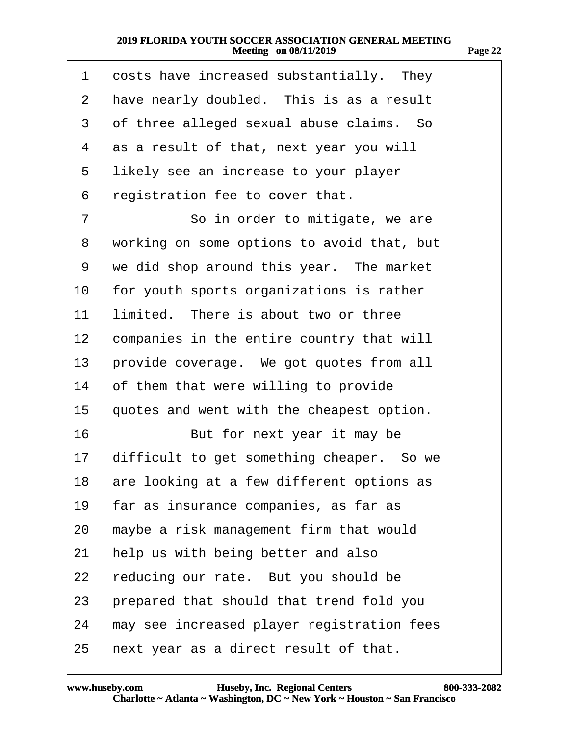| 1               | costs have increased substantially. They     |
|-----------------|----------------------------------------------|
| 2               | have nearly doubled. This is as a result     |
| 3               | of three alleged sexual abuse claims. So     |
| 4               | as a result of that, next year you will      |
| 5               | likely see an increase to your player        |
| 6               | registration fee to cover that.              |
| 7               | So in order to mitigate, we are              |
| 8               | working on some options to avoid that, but   |
| 9               | we did shop around this year. The market     |
| 10              | for youth sports organizations is rather     |
| 11              | limited. There is about two or three         |
| 12 <sub>2</sub> | companies in the entire country that will    |
| 13              | provide coverage. We got quotes from all     |
| 14              | of them that were willing to provide         |
| 15 <sub>1</sub> | quotes and went with the cheapest option.    |
| 16              | But for next year it may be                  |
| 17              | difficult to get something cheaper. So we    |
|                 | 18 are looking at a few different options as |
| 19              | far as insurance companies, as far as        |
| 20              | maybe a risk management firm that would      |
| 21              | help us with being better and also           |
| 22              | reducing our rate. But you should be         |
| 23              | prepared that should that trend fold you     |
| 24              | may see increased player registration fees   |
| 25              | next year as a direct result of that.        |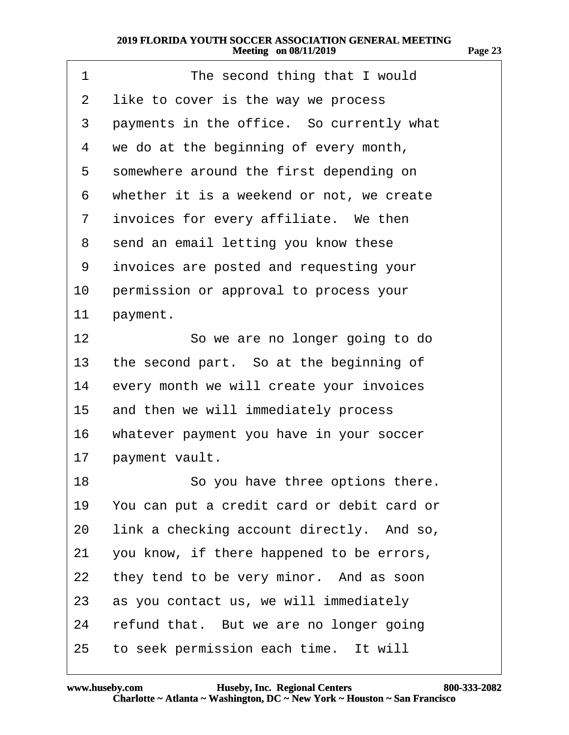| 1  | The second thing that I would              |
|----|--------------------------------------------|
| 2  | like to cover is the way we process        |
| 3  | payments in the office. So currently what  |
| 4  | we do at the beginning of every month,     |
| 5  | somewhere around the first depending on    |
| 6  | whether it is a weekend or not, we create  |
| 7  | invoices for every affiliate. We then      |
| 8  | send an email letting you know these       |
| 9  | invoices are posted and requesting your    |
| 10 | permission or approval to process your     |
| 11 | payment.                                   |
| 12 | So we are no longer going to do            |
| 13 | the second part. So at the beginning of    |
| 14 | every month we will create your invoices   |
| 15 | and then we will immediately process       |
| 16 | whatever payment you have in your soccer   |
| 17 | payment vault.                             |
| 18 | So you have three options there.           |
| 19 | You can put a credit card or debit card or |
| 20 | link a checking account directly. And so,  |
| 21 | you know, if there happened to be errors,  |
| 22 | they tend to be very minor. And as soon    |
| 23 | as you contact us, we will immediately     |
| 24 | refund that. But we are no longer going    |
| 25 | to seek permission each time. It will      |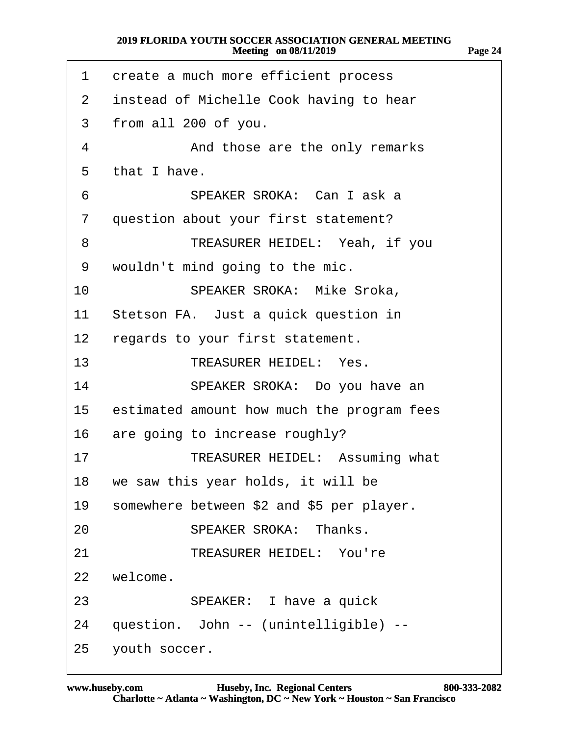| 1               | create a much more efficient process       |
|-----------------|--------------------------------------------|
| 2               | instead of Michelle Cook having to hear    |
| 3               | from all 200 of you.                       |
| 4               | And those are the only remarks             |
| 5               | that I have.                               |
| 6               | SPEAKER SROKA: Can I ask a                 |
| $\overline{7}$  | question about your first statement?       |
| 8               | TREASURER HEIDEL: Yeah, if you             |
| 9               | wouldn't mind going to the mic.            |
| 10              | <b>SPEAKER SROKA: Mike Sroka,</b>          |
| 11              | Stetson FA. Just a quick question in       |
| 12              | regards to your first statement.           |
| 13              | <b>TREASURER HEIDEL: Yes.</b>              |
| 14              | SPEAKER SROKA: Do you have an              |
| 15              | estimated amount how much the program fees |
| 16              | are going to increase roughly?             |
| 17              | <b>TREASURER HEIDEL: Assuming what</b>     |
| 18              | we saw this year holds, it will be         |
| 19              | somewhere between \$2 and \$5 per player.  |
| 20              | <b>SPEAKER SROKA: Thanks.</b>              |
| 21              | <b>TREASURER HEIDEL: You're</b>            |
| 22 <sub>2</sub> | welcome.                                   |
| 23              | SPEAKER: I have a quick                    |
| 24              | question. John -- (unintelligible) --      |
| 25              | youth soccer.                              |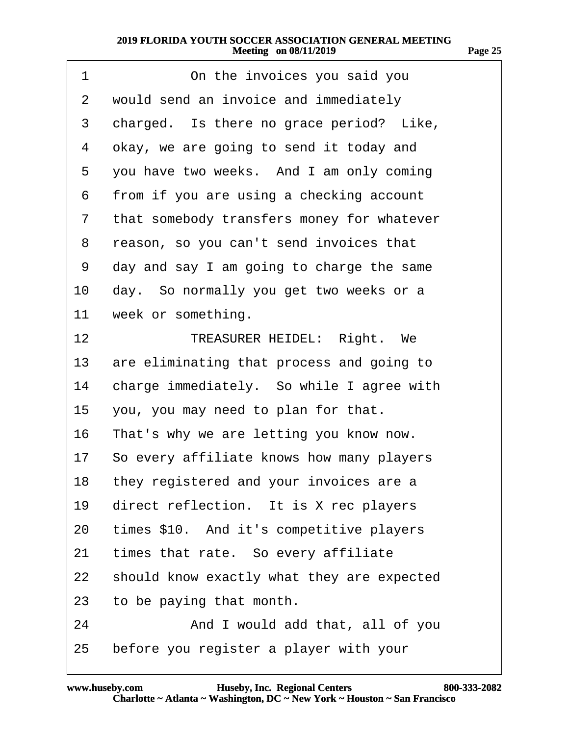| 1              | On the invoices you said you               |
|----------------|--------------------------------------------|
| 2              | would send an invoice and immediately      |
| 3              | charged. Is there no grace period? Like,   |
| 4              | okay, we are going to send it today and    |
| 5              | you have two weeks. And I am only coming   |
| 6              | from if you are using a checking account   |
| $\overline{7}$ | that somebody transfers money for whatever |
| 8              | reason, so you can't send invoices that    |
| 9              | day and say I am going to charge the same  |
| 10             | day. So normally you get two weeks or a    |
| 11             | week or something.                         |
| 12             | <b>TREASURER HEIDEL: Right. We</b>         |
| 13             | are eliminating that process and going to  |
| 14             | charge immediately. So while I agree with  |
| 15             | you, you may need to plan for that.        |
| 16             | That's why we are letting you know now.    |
| 17             | So every affiliate knows how many players  |
|                | 18 they registered and your invoices are a |
| 19             | direct reflection. It is X rec players     |
| 20             | times \$10. And it's competitive players   |
| 21             | times that rate. So every affiliate        |
| 22             | should know exactly what they are expected |
| 23             | to be paying that month.                   |
| 24             | And I would add that, all of you           |
| 25             | before you register a player with your     |

**Page 25**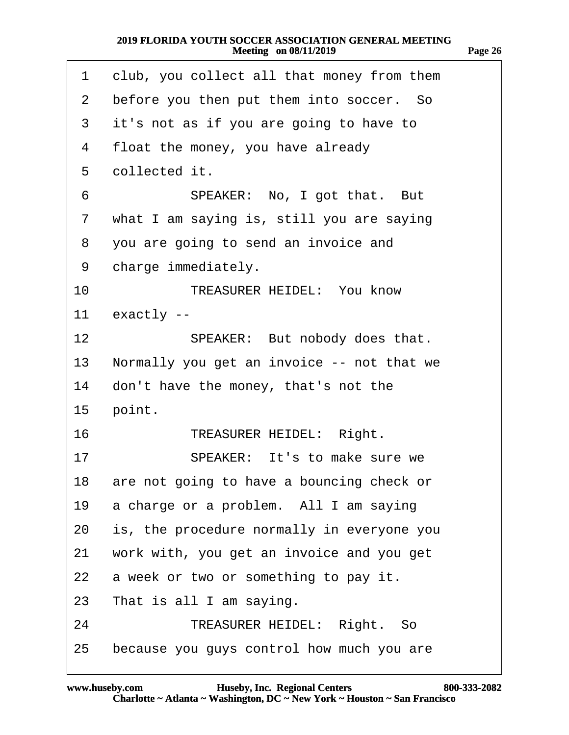| 1               | club, you collect all that money from them |
|-----------------|--------------------------------------------|
| 2               | before you then put them into soccer. So   |
| 3               | it's not as if you are going to have to    |
| 4               | float the money, you have already          |
| 5               | collected it.                              |
| 6               | SPEAKER: No, I got that. But               |
| 7               | what I am saying is, still you are saying  |
| 8               | you are going to send an invoice and       |
| 9               | charge immediately.                        |
| 10              | <b>TREASURER HEIDEL: You know</b>          |
| 11              | exactly --                                 |
| 12 <sub>2</sub> | SPEAKER: But nobody does that.             |
| 13              | Normally you get an invoice -- not that we |
| 14              | don't have the money, that's not the       |
| 15              | point.                                     |
| 16              | <b>TREASURER HEIDEL: Right.</b>            |
| 17              | SPEAKER: It's to make sure we              |
| 18              | are not going to have a bouncing check or  |
| 19              | a charge or a problem. All I am saying     |
| 20              | is, the procedure normally in everyone you |
| 21              | work with, you get an invoice and you get  |
| 22              | a week or two or something to pay it.      |
| 23              | That is all I am saying.                   |
| 24              | <b>TREASURER HEIDEL: Right. So</b>         |
| 25              | because you guys control how much you are  |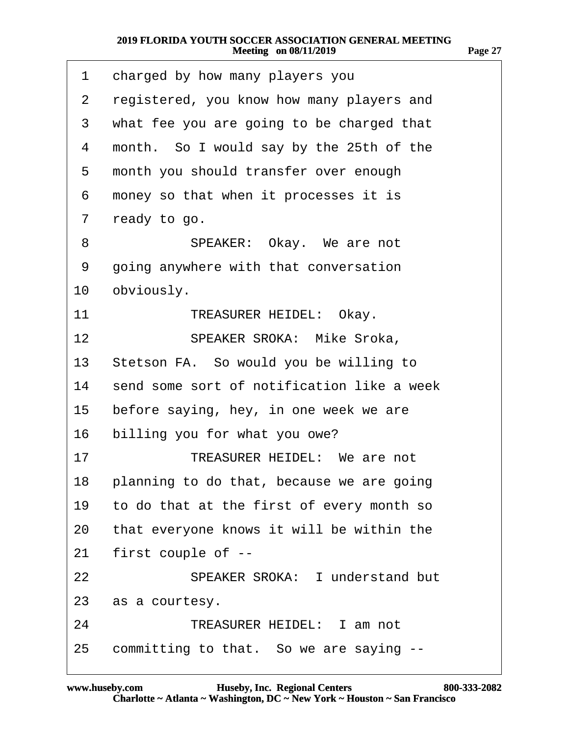| 1               | charged by how many players you              |
|-----------------|----------------------------------------------|
| 2               | registered, you know how many players and    |
| 3               | what fee you are going to be charged that    |
| 4               | month. So I would say by the 25th of the     |
| 5               | month you should transfer over enough        |
| 6               | money so that when it processes it is        |
| 7               | ready to go.                                 |
| 8               | SPEAKER: Okay. We are not                    |
| 9               | going anywhere with that conversation        |
| 10              | obviously.                                   |
| 11              | <b>TREASURER HEIDEL: Okay.</b>               |
| 12              | <b>SPEAKER SROKA: Mike Sroka,</b>            |
| 13 <sup>°</sup> | Stetson FA. So would you be willing to       |
| 14              | send some sort of notification like a week   |
| 15              | before saying, hey, in one week we are       |
| 16              | billing you for what you owe?                |
| 17              | <b>TREASURER HEIDEL: We are not</b>          |
|                 | 18 planning to do that, because we are going |
| 19              | to do that at the first of every month so    |
| 20              | that everyone knows it will be within the    |
| 21              | first couple of --                           |
| 22              | <b>SPEAKER SROKA: I understand but</b>       |
| 23              | as a courtesy.                               |
| 24              | <b>TREASURER HEIDEL: I am not</b>            |
| 25              | committing to that. So we are saying --      |

**Page 27**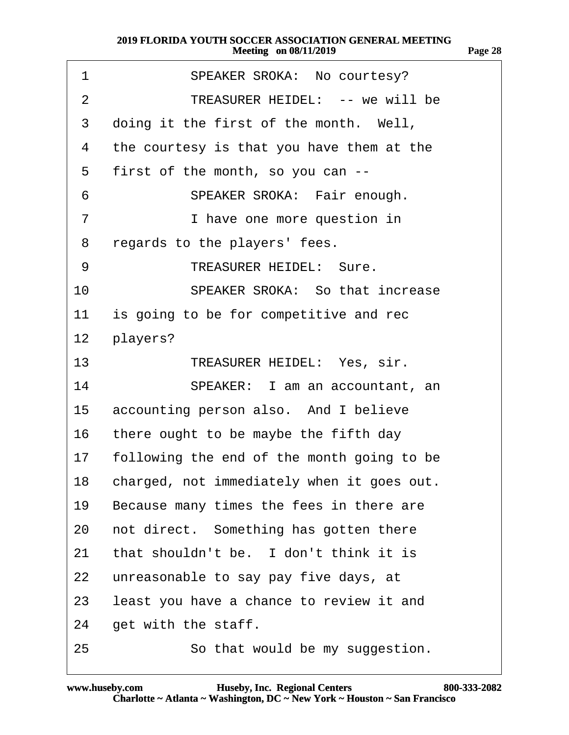| 1               | <b>SPEAKER SROKA: No courtesy?</b>         |
|-----------------|--------------------------------------------|
| $\overline{2}$  | TREASURER HEIDEL: -- we will be            |
| 3               | doing it the first of the month. Well,     |
| 4               | the courtesy is that you have them at the  |
| 5               | first of the month, so you can --          |
| 6               | SPEAKER SROKA: Fair enough.                |
| 7               | I have one more question in                |
| 8               | regards to the players' fees.              |
| 9               | <b>TREASURER HEIDEL: Sure.</b>             |
| 10              | <b>SPEAKER SROKA: So that increase</b>     |
| 11              | is going to be for competitive and rec     |
| 12 <sub>2</sub> | players?                                   |
| 13              | <b>TREASURER HEIDEL: Yes, sir.</b>         |
| 14              | SPEAKER: I am an accountant, an            |
| 15              | accounting person also. And I believe      |
| 16              | there ought to be maybe the fifth day      |
| 17              | following the end of the month going to be |
| 18              | charged, not immediately when it goes out. |
| 19              | Because many times the fees in there are   |
| 20              | not direct. Something has gotten there     |
| 21              | that shouldn't be. I don't think it is     |
| 22              | unreasonable to say pay five days, at      |
| 23              | least you have a chance to review it and   |
| 24              | get with the staff.                        |
| 25              | So that would be my suggestion.            |

**Page 28**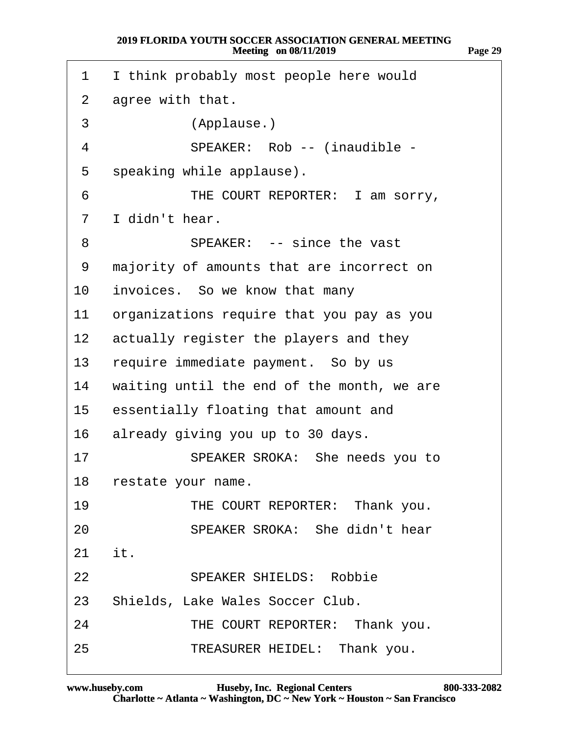| 1               | I think probably most people here would    |
|-----------------|--------------------------------------------|
| $\overline{2}$  | agree with that.                           |
| 3               | (Applause.)                                |
| 4               | SPEAKER: Rob -- (inaudible -               |
| 5               | speaking while applause).                  |
| 6               | THE COURT REPORTER: I am sorry,            |
| $\overline{7}$  | I didn't hear.                             |
| 8               | SPEAKER: -- since the vast                 |
| 9               | majority of amounts that are incorrect on  |
| 10              | invoices. So we know that many             |
| 11              | organizations require that you pay as you  |
| 12 <sup>1</sup> | actually register the players and they     |
| 13              | require immediate payment. So by us        |
| 14              | waiting until the end of the month, we are |
| 15              | essentially floating that amount and       |
| 16              | already giving you up to 30 days.          |
| 17              | SPEAKER SROKA: She needs you to            |
| 18              | restate your name.                         |
| 19              | THE COURT REPORTER: Thank you.             |
| 20              | <b>SPEAKER SROKA: She didn't hear</b>      |
| 21              | it.                                        |
| 22              | <b>SPEAKER SHIELDS: Robbie</b>             |
| 23              | Shields, Lake Wales Soccer Club.           |
| 24              | THE COURT REPORTER: Thank you.             |
| 25              | TREASURER HEIDEL: Thank you.               |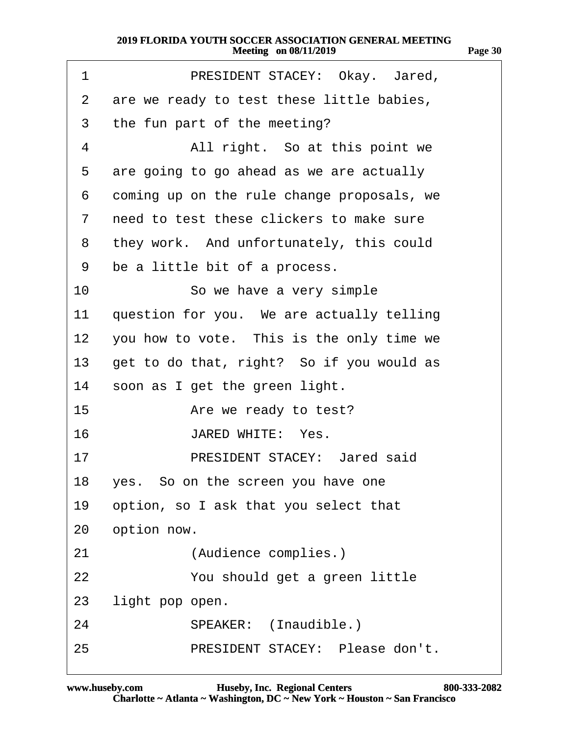| 71<br>٠ |  |
|---------|--|
|         |  |

| 1              | PRESIDENT STACEY: Okay. Jared,             |
|----------------|--------------------------------------------|
| 2              | are we ready to test these little babies,  |
| 3              | the fun part of the meeting?               |
| 4              | All right. So at this point we             |
| 5              | are going to go ahead as we are actually   |
| 6              | coming up on the rule change proposals, we |
| $\overline{7}$ | need to test these clickers to make sure   |
| 8              | they work. And unfortunately, this could   |
| 9              | be a little bit of a process.              |
| 10             | So we have a very simple                   |
| 11             | question for you. We are actually telling  |
| 12             | you how to vote. This is the only time we  |
| 13             | get to do that, right? So if you would as  |
| 14             | soon as I get the green light.             |
| 15             | Are we ready to test?                      |
| 16             | JARED WHITE: Yes.                          |
| 17             | PRESIDENT STACEY: Jared said               |
| 18             | yes. So on the screen you have one         |
| 19             | option, so I ask that you select that      |
| 20             | option now.                                |
| 21             | (Audience complies.)                       |
| 22             | You should get a green little              |
| 23             | light pop open.                            |
| 24             | SPEAKER: (Inaudible.)                      |
| 25             | PRESIDENT STACEY: Please don't.            |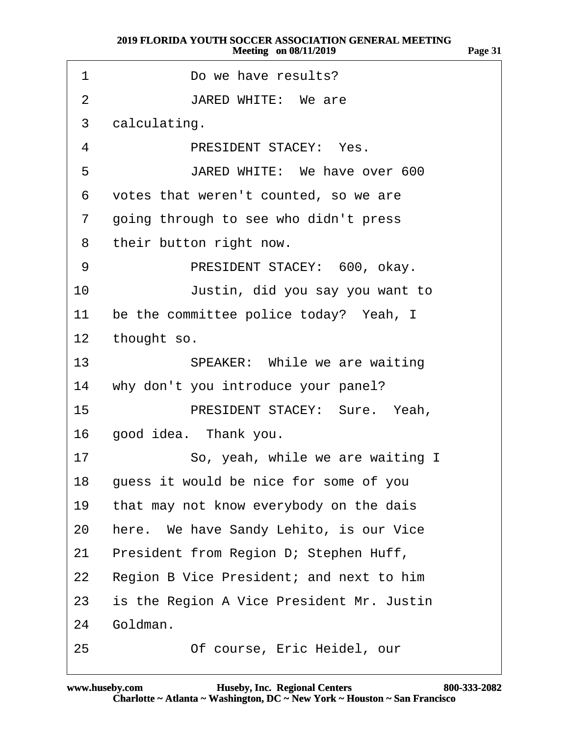| 1               | Do we have results?                       |
|-----------------|-------------------------------------------|
| 2               | JARED WHITE: We are                       |
| 3               | calculating.                              |
| 4               | PRESIDENT STACEY: Yes.                    |
| 5               | JARED WHITE: We have over 600             |
| 6               | votes that weren't counted, so we are     |
| 7               | going through to see who didn't press     |
| 8               | their button right now.                   |
| 9               | PRESIDENT STACEY: 600, okay.              |
| 10              | Justin, did you say you want to           |
| 11              | be the committee police today? Yeah, I    |
| 12 <sup>1</sup> | thought so.                               |
| 13              | SPEAKER: While we are waiting             |
| 14              | why don't you introduce your panel?       |
| 15 <sub>1</sub> | PRESIDENT STACEY: Sure. Yeah,             |
| 16              | good idea. Thank you.                     |
| 17              | So, yeah, while we are waiting I          |
| 18              | guess it would be nice for some of you    |
| 19              | that may not know everybody on the dais   |
| 20              | here. We have Sandy Lehito, is our Vice   |
| 21              | President from Region D; Stephen Huff,    |
| 22              | Region B Vice President; and next to him  |
| 23              | is the Region A Vice President Mr. Justin |
| 24              | Goldman.                                  |
| 25              | Of course, Eric Heidel, our               |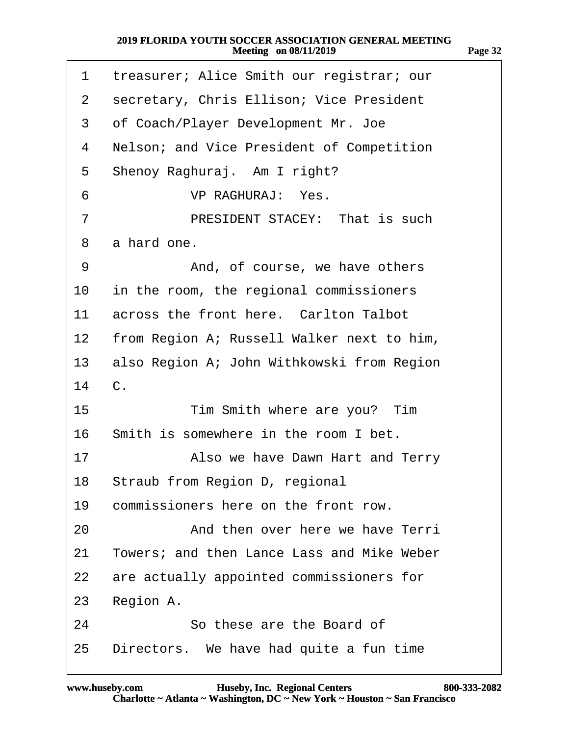| 1  | treasurer; Alice Smith our registrar; our  |
|----|--------------------------------------------|
| 2  | secretary, Chris Ellison; Vice President   |
| 3  | of Coach/Player Development Mr. Joe        |
| 4  | Nelson; and Vice President of Competition  |
| 5  | Shenoy Raghuraj. Am I right?               |
| 6  | <b>VP RAGHURAJ: Yes.</b>                   |
| 7  | PRESIDENT STACEY: That is such             |
| 8  | a hard one.                                |
| 9  | And, of course, we have others             |
| 10 | in the room, the regional commissioners    |
| 11 | across the front here. Carlton Talbot      |
| 12 | from Region A; Russell Walker next to him, |
| 13 | also Region A; John Withkowski from Region |
|    | 14 C.                                      |
| 15 | Tim Smith where are you? Tim               |
|    | 16 Smith is somewhere in the room I bet.   |
| 17 | Also we have Dawn Hart and Terry           |
|    | 18 Straub from Region D, regional          |
| 19 | commissioners here on the front row.       |
| 20 | And then over here we have Terri           |
| 21 | Towers; and then Lance Lass and Mike Weber |
| 22 | are actually appointed commissioners for   |
| 23 | Region A.                                  |
| 24 | So these are the Board of                  |
| 25 | Directors. We have had quite a fun time    |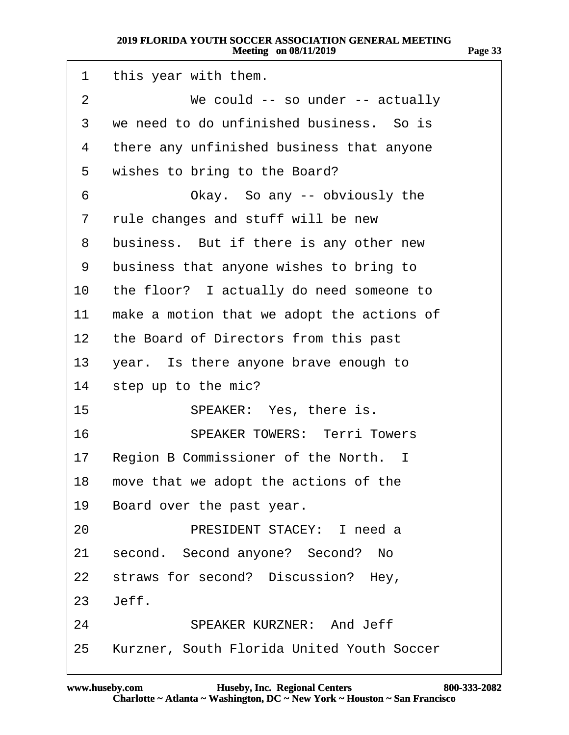| 1               | this year with them.                          |
|-----------------|-----------------------------------------------|
| 2               | We could -- so under -- actually              |
| 3               | we need to do unfinished business. So is      |
| 4               | there any unfinished business that anyone     |
| 5               | wishes to bring to the Board?                 |
| 6               | Okay. So any -- obviously the                 |
| 7               | rule changes and stuff will be new            |
| 8               | business. But if there is any other new       |
| 9               | business that anyone wishes to bring to       |
| 10              | the floor? I actually do need someone to      |
| 11              | make a motion that we adopt the actions of    |
| 12 <sub>2</sub> | the Board of Directors from this past         |
| 13              | year. Is there anyone brave enough to         |
| 14              | step up to the mic?                           |
| 15              | SPEAKER: Yes, there is.                       |
| 16              | <b>SPEAKER TOWERS: Terri Towers</b>           |
| 17              | Region B Commissioner of the North. I         |
| 18              | move that we adopt the actions of the         |
|                 | 19 Board over the past year.                  |
| 20              | PRESIDENT STACEY: I need a                    |
|                 | 21 second. Second anyone? Second? No          |
|                 | 22 straws for second? Discussion? Hey,        |
|                 | 23 Jeff.                                      |
| 24              | <b>SPEAKER KURZNER: And Jeff</b>              |
|                 | 25 Kurzner, South Florida United Youth Soccer |
|                 |                                               |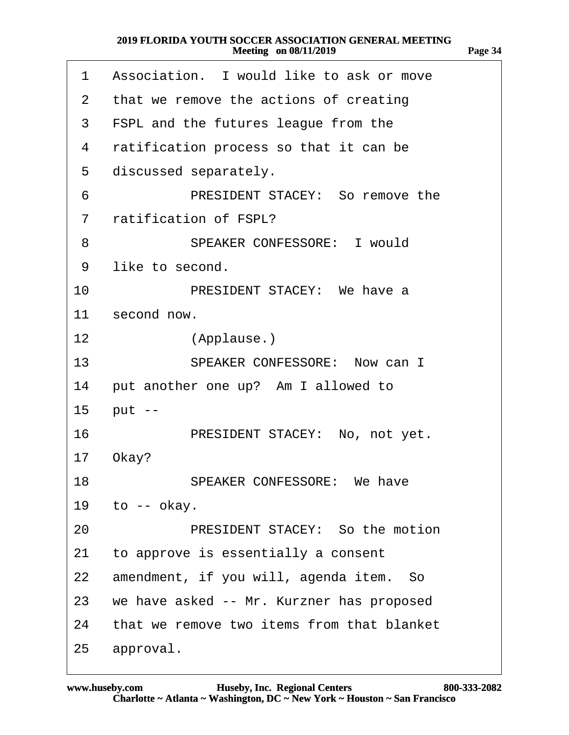| 1  | Association. I would like to ask or move     |
|----|----------------------------------------------|
| 2  | that we remove the actions of creating       |
| 3  | FSPL and the futures league from the         |
| 4  | ratification process so that it can be       |
| 5  | discussed separately.                        |
| 6  | PRESIDENT STACEY: So remove the              |
| 7  | ratification of FSPL?                        |
| 8  | <b>SPEAKER CONFESSORE: I would</b>           |
| 9  | like to second.                              |
| 10 | <b>PRESIDENT STACEY: We have a</b>           |
| 11 | second now.                                  |
| 12 | (Applause.)                                  |
| 13 | <b>SPEAKER CONFESSORE: Now can I</b>         |
| 14 | put another one up? Am I allowed to          |
| 15 | put --                                       |
| 16 | PRESIDENT STACEY: No, not yet.               |
| 17 | Okay?                                        |
| 18 | <b>SPEAKER CONFESSORE: We have</b>           |
| 19 | to -- okay.                                  |
| 20 | <b>PRESIDENT STACEY: So the motion</b>       |
| 21 | to approve is essentially a consent          |
| 22 | amendment, if you will, agenda item. So      |
|    | 23 we have asked -- Mr. Kurzner has proposed |
| 24 | that we remove two items from that blanket   |
|    | 25 approval.                                 |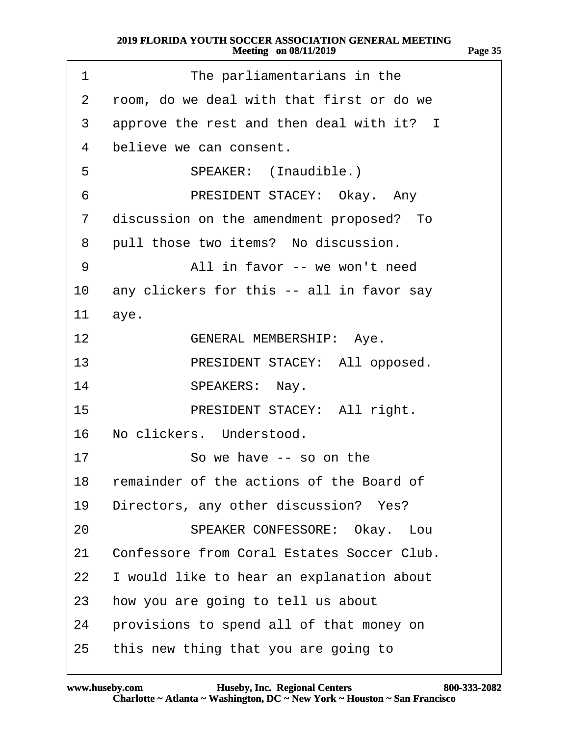| 1               | The parliamentarians in the                |
|-----------------|--------------------------------------------|
| $\overline{2}$  | room, do we deal with that first or do we  |
| 3               | approve the rest and then deal with it? I  |
| 4               | believe we can consent.                    |
| 5               | SPEAKER: (Inaudible.)                      |
| 6               | PRESIDENT STACEY: Okay. Any                |
| $\overline{7}$  | discussion on the amendment proposed? To   |
| 8               | pull those two items? No discussion.       |
| 9               | All in favor -- we won't need              |
| 10              | any clickers for this -- all in favor say  |
| 11              | aye.                                       |
| 12 <sup>°</sup> | <b>GENERAL MEMBERSHIP: Aye.</b>            |
| 13              | PRESIDENT STACEY: All opposed.             |
| 14              | SPEAKERS: Nay.                             |
| 15              | PRESIDENT STACEY: All right.               |
|                 | 16 No clickers. Understood.                |
| 17              | So we have -- so on the                    |
| 18              | remainder of the actions of the Board of   |
| 19              | Directors, any other discussion? Yes?      |
| 20              | SPEAKER CONFESSORE: Okay. Lou              |
| 21              | Confessore from Coral Estates Soccer Club. |
| 22              | I would like to hear an explanation about  |
| 23              | how you are going to tell us about         |
| 24              | provisions to spend all of that money on   |
| 25              | this new thing that you are going to       |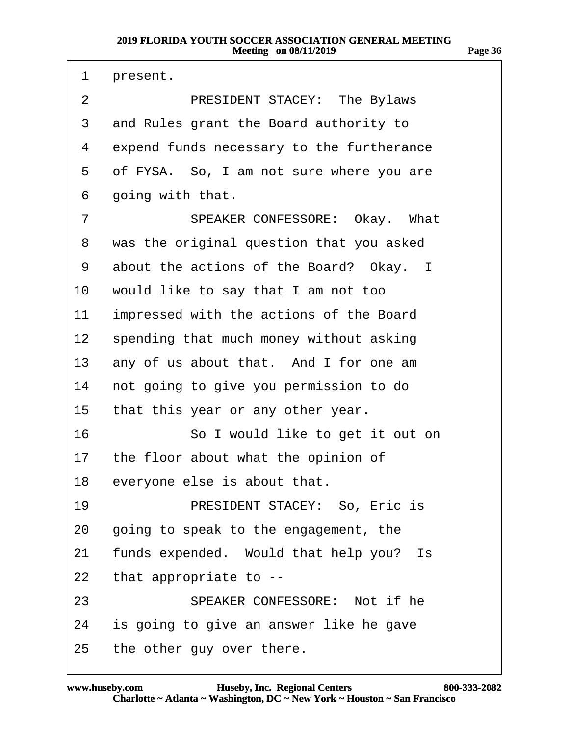| 1               | present.                                  |
|-----------------|-------------------------------------------|
| 2               | <b>PRESIDENT STACEY: The Bylaws</b>       |
| 3               | and Rules grant the Board authority to    |
| 4               | expend funds necessary to the furtherance |
| 5               | of FYSA. So, I am not sure where you are  |
| 6               | going with that.                          |
| 7               | SPEAKER CONFESSORE: Okay. What            |
| 8               | was the original question that you asked  |
| 9               | about the actions of the Board? Okay. I   |
|                 | 10 would like to say that I am not too    |
| 11              | impressed with the actions of the Board   |
| 12 <sup>1</sup> | spending that much money without asking   |
| 13 <sup>°</sup> | any of us about that. And I for one am    |
| 14              | not going to give you permission to do    |
| 15 <sub>1</sub> | that this year or any other year.         |
| 16              | So I would like to get it out on          |
| 17 <sup>1</sup> | the floor about what the opinion of       |
| 18              | everyone else is about that.              |
| 19              | PRESIDENT STACEY: So, Eric is             |
|                 | 20 going to speak to the engagement, the  |
| 21              | funds expended. Would that help you? Is   |
| 22              | that appropriate to --                    |
| 23              | SPEAKER CONFESSORE: Not if he             |
| 24              | is going to give an answer like he gave   |
| 25              | the other guy over there.                 |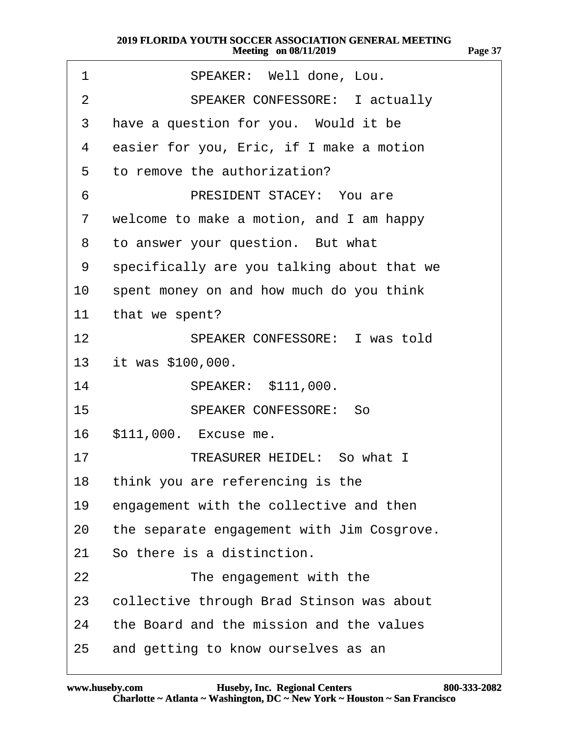| 1               | SPEAKER: Well done, Lou.                   |
|-----------------|--------------------------------------------|
| $\overline{2}$  | <b>SPEAKER CONFESSORE: I actually</b>      |
| 3               | have a question for you. Would it be       |
| 4               | easier for you, Eric, if I make a motion   |
| 5               | to remove the authorization?               |
| 6               | <b>PRESIDENT STACEY: You are</b>           |
| $\mathbf{7}$    | welcome to make a motion, and I am happy   |
| 8               | to answer your question. But what          |
| 9               | specifically are you talking about that we |
| 10              | spent money on and how much do you think   |
| 11              | that we spent?                             |
| 12 <sup>1</sup> | SPEAKER CONFESSORE: I was told             |
| 13              | it was \$100,000.                          |
| 14              | SPEAKER: \$111,000.                        |
| 15              | <b>SPEAKER CONFESSORE: So</b>              |
| 16              | \$111,000. Excuse me.                      |
| 17              | <b>TREASURER HEIDEL: So what I</b>         |
|                 | 18 think you are referencing is the        |
| 19              | engagement with the collective and then    |
| 20              | the separate engagement with Jim Cosgrove. |
| 21              | So there is a distinction.                 |
| 22              | The engagement with the                    |
| 23              | collective through Brad Stinson was about  |
| 24              | the Board and the mission and the values   |
| 25              | and getting to know ourselves as an        |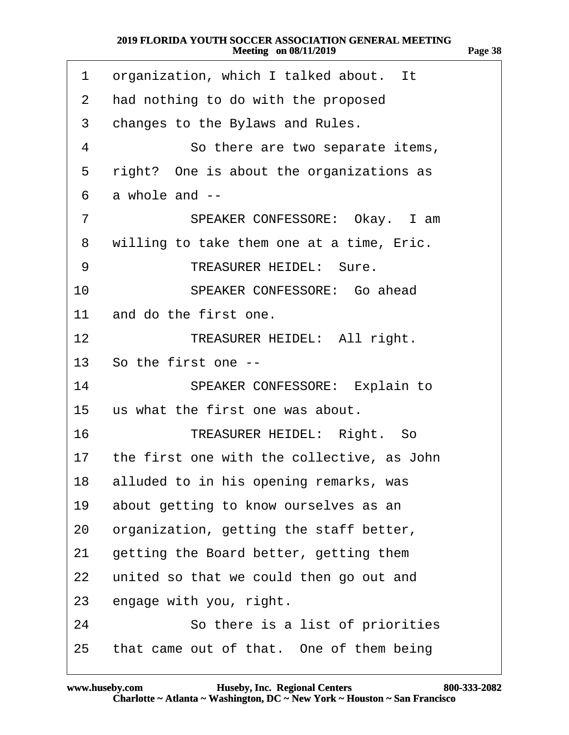| 1  | organization, which I talked about. It        |  |
|----|-----------------------------------------------|--|
| 2  | had nothing to do with the proposed           |  |
| 3  | changes to the Bylaws and Rules.              |  |
| 4  | So there are two separate items,              |  |
| 5  | right? One is about the organizations as      |  |
| 6  | a whole and --                                |  |
| 7  | SPEAKER CONFESSORE: Okay. I am                |  |
| 8  | willing to take them one at a time, Eric.     |  |
| 9  | <b>TREASURER HEIDEL: Sure.</b>                |  |
| 10 | SPEAKER CONFESSORE: Go ahead                  |  |
| 11 | and do the first one.                         |  |
| 12 | TREASURER HEIDEL: All right.                  |  |
|    | 13 So the first one --                        |  |
| 14 | <b>SPEAKER CONFESSORE: Explain to</b>         |  |
| 15 | us what the first one was about.              |  |
| 16 | <b>TREASURER HEIDEL: Right. So</b>            |  |
|    | 17 the first one with the collective, as John |  |
| 18 | alluded to in his opening remarks, was        |  |
| 19 | about getting to know ourselves as an         |  |
| 20 | organization, getting the staff better,       |  |
| 21 | getting the Board better, getting them        |  |
| 22 | united so that we could then go out and       |  |
| 23 | engage with you, right.                       |  |
| 24 | So there is a list of priorities              |  |
| 25 | that came out of that. One of them being      |  |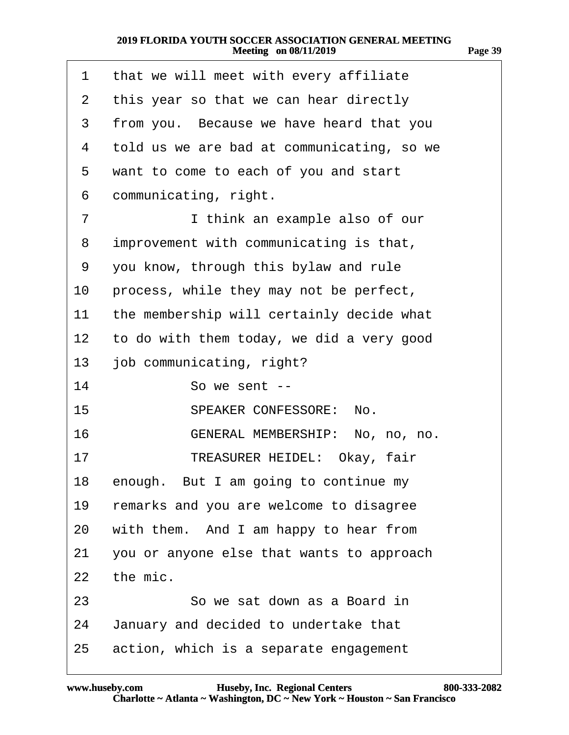| 1              | that we will meet with every affiliate     |
|----------------|--------------------------------------------|
| $\overline{2}$ | this year so that we can hear directly     |
| 3              | from you. Because we have heard that you   |
| 4              | told us we are bad at communicating, so we |
| 5              | want to come to each of you and start      |
| 6              | communicating, right.                      |
| 7              | I think an example also of our             |
| 8              | improvement with communicating is that,    |
| 9              | you know, through this bylaw and rule      |
| 10             | process, while they may not be perfect,    |
| 11             | the membership will certainly decide what  |
| 12             | to do with them today, we did a very good  |
| 13             | job communicating, right?                  |
| 14             | So we sent --                              |
| 15             | SPEAKER CONFESSORE: No.                    |
| 16             | GENERAL MEMBERSHIP: No, no, no.            |
| 17             | TREASURER HEIDEL: Okay, fair               |
|                | 18 enough. But I am going to continue my   |
| 19             | remarks and you are welcome to disagree    |
| 20             | with them. And I am happy to hear from     |
| 21             | you or anyone else that wants to approach  |
| 22             | the mic.                                   |
| 23             | So we sat down as a Board in               |
| 24             | January and decided to undertake that      |
| 25             | action, which is a separate engagement     |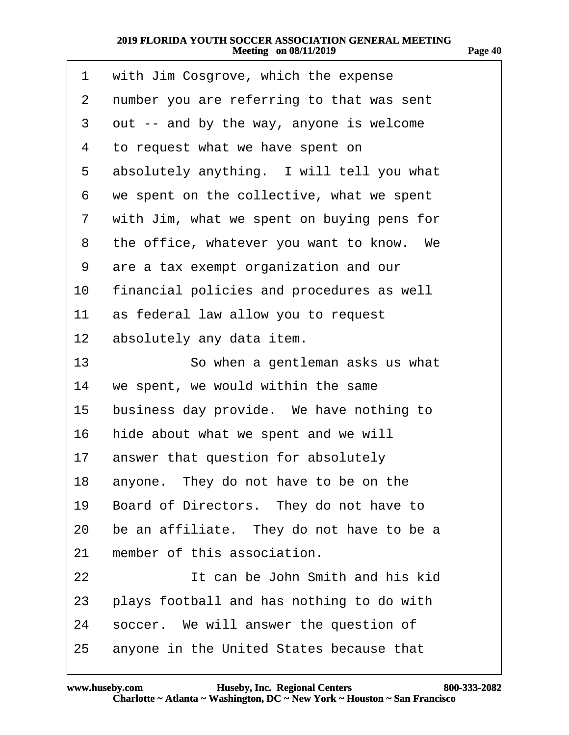| 1               | with Jim Cosgrove, which the expense       |
|-----------------|--------------------------------------------|
| $\overline{2}$  | number you are referring to that was sent  |
| 3               | out -- and by the way, anyone is welcome   |
| 4               | to request what we have spent on           |
| 5               | absolutely anything. I will tell you what  |
| 6               | we spent on the collective, what we spent  |
| 7               | with Jim, what we spent on buying pens for |
| 8               | the office, whatever you want to know. We  |
| 9               | are a tax exempt organization and our      |
| 10              | financial policies and procedures as well  |
| 11              | as federal law allow you to request        |
| 12 <sub>2</sub> | absolutely any data item.                  |
| 13              | So when a gentleman asks us what           |
| 14              | we spent, we would within the same         |
| 15              | business day provide. We have nothing to   |
| 16              | hide about what we spent and we will       |
| 17              | answer that question for absolutely        |
| 18              | anyone. They do not have to be on the      |
| 19              | Board of Directors. They do not have to    |
| 20              | be an affiliate. They do not have to be a  |
| 21              | member of this association.                |
| 22              | It can be John Smith and his kid           |
| 23              | plays football and has nothing to do with  |
| 24              | soccer. We will answer the question of     |
| 25              | anyone in the United States because that   |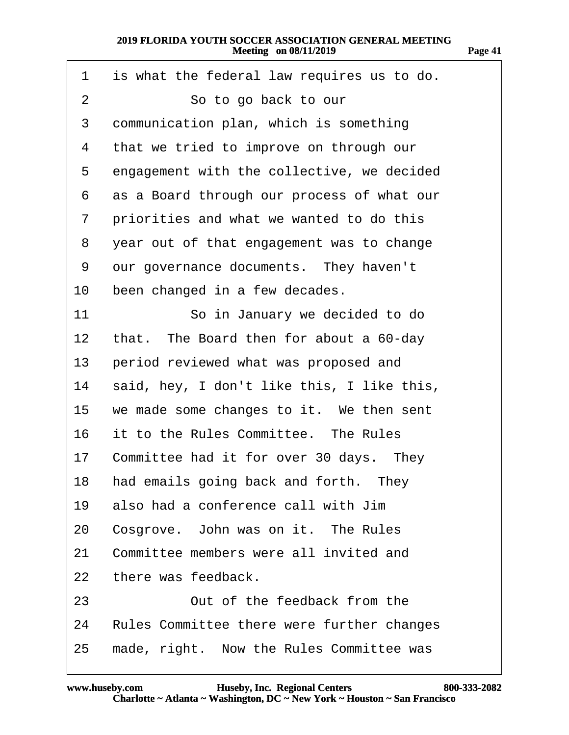| 1  | is what the federal law requires us to do.  |
|----|---------------------------------------------|
| 2  | So to go back to our                        |
| 3  | communication plan, which is something      |
| 4  | that we tried to improve on through our     |
| 5  | engagement with the collective, we decided  |
| 6  | as a Board through our process of what our  |
| 7  | priorities and what we wanted to do this    |
| 8  | year out of that engagement was to change   |
| 9  | our governance documents. They haven't      |
| 10 | been changed in a few decades.              |
| 11 | So in January we decided to do              |
| 12 | that. The Board then for about a 60-day     |
| 13 | period reviewed what was proposed and       |
| 14 | said, hey, I don't like this, I like this,  |
|    | 15 we made some changes to it. We then sent |
| 16 | it to the Rules Committee. The Rules        |
|    | 17 Committee had it for over 30 days. They  |
|    | 18 had emails going back and forth. They    |
| 19 | also had a conference call with Jim         |
| 20 | Cosgrove. John was on it. The Rules         |
| 21 | Committee members were all invited and      |
| 22 | there was feedback.                         |
| 23 | Out of the feedback from the                |
| 24 | Rules Committee there were further changes  |
| 25 | made, right. Now the Rules Committee was    |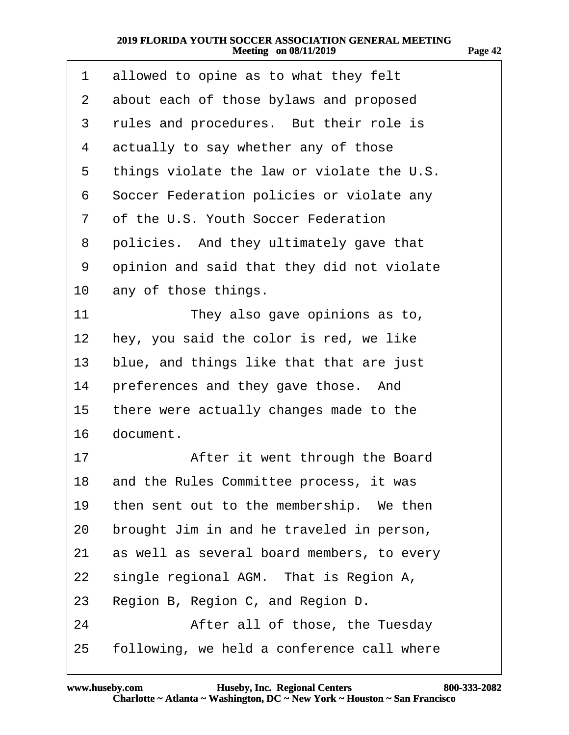| 1            | allowed to opine as to what they felt      |
|--------------|--------------------------------------------|
| 2            | about each of those bylaws and proposed    |
| 3            | rules and procedures. But their role is    |
| 4            | actually to say whether any of those       |
| 5            | things violate the law or violate the U.S. |
| 6            | Soccer Federation policies or violate any  |
| $\mathbf{7}$ | of the U.S. Youth Soccer Federation        |
| 8            | policies. And they ultimately gave that    |
| 9            | opinion and said that they did not violate |
| 10           | any of those things.                       |
| 11           | They also gave opinions as to,             |
| 12           | hey, you said the color is red, we like    |
| 13           | blue, and things like that that are just   |
| 14           | preferences and they gave those. And       |
| 15           | there were actually changes made to the    |
| 16           | document.                                  |
| 17           | After it went through the Board            |
| 18           | and the Rules Committee process, it was    |
| 19           | then sent out to the membership. We then   |
| 20           | brought Jim in and he traveled in person,  |
| 21           | as well as several board members, to every |
| 22           | single regional AGM. That is Region A,     |
| 23           | Region B, Region C, and Region D.          |
| 24           | After all of those, the Tuesday            |
| 25           | following, we held a conference call where |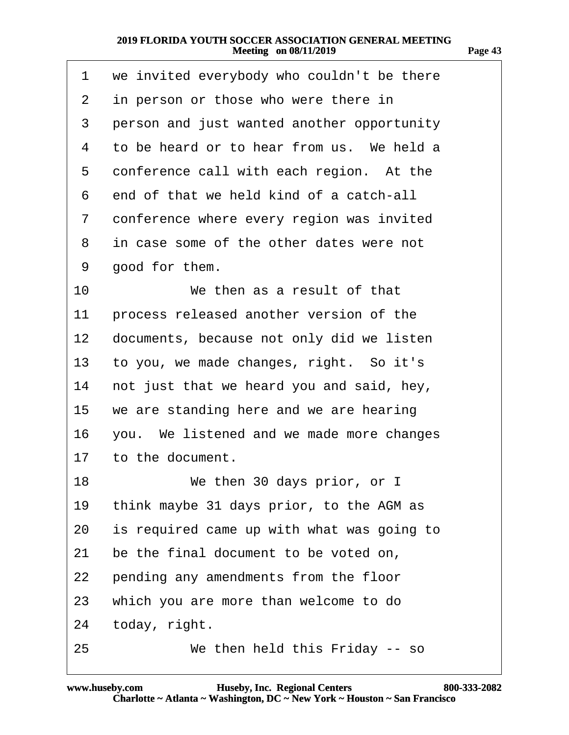| 1  | we invited everybody who couldn't be there |
|----|--------------------------------------------|
| 2  | in person or those who were there in       |
| 3  | person and just wanted another opportunity |
| 4  | to be heard or to hear from us. We held a  |
| 5  | conference call with each region. At the   |
| 6  | end of that we held kind of a catch-all    |
| 7  | conference where every region was invited  |
| 8  | in case some of the other dates were not   |
| 9  | good for them.                             |
| 10 | We then as a result of that                |
| 11 | process released another version of the    |
| 12 | documents, because not only did we listen  |
| 13 | to you, we made changes, right. So it's    |
| 14 | not just that we heard you and said, hey,  |
| 15 | we are standing here and we are hearing    |
| 16 | you. We listened and we made more changes  |
| 17 | to the document.                           |
| 18 | We then 30 days prior, or I                |
| 19 | think maybe 31 days prior, to the AGM as   |
| 20 | is required came up with what was going to |
| 21 | be the final document to be voted on,      |
| 22 | pending any amendments from the floor      |
| 23 | which you are more than welcome to do      |
| 24 | today, right.                              |
| 25 | We then held this Friday -- so             |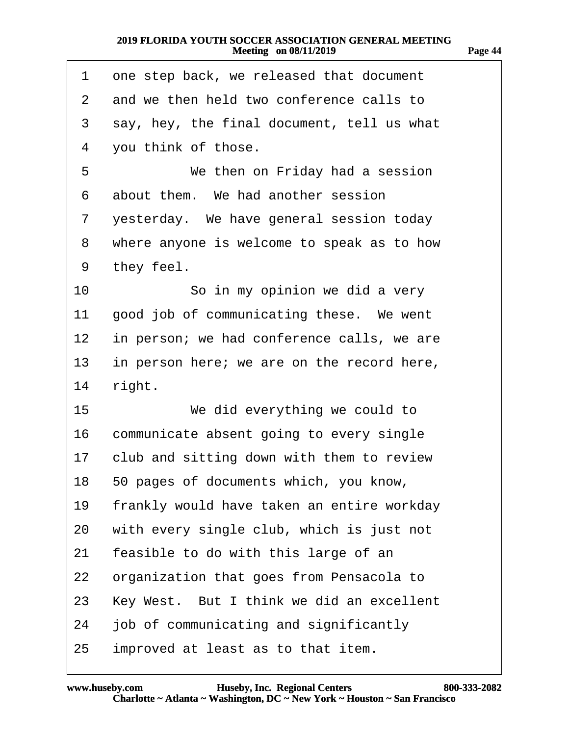| 1              | one step back, we released that document   |
|----------------|--------------------------------------------|
| $\mathbf{2}$   | and we then held two conference calls to   |
| 3              | say, hey, the final document, tell us what |
| 4              | you think of those.                        |
| 5              | We then on Friday had a session            |
| 6              | about them. We had another session         |
| $\overline{7}$ | yesterday. We have general session today   |
| 8              | where anyone is welcome to speak as to how |
| 9              | they feel.                                 |
| 10             | So in my opinion we did a very             |
| 11             | good job of communicating these. We went   |
| 12             | in person; we had conference calls, we are |
| 13             | in person here; we are on the record here, |
| 14             | right.                                     |
| 15             | We did everything we could to              |
| 16             | communicate absent going to every single   |
| 17             | club and sitting down with them to review  |
| 18             | 50 pages of documents which, you know,     |
| 19             | frankly would have taken an entire workday |
| 20             | with every single club, which is just not  |
| 21             | feasible to do with this large of an       |
| 22             | organization that goes from Pensacola to   |
| 23             | Key West. But I think we did an excellent  |
| 24             | job of communicating and significantly     |
| 25             | improved at least as to that item.         |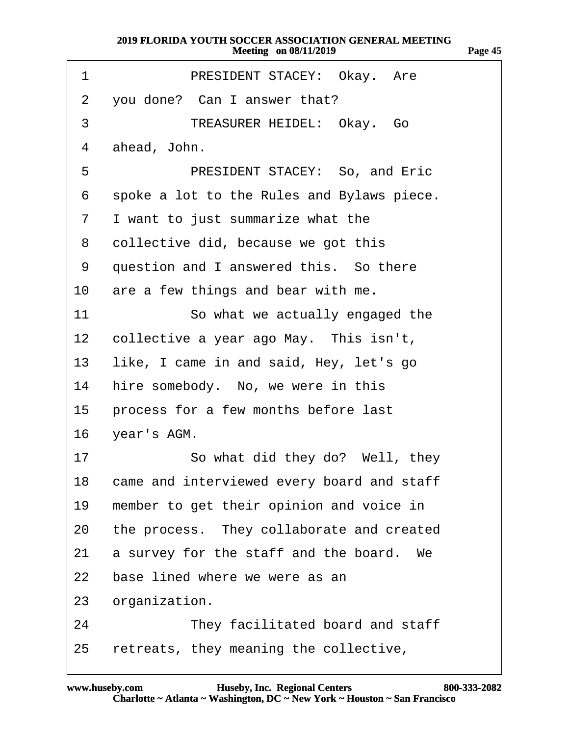| 4<br>age /<br>פי |
|------------------|
|                  |

| 1              | PRESIDENT STACEY: Okay. Are                   |
|----------------|-----------------------------------------------|
| $\mathbf{2}$   | you done? Can I answer that?                  |
| 3              | TREASURER HEIDEL: Okay. Go                    |
| 4              | ahead, John.                                  |
| 5              | PRESIDENT STACEY: So, and Eric                |
| 6              | spoke a lot to the Rules and Bylaws piece.    |
| $\overline{7}$ | I want to just summarize what the             |
| 8              | collective did, because we got this           |
| 9              | question and I answered this. So there        |
|                | 10 are a few things and bear with me.         |
| 11             | So what we actually engaged the               |
|                | 12 collective a year ago May. This isn't,     |
| 13             | like, I came in and said, Hey, let's go       |
| 14             | hire somebody. No, we were in this            |
|                | 15 process for a few months before last       |
|                | 16 year's AGM.                                |
| 17             | So what did they do? Well, they               |
|                | 18 came and interviewed every board and staff |
| 19             | member to get their opinion and voice in      |
| 20             | the process. They collaborate and created     |
| 21             | a survey for the staff and the board. We      |
| 22             | base lined where we were as an                |
| 23             | organization.                                 |
| 24             | They facilitated board and staff              |
| 25             | retreats, they meaning the collective,        |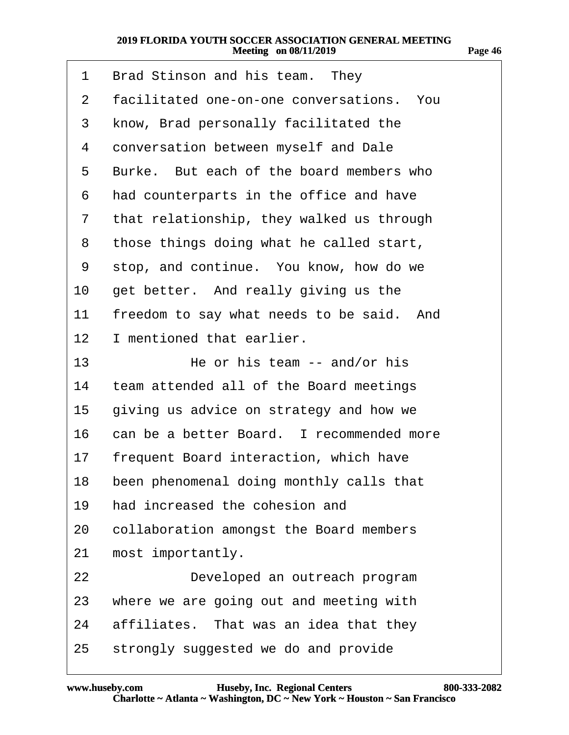- 1 Brad Stinson and his team. They
- 2 facilitated one-on-one conversations. You
- 3 know, Brad personally facilitated the
- 4 conversation between myself and Dale
- 5 Burke. But each of the board members who
- 6 had counterparts in the office and have
- 7 that relationship, they walked us through
- 8 those things doing what he called start,
- 9 stop, and continue. You know, how do we
- 10 get better. And really giving us the
- 11 freedom to say what needs to be said. And
- 12 I mentioned that earlier.
- 13· · · · · · ·He or his team -- and/or his
- 14 team attended all of the Board meetings
- 15 giving us advice on strategy and how we
- 16 can be a better Board. I recommended more
- 17 frequent Board interaction, which have
- 18 been phenomenal doing monthly calls that
- 19 had increased the cohesion and
- 20 collaboration amongst the Board members
- 21 most importantly.
- 22 **Developed an outreach program**
- 23 where we are going out and meeting with
- 24 affiliates. That was an idea that they
- 25 strongly suggested we do and provide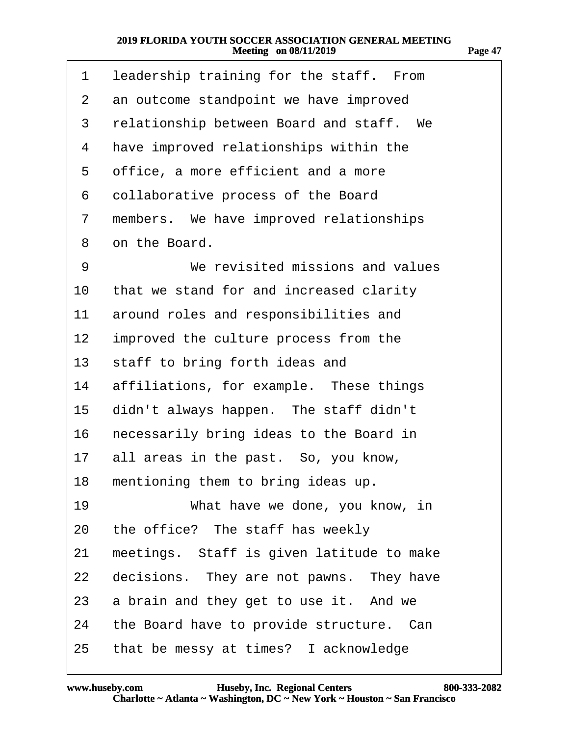| 1               | leadership training for the staff. From   |
|-----------------|-------------------------------------------|
| 2               | an outcome standpoint we have improved    |
| 3               | relationship between Board and staff. We  |
| 4               | have improved relationships within the    |
| 5               | office, a more efficient and a more       |
| 6               | collaborative process of the Board        |
| 7               | members. We have improved relationships   |
| 8               | on the Board.                             |
| 9               | We revisited missions and values          |
| 10              | that we stand for and increased clarity   |
| 11              | around roles and responsibilities and     |
| 12 <sub>2</sub> | improved the culture process from the     |
| 13              | staff to bring forth ideas and            |
| 14              | affiliations, for example. These things   |
| 15              | didn't always happen. The staff didn't    |
| 16              | necessarily bring ideas to the Board in   |
| 17              | all areas in the past. So, you know,      |
| 18              | mentioning them to bring ideas up.        |
| 19              | What have we done, you know, in           |
| 20              | the office? The staff has weekly          |
| 21              | meetings. Staff is given latitude to make |
| 22              | decisions. They are not pawns. They have  |
| 23              | a brain and they get to use it. And we    |
| 24              | the Board have to provide structure. Can  |
| 25              | that be messy at times? I acknowledge     |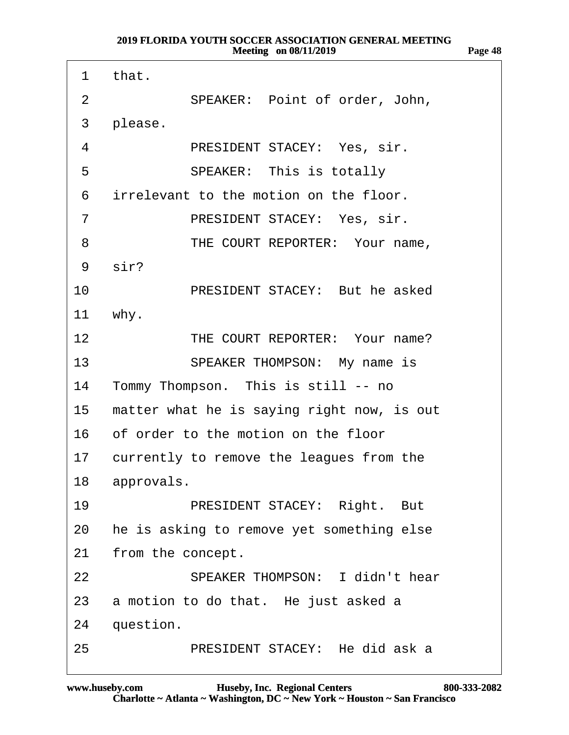| 1                | that.                                       |  |
|------------------|---------------------------------------------|--|
| 2                | SPEAKER: Point of order, John,              |  |
| 3                | please.                                     |  |
| 4                | PRESIDENT STACEY: Yes, sir.                 |  |
| 5                | SPEAKER: This is totally                    |  |
| 6                | irrelevant to the motion on the floor.      |  |
| 7                | PRESIDENT STACEY: Yes, sir.                 |  |
| 8                | THE COURT REPORTER: Your name,              |  |
|                  | 9 sir?                                      |  |
| 10               | PRESIDENT STACEY: But he asked              |  |
| 11               | why.                                        |  |
| 12 <sup>12</sup> | THE COURT REPORTER: Your name?              |  |
| 13 <sup>°</sup>  | SPEAKER THOMPSON: My name is                |  |
| 14               | Tommy Thompson. This is still -- no         |  |
| 15               | matter what he is saying right now, is out  |  |
|                  | 16 of order to the motion on the floor      |  |
|                  | 17 currently to remove the leagues from the |  |
|                  | 18 approvals.                               |  |
| 19               | PRESIDENT STACEY: Right. But                |  |
| 20               | he is asking to remove yet something else   |  |
| 21               | from the concept.                           |  |
| 22               | <b>SPEAKER THOMPSON: I didn't hear</b>      |  |
| 23               | a motion to do that. He just asked a        |  |
| 24               | question.                                   |  |
| 25               | PRESIDENT STACEY: He did ask a              |  |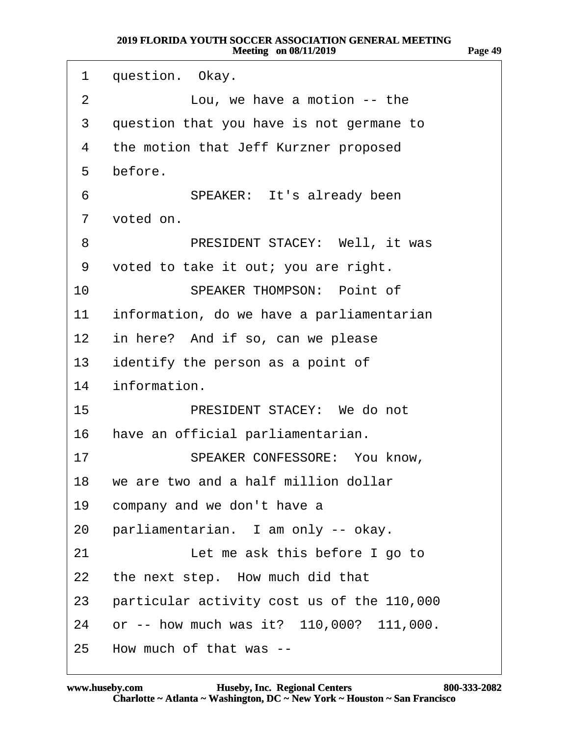| 1               | question. Okay.                            |
|-----------------|--------------------------------------------|
| 2               | Lou, we have a motion -- the               |
| 3               | question that you have is not germane to   |
| 4               | the motion that Jeff Kurzner proposed      |
| 5               | before.                                    |
| 6               | SPEAKER: It's already been                 |
| $\mathbf{7}$    | voted on.                                  |
| 8               | PRESIDENT STACEY: Well, it was             |
| 9               | voted to take it out; you are right.       |
| 10              | <b>SPEAKER THOMPSON: Point of</b>          |
| 11              | information, do we have a parliamentarian  |
|                 | 12 in here? And if so, can we please       |
|                 | 13 identify the person as a point of       |
| 14              | information.                               |
| 15 <sub>1</sub> | PRESIDENT STACEY: We do not                |
| 16              | have an official parliamentarian.          |
| 17              | SPEAKER CONFESSORE: You know,              |
| 18              | we are two and a half million dollar       |
| 19              | company and we don't have a                |
| 20              | parliamentarian. I am only -- okay.        |
| 21              | Let me ask this before I go to             |
| 22              | the next step. How much did that           |
| 23              | particular activity cost us of the 110,000 |
| 24              | or -- how much was it? 110,000? 111,000.   |
| 25              | How much of that was --                    |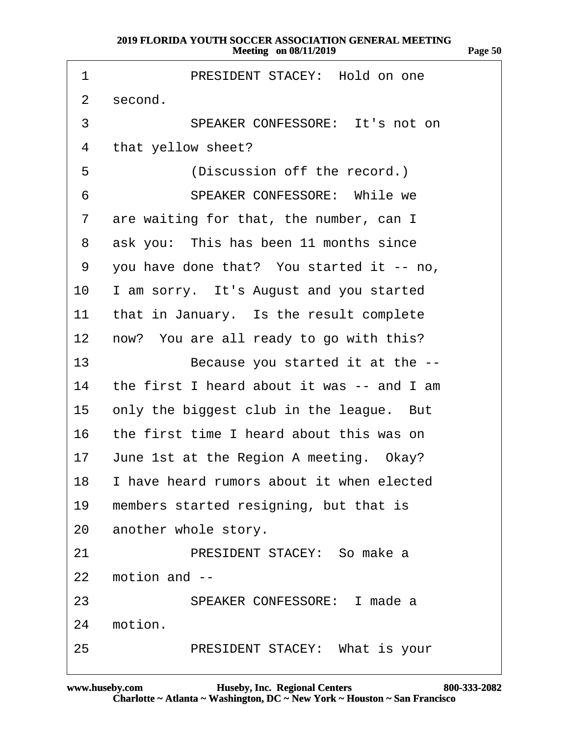| 1            | PRESIDENT STACEY: Hold on one                |
|--------------|----------------------------------------------|
| 2            | second.                                      |
| 3            | SPEAKER CONFESSORE: It's not on              |
| 4            | that yellow sheet?                           |
| 5            | (Discussion off the record.)                 |
| 6            | <b>SPEAKER CONFESSORE: While we</b>          |
| $\mathbf{7}$ | are waiting for that, the number, can I      |
| 8            | ask you: This has been 11 months since       |
| 9            | you have done that? You started it -- no,    |
| 10           | I am sorry. It's August and you started      |
| 11           | that in January. Is the result complete      |
| 12           | now? You are all ready to go with this?      |
| 13           | Because you started it at the --             |
| 14           | the first I heard about it was -- and I am   |
| 15           | only the biggest club in the league. But     |
| 16           | the first time I heard about this was on     |
|              | 17 June 1st at the Region A meeting. Okay?   |
|              | 18 I have heard rumors about it when elected |
| 19           | members started resigning, but that is       |
| 20           | another whole story.                         |
| 21           | PRESIDENT STACEY: So make a                  |
| 22           | motion and --                                |
| 23           | <b>SPEAKER CONFESSORE: I made a</b>          |
| 24           | motion.                                      |
| 25           | PRESIDENT STACEY: What is your               |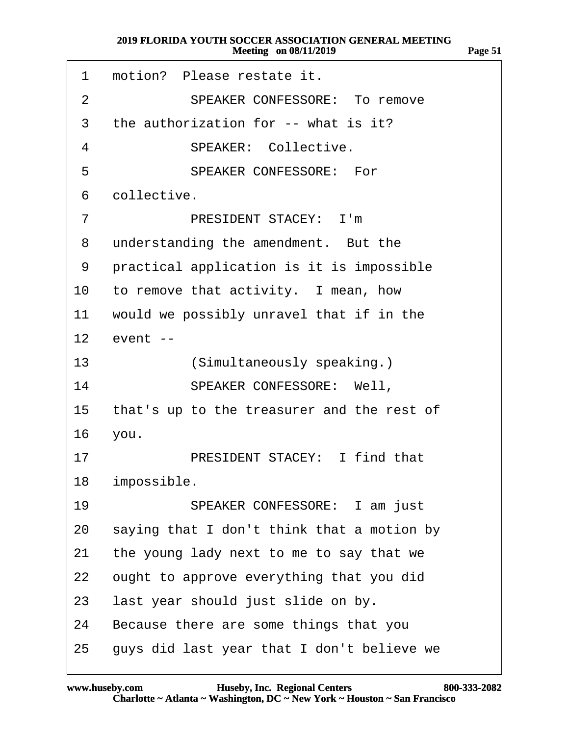| 1               | motion? Please restate it.                 |
|-----------------|--------------------------------------------|
| 2               | <b>SPEAKER CONFESSORE: To remove</b>       |
| 3               | the authorization for -- what is it?       |
| 4               | <b>SPEAKER: Collective.</b>                |
| 5               | <b>SPEAKER CONFESSORE: For</b>             |
| 6               | collective.                                |
| $\overline{7}$  | <b>PRESIDENT STACEY: I'm</b>               |
| 8               | understanding the amendment. But the       |
| 9               | practical application is it is impossible  |
| 10              | to remove that activity. I mean, how       |
| 11              | would we possibly unravel that if in the   |
| 12 <sup>2</sup> | event --                                   |
| 13              | (Simultaneously speaking.)                 |
| 14              | SPEAKER CONFESSORE: Well,                  |
| 15              | that's up to the treasurer and the rest of |
| 16              | you.                                       |
| 17              | <b>PRESIDENT STACEY: I find that</b>       |
| 18              | impossible.                                |
| 19              | SPEAKER CONFESSORE: I am just              |
| 20              | saying that I don't think that a motion by |
| 21              | the young lady next to me to say that we   |
| 22              | ought to approve everything that you did   |
| 23              | last year should just slide on by.         |
| 24              | Because there are some things that you     |
| 25              | guys did last year that I don't believe we |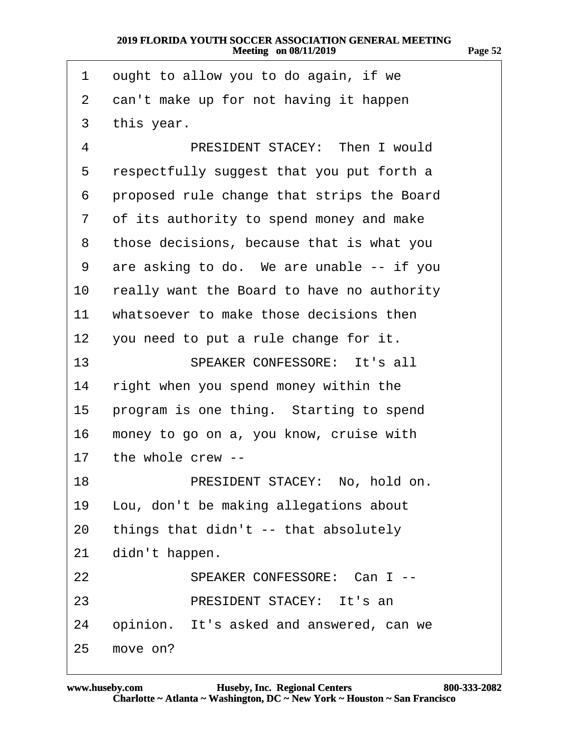| 1               | ought to allow you to do again, if we      |
|-----------------|--------------------------------------------|
| 2               | can't make up for not having it happen     |
| 3               | this year.                                 |
| 4               | <b>PRESIDENT STACEY: Then I would</b>      |
| 5               | respectfully suggest that you put forth a  |
| 6               | proposed rule change that strips the Board |
| $\overline{7}$  | of its authority to spend money and make   |
| 8               | those decisions, because that is what you  |
| 9               | are asking to do. We are unable -- if you  |
| 10              | really want the Board to have no authority |
| 11              | whatsoever to make those decisions then    |
| 12 <sup>1</sup> | you need to put a rule change for it.      |
| 13              | <b>SPEAKER CONFESSORE: It's all</b>        |
| 14              | right when you spend money within the      |
| 15              | program is one thing. Starting to spend    |
| 16              | money to go on a, you know, cruise with    |
| 17              | the whole crew --                          |
| 18              | PRESIDENT STACEY: No, hold on.             |
| 19              | Lou, don't be making allegations about     |
| 20              | things that didn't -- that absolutely      |
| 21              | didn't happen.                             |
| 22              | SPEAKER CONFESSORE: Can I --               |
| 23              | PRESIDENT STACEY: It's an                  |
| 24              | opinion. It's asked and answered, can we   |
| 25              | move on?                                   |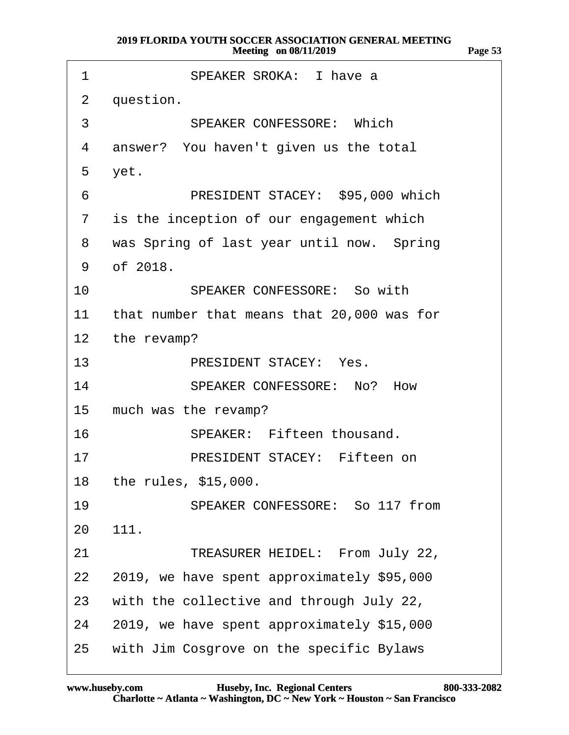| 1               | <b>SPEAKER SROKA: I have a</b>             |
|-----------------|--------------------------------------------|
| $\overline{2}$  | question.                                  |
| 3               | <b>SPEAKER CONFESSORE: Which</b>           |
| 4               | answer? You haven't given us the total     |
| 5               | yet.                                       |
| 6               | PRESIDENT STACEY: \$95,000 which           |
| $\overline{7}$  | is the inception of our engagement which   |
| 8               | was Spring of last year until now. Spring  |
| 9               | of 2018.                                   |
| 10 <sup>°</sup> | <b>SPEAKER CONFESSORE: So with</b>         |
| 11              | that number that means that 20,000 was for |
| 12 <sup>1</sup> | the revamp?                                |
| 13 <sup>7</sup> | PRESIDENT STACEY: Yes.                     |
| 14              | SPEAKER CONFESSORE: No? How                |
| 15 <sub>1</sub> | much was the revamp?                       |
| 16 <sup>°</sup> | SPEAKER: Fifteen thousand.                 |
| 17              | PRESIDENT STACEY: Fifteen on               |
|                 | 18 the rules, \$15,000.                    |
| 19              | SPEAKER CONFESSORE: So 117 from            |
| 20              | 111.                                       |
| 21              | TREASURER HEIDEL: From July 22,            |
| 22              | 2019, we have spent approximately \$95,000 |
| 23              | with the collective and through July 22,   |
| 24              | 2019, we have spent approximately \$15,000 |
| 25              | with Jim Cosgrove on the specific Bylaws   |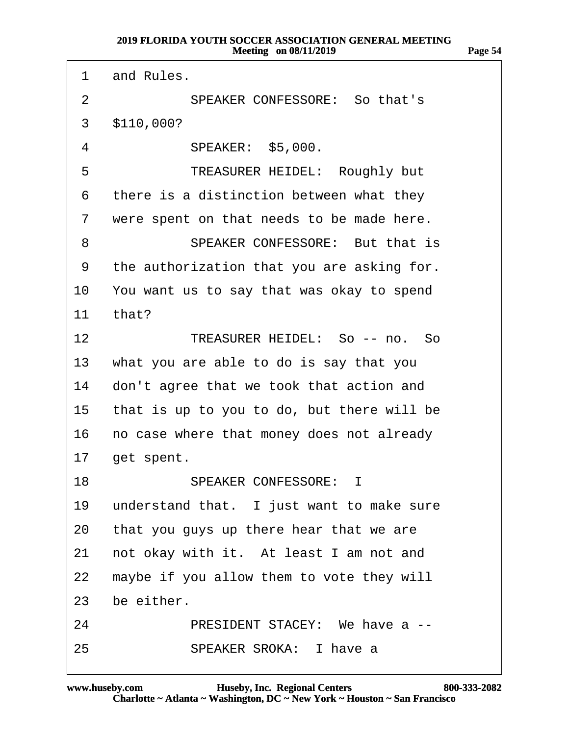1 and Rules. 2 SPEAKER CONFESSORE: So that's ·3· ·\$110,000? 4 **SPEAKER: \$5,000.** 5 TREASURER HEIDEL: Roughly but 6 there is a distinction between what they 7 were spent on that needs to be made here. 8 SPEAKER CONFESSORE: But that is 9 the authorization that you are asking for. 10 You want us to say that was okay to spend 11  $that?$ 12· · · · · · ·TREASURER HEIDEL:· So -- no.· So 13 what you are able to do is say that you 14 don't agree that we took that action and 15 that is up to you to do, but there will be 16 no case where that money does not already 17 get spent. 18 SPEAKER CONFESSORE: I 19 understand that. I just want to make sure 20 that you guys up there hear that we are 21 not okay with it. At least I am not and 22 maybe if you allow them to vote they will 23 be either. 24 PRESIDENT STACEY: We have a --25 · · · · SPEAKER SROKA: I have a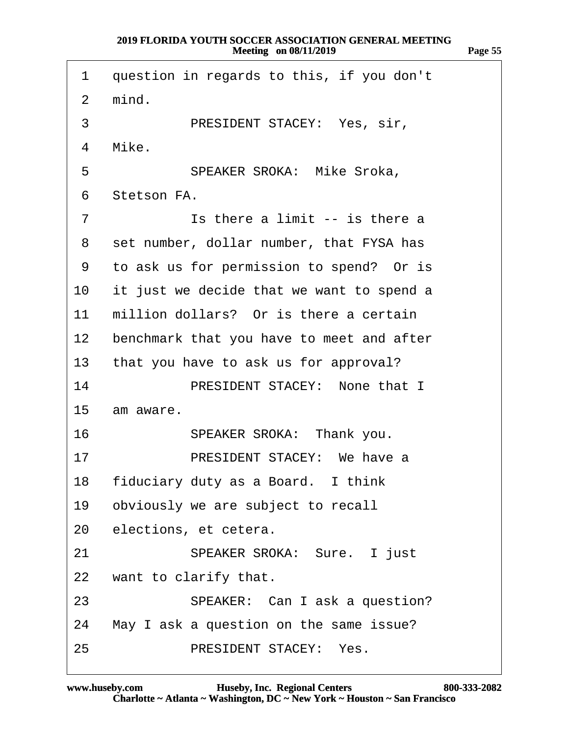| 1  | question in regards to this, if you don't |
|----|-------------------------------------------|
| 2  | mind.                                     |
| 3  | PRESIDENT STACEY: Yes, sir,               |
| 4  | Mike.                                     |
| 5  | <b>SPEAKER SROKA: Mike Sroka,</b>         |
| 6  | Stetson FA.                               |
| 7  | Is there a limit -- is there a            |
| 8  | set number, dollar number, that FYSA has  |
| 9  | to ask us for permission to spend? Or is  |
| 10 | it just we decide that we want to spend a |
| 11 | million dollars? Or is there a certain    |
| 12 | benchmark that you have to meet and after |
| 13 | that you have to ask us for approval?     |
| 14 | PRESIDENT STACEY: None that I             |
| 15 | am aware.                                 |
| 16 | SPEAKER SROKA: Thank you.                 |
| 17 | PRESIDENT STACEY: We have a               |
| 18 | fiduciary duty as a Board. I think        |
| 19 | obviously we are subject to recall        |
|    | 20 elections, et cetera.                  |
| 21 | <b>SPEAKER SROKA: Sure. I just</b>        |
|    | 22 want to clarify that.                  |
| 23 | SPEAKER: Can I ask a question?            |
| 24 | May I ask a question on the same issue?   |
| 25 | PRESIDENT STACEY: Yes.                    |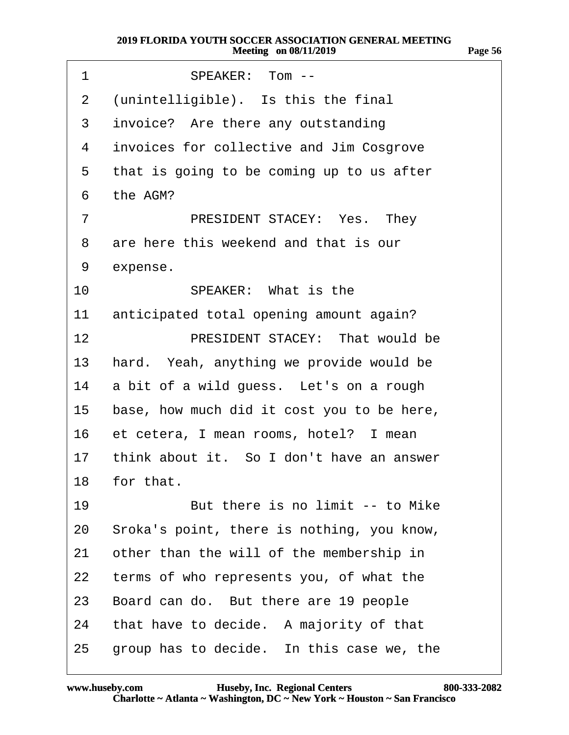| 1               | SPEAKER: Tom --                               |
|-----------------|-----------------------------------------------|
| 2               | (unintelligible). Is this the final           |
| 3               | invoice? Are there any outstanding            |
| 4               | invoices for collective and Jim Cosgrove      |
| 5               | that is going to be coming up to us after     |
| 6               | the AGM?                                      |
| $\overline{7}$  | PRESIDENT STACEY: Yes. They                   |
| 8               | are here this weekend and that is our         |
| 9               | expense.                                      |
| 10 <sup>1</sup> | SPEAKER: What is the                          |
| 11              | anticipated total opening amount again?       |
| 12 <sup>2</sup> | PRESIDENT STACEY: That would be               |
| 13              | hard. Yeah, anything we provide would be      |
| 14              | a bit of a wild guess. Let's on a rough       |
|                 | 15 base, how much did it cost you to be here, |
|                 | 16 et cetera, I mean rooms, hotel? I mean     |
| 17              | think about it. So I don't have an answer     |
|                 | 18 for that.                                  |
| 19              | But there is no limit -- to Mike              |
| 20              | Sroka's point, there is nothing, you know,    |
| 21              | other than the will of the membership in      |
| 22              | terms of who represents you, of what the      |
| 23              | Board can do. But there are 19 people         |
| 24              | that have to decide. A majority of that       |
| 25              | group has to decide. In this case we, the     |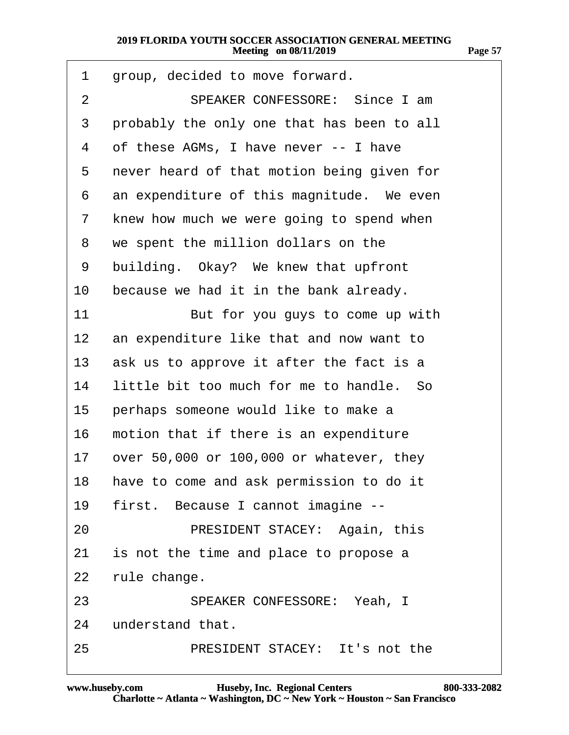| 1               | group, decided to move forward.             |
|-----------------|---------------------------------------------|
| 2               | SPEAKER CONFESSORE: Since I am              |
| 3               | probably the only one that has been to all  |
| 4               | of these AGMs, I have never -- I have       |
| 5               | never heard of that motion being given for  |
| 6               | an expenditure of this magnitude. We even   |
| 7               | knew how much we were going to spend when   |
| 8               | we spent the million dollars on the         |
| 9               | building. Okay? We knew that upfront        |
| 10              | because we had it in the bank already.      |
| 11              | But for you guys to come up with            |
| 12              | an expenditure like that and now want to    |
| 13              | ask us to approve it after the fact is a    |
| 14              | little bit too much for me to handle. So    |
| 15              | perhaps someone would like to make a        |
| 16              | motion that if there is an expenditure      |
| 17 <sup>1</sup> | over 50,000 or 100,000 or whatever, they    |
|                 | 18 have to come and ask permission to do it |
| 19              | first. Because I cannot imagine --          |
| 20              | PRESIDENT STACEY: Again, this               |
| 21              | is not the time and place to propose a      |
| 22              | rule change.                                |
| 23              | SPEAKER CONFESSORE: Yeah, I                 |
| 24              | understand that.                            |
| 25              | PRESIDENT STACEY: It's not the              |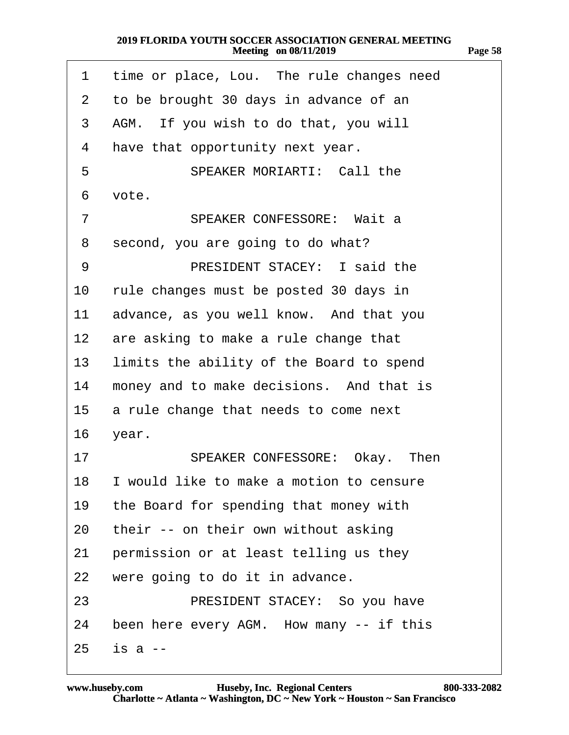| 1               | time or place, Lou. The rule changes need   |
|-----------------|---------------------------------------------|
| $\overline{2}$  | to be brought 30 days in advance of an      |
| 3               | AGM. If you wish to do that, you will       |
| 4               | have that opportunity next year.            |
| 5               | <b>SPEAKER MORIARTI: Call the</b>           |
| 6               | vote.                                       |
| $\overline{7}$  | <b>SPEAKER CONFESSORE: Wait a</b>           |
| 8               | second, you are going to do what?           |
| 9               | PRESIDENT STACEY: I said the                |
| 10              | rule changes must be posted 30 days in      |
| 11              | advance, as you well know. And that you     |
| 12 <sub>2</sub> | are asking to make a rule change that       |
| 13              | limits the ability of the Board to spend    |
| 14              | money and to make decisions. And that is    |
| 15              | a rule change that needs to come next       |
| 16              | year.                                       |
| 17              | SPEAKER CONFESSORE: Okay. Then              |
|                 | 18 I would like to make a motion to censure |
| 19              | the Board for spending that money with      |
| 20              | their -- on their own without asking        |
| 21              | permission or at least telling us they      |
| 22              | were going to do it in advance.             |
| 23              | PRESIDENT STACEY: So you have               |
|                 | 24 been here every AGM. How many -- if this |
| 25              | $is a -$                                    |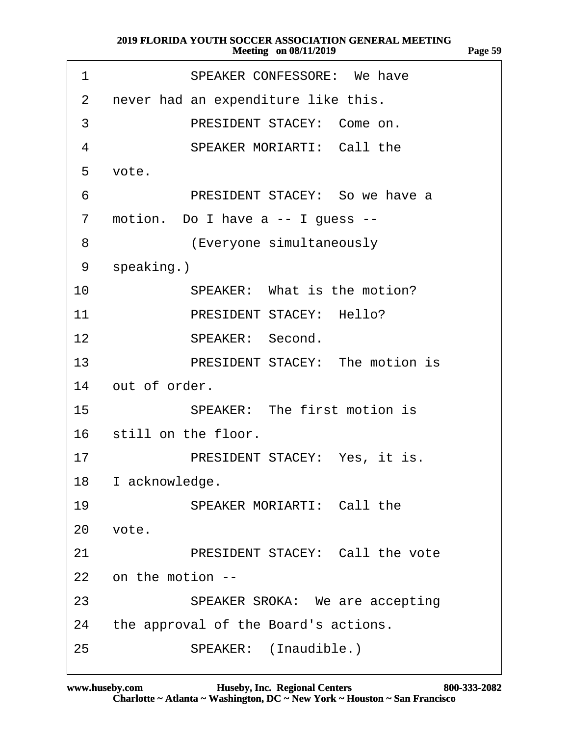| 1                | <b>SPEAKER CONFESSORE: We have</b>     |
|------------------|----------------------------------------|
| 2                | never had an expenditure like this.    |
| 3                | PRESIDENT STACEY: Come on.             |
| 4                | <b>SPEAKER MORIARTI: Call the</b>      |
| 5                | vote.                                  |
| 6                | PRESIDENT STACEY: So we have a         |
| $\overline{7}$   | motion. Do I have a -- I guess --      |
| 8                | (Everyone simultaneously               |
| 9                | speaking.)                             |
| 10               | SPEAKER: What is the motion?           |
| 11               | PRESIDENT STACEY: Hello?               |
| 12               | <b>SPEAKER: Second.</b>                |
| 13               | PRESIDENT STACEY: The motion is        |
|                  | 14 out of order.                       |
| 15 <sup>15</sup> | <b>SPEAKER: The first motion is</b>    |
|                  | 16 still on the floor.                 |
| 17               | PRESIDENT STACEY: Yes, it is.          |
|                  | 18 l acknowledge.                      |
| 19               | <b>SPEAKER MORIARTI: Call the</b>      |
| 20               | vote.                                  |
| 21               | <b>PRESIDENT STACEY: Call the vote</b> |
|                  | 22 on the motion --                    |
| 23               | <b>SPEAKER SROKA: We are accepting</b> |
| 24               | the approval of the Board's actions.   |
| 25               | SPEAKER: (Inaudible.)                  |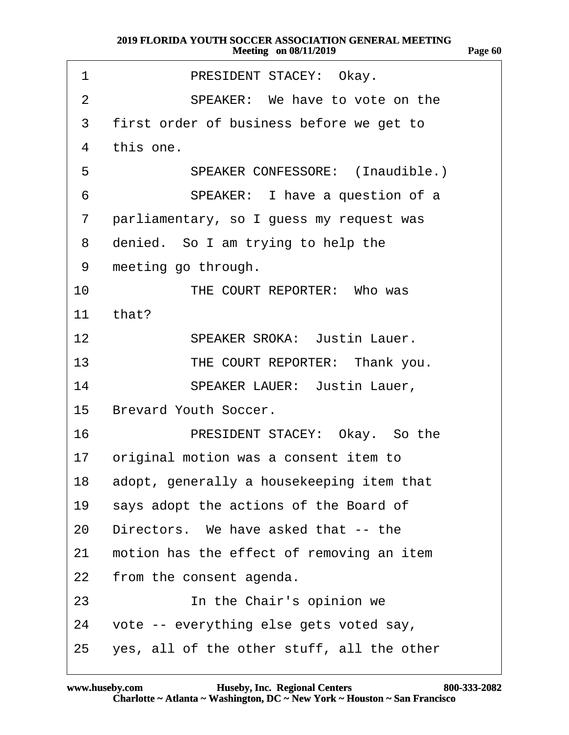| 1               | PRESIDENT STACEY: Okay.                    |
|-----------------|--------------------------------------------|
| 2               | SPEAKER: We have to vote on the            |
| 3               | first order of business before we get to   |
| 4               | this one.                                  |
| 5               | SPEAKER CONFESSORE: (Inaudible.)           |
| 6               | SPEAKER: I have a question of a            |
| 7               | parliamentary, so I guess my request was   |
| 8               | denied. So I am trying to help the         |
| 9               | meeting go through.                        |
| 10              | THE COURT REPORTER: Who was                |
| 11              | that?                                      |
| 12 <sup>7</sup> | <b>SPEAKER SROKA: Justin Lauer.</b>        |
| 13 <sup>°</sup> | THE COURT REPORTER: Thank you.             |
| 14              | <b>SPEAKER LAUER: Justin Lauer,</b>        |
|                 | 15 Brevard Youth Soccer.                   |
| 16              | PRESIDENT STACEY: Okay. So the             |
| 17              | original motion was a consent item to      |
| 18              | adopt, generally a housekeeping item that  |
| 19              | says adopt the actions of the Board of     |
| 20              | Directors. We have asked that -- the       |
| 21              | motion has the effect of removing an item  |
| 22              | from the consent agenda.                   |
| 23              | In the Chair's opinion we                  |
| 24              | vote -- everything else gets voted say,    |
| 25 <sub>2</sub> | yes, all of the other stuff, all the other |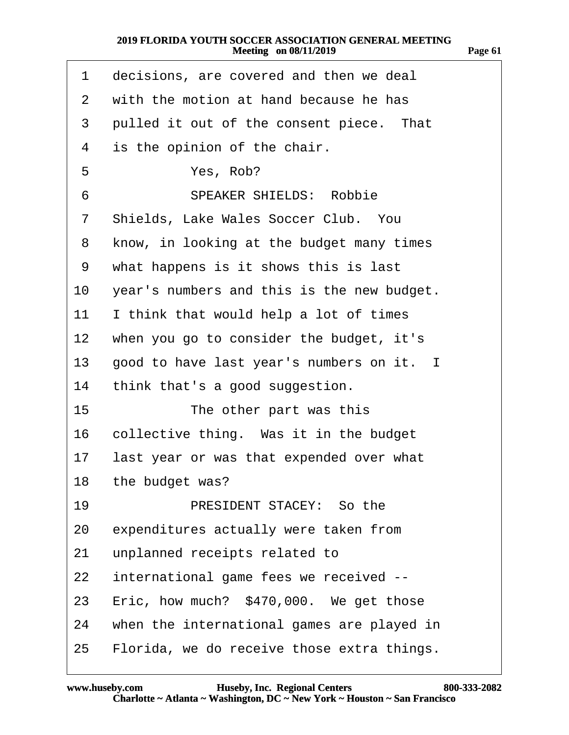| $\mathbf 1$    | decisions, are covered and then we deal    |
|----------------|--------------------------------------------|
| $\mathbf{2}$   | with the motion at hand because he has     |
| 3              | pulled it out of the consent piece. That   |
| 4              | is the opinion of the chair.               |
| 5              | Yes, Rob?                                  |
| 6              | <b>SPEAKER SHIELDS: Robbie</b>             |
| $\overline{7}$ | Shields, Lake Wales Soccer Club. You       |
| 8              | know, in looking at the budget many times  |
| 9              | what happens is it shows this is last      |
| 10             | year's numbers and this is the new budget. |
| 11             | I think that would help a lot of times     |
| 12             | when you go to consider the budget, it's   |
| 13             | good to have last year's numbers on it. I  |
| 14             | think that's a good suggestion.            |
| 15             | The other part was this                    |
| 16             | collective thing. Was it in the budget     |
| 17             | last year or was that expended over what   |
| 18             | the budget was?                            |
| 19             | PRESIDENT STACEY: So the                   |
| 20             | expenditures actually were taken from      |
| 21             | unplanned receipts related to              |
| 22             | international game fees we received --     |
| 23             | Eric, how much? \$470,000. We get those    |
| 24             | when the international games are played in |
| 25             | Florida, we do receive those extra things. |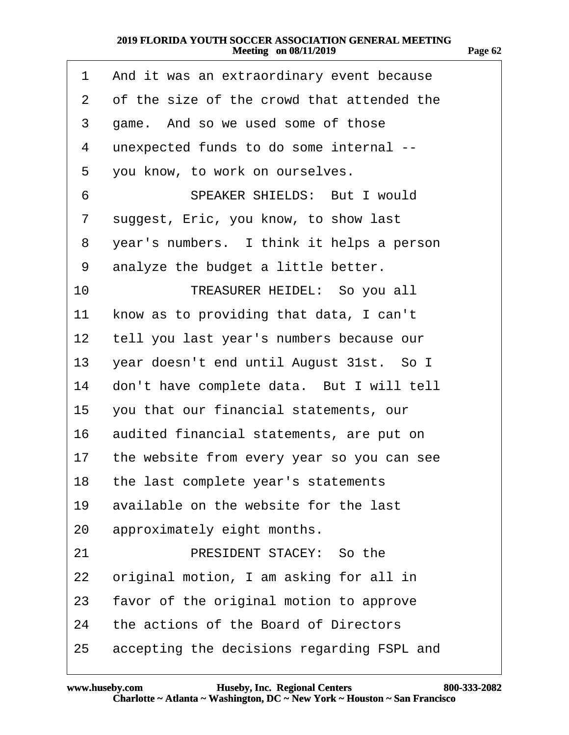| 1              | And it was an extraordinary event because     |
|----------------|-----------------------------------------------|
| 2              | of the size of the crowd that attended the    |
| 3              | game. And so we used some of those            |
| 4              | unexpected funds to do some internal --       |
| 5              | you know, to work on ourselves.               |
| 6              | <b>SPEAKER SHIELDS: But I would</b>           |
| $\overline{7}$ | suggest, Eric, you know, to show last         |
| 8              | year's numbers. I think it helps a person     |
| 9              | analyze the budget a little better.           |
| 10             | TREASURER HEIDEL: So you all                  |
| 11             | know as to providing that data, I can't       |
| 12             | tell you last year's numbers because our      |
| 13             | year doesn't end until August 31st. So I      |
| 14             | don't have complete data. But I will tell     |
|                | 15 you that our financial statements, our     |
| 16             | audited financial statements, are put on      |
|                | 17 the website from every year so you can see |
|                | 18 the last complete year's statements        |
| 19             | available on the website for the last         |
| 20             | approximately eight months.                   |
| 21             | PRESIDENT STACEY: So the                      |
| 22             | original motion, I am asking for all in       |
| 23             | favor of the original motion to approve       |
| 24             | the actions of the Board of Directors         |
| 25             | accepting the decisions regarding FSPL and    |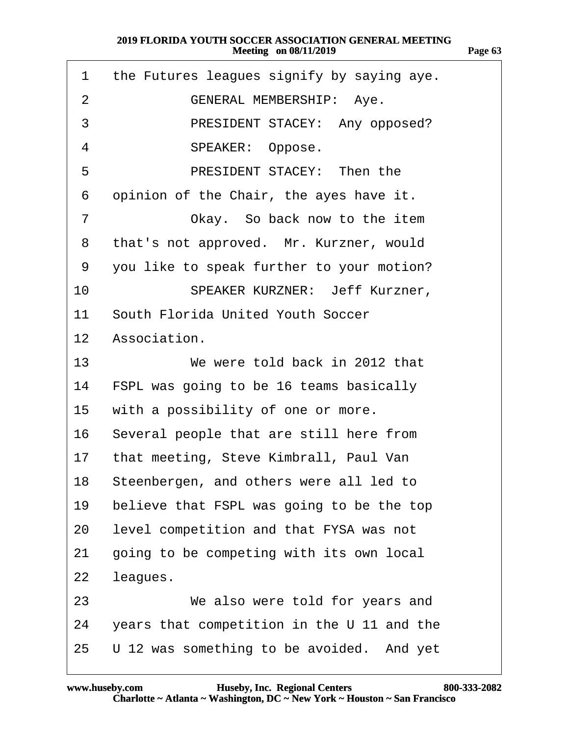| 1  | the Futures leagues signify by saying aye. |
|----|--------------------------------------------|
| 2  | <b>GENERAL MEMBERSHIP: Aye.</b>            |
| 3  | PRESIDENT STACEY: Any opposed?             |
| 4  | SPEAKER: Oppose.                           |
| 5  | <b>PRESIDENT STACEY: Then the</b>          |
| 6  | opinion of the Chair, the ayes have it.    |
| 7  | Okay. So back now to the item              |
| 8  | that's not approved. Mr. Kurzner, would    |
| 9  | you like to speak further to your motion?  |
| 10 | <b>SPEAKER KURZNER: Jeff Kurzner,</b>      |
| 11 | South Florida United Youth Soccer          |
| 12 | Association.                               |
| 13 | We were told back in 2012 that             |
| 14 | FSPL was going to be 16 teams basically    |
| 15 | with a possibility of one or more.         |
| 16 | Several people that are still here from    |
| 17 | that meeting, Steve Kimbrall, Paul Van     |
|    | 18 Steenbergen, and others were all led to |
| 19 | believe that FSPL was going to be the top  |
| 20 | level competition and that FYSA was not    |
| 21 | going to be competing with its own local   |
| 22 | leagues.                                   |
| 23 | We also were told for years and            |
| 24 | years that competition in the U 11 and the |
| 25 | U 12 was something to be avoided. And yet  |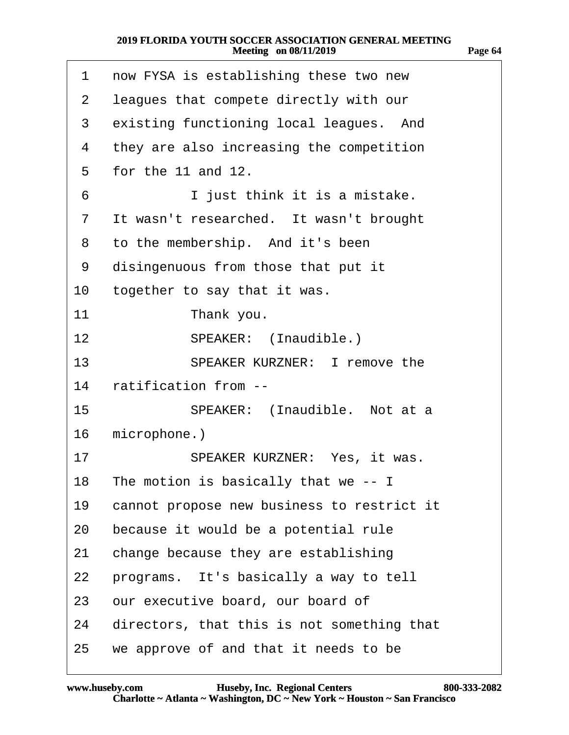| 1               | now FYSA is establishing these two new     |
|-----------------|--------------------------------------------|
| 2               | leagues that compete directly with our     |
| 3               | existing functioning local leagues. And    |
| 4               | they are also increasing the competition   |
| 5               | for the 11 and 12.                         |
| 6               | I just think it is a mistake.              |
| $\overline{7}$  | It wasn't researched. It wasn't brought    |
| 8               | to the membership. And it's been           |
| 9               | disingenuous from those that put it        |
| 10              | together to say that it was.               |
| 11              | Thank you.                                 |
| 12 <sub>2</sub> | SPEAKER: (Inaudible.)                      |
| 13              | <b>SPEAKER KURZNER: I remove the</b>       |
| 14              | ratification from --                       |
| 15 <sub>1</sub> | SPEAKER: (Inaudible. Not at a              |
| 16              | microphone.)                               |
| 17              | SPEAKER KURZNER: Yes, it was.              |
| 18              | The motion is basically that we -- I       |
| 19              | cannot propose new business to restrict it |
| 20              | because it would be a potential rule       |
| 21              | change because they are establishing       |
| 22              | programs. It's basically a way to tell     |
| 23              | our executive board, our board of          |
| 24              | directors, that this is not something that |
| 25              | we approve of and that it needs to be      |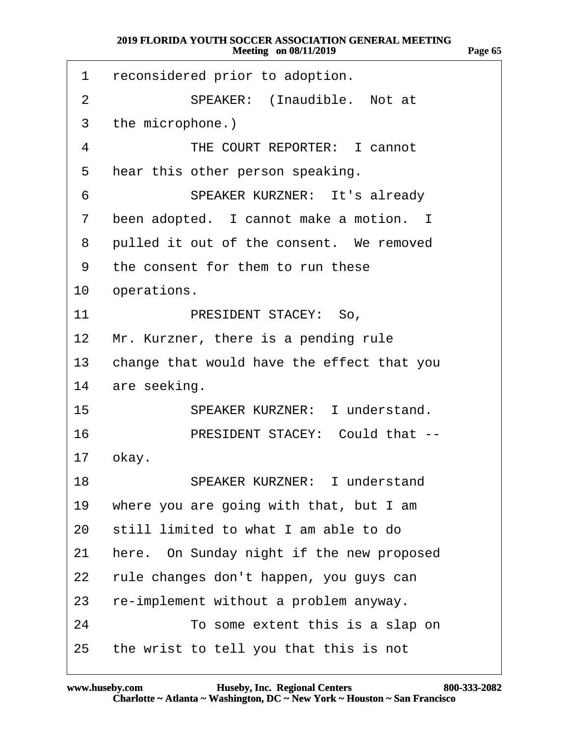| 1  | reconsidered prior to adoption.            |
|----|--------------------------------------------|
| 2  | SPEAKER: (Inaudible. Not at                |
| 3  | the microphone.)                           |
| 4  | THE COURT REPORTER: I cannot               |
| 5  | hear this other person speaking.           |
| 6  | <b>SPEAKER KURZNER: It's already</b>       |
| 7  | been adopted. I cannot make a motion. I    |
| 8  | pulled it out of the consent. We removed   |
| 9  | the consent for them to run these          |
| 10 | operations.                                |
| 11 | PRESIDENT STACEY: So,                      |
|    | 12 Mr. Kurzner, there is a pending rule    |
| 13 | change that would have the effect that you |
| 14 | are seeking.                               |
| 15 | <b>SPEAKER KURZNER: I understand.</b>      |
| 16 | PRESIDENT STACEY: Could that --            |
| 17 | okay.                                      |
| 18 | <b>SPEAKER KURZNER: I understand</b>       |
| 19 | where you are going with that, but I am    |
| 20 | still limited to what I am able to do      |
| 21 | here. On Sunday night if the new proposed  |
| 22 | rule changes don't happen, you guys can    |
| 23 | re-implement without a problem anyway.     |
| 24 | To some extent this is a slap on           |
| 25 | the wrist to tell you that this is not     |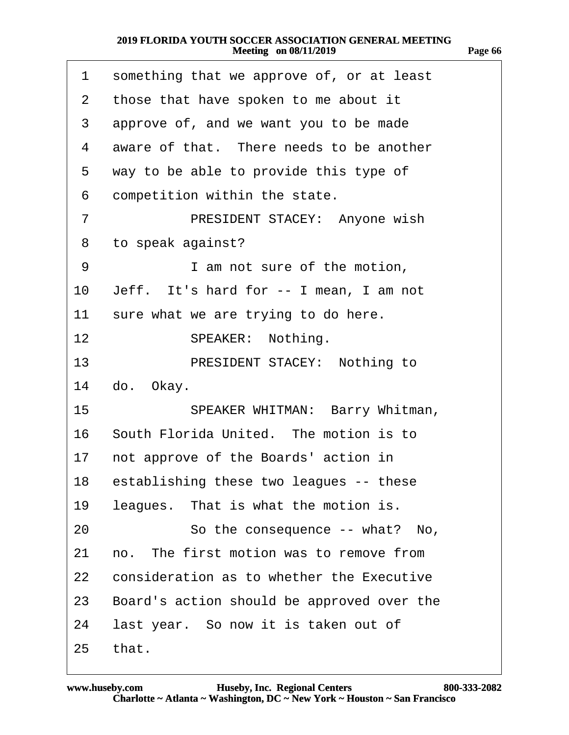| 1  | something that we approve of, or at least  |
|----|--------------------------------------------|
| 2  | those that have spoken to me about it      |
| 3  | approve of, and we want you to be made     |
| 4  | aware of that. There needs to be another   |
| 5  | way to be able to provide this type of     |
| 6  | competition within the state.              |
| 7  | PRESIDENT STACEY: Anyone wish              |
| 8  | to speak against?                          |
| 9  | I am not sure of the motion,               |
| 10 | Jeff. It's hard for -- I mean, I am not    |
| 11 | sure what we are trying to do here.        |
| 12 | SPEAKER: Nothing.                          |
| 13 | PRESIDENT STACEY: Nothing to               |
| 14 | do. Okay.                                  |
| 15 | <b>SPEAKER WHITMAN: Barry Whitman,</b>     |
| 16 | South Florida United. The motion is to     |
| 17 | not approve of the Boards' action in       |
| 18 | establishing these two leagues -- these    |
| 19 | leagues. That is what the motion is.       |
| 20 | So the consequence -- what? No,            |
| 21 | no. The first motion was to remove from    |
| 22 | consideration as to whether the Executive  |
| 23 | Board's action should be approved over the |
| 24 | last year. So now it is taken out of       |
|    | 25 that.                                   |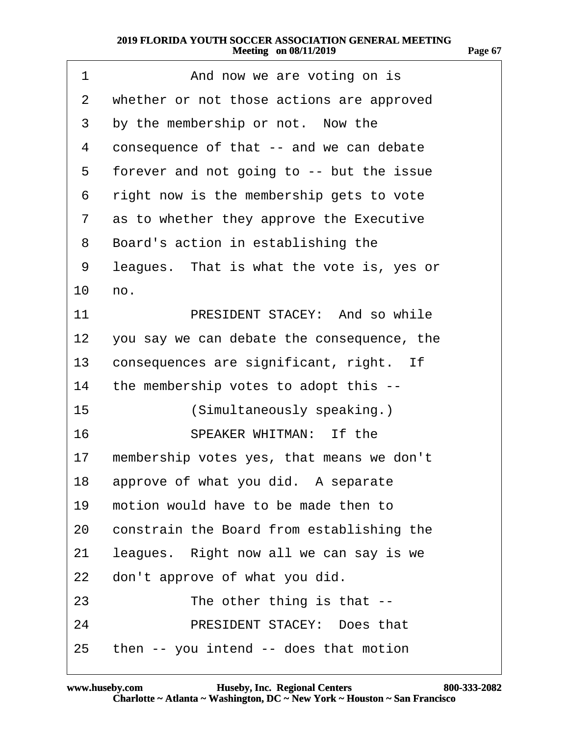| 1  | And now we are voting on is                |
|----|--------------------------------------------|
| 2  | whether or not those actions are approved  |
| 3  | by the membership or not. Now the          |
| 4  | consequence of that -- and we can debate   |
| 5  | forever and not going to -- but the issue  |
| 6  | right now is the membership gets to vote   |
| 7  | as to whether they approve the Executive   |
| 8  | Board's action in establishing the         |
| 9  | leagues. That is what the vote is, yes or  |
| 10 | no.                                        |
| 11 | PRESIDENT STACEY: And so while             |
| 12 | you say we can debate the consequence, the |
| 13 | consequences are significant, right. If    |
| 14 | the membership votes to adopt this --      |
| 15 | (Simultaneously speaking.)                 |
| 16 | SPEAKER WHITMAN: If the                    |
| 17 | membership votes yes, that means we don't  |
|    | 18 approve of what you did. A separate     |
| 19 | motion would have to be made then to       |
| 20 | constrain the Board from establishing the  |
| 21 | leagues. Right now all we can say is we    |
| 22 | don't approve of what you did.             |
| 23 | The other thing is that --                 |
| 24 | <b>PRESIDENT STACEY: Does that</b>         |
| 25 | then -- you intend -- does that motion     |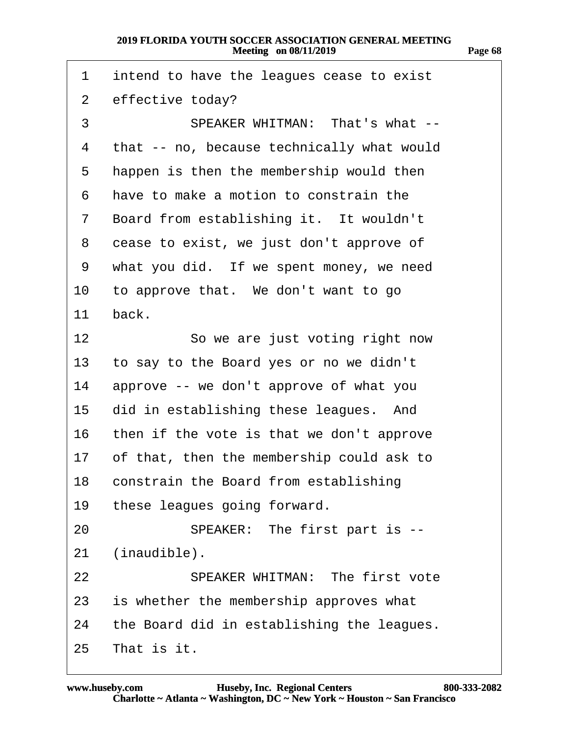| 1  | intend to have the leagues cease to exist    |
|----|----------------------------------------------|
| 2  | effective today?                             |
| 3  | SPEAKER WHITMAN: That's what --              |
| 4  | that -- no, because technically what would   |
| 5  | happen is then the membership would then     |
| 6  | have to make a motion to constrain the       |
| 7  | Board from establishing it. It wouldn't      |
| 8  | cease to exist, we just don't approve of     |
| 9  | what you did. If we spent money, we need     |
| 10 | to approve that. We don't want to go         |
| 11 | back.                                        |
| 12 | So we are just voting right now              |
| 13 | to say to the Board yes or no we didn't      |
| 14 | approve -- we don't approve of what you      |
| 15 | did in establishing these leagues. And       |
| 16 | then if the vote is that we don't approve    |
|    | 17 of that, then the membership could ask to |
| 18 | constrain the Board from establishing        |
| 19 | these leagues going forward.                 |
| 20 | SPEAKER: The first part is --                |
| 21 | (inaudible).                                 |
| 22 | <b>SPEAKER WHITMAN: The first vote</b>       |
|    | 23 is whether the membership approves what   |
| 24 | the Board did in establishing the leagues.   |
| 25 | That is it.                                  |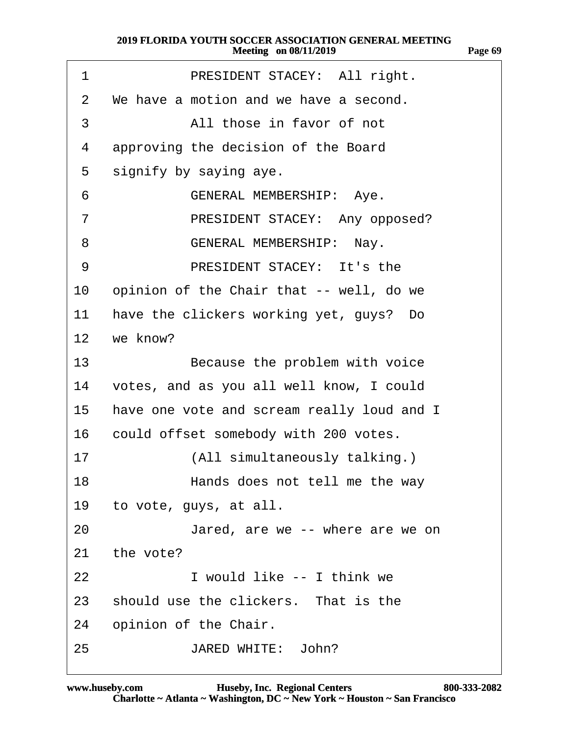| 1                 | PRESIDENT STACEY: All right.               |
|-------------------|--------------------------------------------|
| 2                 | We have a motion and we have a second.     |
| 3                 | All those in favor of not                  |
| 4                 | approving the decision of the Board        |
| 5                 | signify by saying aye.                     |
| 6                 | <b>GENERAL MEMBERSHIP: Aye.</b>            |
| 7                 | PRESIDENT STACEY: Any opposed?             |
| 8                 | <b>GENERAL MEMBERSHIP: Nay.</b>            |
| 9                 | <b>PRESIDENT STACEY: It's the</b>          |
| 10                | opinion of the Chair that -- well, do we   |
| 11                | have the clickers working yet, guys? Do    |
| $12 \overline{ }$ | we know?                                   |
| 13                | Because the problem with voice             |
| 14                | votes, and as you all well know, I could   |
| 15                | have one vote and scream really loud and I |
| 16                | could offset somebody with 200 votes.      |
| 17                | (All simultaneously talking.)              |
| 18                | Hands does not tell me the way             |
| 19                | to vote, guys, at all.                     |
| 20                | Jared, are we -- where are we on           |
| 21                | the vote?                                  |
| 22                | I would like -- I think we                 |
|                   | 23 should use the clickers. That is the    |
| 24                | opinion of the Chair.                      |
| 25                | JARED WHITE: John?                         |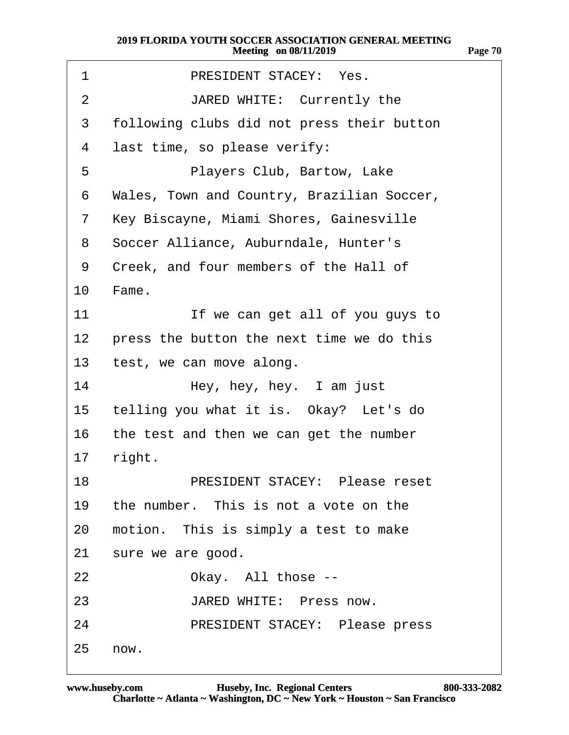- 1 PRESIDENT STACEY: Yes.
- 2 **JARED WHITE: Currently the**
- 3 following clubs did not press their button
- 4 last time, so please verify:
- 5 **Players Club, Bartow, Lake**
- 6 Wales, Town and Country, Brazilian Soccer,
- 7 Key Biscayne, Miami Shores, Gainesville
- 8 Soccer Alliance, Auburndale, Hunter's
- 9 Creek, and four members of the Hall of
- 10 Fame.
- 11 **If we can get all of you guys to**
- 12 press the button the next time we do this
- 13 test, we can move along.
- 14· · · · · · ·Hey, hey, hey.· I am just
- 15 telling you what it is. Okay? Let's do
- 16 the test and then we can get the number
- 17 right.
- 18 PRESIDENT STACEY: Please reset
- 19 the number. This is not a vote on the
- 20 motion. This is simply a test to make
- 21 sure we are good.
- 22 Okay. All those --
- 23 **JARED WHITE: Press now.**
- 24 PRESIDENT STACEY: Please press
- 25 now.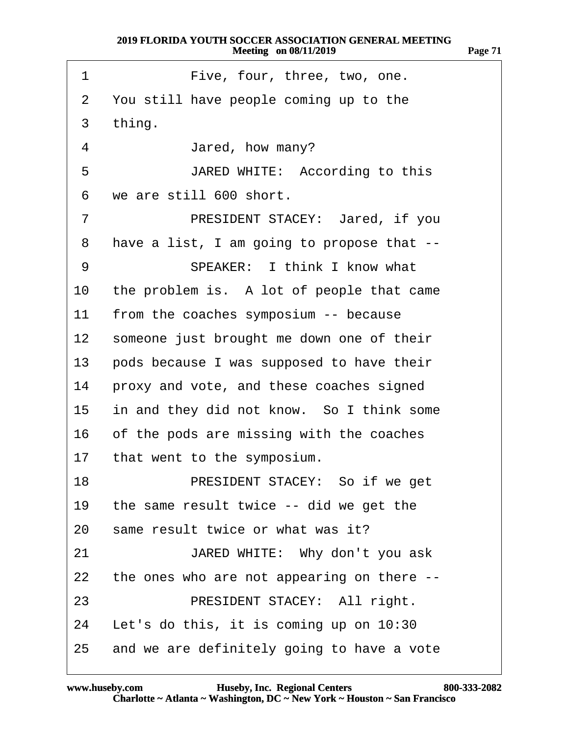| 1               | Five, four, three, two, one.               |
|-----------------|--------------------------------------------|
| $\overline{2}$  | You still have people coming up to the     |
| 3               | thing.                                     |
| 4               | Jared, how many?                           |
| 5               | JARED WHITE: According to this             |
| 6               | we are still 600 short.                    |
| $\overline{7}$  | PRESIDENT STACEY: Jared, if you            |
| 8               | have a list, I am going to propose that -- |
| 9               | SPEAKER: I think I know what               |
| 10              | the problem is. A lot of people that came  |
| 11              | from the coaches symposium -- because      |
| 12 <sub>2</sub> | someone just brought me down one of their  |
| 13              | pods because I was supposed to have their  |
| 14              | proxy and vote, and these coaches signed   |
| 15              | in and they did not know. So I think some  |
| 16              | of the pods are missing with the coaches   |
| 17              | that went to the symposium.                |
| 18              | PRESIDENT STACEY: So if we get             |
| 19              | the same result twice -- did we get the    |
| 20              | same result twice or what was it?          |
| 21              | JARED WHITE: Why don't you ask             |
| 22              | the ones who are not appearing on there -- |
| 23              | PRESIDENT STACEY: All right.               |
| 24              | Let's do this, it is coming up on 10:30    |
| 25              | and we are definitely going to have a vote |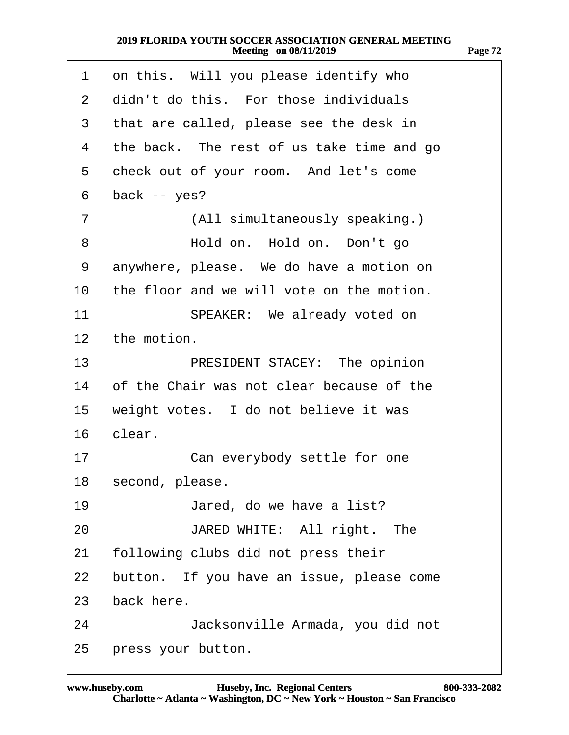| 1                 | on this. Will you please identify who     |
|-------------------|-------------------------------------------|
| $\overline{2}$    | didn't do this. For those individuals     |
| 3                 | that are called, please see the desk in   |
| 4                 | the back. The rest of us take time and go |
| 5                 | check out of your room. And let's come    |
| 6                 | back -- yes?                              |
| $\overline{7}$    | (All simultaneously speaking.)            |
| 8                 | Hold on. Hold on. Don't go                |
| 9                 | anywhere, please. We do have a motion on  |
| 10                | the floor and we will vote on the motion. |
| 11                | SPEAKER: We already voted on              |
| $12 \overline{ }$ | the motion.                               |
| 13                | PRESIDENT STACEY: The opinion             |
| 14                | of the Chair was not clear because of the |
| 15                | weight votes. I do not believe it was     |
| 16                | clear.                                    |
| 17                | Can everybody settle for one              |
|                   | 18 second, please.                        |
| 19                | Jared, do we have a list?                 |
| 20                | JARED WHITE: All right. The               |
| 21                | following clubs did not press their       |
| 22                | button. If you have an issue, please come |
|                   | 23 back here.                             |
| 24                | Jacksonville Armada, you did not          |
|                   | 25 press your button.                     |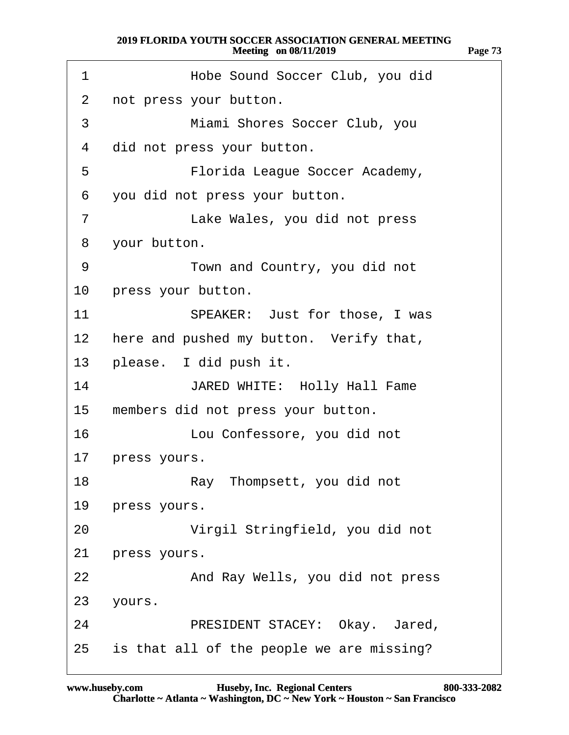| 1               | Hobe Sound Soccer Club, you did              |
|-----------------|----------------------------------------------|
| 2               | not press your button.                       |
| 3               | Miami Shores Soccer Club, you                |
| 4               | did not press your button.                   |
| 5               | Florida League Soccer Academy,               |
| 6               | you did not press your button.               |
| $\overline{7}$  | Lake Wales, you did not press                |
| 8               | your button.                                 |
| 9               | Town and Country, you did not                |
| 10              | press your button.                           |
| 11              | SPEAKER: Just for those, I was               |
| 12 <sub>2</sub> | here and pushed my button. Verify that,      |
|                 | 13 please. I did push it.                    |
| 14              | <b>JARED WHITE: Holly Hall Fame</b>          |
| $15\,$          | members did not press your button.           |
| 16              | Lou Confessore, you did not                  |
| 17              | press yours.                                 |
| 18              | Ray Thompsett, you did not                   |
| 19              | press yours.                                 |
| 20              | Virgil Stringfield, you did not              |
| 21              | press yours.                                 |
| 22              | And Ray Wells, you did not press             |
| 23              | yours.                                       |
| 24              | PRESIDENT STACEY: Okay. Jared,               |
|                 | 25 is that all of the people we are missing? |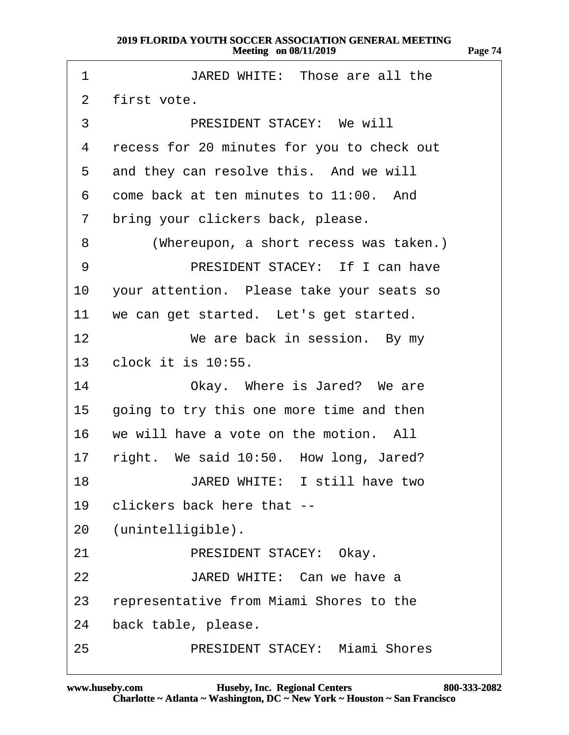| 1               | JARED WHITE: Those are all the             |
|-----------------|--------------------------------------------|
| 2               | first vote.                                |
| 3               | <b>PRESIDENT STACEY: We will</b>           |
| 4               | recess for 20 minutes for you to check out |
| 5               | and they can resolve this. And we will     |
| 6               | come back at ten minutes to 11:00. And     |
| $\overline{7}$  | bring your clickers back, please.          |
| 8               | (Whereupon, a short recess was taken.)     |
| 9               | PRESIDENT STACEY: If I can have            |
| 10              | your attention. Please take your seats so  |
| 11              | we can get started. Let's get started.     |
| 12 <sup>°</sup> | We are back in session. By my              |
| 13              | clock it is 10:55.                         |
| 14              | Okay. Where is Jared? We are               |
| 15 <sub>1</sub> | going to try this one more time and then   |
|                 | 16 we will have a vote on the motion. All  |
| 17              | right. We said 10:50. How long, Jared?     |
| 18              | JARED WHITE: I still have two              |
| 19              | clickers back here that --                 |
| 20              | (unintelligible).                          |
| 21              | PRESIDENT STACEY: Okay.                    |
| 22              | JARED WHITE: Can we have a                 |
| 23              | representative from Miami Shores to the    |
| 24              | back table, please.                        |
| 25              | <b>PRESIDENT STACEY: Miami Shores</b>      |

**Page 74**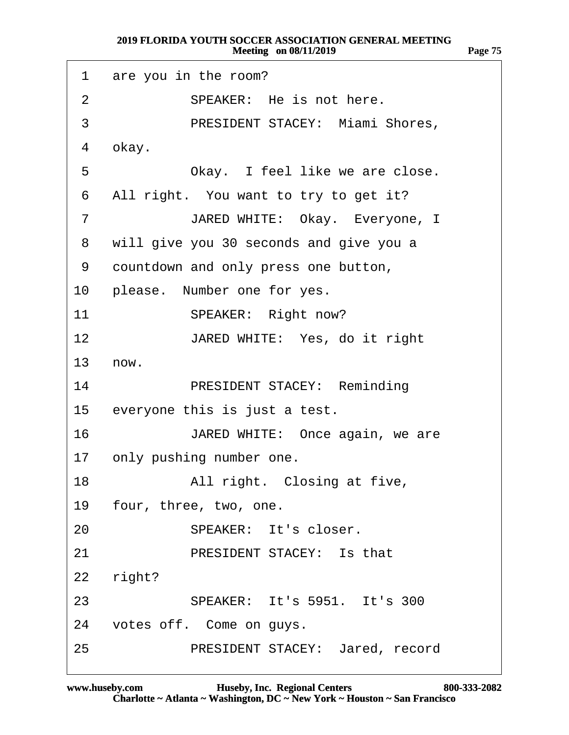| 1               | are you in the room?                    |
|-----------------|-----------------------------------------|
| $\overline{2}$  | SPEAKER: He is not here.                |
| 3               | PRESIDENT STACEY: Miami Shores,         |
| 4               | okay.                                   |
| 5               | Okay. I feel like we are close.         |
| 6               | All right. You want to try to get it?   |
| 7               | JARED WHITE: Okay. Everyone, I          |
| 8               | will give you 30 seconds and give you a |
| 9               | countdown and only press one button,    |
| 10              | please. Number one for yes.             |
| 11              | SPEAKER: Right now?                     |
| 12 <sub>2</sub> | JARED WHITE: Yes, do it right           |
| 13              | now.                                    |
| 14              | PRESIDENT STACEY: Reminding             |
| 15              | everyone this is just a test.           |
| 16              | JARED WHITE: Once again, we are         |
| 17              | only pushing number one.                |
| 18              | All right. Closing at five,             |
| 19              | four, three, two, one.                  |
| 20              | SPEAKER: It's closer.                   |
| 21              | <b>PRESIDENT STACEY: Is that</b>        |
| 22              | right?                                  |
| 23              | SPEAKER: It's 5951. It's 300            |
|                 | 24 votes off. Come on guys.             |
| 25 <sub>2</sub> | PRESIDENT STACEY: Jared, record         |

**Page 75**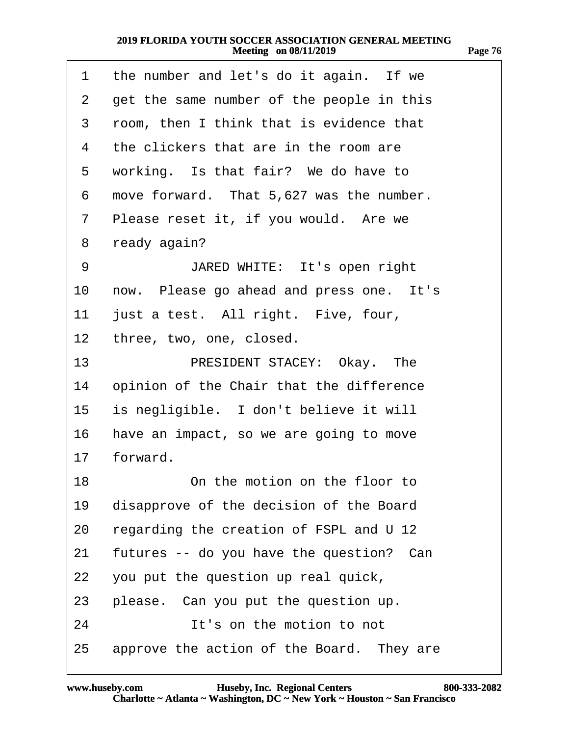| 1               | the number and let's do it again. If we   |
|-----------------|-------------------------------------------|
| $\overline{2}$  | get the same number of the people in this |
| 3               | room, then I think that is evidence that  |
| 4               | the clickers that are in the room are     |
| 5               | working. Is that fair? We do have to      |
| 6               | move forward. That 5,627 was the number.  |
| 7               | Please reset it, if you would. Are we     |
| 8               | ready again?                              |
| 9               | JARED WHITE: It's open right              |
| 10              | now. Please go ahead and press one. It's  |
| 11              | just a test. All right. Five, four,       |
| 12 <sup>°</sup> | three, two, one, closed.                  |
| 13              | PRESIDENT STACEY: Okay. The               |
| 14              | opinion of the Chair that the difference  |
| 15              | is negligible. I don't believe it will    |
| 16              | have an impact, so we are going to move   |
| 17              | forward.                                  |
| 18              | On the motion on the floor to             |
| 19              | disapprove of the decision of the Board   |
| 20              | regarding the creation of FSPL and U 12   |
| 21              | futures -- do you have the question? Can  |
| 22              | you put the question up real quick,       |
| 23              | please. Can you put the question up.      |
| 24              | It's on the motion to not                 |
| 25              | approve the action of the Board. They are |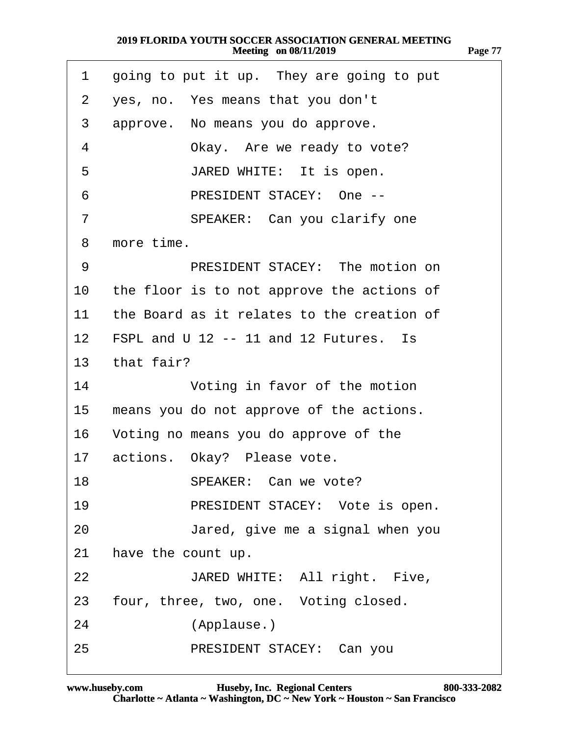| 1  | going to put it up. They are going to put  |
|----|--------------------------------------------|
| 2  | yes, no. Yes means that you don't          |
| 3  | approve. No means you do approve.          |
| 4  | Okay. Are we ready to vote?                |
| 5  | JARED WHITE: It is open.                   |
| 6  | PRESIDENT STACEY: One --                   |
| 7  | SPEAKER: Can you clarify one               |
| 8  | more time.                                 |
| 9  | PRESIDENT STACEY: The motion on            |
| 10 | the floor is to not approve the actions of |
| 11 | the Board as it relates to the creation of |
|    | 12 FSPL and U 12 -- 11 and 12 Futures. Is  |
|    | 13 that fair?                              |
| 14 | Voting in favor of the motion              |
| 15 | means you do not approve of the actions.   |
| 16 | Voting no means you do approve of the      |
|    | 17 actions. Okay? Please vote.             |
| 18 | SPEAKER: Can we vote?                      |
| 19 | PRESIDENT STACEY: Vote is open.            |
| 20 | Jared, give me a signal when you           |
| 21 | have the count up.                         |
| 22 | JARED WHITE: All right. Five,              |
| 23 | four, three, two, one. Voting closed.      |
| 24 | (Applause.)                                |
| 25 | PRESIDENT STACEY: Can you                  |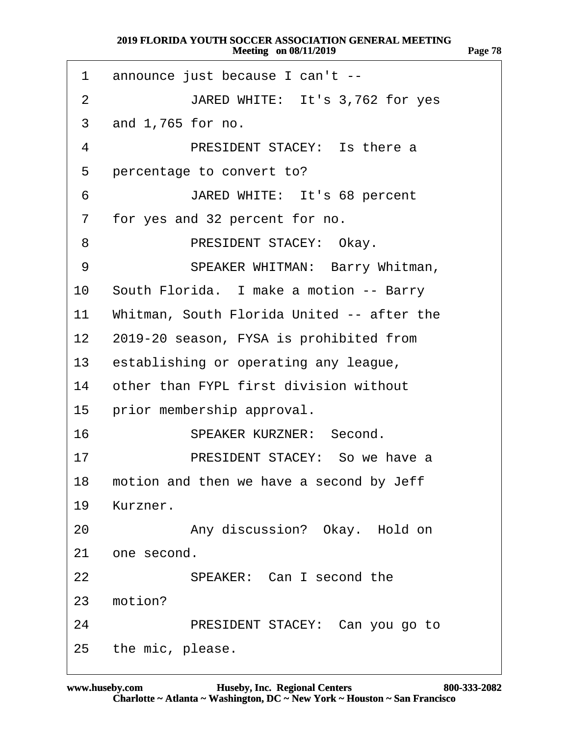| 1               | announce just because I can't --            |
|-----------------|---------------------------------------------|
| 2               | JARED WHITE: It's 3,762 for yes             |
| 3               | and 1,765 for no.                           |
| 4               | PRESIDENT STACEY: Is there a                |
| 5               | percentage to convert to?                   |
| 6               | JARED WHITE: It's 68 percent                |
| $\overline{7}$  | for yes and 32 percent for no.              |
| 8               | PRESIDENT STACEY: Okay.                     |
| 9               | SPEAKER WHITMAN: Barry Whitman,             |
| 10              | South Florida. I make a motion -- Barry     |
| 11              | Whitman, South Florida United -- after the  |
|                 | 12 2019-20 season, FYSA is prohibited from  |
| 13              | establishing or operating any league,       |
|                 | 14 other than FYPL first division without   |
|                 | 15 prior membership approval.               |
| 16              | <b>SPEAKER KURZNER: Second.</b>             |
| 17              | PRESIDENT STACEY: So we have a              |
|                 | 18 motion and then we have a second by Jeff |
| 19              | Kurzner.                                    |
| 20              | Any discussion? Okay. Hold on               |
| 21              | one second.                                 |
| 22 <sub>2</sub> | SPEAKER: Can I second the                   |
| 23              | motion?                                     |
| 24              | PRESIDENT STACEY: Can you go to             |
|                 | 25 the mic, please.                         |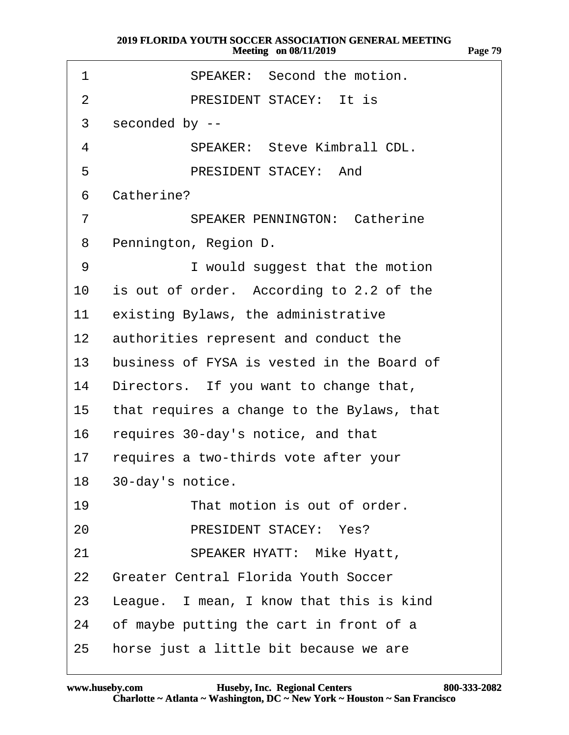| SPEAKER: Second the motion. |
|-----------------------------|
|                             |

- 2 PRESIDENT STACEY: It is
- 3 seconded by --
- 4 **SPEAKER: Steve Kimbrall CDL.**
- 5 PRESIDENT STACEY: And
- 6 Catherine?
- 7 **SPEAKER PENNINGTON: Catherine**
- 8 Pennington, Region D.
- 9 **· · I would suggest that the motion**
- 10 is out of order. According to 2.2 of the
- 11 existing Bylaws, the administrative
- 12 authorities represent and conduct the
- 13 business of FYSA is vested in the Board of
- 14 Directors. If you want to change that,
- 15 that requires a change to the Bylaws, that
- 16 requires 30-day's notice, and that
- 17 requires a two-thirds vote after your
- 18 30-day's notice.
- 19  **That motion is out of order.**
- 20 PRESIDENT STACEY: Yes?
- 21 SPEAKER HYATT: Mike Hyatt,
- 22 Greater Central Florida Youth Soccer
- 23 League. I mean, I know that this is kind
- 24 of maybe putting the cart in front of a
- 25 horse just a little bit because we are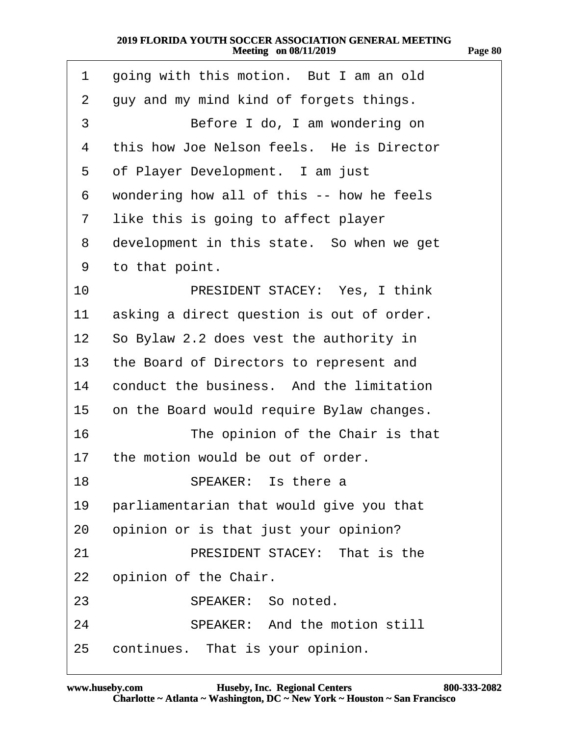| 1  | going with this motion. But I am an old     |
|----|---------------------------------------------|
| 2  | guy and my mind kind of forgets things.     |
| 3  | Before I do, I am wondering on              |
| 4  | this how Joe Nelson feels. He is Director   |
| 5  | of Player Development. I am just            |
| 6  | wondering how all of this -- how he feels   |
| 7  | like this is going to affect player         |
| 8  | development in this state. So when we get   |
| 9  | to that point.                              |
| 10 | PRESIDENT STACEY: Yes, I think              |
| 11 | asking a direct question is out of order.   |
|    | 12 So Bylaw 2.2 does vest the authority in  |
|    | 13 the Board of Directors to represent and  |
|    | 14 conduct the business. And the limitation |
| 15 | on the Board would require Bylaw changes.   |
| 16 | The opinion of the Chair is that            |
| 17 | the motion would be out of order.           |
| 18 | SPEAKER: Is there a                         |
| 19 | parliamentarian that would give you that    |
| 20 | opinion or is that just your opinion?       |
| 21 | <b>PRESIDENT STACEY: That is the</b>        |
| 22 | opinion of the Chair.                       |
| 23 | SPEAKER: So noted.                          |
| 24 | <b>SPEAKER: And the motion still</b>        |
| 25 | continues. That is your opinion.            |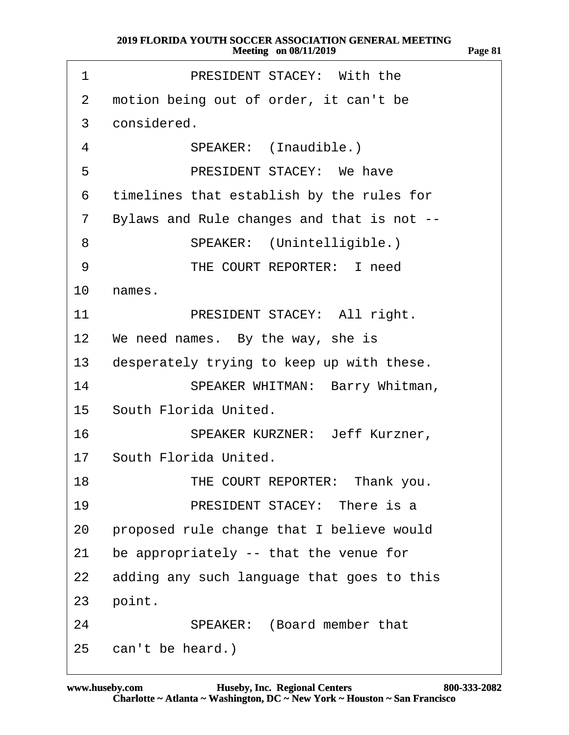| 1  | <b>PRESIDENT STACEY: With the</b>          |
|----|--------------------------------------------|
| 2  | motion being out of order, it can't be     |
| 3  | considered.                                |
| 4  | SPEAKER: (Inaudible.)                      |
| 5  | <b>PRESIDENT STACEY: We have</b>           |
| 6  | timelines that establish by the rules for  |
| 7  | Bylaws and Rule changes and that is not -- |
| 8  | SPEAKER: (Unintelligible.)                 |
| 9  | THE COURT REPORTER: I need                 |
| 10 | names.                                     |
| 11 | PRESIDENT STACEY: All right.               |
|    | 12 We need names. By the way, she is       |
| 13 | desperately trying to keep up with these.  |
| 14 | SPEAKER WHITMAN: Barry Whitman,            |
|    | 15 South Florida United.                   |
| 16 | <b>SPEAKER KURZNER: Jeff Kurzner,</b>      |
|    | 17 South Florida United.                   |
| 18 | THE COURT REPORTER: Thank you.             |
| 19 | PRESIDENT STACEY: There is a               |
| 20 | proposed rule change that I believe would  |
| 21 | be appropriately -- that the venue for     |
| 22 | adding any such language that goes to this |
| 23 | point.                                     |
| 24 | SPEAKER: (Board member that                |
| 25 | can't be heard.)                           |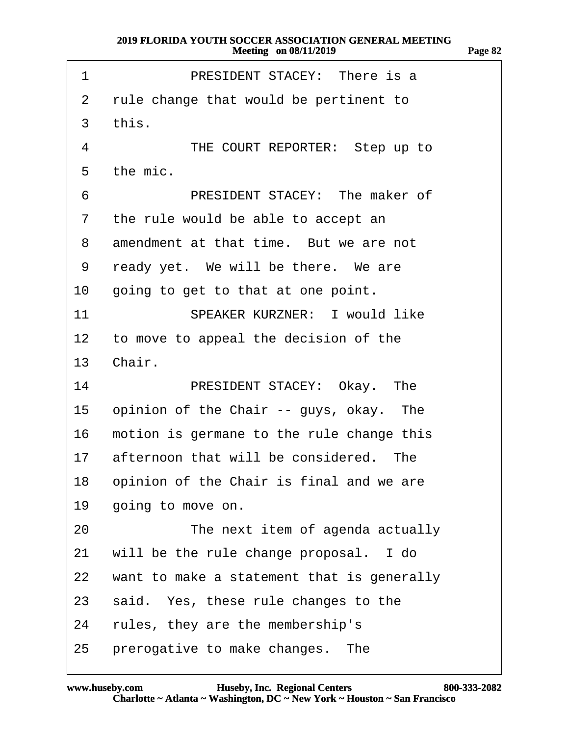| 1              | PRESIDENT STACEY: There is a                  |
|----------------|-----------------------------------------------|
| 2              | rule change that would be pertinent to        |
| 3              | this.                                         |
| 4              | THE COURT REPORTER: Step up to                |
| 5              | the mic.                                      |
| 6              | PRESIDENT STACEY: The maker of                |
| $\overline{7}$ | the rule would be able to accept an           |
| 8              | amendment at that time. But we are not        |
| 9              | ready yet. We will be there. We are           |
| 10             | going to get to that at one point.            |
| 11             | <b>SPEAKER KURZNER: I would like</b>          |
|                | 12 to move to appeal the decision of the      |
|                | 13 Chair.                                     |
| 14             | PRESIDENT STACEY: Okay. The                   |
| 15             | opinion of the Chair -- guys, okay. The       |
| 16             | motion is germane to the rule change this     |
|                | 17 afternoon that will be considered. The     |
| 18             | opinion of the Chair is final and we are      |
| 19             | going to move on.                             |
| 20             | The next item of agenda actually              |
| 21             | will be the rule change proposal. I do        |
|                | 22 want to make a statement that is generally |
| 23             | said. Yes, these rule changes to the          |
| 24             | rules, they are the membership's              |
|                | 25 prerogative to make changes. The           |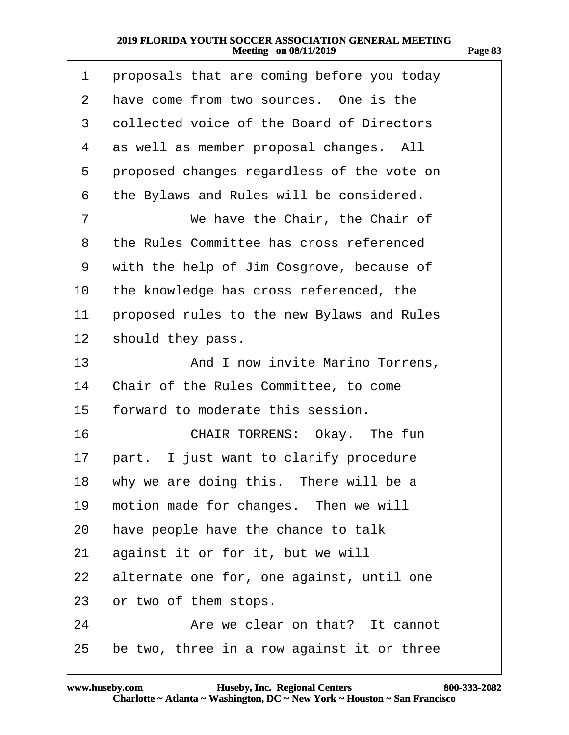| . .<br>. . |  |
|------------|--|
|------------|--|

| 1              | proposals that are coming before you today |
|----------------|--------------------------------------------|
| 2              | have come from two sources. One is the     |
| 3              | collected voice of the Board of Directors  |
| 4              | as well as member proposal changes. All    |
| 5              | proposed changes regardless of the vote on |
| 6              | the Bylaws and Rules will be considered.   |
| $\overline{7}$ | We have the Chair, the Chair of            |
| 8              | the Rules Committee has cross referenced   |
| 9              | with the help of Jim Cosgrove, because of  |
| 10             | the knowledge has cross referenced, the    |
| 11             | proposed rules to the new Bylaws and Rules |
| $12 \,$        | should they pass.                          |
| 13             | And I now invite Marino Torrens,           |
| 14             | Chair of the Rules Committee, to come      |
| 15             | forward to moderate this session.          |
| 16             | CHAIR TORRENS: Okay. The fun               |
| 17             | part. I just want to clarify procedure     |
|                | 18 why we are doing this. There will be a  |
| 19             | motion made for changes. Then we will      |
| 20             | have people have the chance to talk        |
| 21             | against it or for it, but we will          |
| 22             | alternate one for, one against, until one  |
| 23             | or two of them stops.                      |
| 24             | Are we clear on that? It cannot            |
| 25             | be two, three in a row against it or three |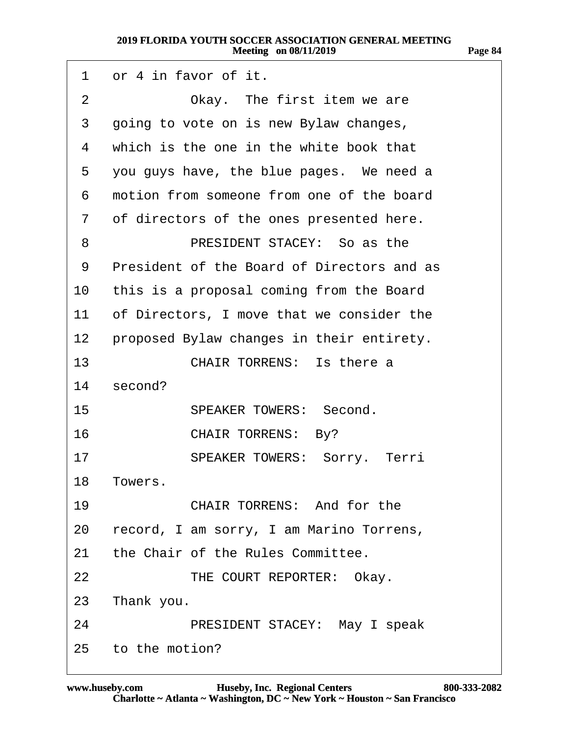| 1               | or 4 in favor of it.                       |
|-----------------|--------------------------------------------|
| 2               | Okay. The first item we are                |
| 3               | going to vote on is new Bylaw changes,     |
| 4               | which is the one in the white book that    |
| 5               | you guys have, the blue pages. We need a   |
| 6               | motion from someone from one of the board  |
| 7               | of directors of the ones presented here.   |
| 8               | PRESIDENT STACEY: So as the                |
| 9               | President of the Board of Directors and as |
| 10              | this is a proposal coming from the Board   |
| 11              | of Directors, I move that we consider the  |
| 12 <sub>2</sub> | proposed Bylaw changes in their entirety.  |
| 13              | <b>CHAIR TORRENS: Is there a</b>           |
| 14              | second?                                    |
| 15              | <b>SPEAKER TOWERS: Second.</b>             |
| 16              | <b>CHAIR TORRENS: By?</b>                  |
| 17              | <b>SPEAKER TOWERS: Sorry. Terri</b>        |
| 18              | Towers.                                    |
| 19              | <b>CHAIR TORRENS: And for the</b>          |
| 20              | record, I am sorry, I am Marino Torrens,   |
| 21 <sup>°</sup> | the Chair of the Rules Committee.          |
| 22              | THE COURT REPORTER: Okay.                  |
|                 | 23 Thank you.                              |
| 24              | PRESIDENT STACEY: May I speak              |
|                 | 25 to the motion?                          |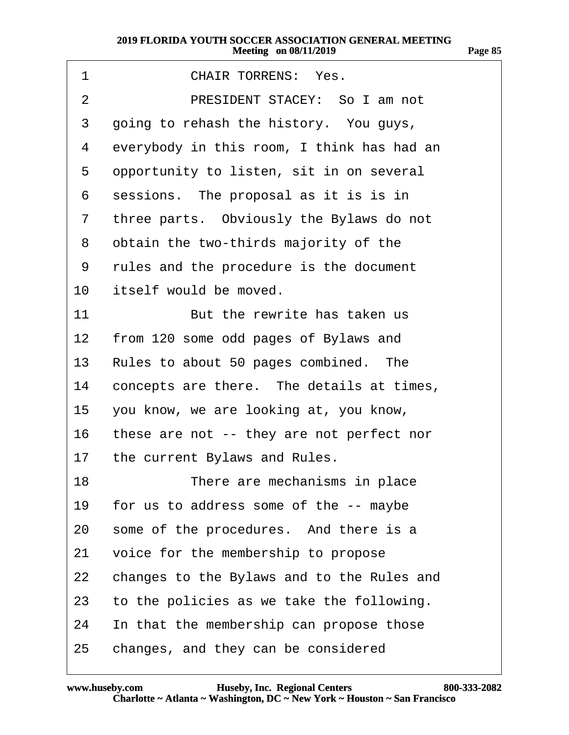| 1               | <b>CHAIR TORRENS: Yes.</b>                 |
|-----------------|--------------------------------------------|
| $\overline{2}$  | PRESIDENT STACEY: So I am not              |
| 3               | going to rehash the history. You guys,     |
| 4               | everybody in this room, I think has had an |
| 5               | opportunity to listen, sit in on several   |
| 6               | sessions. The proposal as it is is in      |
| $\overline{7}$  | three parts. Obviously the Bylaws do not   |
| 8               | obtain the two-thirds majority of the      |
| 9               | rules and the procedure is the document    |
| 10              | itself would be moved.                     |
| 11              | But the rewrite has taken us               |
| 12 <sub>2</sub> | from 120 some odd pages of Bylaws and      |
| 13              | Rules to about 50 pages combined. The      |
| 14              | concepts are there. The details at times,  |
| 15              | you know, we are looking at, you know,     |
| 16              | these are not -- they are not perfect nor  |
|                 | 17 the current Bylaws and Rules.           |
| 18              | There are mechanisms in place              |
| 19              | for us to address some of the -- maybe     |
| 20              | some of the procedures. And there is a     |
| 21              | voice for the membership to propose        |
| 22              | changes to the Bylaws and to the Rules and |
| 23              | to the policies as we take the following.  |
| 24              | In that the membership can propose those   |
| 25              | changes, and they can be considered        |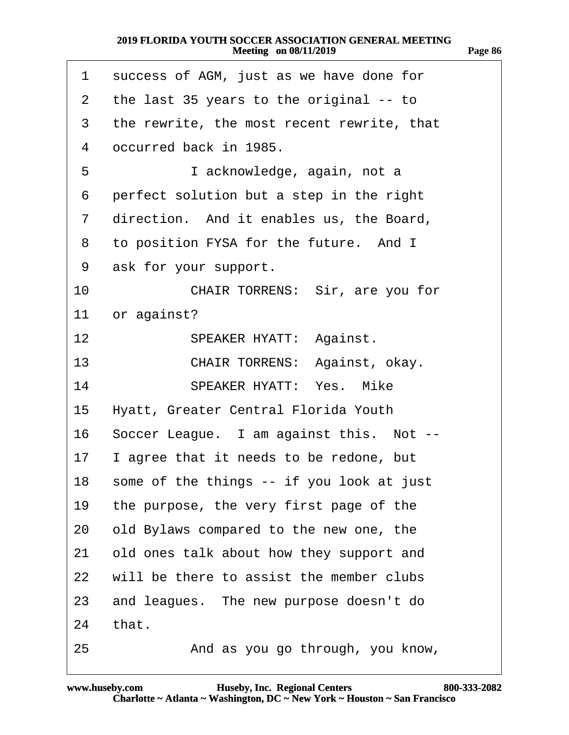| 1  | success of AGM, just as we have done for   |
|----|--------------------------------------------|
| 2  | the last 35 years to the original -- to    |
| 3  | the rewrite, the most recent rewrite, that |
| 4  | occurred back in 1985.                     |
| 5  | I acknowledge, again, not a                |
| 6  | perfect solution but a step in the right   |
| 7  | direction. And it enables us, the Board,   |
| 8  | to position FYSA for the future. And I     |
| 9  | ask for your support.                      |
| 10 | CHAIR TORRENS: Sir, are you for            |
| 11 | or against?                                |
| 12 | <b>SPEAKER HYATT: Against.</b>             |
| 13 | CHAIR TORRENS: Against, okay.              |
| 14 | <b>SPEAKER HYATT: Yes. Mike</b>            |
| 15 | Hyatt, Greater Central Florida Youth       |
| 16 | Soccer League. I am against this. Not --   |
| 17 | I agree that it needs to be redone, but    |
| 18 | some of the things -- if you look at just  |
| 19 | the purpose, the very first page of the    |
| 20 | old Bylaws compared to the new one, the    |
| 21 | old ones talk about how they support and   |
| 22 | will be there to assist the member clubs   |
| 23 | and leagues. The new purpose doesn't do    |
| 24 | that.                                      |
| 25 | And as you go through, you know,           |

**Page 86**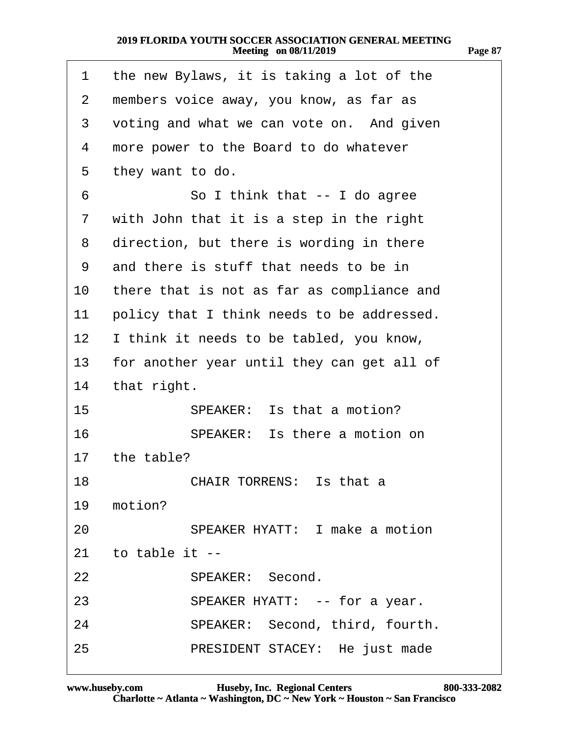| 1               | the new Bylaws, it is taking a lot of the  |
|-----------------|--------------------------------------------|
| 2               | members voice away, you know, as far as    |
| 3               | voting and what we can vote on. And given  |
| 4               | more power to the Board to do whatever     |
| 5               | they want to do.                           |
| 6               | So I think that -- I do agree              |
| $\overline{7}$  | with John that it is a step in the right   |
| 8               | direction, but there is wording in there   |
| 9               | and there is stuff that needs to be in     |
| 10              | there that is not as far as compliance and |
| 11              | policy that I think needs to be addressed. |
| 12 <sub>2</sub> | I think it needs to be tabled, you know,   |
| 13              | for another year until they can get all of |
| 14              | that right.                                |
| 15              | SPEAKER: Is that a motion?                 |
| 16              | SPEAKER: Is there a motion on              |
|                 | 17 the table?                              |
| 18              | <b>CHAIR TORRENS: Is that a</b>            |
| 19              | motion?                                    |
| 20              | <b>SPEAKER HYATT: I make a motion</b>      |
| 21              | to table it --                             |
| 22              | <b>SPEAKER: Second.</b>                    |
| 23              | SPEAKER HYATT: -- for a year.              |
| 24              | SPEAKER: Second, third, fourth.            |
| 25              | PRESIDENT STACEY: He just made             |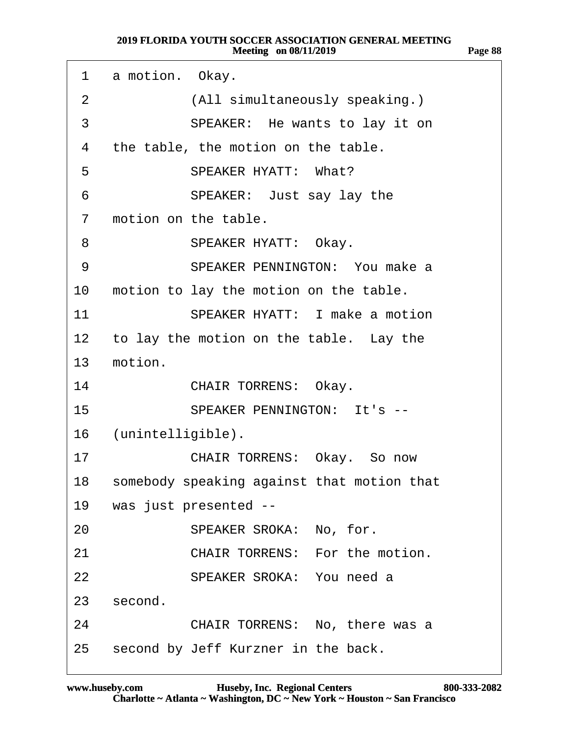| 1               | a motion. Okay.                               |
|-----------------|-----------------------------------------------|
| 2               | (All simultaneously speaking.)                |
| 3               | SPEAKER: He wants to lay it on                |
| 4               | the table, the motion on the table.           |
| 5               | <b>SPEAKER HYATT: What?</b>                   |
| 6               | SPEAKER: Just say lay the                     |
| $\overline{7}$  | motion on the table.                          |
| 8               | SPEAKER HYATT: Okay.                          |
| 9               | <b>SPEAKER PENNINGTON: You make a</b>         |
| 10              | motion to lay the motion on the table.        |
| 11              | <b>SPEAKER HYATT: I make a motion</b>         |
| 12 <sup>1</sup> | to lay the motion on the table. Lay the       |
| 13 <sup>2</sup> | motion.                                       |
| 14              | <b>CHAIR TORRENS: Okay.</b>                   |
| 15              | <b>SPEAKER PENNINGTON: It's --</b>            |
| 16              | (unintelligible).                             |
| 17              | CHAIR TORRENS: Okay. So now                   |
|                 | 18 somebody speaking against that motion that |
| 19              | was just presented --                         |
| 20              | SPEAKER SROKA: No, for.                       |
| 21              | <b>CHAIR TORRENS: For the motion.</b>         |
| 22              | SPEAKER SROKA: You need a                     |
| 23              | second.                                       |
| 24              | CHAIR TORRENS: No, there was a                |
| 25              | second by Jeff Kurzner in the back.           |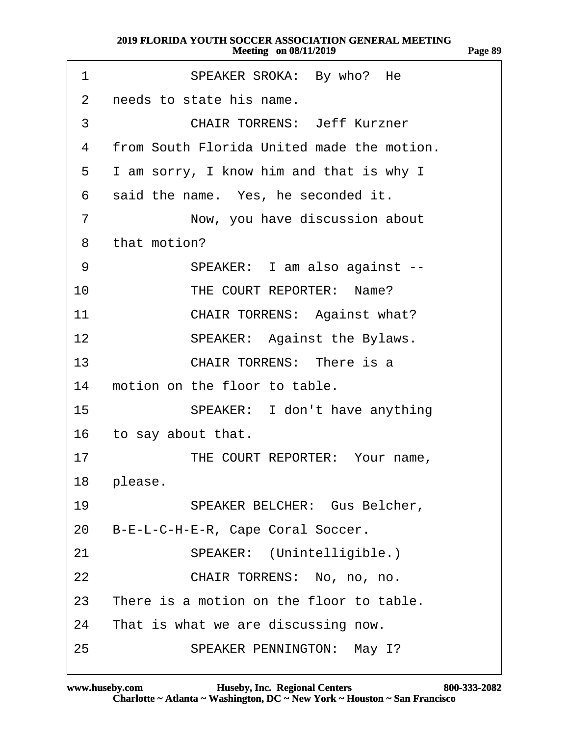| 1               | SPEAKER SROKA: By who? He                  |
|-----------------|--------------------------------------------|
| 2               | needs to state his name.                   |
| 3               | <b>CHAIR TORRENS: Jeff Kurzner</b>         |
| 4               | from South Florida United made the motion. |
| 5               | I am sorry, I know him and that is why I   |
| 6               | said the name. Yes, he seconded it.        |
| 7               | Now, you have discussion about             |
| 8               | that motion?                               |
| 9               | SPEAKER: I am also against --              |
| 10              | THE COURT REPORTER: Name?                  |
| 11              | <b>CHAIR TORRENS: Against what?</b>        |
| 12              | SPEAKER: Against the Bylaws.               |
| 13              | <b>CHAIR TORRENS: There is a</b>           |
|                 | 14 motion on the floor to table.           |
| 15 <sup>1</sup> | SPEAKER: I don't have anything             |
|                 | 16 to say about that.                      |
| 17              | THE COURT REPORTER: Your name,             |
|                 | 18 please.                                 |
| 19              | <b>SPEAKER BELCHER: Gus Belcher,</b>       |
| 20              | B-E-L-C-H-E-R, Cape Coral Soccer.          |
| 21              | SPEAKER: (Unintelligible.)                 |
| 22              | CHAIR TORRENS: No, no, no.                 |
| 23              | There is a motion on the floor to table.   |
| 24              | That is what we are discussing now.        |
| 25              | SPEAKER PENNINGTON: May I?                 |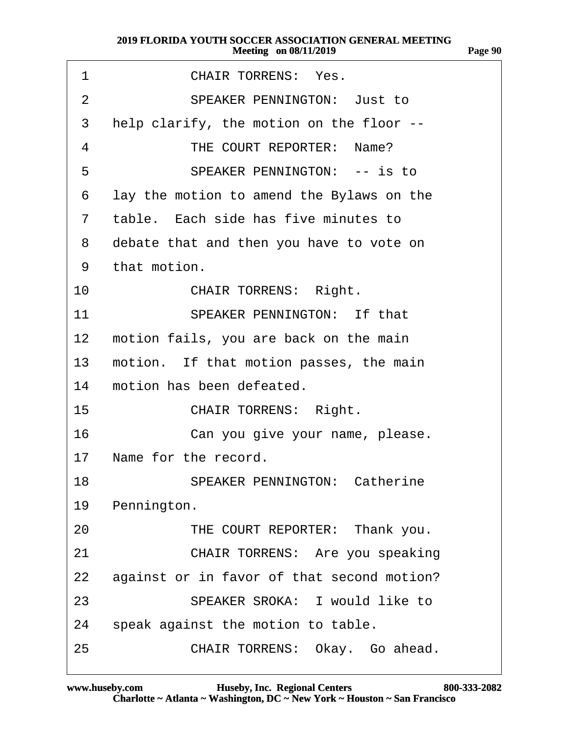| 1            | <b>CHAIR TORRENS: Yes.</b>                 |
|--------------|--------------------------------------------|
| 2            | <b>SPEAKER PENNINGTON: Just to</b>         |
| 3            | help clarify, the motion on the floor --   |
| 4            | THE COURT REPORTER: Name?                  |
| 5            | <b>SPEAKER PENNINGTON: -- is to</b>        |
| 6            | lay the motion to amend the Bylaws on the  |
| $\mathbf{7}$ | table. Each side has five minutes to       |
| 8            | debate that and then you have to vote on   |
| 9            | that motion.                               |
| 10           | <b>CHAIR TORRENS: Right.</b>               |
| 11           | <b>SPEAKER PENNINGTON: If that</b>         |
| 12           | motion fails, you are back on the main     |
| 13           | motion. If that motion passes, the main    |
| 14           | motion has been defeated.                  |
| 15           | <b>CHAIR TORRENS: Right.</b>               |
| 16           | Can you give your name, please.            |
|              | 17 Name for the record.                    |
| 18           | <b>SPEAKER PENNINGTON: Catherine</b>       |
| 19           | Pennington.                                |
| 20           | THE COURT REPORTER: Thank you.             |
| 21           | <b>CHAIR TORRENS: Are you speaking</b>     |
| <u>22</u>    | against or in favor of that second motion? |
| 23           | <b>SPEAKER SROKA: I would like to</b>      |
| 24           | speak against the motion to table.         |
| 25           | CHAIR TORRENS: Okay. Go ahead.             |

**Page 90**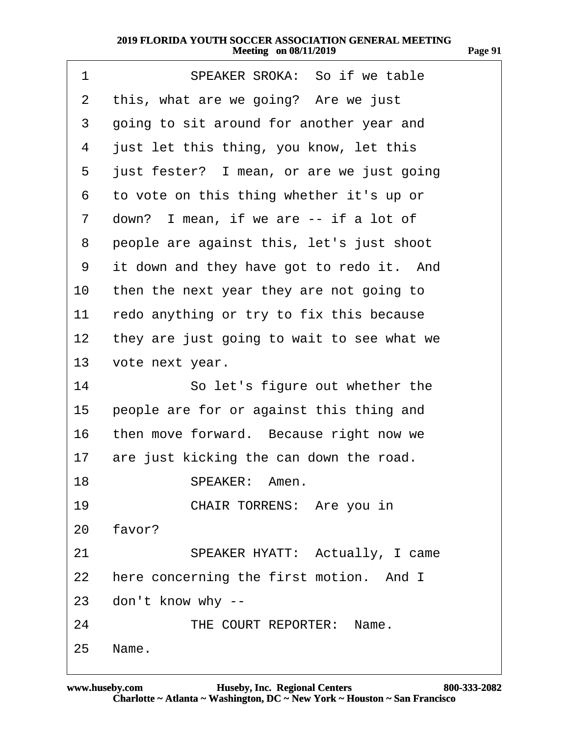| 1            | SPEAKER SROKA: So if we table              |
|--------------|--------------------------------------------|
| 2            | this, what are we going? Are we just       |
| 3            | going to sit around for another year and   |
| 4            | just let this thing, you know, let this    |
| 5            | just fester? I mean, or are we just going  |
| 6            | to vote on this thing whether it's up or   |
| $\mathbf{7}$ | down? I mean, if we are -- if a lot of     |
| 8            | people are against this, let's just shoot  |
| 9            | it down and they have got to redo it. And  |
| 10           | then the next year they are not going to   |
| 11           | redo anything or try to fix this because   |
| 12           | they are just going to wait to see what we |
| 13           | vote next year.                            |
| 14           | So let's figure out whether the            |
| 15           | people are for or against this thing and   |
| 16           | then move forward. Because right now we    |
| 17           | are just kicking the can down the road.    |
| 18           | SPEAKER: Amen.                             |
| 19           | CHAIR TORRENS: Are you in                  |
|              | 20 favor?                                  |
| 21           | SPEAKER HYATT: Actually, I came            |
|              | 22 here concerning the first motion. And I |
|              | 23 don't know why --                       |
| 24           | THE COURT REPORTER: Name.                  |
|              | 25 Name.                                   |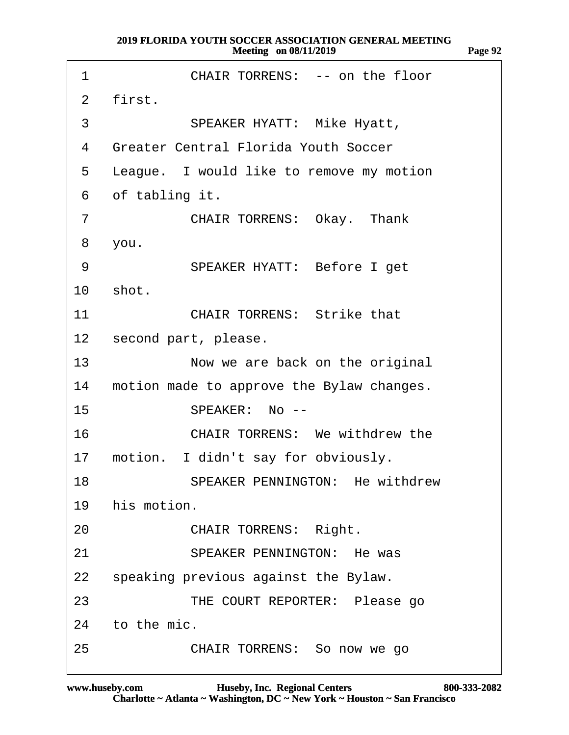| 1               | CHAIR TORRENS: -- on the floor               |
|-----------------|----------------------------------------------|
| 2               | first.                                       |
| 3               | <b>SPEAKER HYATT: Mike Hyatt,</b>            |
| 4               | <b>Greater Central Florida Youth Soccer</b>  |
| 5               | League. I would like to remove my motion     |
| 6               | of tabling it.                               |
| $\overline{7}$  | <b>CHAIR TORRENS: Okay. Thank</b>            |
| 8               | you.                                         |
| 9               | SPEAKER HYATT: Before I get                  |
| 10              | shot.                                        |
| 11              | <b>CHAIR TORRENS: Strike that</b>            |
|                 | 12 second part, please.                      |
| 13 <sup>7</sup> | Now we are back on the original              |
|                 | 14 motion made to approve the Bylaw changes. |
| 15              | SPEAKER: No--                                |
| 16              | <b>CHAIR TORRENS: We withdrew the</b>        |
| 17              | motion. I didn't say for obviously.          |
| 18              | <b>SPEAKER PENNINGTON: He withdrew</b>       |
| 19              | his motion.                                  |
| 20              | <b>CHAIR TORRENS: Right.</b>                 |
| 21              | <b>SPEAKER PENNINGTON: He was</b>            |
|                 | 22 speaking previous against the Bylaw.      |
| 23              | THE COURT REPORTER: Please go                |
|                 | 24 to the mic.                               |
| 25              | CHAIR TORRENS: So now we go                  |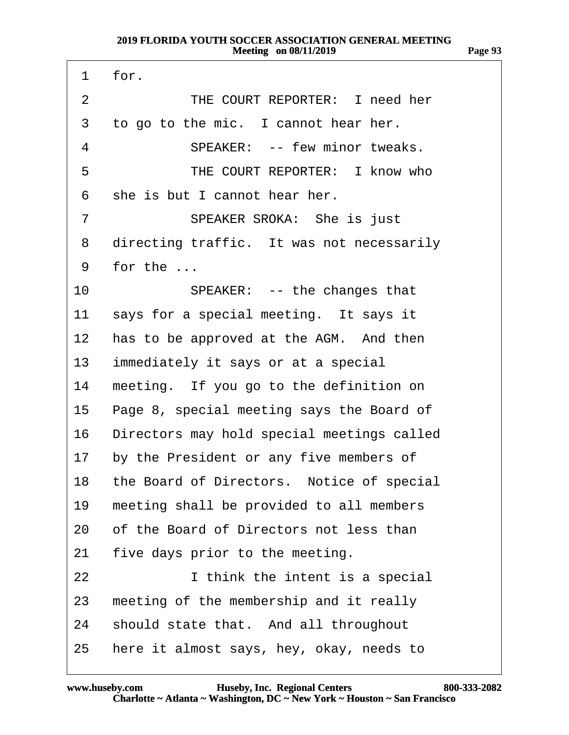| 1               | for.                                         |
|-----------------|----------------------------------------------|
| 2               | THE COURT REPORTER: I need her               |
| 3               | to go to the mic. I cannot hear her.         |
| 4               | SPEAKER: -- few minor tweaks.                |
| 5               | THE COURT REPORTER: I know who               |
| 6               | she is but I cannot hear her.                |
| 7               | SPEAKER SROKA: She is just                   |
| 8               | directing traffic. It was not necessarily    |
| 9               | for the                                      |
| 10              | SPEAKER: -- the changes that                 |
| 11              | says for a special meeting. It says it       |
| 12              | has to be approved at the AGM. And then      |
| 13 <sup>7</sup> | immediately it says or at a special          |
| 14              | meeting. If you go to the definition on      |
| 15              | Page 8, special meeting says the Board of    |
| 16              | Directors may hold special meetings called   |
| 17              | by the President or any five members of      |
|                 | 18 the Board of Directors. Notice of special |
| 19              | meeting shall be provided to all members     |
| 20              | of the Board of Directors not less than      |
| 21              | five days prior to the meeting.              |
| 22              | I think the intent is a special              |
| 23              | meeting of the membership and it really      |
| 24              | should state that. And all throughout        |
| 25              | here it almost says, hey, okay, needs to     |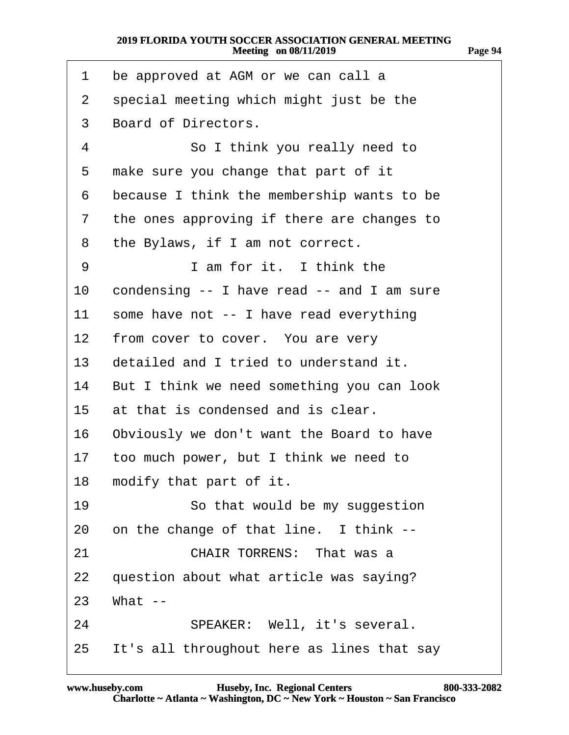- 1 be approved at AGM or we can call a
- 2 special meeting which might just be the
- 3 Board of Directors.
- 4 **· · So I think you really need to**
- 5 make sure you change that part of it
- 6 because I think the membership wants to be
- 7 the ones approving if there are changes to
- 8 the Bylaws, if I am not correct.
- 9 **I** am for it. I think the
- 10 condensing -- I have read -- and I am sure
- 11 some have not -- I have read everything
- 12 from cover to cover. You are very
- 13 detailed and I tried to understand it.
- 14 But I think we need something you can look
- 15 at that is condensed and is clear.
- 16 Obviously we don't want the Board to have
- 17 too much power, but I think we need to
- 18 modify that part of it.
- 19 **· · · · So that would be my suggestion**
- 20 on the change of that line. I think --
- 21 **CHAIR TORRENS: That was a**
- 22 question about what article was saying?
- 23 What --
- 24 · **SPEAKER:** Well, it's several.
- 25 It's all throughout here as lines that say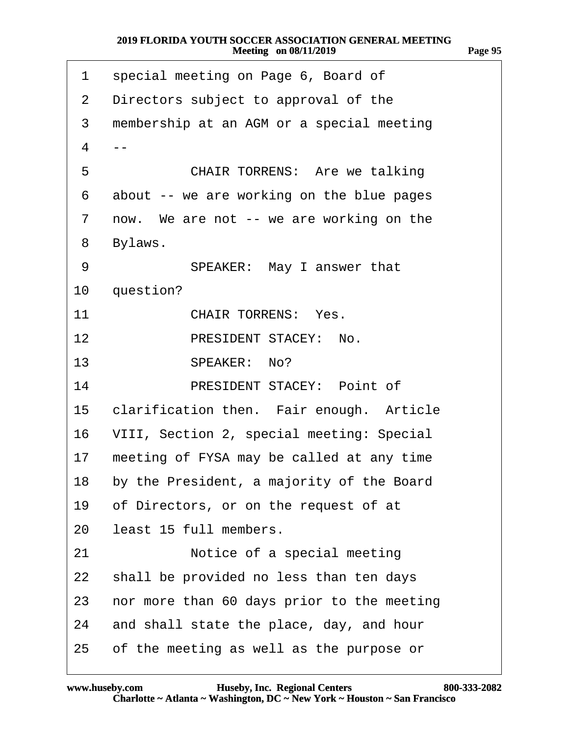| 1              | special meeting on Page 6, Board of        |
|----------------|--------------------------------------------|
| $\overline{2}$ | Directors subject to approval of the       |
| 3              | membership at an AGM or a special meeting  |
| 4              |                                            |
| 5              | <b>CHAIR TORRENS: Are we talking</b>       |
| 6              | about -- we are working on the blue pages  |
| $\overline{7}$ | now. We are not -- we are working on the   |
| 8              | Bylaws.                                    |
| 9              | SPEAKER: May I answer that                 |
| 10             | question?                                  |
| 11             | <b>CHAIR TORRENS: Yes.</b>                 |
| 12             | PRESIDENT STACEY: No.                      |
| 13             | SPEAKER: No?                               |
| 14             | PRESIDENT STACEY: Point of                 |
| 15             | clarification then. Fair enough. Article   |
| 16             | VIII, Section 2, special meeting: Special  |
| 17             | meeting of FYSA may be called at any time  |
| 18             | by the President, a majority of the Board  |
| 19             | of Directors, or on the request of at      |
| 20             | least 15 full members.                     |
| 21             | Notice of a special meeting                |
| 22             | shall be provided no less than ten days    |
| 23             | nor more than 60 days prior to the meeting |
| 24             | and shall state the place, day, and hour   |
| 25             | of the meeting as well as the purpose or   |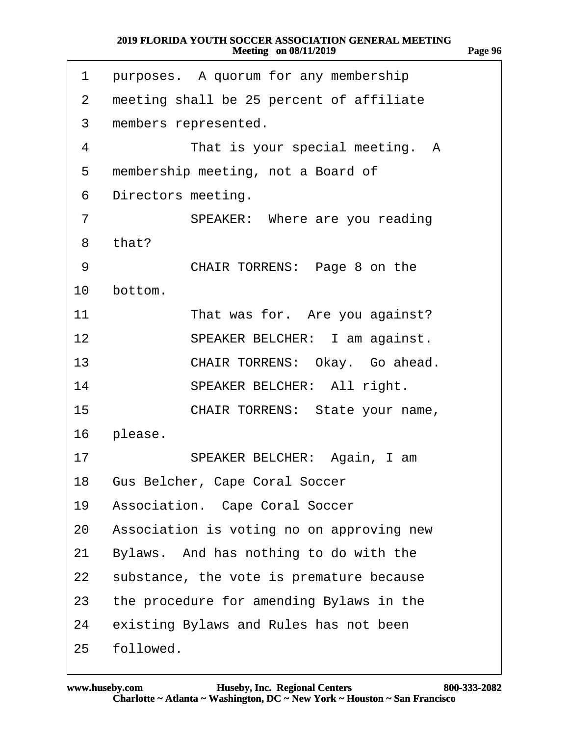| 1  | purposes. A quorum for any membership        |
|----|----------------------------------------------|
| 2  | meeting shall be 25 percent of affiliate     |
| 3  | members represented.                         |
| 4  | That is your special meeting. A              |
| 5  | membership meeting, not a Board of           |
| 6  | Directors meeting.                           |
| 7  | SPEAKER: Where are you reading               |
| 8  | that?                                        |
| 9  | CHAIR TORRENS: Page 8 on the                 |
| 10 | bottom.                                      |
| 11 | That was for. Are you against?               |
| 12 | SPEAKER BELCHER: I am against.               |
| 13 | CHAIR TORRENS: Okay. Go ahead.               |
| 14 | SPEAKER BELCHER: All right.                  |
| 15 | CHAIR TORRENS: State your name,              |
| 16 | please.                                      |
| 17 | SPEAKER BELCHER: Again, I am                 |
| 18 | <b>Gus Belcher, Cape Coral Soccer</b>        |
| 19 | Association. Cape Coral Soccer               |
|    | 20 Association is voting no on approving new |
| 21 | Bylaws. And has nothing to do with the       |
| 22 | substance, the vote is premature because     |
| 23 | the procedure for amending Bylaws in the     |
| 24 | existing Bylaws and Rules has not been       |
|    | 25 followed.                                 |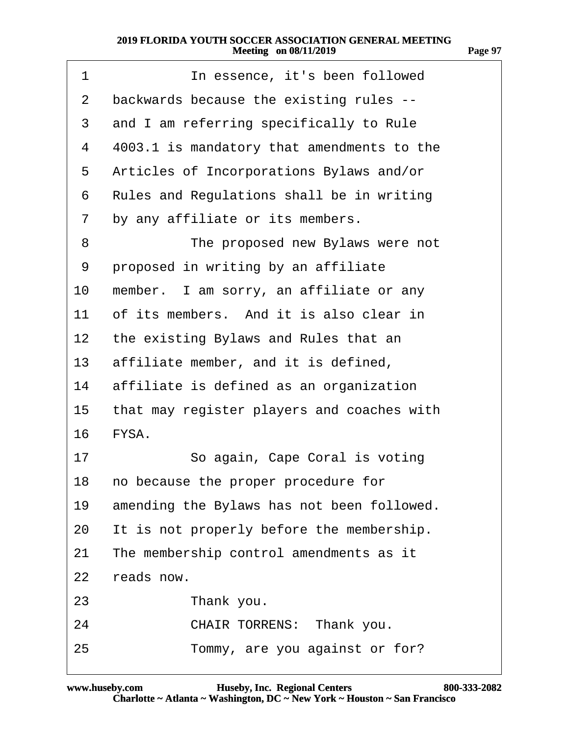- 1 **In essence, it's been followed**
- 2 backwards because the existing rules --
- 3 and I am referring specifically to Rule
- 4 4003.1 is mandatory that amendments to the
- 5 Articles of Incorporations Bylaws and/or
- 6 Rules and Regulations shall be in writing
- 7 by any affiliate or its members.
- 8 The proposed new Bylaws were not
- 9 proposed in writing by an affiliate
- 10 member. I am sorry, an affiliate or any
- 11 of its members. And it is also clear in
- 12 the existing Bylaws and Rules that an
- 13 affiliate member, and it is defined,
- 14 affiliate is defined as an organization
- 15 that may register players and coaches with
- 16 **FYSA.**
- 17 · · · So again, Cape Coral is voting
- 18 no because the proper procedure for
- 19 amending the Bylaws has not been followed.
- 20 It is not properly before the membership.
- 21 The membership control amendments as it
- 22 reads now.
- 23 **Thank you.**
- 24 CHAIR TORRENS: Thank you.
- 25  **• • Tommy, are you against or for?**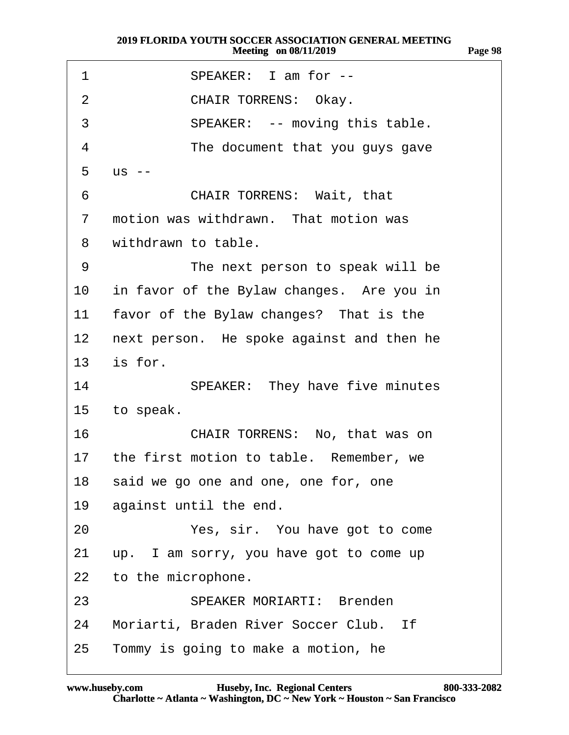1 SPEAKER: I am for --2 CHAIR TORRENS: Okay. 3 **SPEAKER:** -- moving this table. 4 The document that you guys gave  $5$  us  $-$ 6 **CHAIR TORRENS: Wait, that** 7 motion was withdrawn. That motion was 8 withdrawn to table. 9 The next person to speak will be 10 in favor of the Bylaw changes. Are you in 11 favor of the Bylaw changes? That is the 12 next person. He spoke against and then he 13 is for. 14 **SPEAKER:** They have five minutes 15 to speak. 16 **CHAIR TORRENS: No, that was on** 17 the first motion to table. Remember, we 18 said we go one and one, one for, one 19 against until the end. 20 **· · · · Yes, sir.** You have got to come 21 up. I am sorry, you have got to come up 22 to the microphone. 23· · · · · · ·SPEAKER MORIARTI:· Brenden 24 Moriarti, Braden River Soccer Club. If 25 Tommy is going to make a motion, he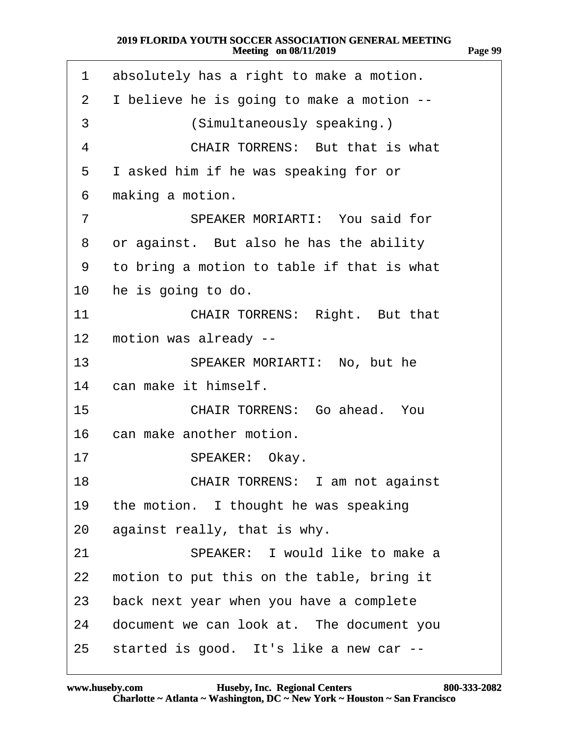| 1               | absolutely has a right to make a motion.   |
|-----------------|--------------------------------------------|
| 2               | I believe he is going to make a motion --  |
| 3               | (Simultaneously speaking.)                 |
| 4               | <b>CHAIR TORRENS: But that is what</b>     |
| 5               | I asked him if he was speaking for or      |
| 6               | making a motion.                           |
| 7               | SPEAKER MORIARTI: You said for             |
| 8               | or against. But also he has the ability    |
| 9               | to bring a motion to table if that is what |
| 10              | he is going to do.                         |
| 11              | CHAIR TORRENS: Right. But that             |
| 12 <sub>2</sub> | motion was already --                      |
| 13              | SPEAKER MORIARTI: No, but he               |
| 14              | can make it himself.                       |
| 15              | <b>CHAIR TORRENS: Go ahead. You</b>        |
|                 | 16 can make another motion.                |
| 17              | SPEAKER: Okay.                             |
| 18              | CHAIR TORRENS: I am not against            |
| 19              | the motion. I thought he was speaking      |
| 20              | against really, that is why.               |
| 21              | SPEAKER: I would like to make a            |
| 22              | motion to put this on the table, bring it  |
| 23              | back next year when you have a complete    |
| 24              | document we can look at. The document you  |
| 25              | started is good. It's like a new car --    |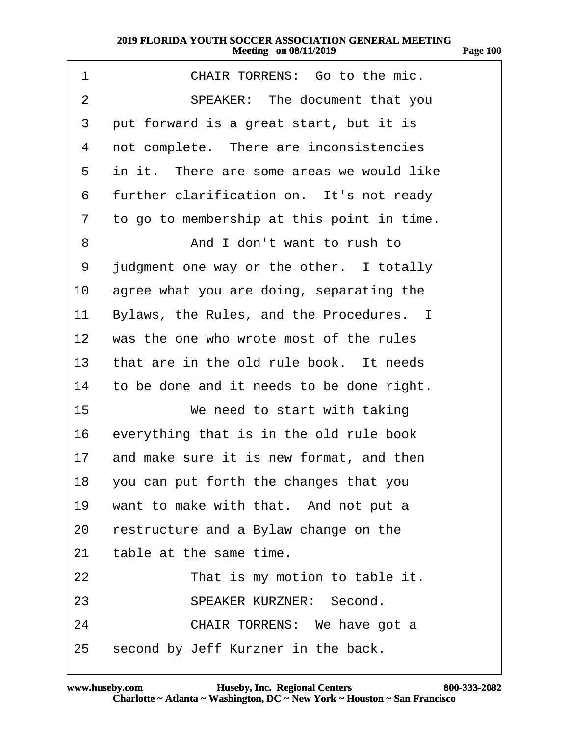| 1              | CHAIR TORRENS: Go to the mic.              |
|----------------|--------------------------------------------|
| $\overline{2}$ | SPEAKER: The document that you             |
| 3              | put forward is a great start, but it is    |
| 4              | not complete. There are inconsistencies    |
| 5              | in it. There are some areas we would like  |
| 6              | further clarification on. It's not ready   |
| 7              | to go to membership at this point in time. |
| 8              | And I don't want to rush to                |
| 9              | judgment one way or the other. I totally   |
| 10             | agree what you are doing, separating the   |
| 11             | Bylaws, the Rules, and the Procedures. I   |
| 12             | was the one who wrote most of the rules    |
| 13             | that are in the old rule book. It needs    |
| 14             | to be done and it needs to be done right.  |
| 15             | We need to start with taking               |
| 16             | everything that is in the old rule book    |
| 17             | and make sure it is new format, and then   |
|                | 18 you can put forth the changes that you  |
| 19             | want to make with that. And not put a      |
| 20             | restructure and a Bylaw change on the      |
| 21             | table at the same time.                    |
| 22             | That is my motion to table it.             |
| 23             | <b>SPEAKER KURZNER: Second.</b>            |
| 24             | CHAIR TORRENS: We have got a               |
| 25             | second by Jeff Kurzner in the back.        |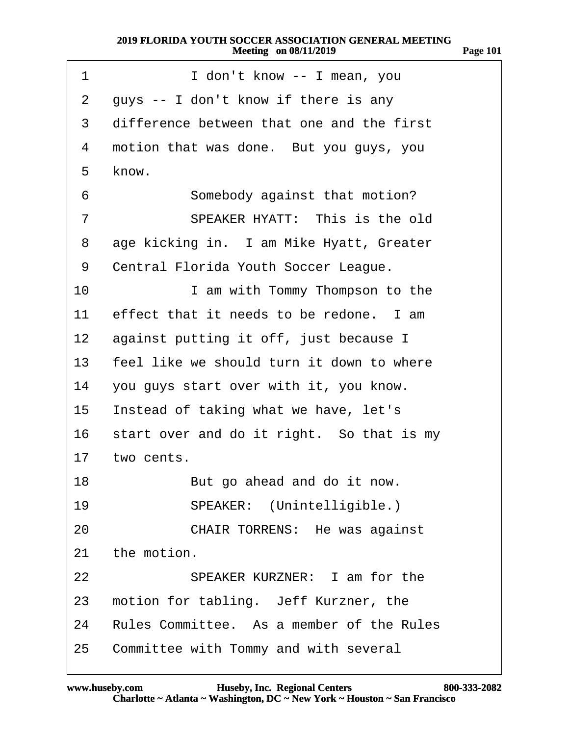| 1              | I don't know -- I mean, you               |
|----------------|-------------------------------------------|
| 2              | guys -- I don't know if there is any      |
| 3              | difference between that one and the first |
| 4              | motion that was done. But you guys, you   |
| 5              | know.                                     |
| 6              | Somebody against that motion?             |
| $\overline{7}$ | SPEAKER HYATT: This is the old            |
| 8              | age kicking in. I am Mike Hyatt, Greater  |
| 9              | Central Florida Youth Soccer League.      |
| 10             | I am with Tommy Thompson to the           |
| 11             | effect that it needs to be redone. I am   |
| 12             | against putting it off, just because I    |
| 13             | feel like we should turn it down to where |
| 14             | you guys start over with it, you know.    |
| 15             | Instead of taking what we have, let's     |
| 16             | start over and do it right. So that is my |
| 17             | two cents.                                |
| 18             | But go ahead and do it now.               |
| 19             | SPEAKER: (Unintelligible.)                |
| 20             | <b>CHAIR TORRENS: He was against</b>      |
| 21             | the motion.                               |
| 22             | SPEAKER KURZNER: I am for the             |
| 23             | motion for tabling. Jeff Kurzner, the     |
| 24             | Rules Committee. As a member of the Rules |
|                | 25 Committee with Tommy and with several  |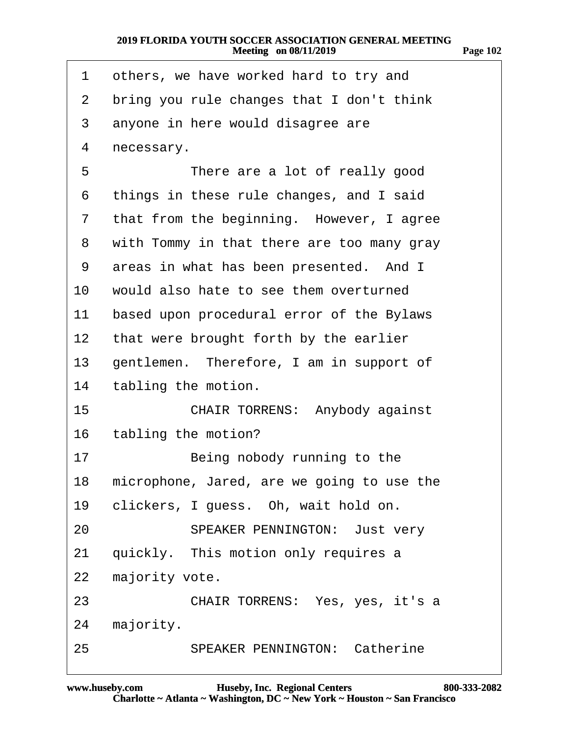| 1               | others, we have worked hard to try and     |
|-----------------|--------------------------------------------|
| 2               | bring you rule changes that I don't think  |
| 3               | anyone in here would disagree are          |
| 4               | necessary.                                 |
| 5               | There are a lot of really good             |
| 6               | things in these rule changes, and I said   |
| 7               | that from the beginning. However, I agree  |
| 8               | with Tommy in that there are too many gray |
| 9               | areas in what has been presented. And I    |
| 10              | would also hate to see them overturned     |
| 11              | based upon procedural error of the Bylaws  |
| 12 <sub>2</sub> | that were brought forth by the earlier     |
| 13              | gentlemen. Therefore, I am in support of   |
| 14              | tabling the motion.                        |
| 15              | <b>CHAIR TORRENS: Anybody against</b>      |
| 16              | tabling the motion?                        |
| 17              | Being nobody running to the                |
| 18              | microphone, Jared, are we going to use the |
| 19              | clickers, I guess. Oh, wait hold on.       |
| 20              | <b>SPEAKER PENNINGTON: Just very</b>       |
| 21              | quickly. This motion only requires a       |
| 22              | majority vote.                             |
| 23              | CHAIR TORRENS: Yes, yes, it's a            |
| 24              | majority.                                  |
| 25              | <b>SPEAKER PENNINGTON: Catherine</b>       |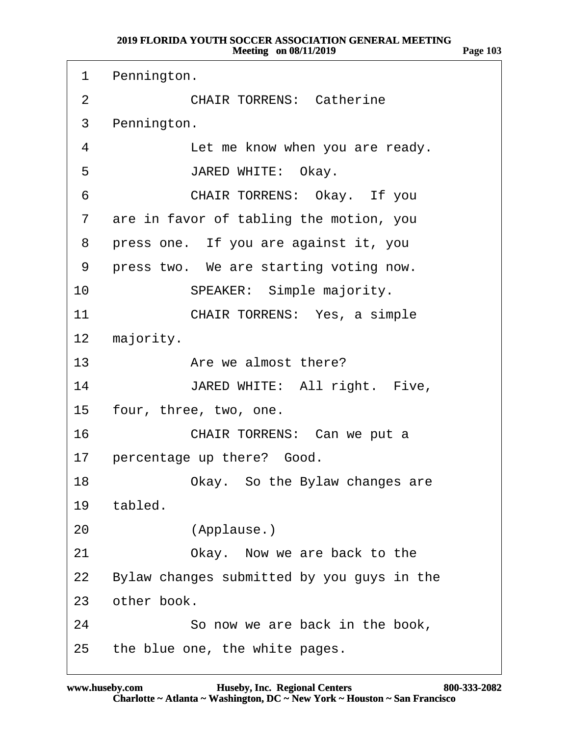| 1               | Pennington.                                |
|-----------------|--------------------------------------------|
| 2               | <b>CHAIR TORRENS: Catherine</b>            |
| 3               | Pennington.                                |
| 4               | Let me know when you are ready.            |
| 5               | JARED WHITE: Okay.                         |
| 6               | CHAIR TORRENS: Okay. If you                |
| $\mathbf{7}$    | are in favor of tabling the motion, you    |
| 8               | press one. If you are against it, you      |
| 9               | press two. We are starting voting now.     |
| 10              | SPEAKER: Simple majority.                  |
| 11              | <b>CHAIR TORRENS: Yes, a simple</b>        |
| 12              | majority.                                  |
| 13 <sup>7</sup> | Are we almost there?                       |
| 14              | JARED WHITE: All right. Five,              |
| 15              | four, three, two, one.                     |
| 16              | CHAIR TORRENS: Can we put a                |
| $17 \,$         | percentage up there? Good.                 |
| 18              | Okay. So the Bylaw changes are             |
| 19              | tabled.                                    |
| 20              | (Applause.)                                |
| 21              | Okay. Now we are back to the               |
| 22              | Bylaw changes submitted by you guys in the |
| 23              | other book.                                |
| 24              | So now we are back in the book,            |
| 25              | the blue one, the white pages.             |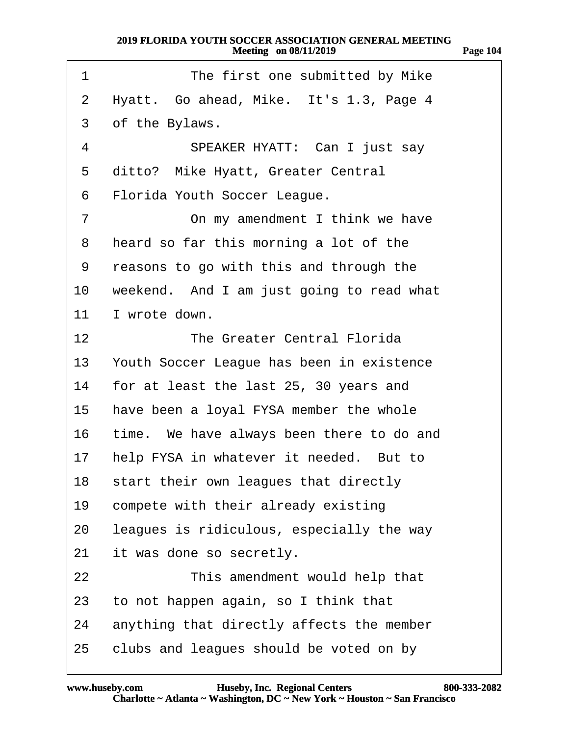| 1            | The first one submitted by Mike           |
|--------------|-------------------------------------------|
| $\mathbf{2}$ | Hyatt. Go ahead, Mike. It's 1.3, Page 4   |
| 3            | of the Bylaws.                            |
| 4            | SPEAKER HYATT: Can I just say             |
| 5            | ditto? Mike Hyatt, Greater Central        |
| 6            | Florida Youth Soccer League.              |
| 7            | On my amendment I think we have           |
| 8            | heard so far this morning a lot of the    |
| 9            | reasons to go with this and through the   |
| 10           | weekend. And I am just going to read what |
| 11           | I wrote down.                             |
| 12           | The Greater Central Florida               |
| 13           | Youth Soccer League has been in existence |
| 14           | for at least the last 25, 30 years and    |
| 15           | have been a loyal FYSA member the whole   |
| 16           | time. We have always been there to do and |
| 17           | help FYSA in whatever it needed. But to   |
| 18           | start their own leagues that directly     |
| 19           | compete with their already existing       |
| 20           | leagues is ridiculous, especially the way |
| 21           | it was done so secretly.                  |
| 22           | This amendment would help that            |
| 23           | to not happen again, so I think that      |
| 24           | anything that directly affects the member |
| 25           | clubs and leagues should be voted on by   |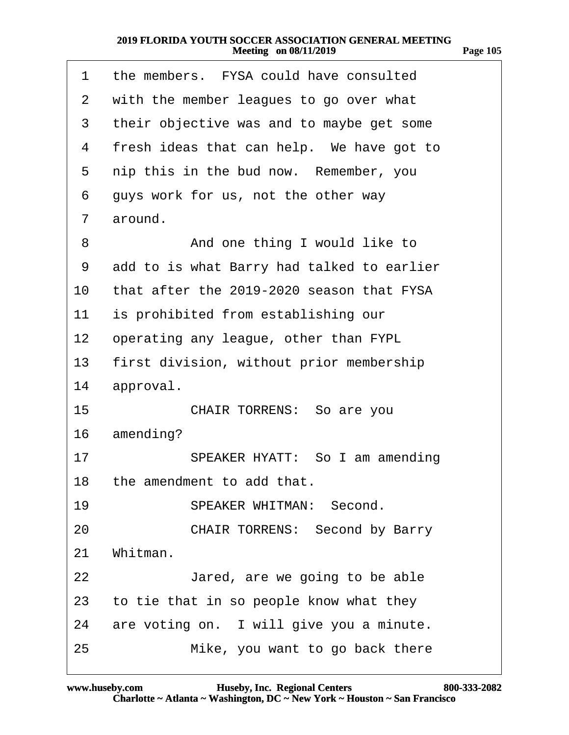| 1              | the members. FYSA could have consulted     |
|----------------|--------------------------------------------|
| $\mathbf{2}$   | with the member leagues to go over what    |
| 3              | their objective was and to maybe get some  |
| 4              | fresh ideas that can help. We have got to  |
| 5              | nip this in the bud now. Remember, you     |
| 6              | guys work for us, not the other way        |
| $\overline{7}$ | around.                                    |
| 8              | And one thing I would like to              |
| 9              | add to is what Barry had talked to earlier |
| 10             | that after the 2019-2020 season that FYSA  |
| 11             | is prohibited from establishing our        |
| 12             | operating any league, other than FYPL      |
| 13             | first division, without prior membership   |
| 14             | approval.                                  |
| 15             | CHAIR TORRENS: So are you                  |
| 16             | amending?                                  |
| 17             | SPEAKER HYATT: So I am amending            |
| 18             | the amendment to add that.                 |
| 19             | <b>SPEAKER WHITMAN: Second.</b>            |
| 20             | <b>CHAIR TORRENS: Second by Barry</b>      |
| 21             | Whitman.                                   |
| 22             | Jared, are we going to be able             |
| 23             | to tie that in so people know what they    |
| 24             | are voting on. I will give you a minute.   |
| 25             | Mike, you want to go back there            |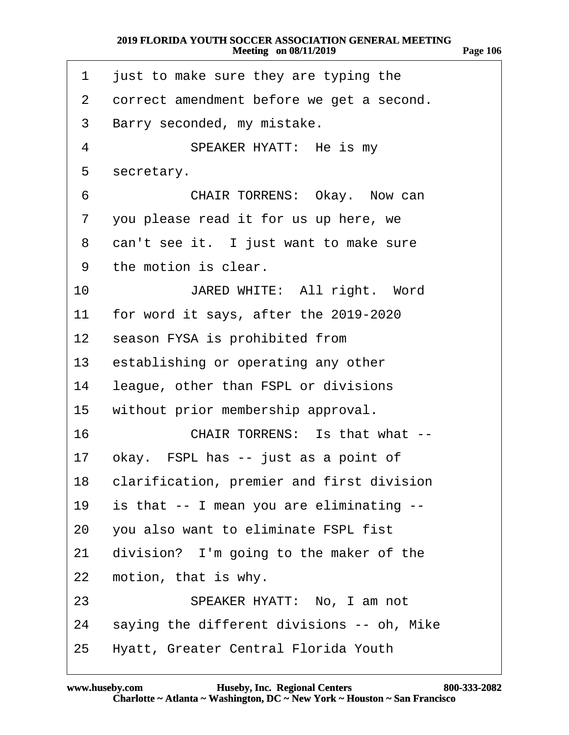| 1                        | just to make sure they are typing the      |
|--------------------------|--------------------------------------------|
| 2                        | correct amendment before we get a second.  |
| 3                        | Barry seconded, my mistake.                |
| 4                        | SPEAKER HYATT: He is my                    |
| 5                        | secretary.                                 |
| 6                        | CHAIR TORRENS: Okay. Now can               |
| $\overline{\phantom{a}}$ | you please read it for us up here, we      |
| 8                        | can't see it. I just want to make sure     |
| 9                        | the motion is clear.                       |
| 10                       | JARED WHITE: All right. Word               |
| 11                       | for word it says, after the 2019-2020      |
|                          | 12 season FYSA is prohibited from          |
| 13                       | establishing or operating any other        |
| 14                       | league, other than FSPL or divisions       |
| 15                       | without prior membership approval.         |
| 16                       | <b>CHAIR TORRENS: Is that what --</b>      |
| 17                       | okay. FSPL has -- just as a point of       |
| 18                       | clarification, premier and first division  |
| 19                       | is that -- I mean you are eliminating --   |
| 20                       | you also want to eliminate FSPL fist       |
| 21                       | division? I'm going to the maker of the    |
| 22                       | motion, that is why.                       |
| 23                       | SPEAKER HYATT: No, I am not                |
| 24                       | saying the different divisions -- oh, Mike |
| 25                       | Hyatt, Greater Central Florida Youth       |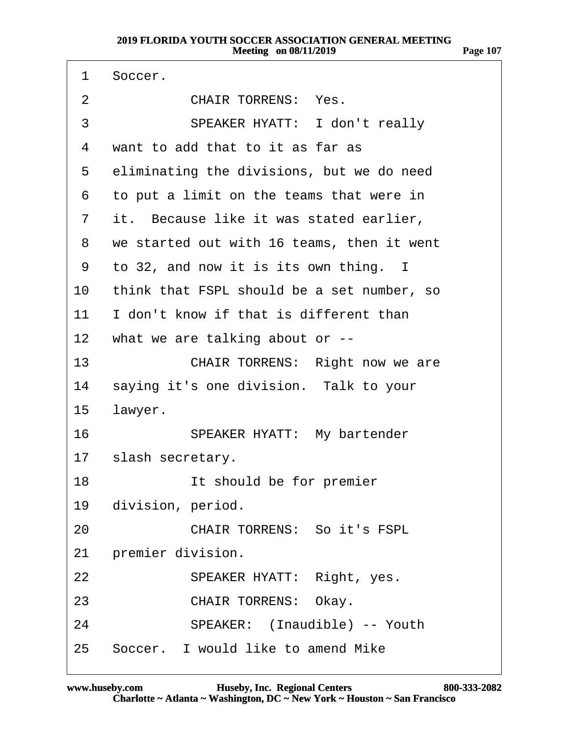1 Soccer.

- 2 CHAIR TORRENS: Yes.
- 3 **SPEAKER HYATT: I don't really**
- 4 want to add that to it as far as
- 5 eliminating the divisions, but we do need
- ·6· ·to put a limit on the teams that were in
- 7 it. Because like it was stated earlier,
- 8 we started out with 16 teams, then it went
- ·9· ·to 32, and now it is its own thing. I
- 10 think that FSPL should be a set number, so
- 11 I don't know if that is different than
- 12 what we are talking about or --
- 13 **CHAIR TORRENS: Right now we are**
- 14 saying it's one division. Talk to your

15 lawyer.

16 **· · · · SPEAKER HYATT: My bartender** 

17 slash secretary.

18 **It should be for premier** 

19 division, period.

- 20 CHAIR TORRENS: So it's FSPL
- 21 premier division.
- 22 **· · · SPEAKER HYATT: Right, yes.**
- 23 **CHAIR TORRENS: Okay.**
- 24 SPEAKER: (Inaudible) -- Youth
- 25 Soccer. I would like to amend Mike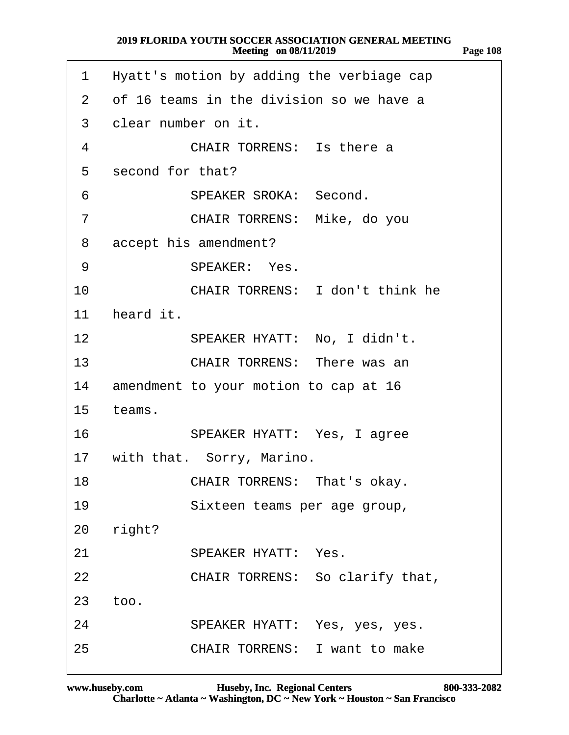| мю | 108 |
|----|-----|
|    |     |

| 1               | Hyatt's motion by adding the verbiage cap |
|-----------------|-------------------------------------------|
| $\overline{2}$  | of 16 teams in the division so we have a  |
| 3               | clear number on it.                       |
| 4               | <b>CHAIR TORRENS: Is there a</b>          |
| 5               | second for that?                          |
| 6               | <b>SPEAKER SROKA: Second.</b>             |
| 7               | CHAIR TORRENS: Mike, do you               |
| 8               | accept his amendment?                     |
| 9               | <b>SPEAKER: Yes.</b>                      |
| 10              | <b>CHAIR TORRENS: I don't think he</b>    |
| 11              | heard it.                                 |
| 12 <sup>2</sup> | SPEAKER HYATT: No, I didn't.              |
| 13              | <b>CHAIR TORRENS: There was an</b>        |
| 14              | amendment to your motion to cap at 16     |
| 15              | teams.                                    |
| 16              | SPEAKER HYATT: Yes, I agree               |
|                 | 17 with that. Sorry, Marino.              |
| 18              | CHAIR TORRENS: That's okay.               |
| 19              | Sixteen teams per age group,              |
| 20              | right?                                    |
| 21              | <b>SPEAKER HYATT: Yes.</b>                |
| 22              | CHAIR TORRENS: So clarify that,           |
|                 | 23 too.                                   |
| 24              | SPEAKER HYATT: Yes, yes, yes.             |
| 25              | <b>CHAIR TORRENS: I want to make</b>      |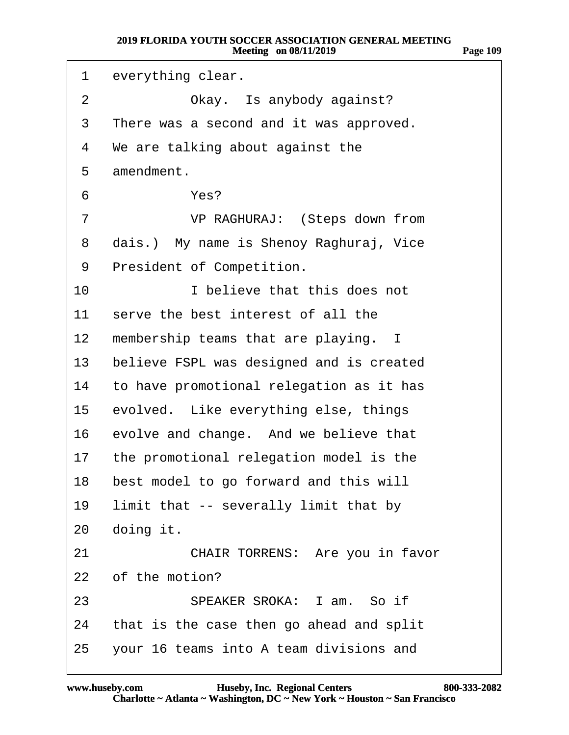| 1               | everything clear.                           |
|-----------------|---------------------------------------------|
| $\overline{2}$  | Okay. Is anybody against?                   |
| 3               | There was a second and it was approved.     |
| 4               | We are talking about against the            |
| 5               | amendment.                                  |
| 6               | Yes?                                        |
| 7               | VP RAGHURAJ: (Steps down from               |
| 8               | dais.) My name is Shenoy Raghuraj, Vice     |
| 9               | President of Competition.                   |
| 10              | I believe that this does not                |
| 11              | serve the best interest of all the          |
| $12 \,$         | membership teams that are playing. I        |
| 13 <sup>°</sup> | believe FSPL was designed and is created    |
| 14              | to have promotional relegation as it has    |
| 15              | evolved. Like everything else, things       |
| 16              | evolve and change. And we believe that      |
| 17 <sup>1</sup> | the promotional relegation model is the     |
| 18              | best model to go forward and this will      |
| 19              | limit that -- severally limit that by       |
| 20              | doing it.                                   |
| 21              | CHAIR TORRENS: Are you in favor             |
| 22              | of the motion?                              |
| 23              | SPEAKER SROKA: I am. So if                  |
|                 | 24 that is the case then go ahead and split |
|                 | 25 your 16 teams into A team divisions and  |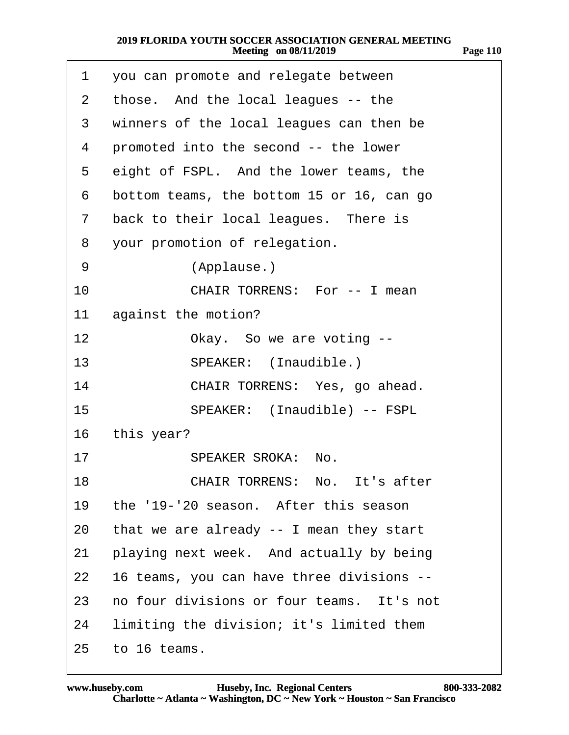| 1  | you can promote and relegate between      |
|----|-------------------------------------------|
| 2  | those. And the local leagues -- the       |
| 3  | winners of the local leagues can then be  |
| 4  | promoted into the second -- the lower     |
| 5  | eight of FSPL. And the lower teams, the   |
| 6  | bottom teams, the bottom 15 or 16, can go |
| 7  | back to their local leagues. There is     |
| 8  | your promotion of relegation.             |
| 9  | (Applause.)                               |
| 10 | CHAIR TORRENS: For -- I mean              |
| 11 | against the motion?                       |
| 12 | Okay. So we are voting --                 |
| 13 | SPEAKER: (Inaudible.)                     |
| 14 | CHAIR TORRENS: Yes, go ahead.             |
| 15 | SPEAKER: (Inaudible) -- FSPL              |
| 16 | this year?                                |
| 17 | <b>SPEAKER SROKA: No.</b>                 |
| 18 | <b>CHAIR TORRENS: No. It's after</b>      |
| 19 | the '19-'20 season. After this season     |
| 20 | that we are already -- I mean they start  |
| 21 | playing next week. And actually by being  |
| 22 | 16 teams, you can have three divisions -- |
| 23 | no four divisions or four teams. It's not |
| 24 | limiting the division; it's limited them  |
|    | 25 to 16 teams.                           |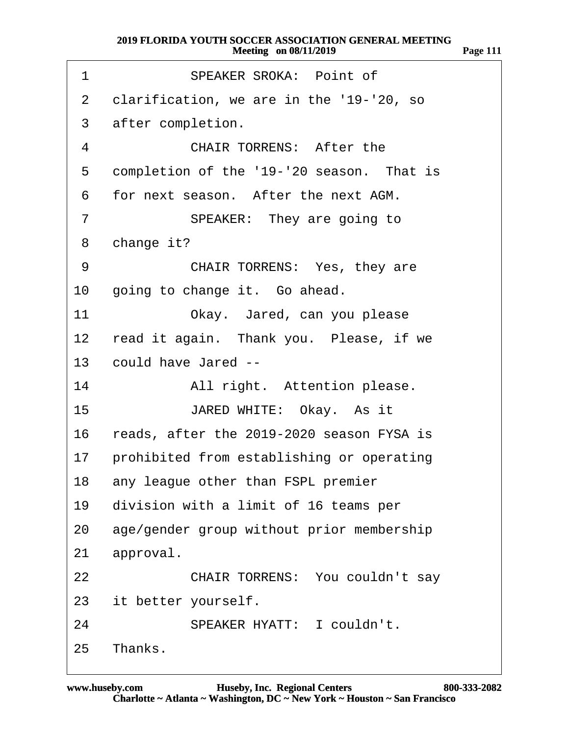| 1               | <b>SPEAKER SROKA: Point of</b>               |
|-----------------|----------------------------------------------|
| $\overline{2}$  | clarification, we are in the '19-'20, so     |
| 3               | after completion.                            |
| 4               | <b>CHAIR TORRENS: After the</b>              |
| 5               | completion of the '19-'20 season. That is    |
| 6               | for next season. After the next AGM.         |
| 7               | SPEAKER: They are going to                   |
| 8               | change it?                                   |
| 9               | CHAIR TORRENS: Yes, they are                 |
| 10              | going to change it. Go ahead.                |
| 11              | Okay. Jared, can you please                  |
| 12              | read it again. Thank you. Please, if we      |
| 13              | could have Jared --                          |
| 14              | All right. Attention please.                 |
| 15              | JARED WHITE: Okay. As it                     |
|                 | 16 reads, after the 2019-2020 season FYSA is |
| 17 <sup>1</sup> | prohibited from establishing or operating    |
|                 | 18 any league other than FSPL premier        |
|                 | 19 division with a limit of 16 teams per     |
|                 | 20 age/gender group without prior membership |
| 21              | approval.                                    |
| 22              | <b>CHAIR TORRENS: You couldn't say</b>       |
|                 | 23 it better yourself.                       |
| 24              | <b>SPEAKER HYATT: I couldn't.</b>            |
|                 | 25 Thanks.                                   |
|                 |                                              |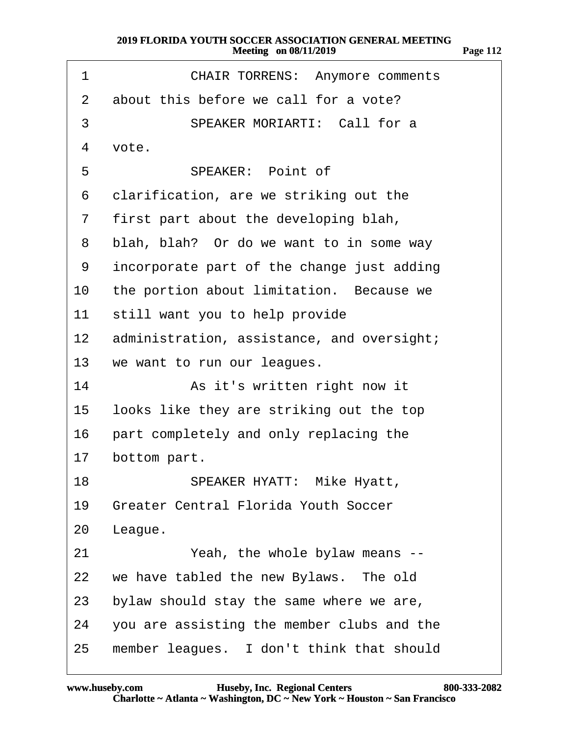| 1  | <b>CHAIR TORRENS: Anymore comments</b>      |
|----|---------------------------------------------|
| 2  | about this before we call for a vote?       |
| 3  | SPEAKER MORIARTI: Call for a                |
| 4  | vote.                                       |
| 5  | <b>SPEAKER: Point of</b>                    |
| 6  | clarification, are we striking out the      |
| 7  | first part about the developing blah,       |
| 8  | blah, blah? Or do we want to in some way    |
| 9  | incorporate part of the change just adding  |
| 10 | the portion about limitation. Because we    |
| 11 | still want you to help provide              |
| 12 | administration, assistance, and oversight;  |
| 13 | we want to run our leagues.                 |
| 14 | As it's written right now it                |
| 15 | looks like they are striking out the top    |
| 16 | part completely and only replacing the      |
| 17 | bottom part.                                |
| 18 | <b>SPEAKER HYATT: Mike Hyatt,</b>           |
| 19 | <b>Greater Central Florida Youth Soccer</b> |
| 20 | League.                                     |
| 21 | Yeah, the whole bylaw means --              |
| 22 | we have tabled the new Bylaws. The old      |
| 23 | bylaw should stay the same where we are,    |
| 24 | you are assisting the member clubs and the  |
| 25 | member leagues. I don't think that should   |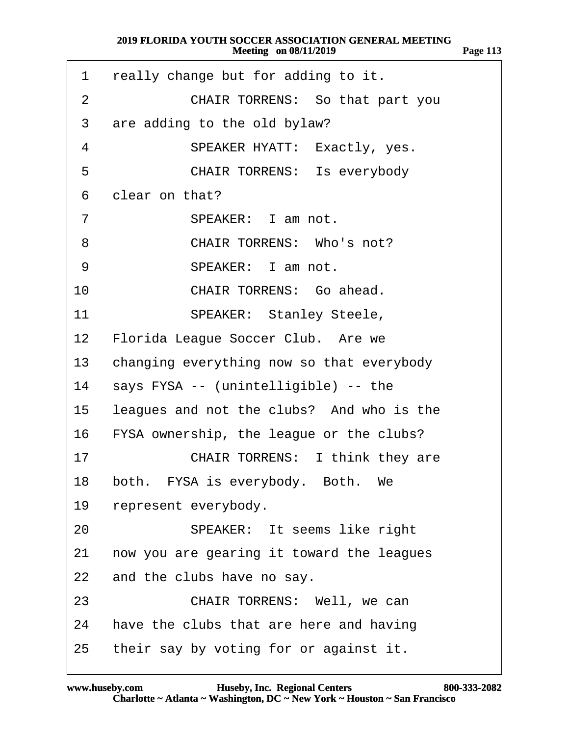| 1                 | really change but for adding to it.       |
|-------------------|-------------------------------------------|
| 2                 | CHAIR TORRENS: So that part you           |
| 3                 | are adding to the old bylaw?              |
| 4                 | SPEAKER HYATT: Exactly, yes.              |
| 5                 | <b>CHAIR TORRENS: Is everybody</b>        |
| 6                 | clear on that?                            |
| 7                 | SPEAKER: I am not.                        |
| 8                 | <b>CHAIR TORRENS: Who's not?</b>          |
| 9                 | SPEAKER: I am not.                        |
| 10                | <b>CHAIR TORRENS: Go ahead.</b>           |
| 11                | <b>SPEAKER: Stanley Steele,</b>           |
| $12 \overline{ }$ | Florida League Soccer Club. Are we        |
| 13                | changing everything now so that everybody |
| 14                | says FYSA -- (unintelligible) -- the      |
| 15                | leagues and not the clubs? And who is the |
| 16                | FYSA ownership, the league or the clubs?  |
| 17                | CHAIR TORRENS: I think they are           |
|                   | 18 both. FYSA is everybody. Both. We      |
| 19                | represent everybody.                      |
| 20                | SPEAKER: It seems like right              |
| 21                | now you are gearing it toward the leagues |
| 22                | and the clubs have no say.                |
| 23                | <b>CHAIR TORRENS: Well, we can</b>        |
| 24                | have the clubs that are here and having   |
| 25                | their say by voting for or against it.    |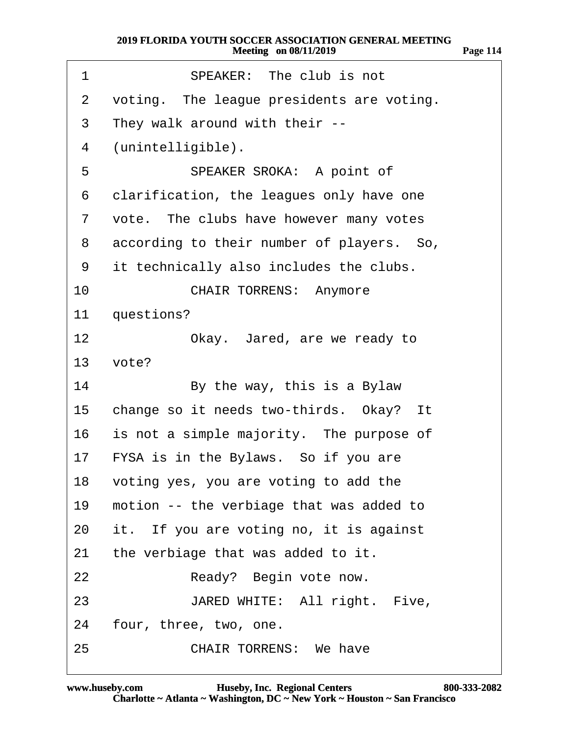| 1               | SPEAKER: The club is not                  |
|-----------------|-------------------------------------------|
| $\overline{2}$  | voting. The league presidents are voting. |
| 3               | They walk around with their --            |
| 4               | (unintelligible).                         |
| 5               | SPEAKER SROKA: A point of                 |
| 6               | clarification, the leagues only have one  |
| $\overline{7}$  | vote. The clubs have however many votes   |
| 8               | according to their number of players. So, |
| 9               | it technically also includes the clubs.   |
| 10              | <b>CHAIR TORRENS: Anymore</b>             |
| 11              | questions?                                |
| 12 <sup>°</sup> | Okay. Jared, are we ready to              |
| 13              | vote?                                     |
| 14              | By the way, this is a Bylaw               |
| 15              | change so it needs two-thirds. Okay? It   |
| 16              | is not a simple majority. The purpose of  |
|                 | 17 FYSA is in the Bylaws. So if you are   |
|                 | 18 voting yes, you are voting to add the  |
| 19              | motion -- the verbiage that was added to  |
| 20              | it. If you are voting no, it is against   |
| 21              | the verbiage that was added to it.        |
| 22              | Ready? Begin vote now.                    |
| 23              | JARED WHITE: All right. Five,             |
| 24              | four, three, two, one.                    |
| 25              | <b>CHAIR TORRENS: We have</b>             |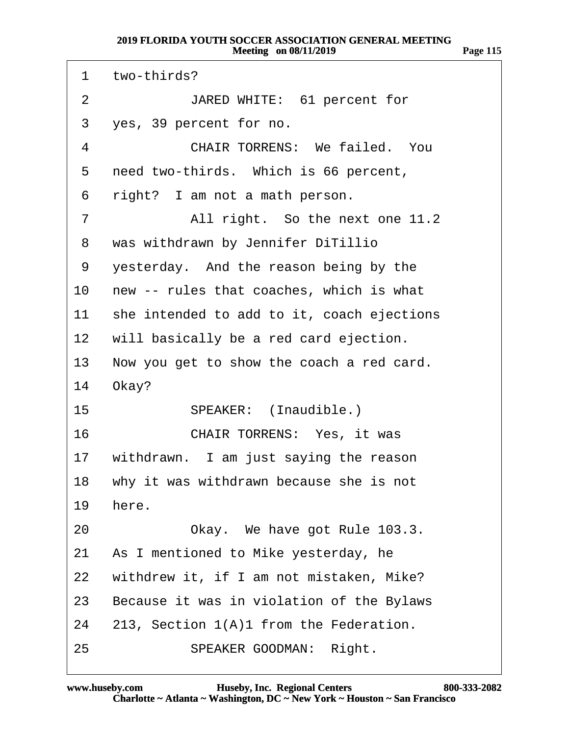1 two-thirds? 2 **JARED WHITE: 61 percent for** 3 yes, 39 percent for no. 4 CHAIR TORRENS: We failed. You 5 need two-thirds. Which is 66 percent, 6 right? I am not a math person. 7 All right. So the next one 11.2 8 was withdrawn by Jennifer DiTillio 9 vesterday. And the reason being by the 10 new -- rules that coaches, which is what 11 she intended to add to it, coach ejections 12 will basically be a red card ejection. 13 Now you get to show the coach a red card. 14 Okay? 15 **· · SPEAKER: (Inaudible.)** 16 **CHAIR TORRENS: Yes, it was** 17 withdrawn. I am just saying the reason 18 why it was withdrawn because she is not 19 here. 20 Okay. We have got Rule 103.3. 21 As I mentioned to Mike yesterday, he 22 withdrew it, if I am not mistaken, Mike? 23 Because it was in violation of the Bylaws 24  $213$ , Section 1(A)1 from the Federation. 25 · **SPEAKER GOODMAN: Right.**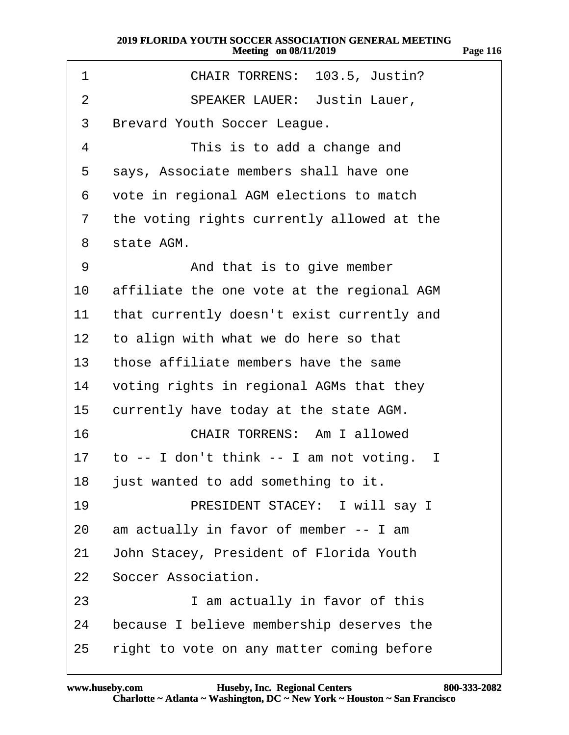| ാറ്റ | n |  |
|------|---|--|
|      |   |  |

| 1               | CHAIR TORRENS: 103.5, Justin?              |
|-----------------|--------------------------------------------|
| $\overline{2}$  | <b>SPEAKER LAUER: Justin Lauer,</b>        |
| 3               | Brevard Youth Soccer League.               |
| 4               | This is to add a change and                |
| 5               | says, Associate members shall have one     |
| 6               | vote in regional AGM elections to match    |
| 7               | the voting rights currently allowed at the |
| 8               | state AGM.                                 |
| 9               | And that is to give member                 |
| 10              | affiliate the one vote at the regional AGM |
| 11              | that currently doesn't exist currently and |
| 12 <sub>2</sub> | to align with what we do here so that      |
| 13              | those affiliate members have the same      |
| 14              | voting rights in regional AGMs that they   |
| 15              | currently have today at the state AGM.     |
| 16              | <b>CHAIR TORRENS: Am I allowed</b>         |
| 17              | to -- I don't think -- I am not voting. I  |
|                 | 18 just wanted to add something to it.     |
| 19              | PRESIDENT STACEY: I will say I             |
| 20              | am actually in favor of member -- I am     |
| 21              | John Stacey, President of Florida Youth    |
| 22              | Soccer Association.                        |
| 23              | I am actually in favor of this             |
| 24              | because I believe membership deserves the  |
| 25              | right to vote on any matter coming before  |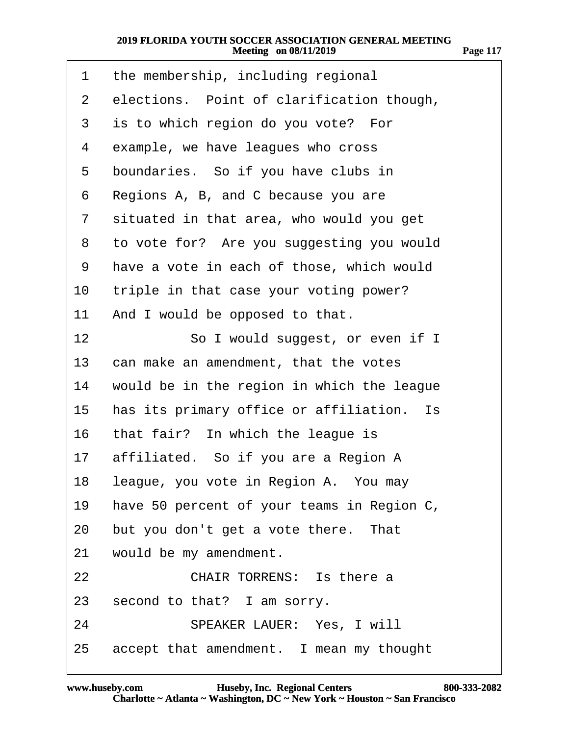| 1              | the membership, including regional         |
|----------------|--------------------------------------------|
| $\overline{2}$ | elections. Point of clarification though,  |
| 3              | is to which region do you vote? For        |
| 4              | example, we have leagues who cross         |
| 5              | boundaries. So if you have clubs in        |
| 6              | Regions A, B, and C because you are        |
| 7              | situated in that area, who would you get   |
| 8              | to vote for? Are you suggesting you would  |
| 9              | have a vote in each of those, which would  |
| 10             | triple in that case your voting power?     |
| 11             | And I would be opposed to that.            |
| 12             | So I would suggest, or even if I           |
| 13             | can make an amendment, that the votes      |
| 14             | would be in the region in which the league |
| 15             | has its primary office or affiliation. Is  |
| 16             | that fair? In which the league is          |
| 17             | affiliated. So if you are a Region A       |
|                | 18 league, you vote in Region A. You may   |
| 19             | have 50 percent of your teams in Region C, |
| 20             | but you don't get a vote there. That       |
| 21             | would be my amendment.                     |
| 22             | <b>CHAIR TORRENS: Is there a</b>           |
| 23             | second to that? I am sorry.                |
| 24             | <b>SPEAKER LAUER: Yes, I will</b>          |
| 25             | accept that amendment. I mean my thought   |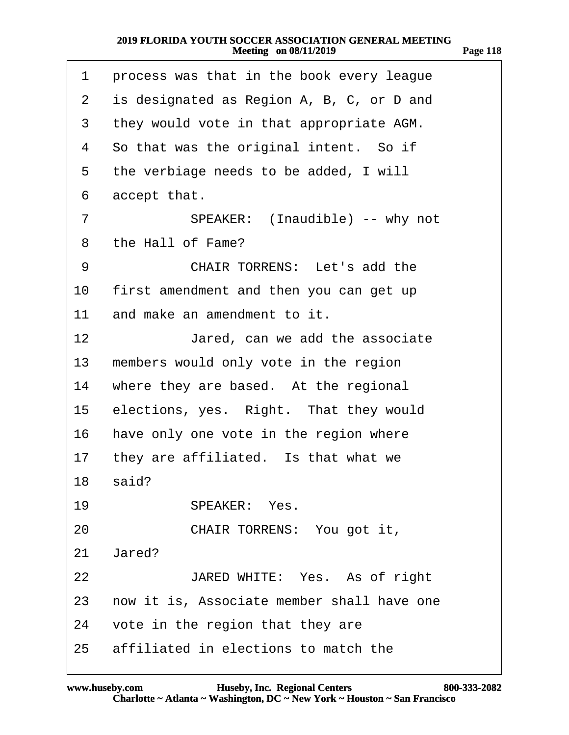| 1                 | process was that in the book every league  |
|-------------------|--------------------------------------------|
| $\overline{2}$    | is designated as Region A, B, C, or D and  |
| 3                 | they would vote in that appropriate AGM.   |
| 4                 | So that was the original intent. So if     |
| 5                 | the verbiage needs to be added, I will     |
| 6                 | accept that.                               |
| $\overline{7}$    | SPEAKER: (Inaudible) -- why not            |
| 8                 | the Hall of Fame?                          |
| 9                 | <b>CHAIR TORRENS: Let's add the</b>        |
| 10                | first amendment and then you can get up    |
| 11                | and make an amendment to it.               |
| $12 \overline{ }$ | Jared, can we add the associate            |
| 13                | members would only vote in the region      |
|                   | 14 where they are based. At the regional   |
| 15                | elections, yes. Right. That they would     |
| 16                | have only one vote in the region where     |
| 17                | they are affiliated. Is that what we       |
|                   | 18 said?                                   |
| 19                | <b>SPEAKER: Yes.</b>                       |
| 20                | CHAIR TORRENS: You got it,                 |
| 21                | Jared?                                     |
| 22 <sub>2</sub>   | JARED WHITE: Yes. As of right              |
| 23                | now it is, Associate member shall have one |
| 24                | vote in the region that they are           |
|                   | 25 affiliated in elections to match the    |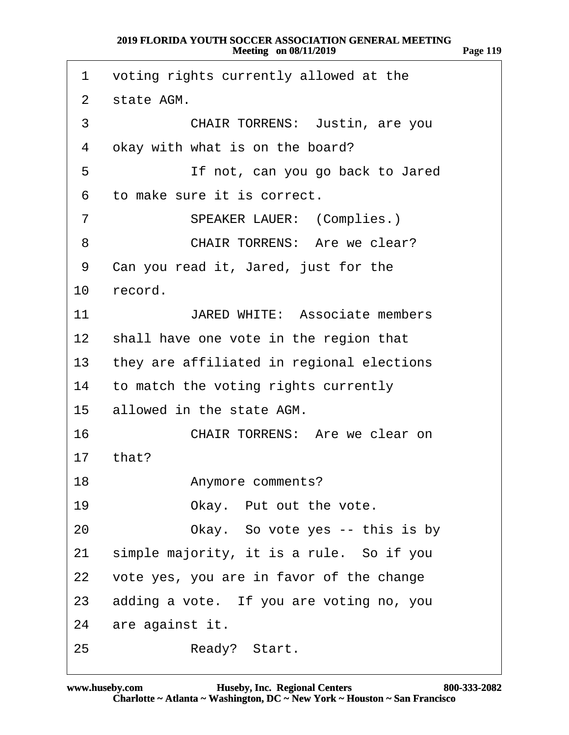| 1               | voting rights currently allowed at the       |
|-----------------|----------------------------------------------|
| $\overline{2}$  | state AGM.                                   |
| 3               | CHAIR TORRENS: Justin, are you               |
| 4               | okay with what is on the board?              |
| 5               | If not, can you go back to Jared             |
| 6               | to make sure it is correct.                  |
| 7               | <b>SPEAKER LAUER: (Complies.)</b>            |
| 8               | <b>CHAIR TORRENS: Are we clear?</b>          |
| 9               | Can you read it, Jared, just for the         |
| 10              | record.                                      |
| 11              | <b>JARED WHITE: Associate members</b>        |
|                 | 12 shall have one vote in the region that    |
|                 | 13 they are affiliated in regional elections |
|                 | 14 to match the voting rights currently      |
| 15 <sup>1</sup> | allowed in the state AGM.                    |
| 16              | CHAIR TORRENS: Are we clear on               |
| 17              | that?                                        |
| 18              | Anymore comments?                            |
| 19              | Okay. Put out the vote.                      |
| 20              | Okay. So vote yes -- this is by              |
| 21              | simple majority, it is a rule. So if you     |
| 22              | vote yes, you are in favor of the change     |
| 23              | adding a vote. If you are voting no, you     |
| 24              | are against it.                              |
| 25              | Ready? Start.                                |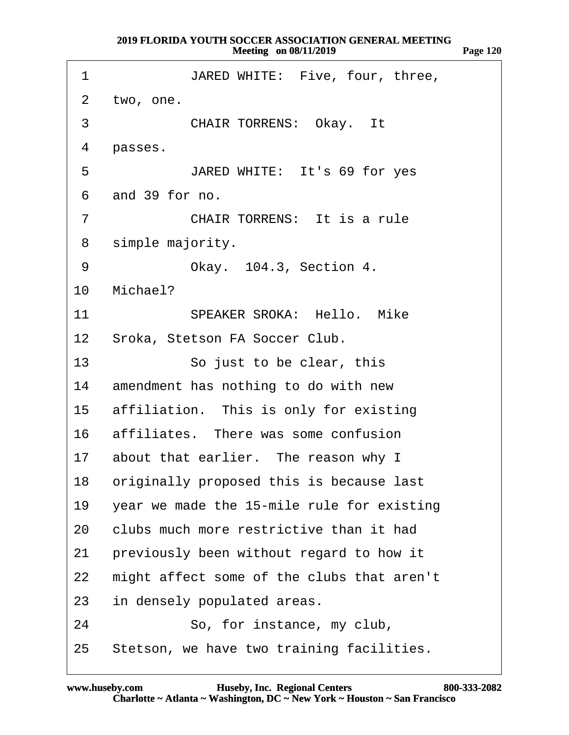| 1              | JARED WHITE: Five, four, three,             |
|----------------|---------------------------------------------|
| $\overline{2}$ | two, one.                                   |
| 3              | <b>CHAIR TORRENS: Okay. It</b>              |
| 4              | passes.                                     |
| 5              | JARED WHITE: It's 69 for yes                |
| 6              | and 39 for no.                              |
| $\overline{7}$ | <b>CHAIR TORRENS:</b> It is a rule          |
| 8              | simple majority.                            |
| 9              | Okay. 104.3, Section 4.                     |
| 10             | Michael?                                    |
| 11             | <b>SPEAKER SROKA: Hello, Mike</b>           |
|                | 12 Sroka, Stetson FA Soccer Club.           |
| 13             | So just to be clear, this                   |
|                | 14 amendment has nothing to do with new     |
|                | 15 affiliation. This is only for existing   |
|                | 16 affiliates. There was some confusion     |
|                | 17 about that earlier. The reason why I     |
|                | 18 originally proposed this is because last |
| 19             | year we made the 15-mile rule for existing  |
| 20             | clubs much more restrictive than it had     |
| 21             | previously been without regard to how it    |
| 22             | might affect some of the clubs that aren't  |
| 23             | in densely populated areas.                 |
| 24             | So, for instance, my club,                  |
| 25             | Stetson, we have two training facilities.   |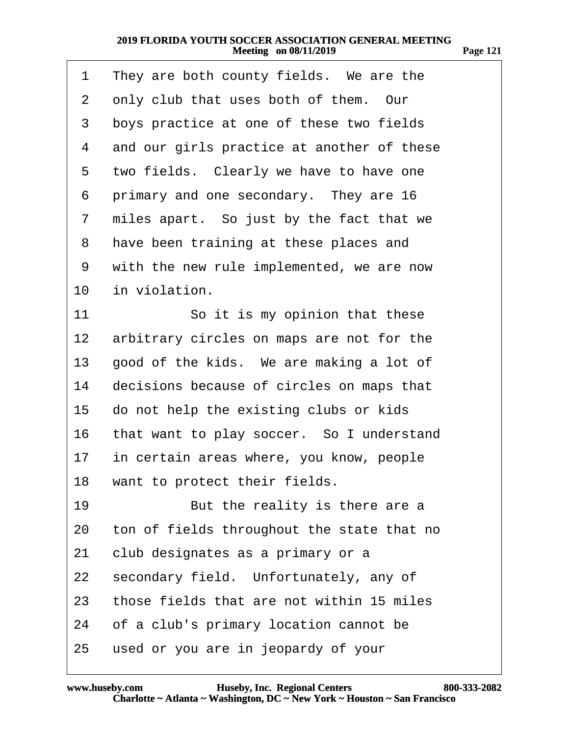| 1              | They are both county fields. We are the    |
|----------------|--------------------------------------------|
| $\overline{2}$ | only club that uses both of them. Our      |
| 3              | boys practice at one of these two fields   |
| 4              | and our girls practice at another of these |
| 5              | two fields. Clearly we have to have one    |
| 6              | primary and one secondary. They are 16     |
| 7              | miles apart. So just by the fact that we   |
| 8              | have been training at these places and     |
| 9              | with the new rule implemented, we are now  |
| 10             | in violation.                              |
| 11             | So it is my opinion that these             |
| 12             | arbitrary circles on maps are not for the  |
| 13             | good of the kids. We are making a lot of   |
| 14             | decisions because of circles on maps that  |
| 15             | do not help the existing clubs or kids     |
| 16             | that want to play soccer. So I understand  |
| 17             | in certain areas where, you know, people   |
|                | 18 want to protect their fields.           |
| 19             | But the reality is there are a             |
| 20             | ton of fields throughout the state that no |
| 21             | club designates as a primary or a          |
| 22             | secondary field. Unfortunately, any of     |
| 23             | those fields that are not within 15 miles  |
| 24             | of a club's primary location cannot be     |
| 25             | used or you are in jeopardy of your        |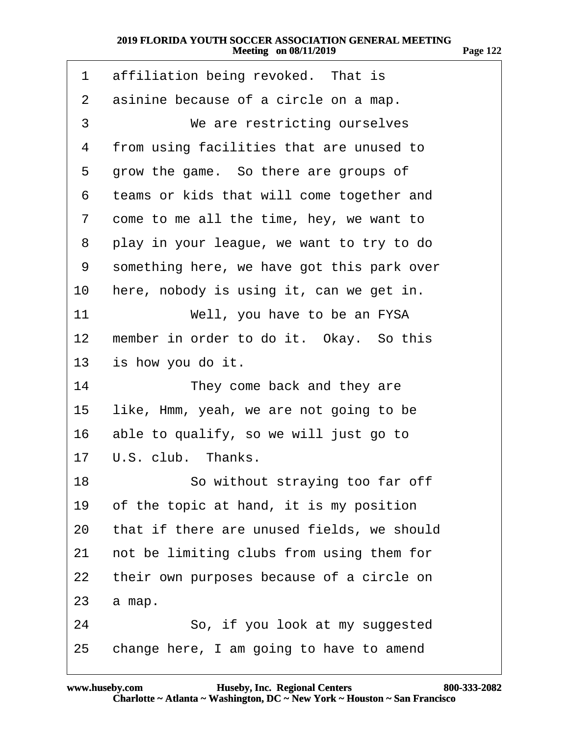| 1              | affiliation being revoked. That is         |
|----------------|--------------------------------------------|
| $\overline{2}$ | asinine because of a circle on a map.      |
| 3              | We are restricting ourselves               |
| 4              | from using facilities that are unused to   |
| 5              | grow the game. So there are groups of      |
| 6              | teams or kids that will come together and  |
| $\overline{7}$ | come to me all the time, hey, we want to   |
| 8              | play in your league, we want to try to do  |
| 9              | something here, we have got this park over |
| 10             | here, nobody is using it, can we get in.   |
| 11             | Well, you have to be an FYSA               |
| $12 \,$        | member in order to do it. Okay. So this    |
| 13             | is how you do it.                          |
| 14             | They come back and they are                |
| 15             | like, Hmm, yeah, we are not going to be    |
| 16             | able to qualify, so we will just go to     |
|                | 17 U.S. club. Thanks.                      |
| 18             | So without straying too far off            |
| 19             | of the topic at hand, it is my position    |
| 20             | that if there are unused fields, we should |
| 21             | not be limiting clubs from using them for  |
| 22             | their own purposes because of a circle on  |
| 23             | a map.                                     |
| 24             | So, if you look at my suggested            |
| 25             | change here, I am going to have to amend   |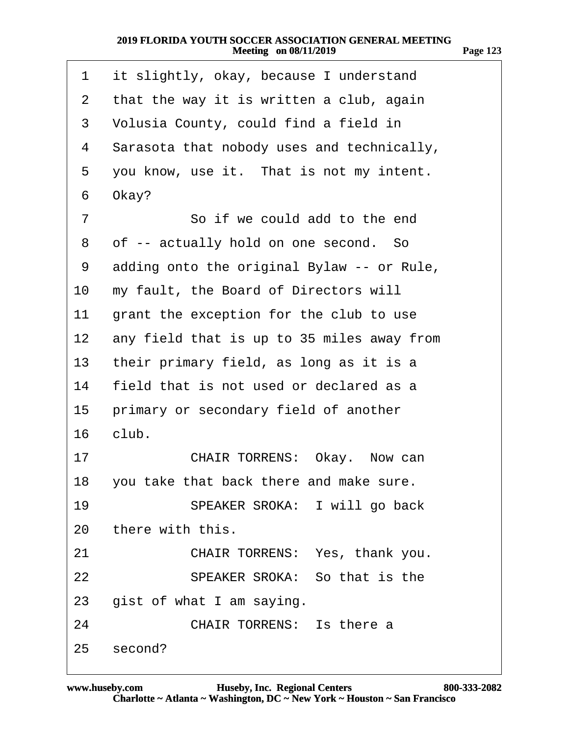| 1               | it slightly, okay, because I understand    |
|-----------------|--------------------------------------------|
| 2               | that the way it is written a club, again   |
| 3               | Volusia County, could find a field in      |
| 4               | Sarasota that nobody uses and technically, |
| 5               | you know, use it. That is not my intent.   |
| 6               | Okay?                                      |
| 7               | So if we could add to the end              |
| 8               | of -- actually hold on one second. So      |
| 9               | adding onto the original Bylaw -- or Rule, |
| 10              | my fault, the Board of Directors will      |
| 11              | grant the exception for the club to use    |
| 12 <sub>2</sub> | any field that is up to 35 miles away from |
| 13              | their primary field, as long as it is a    |
| 14              | field that is not used or declared as a    |
| 15              | primary or secondary field of another      |
| 16              | club.                                      |
| 17              | CHAIR TORRENS: Okay. Now can               |
|                 | 18 you take that back there and make sure. |
| 19              | SPEAKER SROKA: I will go back              |
| 20              | there with this.                           |
| 21              | CHAIR TORRENS: Yes, thank you.             |
| 22              | SPEAKER SROKA: So that is the              |
| 23              | gist of what I am saying.                  |
| 24              | <b>CHAIR TORRENS: Is there a</b>           |
| 25              | second?                                    |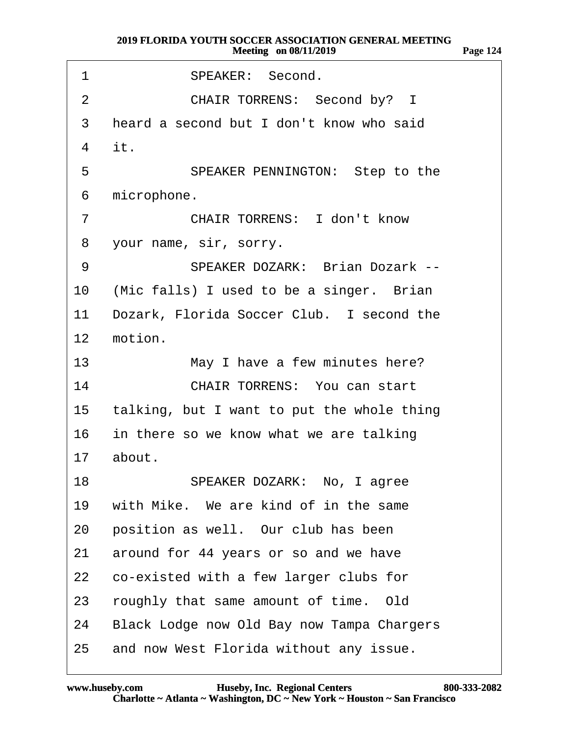| 1               | SPEAKER: Second.                           |
|-----------------|--------------------------------------------|
| $\overline{2}$  | CHAIR TORRENS: Second by? I                |
| 3               | heard a second but I don't know who said   |
| 4               | it.                                        |
| 5               | SPEAKER PENNINGTON: Step to the            |
| 6               | microphone.                                |
| 7               | <b>CHAIR TORRENS: I don't know</b>         |
| 8               | your name, sir, sorry.                     |
| 9               | <b>SPEAKER DOZARK: Brian Dozark --</b>     |
| 10              | (Mic falls) I used to be a singer. Brian   |
| 11              | Dozark, Florida Soccer Club. I second the  |
| 12 <sup>1</sup> | motion.                                    |
| 13              | May I have a few minutes here?             |
| 14              | <b>CHAIR TORRENS: You can start</b>        |
| 15              | talking, but I want to put the whole thing |
| 16              | in there so we know what we are talking    |
|                 | 17 about.                                  |
| 18              | SPEAKER DOZARK: No, I agree                |
| 19              | with Mike. We are kind of in the same      |
| 20              | position as well. Our club has been        |
| 21              | around for 44 years or so and we have      |
| 22              | co-existed with a few larger clubs for     |
| 23              | roughly that same amount of time. Old      |
| 24              | Black Lodge now Old Bay now Tampa Chargers |
| 25              | and now West Florida without any issue.    |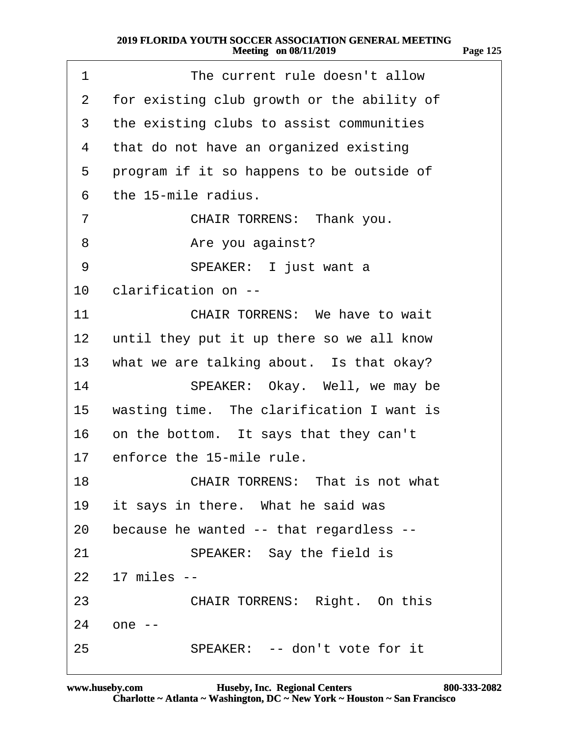| 1              | The current rule doesn't allow             |
|----------------|--------------------------------------------|
| $\overline{2}$ | for existing club growth or the ability of |
| 3              | the existing clubs to assist communities   |
| 4              | that do not have an organized existing     |
| 5              | program if it so happens to be outside of  |
| 6              | the 15-mile radius.                        |
| $\overline{7}$ | CHAIR TORRENS: Thank you.                  |
| 8              | Are you against?                           |
| 9              | SPEAKER: I just want a                     |
| 10             | clarification on --                        |
| 11             | <b>CHAIR TORRENS: We have to wait</b>      |
| 12             | until they put it up there so we all know  |
| 13             | what we are talking about. Is that okay?   |
| 14             | SPEAKER: Okay. Well, we may be             |
| 15             | wasting time. The clarification I want is  |
| 16             | on the bottom. It says that they can't     |
|                | 17 enforce the 15-mile rule.               |
| 18             | <b>CHAIR TORRENS: That is not what</b>     |
| 19             | it says in there. What he said was         |
| 20             | because he wanted -- that regardless --    |
| 21             | SPEAKER: Say the field is                  |
|                | 22 17 miles --                             |
| 23             | CHAIR TORRENS: Right. On this              |
| 24             | one --                                     |
| 25             | SPEAKER: -- don't vote for it              |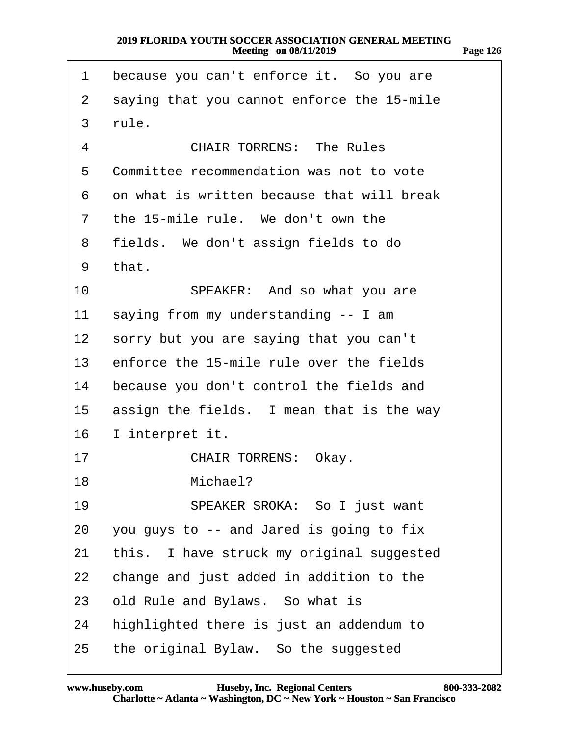| 1              | because you can't enforce it. So you are   |
|----------------|--------------------------------------------|
| $\overline{2}$ | saying that you cannot enforce the 15-mile |
| 3              | rule.                                      |
| 4              | <b>CHAIR TORRENS: The Rules</b>            |
| 5              | Committee recommendation was not to vote   |
| 6              | on what is written because that will break |
| $\overline{7}$ | the 15-mile rule. We don't own the         |
| 8              | fields. We don't assign fields to do       |
| 9              | that.                                      |
| 10             | SPEAKER: And so what you are               |
| 11             | saying from my understanding -- I am       |
| 12             | sorry but you are saying that you can't    |
| 13             | enforce the 15-mile rule over the fields   |
| 14             | because you don't control the fields and   |
| 15             | assign the fields. I mean that is the way  |
| 16             | I interpret it.                            |
| 17             | <b>CHAIR TORRENS: Okay.</b>                |
| 18             | Michael?                                   |
| 19             | SPEAKER SROKA: So I just want              |
| 20             | you guys to -- and Jared is going to fix   |
| 21             | this. I have struck my original suggested  |
| 22             | change and just added in addition to the   |
| 23             | old Rule and Bylaws. So what is            |
| 24             | highlighted there is just an addendum to   |
| 25             | the original Bylaw. So the suggested       |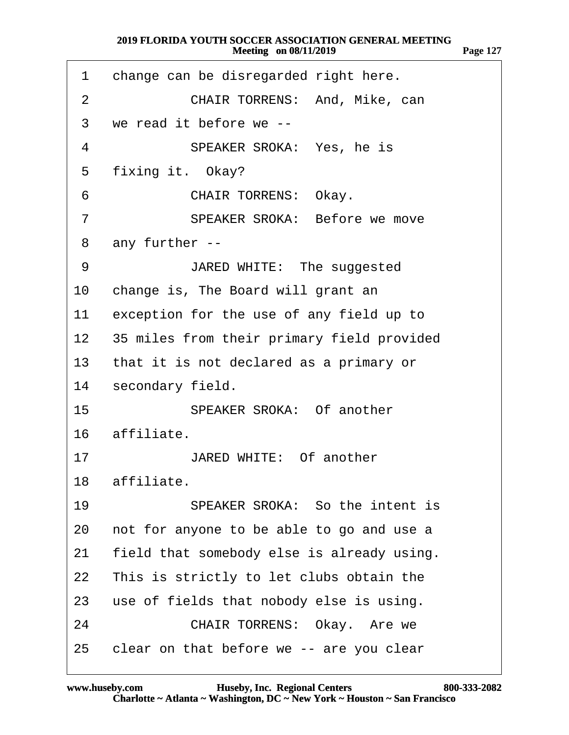| 1              | change can be disregarded right here.         |
|----------------|-----------------------------------------------|
| 2              | CHAIR TORRENS: And, Mike, can                 |
| 3              | we read it before we --                       |
| 4              | SPEAKER SROKA: Yes, he is                     |
| 5              | fixing it. Okay?                              |
| 6              | <b>CHAIR TORRENS: Okay.</b>                   |
| $\overline{7}$ | <b>SPEAKER SROKA: Before we move</b>          |
| 8              | any further --                                |
| 9              | JARED WHITE: The suggested                    |
| 10             | change is, The Board will grant an            |
| 11             | exception for the use of any field up to      |
|                | 12 35 miles from their primary field provided |
| 13             | that it is not declared as a primary or       |
|                | 14 secondary field.                           |
| 15             | <b>SPEAKER SROKA: Of another</b>              |
|                | 16 affiliate.                                 |
| 17             | JARED WHITE: Of another                       |
|                | 18 affiliate.                                 |
| 19             | SPEAKER SROKA: So the intent is               |
| 20             | not for anyone to be able to go and use a     |
| 21             | field that somebody else is already using.    |
| 22             | This is strictly to let clubs obtain the      |
| 23             | use of fields that nobody else is using.      |
| 24             | <b>CHAIR TORRENS: Okay. Are we</b>            |
| 25             | clear on that before we -- are you clear      |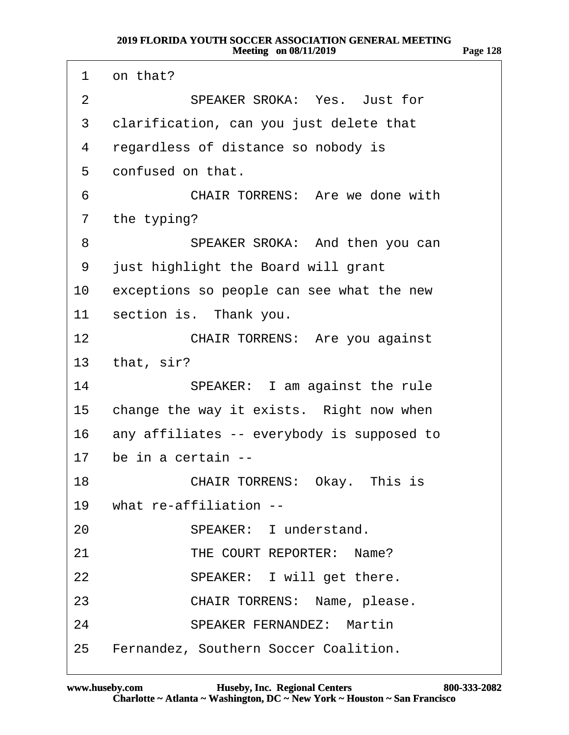| 1               | on that?                                   |
|-----------------|--------------------------------------------|
| 2               | SPEAKER SROKA: Yes. Just for               |
| 3               | clarification, can you just delete that    |
| 4               | regardless of distance so nobody is        |
| 5               | confused on that.                          |
| 6               | <b>CHAIR TORRENS: Are we done with</b>     |
| $\overline{7}$  | the typing?                                |
| 8               | SPEAKER SROKA: And then you can            |
| 9               | just highlight the Board will grant        |
| 10              | exceptions so people can see what the new  |
|                 | 11 section is. Thank you.                  |
| 12 <sup>2</sup> | <b>CHAIR TORRENS: Are you against</b>      |
| 13              | that, sir?                                 |
| 14              | SPEAKER: I am against the rule             |
| 15              | change the way it exists. Right now when   |
| 16              | any affiliates -- everybody is supposed to |
| 17              | be in a certain --                         |
| 18              | CHAIR TORRENS: Okay. This is               |
|                 | 19 what re-affiliation --                  |
| 20              | SPEAKER: I understand.                     |
| 21              | THE COURT REPORTER: Name?                  |
| 22              | SPEAKER: I will get there.                 |
| 23              | CHAIR TORRENS: Name, please.               |
| 24              | <b>SPEAKER FERNANDEZ: Martin</b>           |
|                 | 25 Fernandez, Southern Soccer Coalition.   |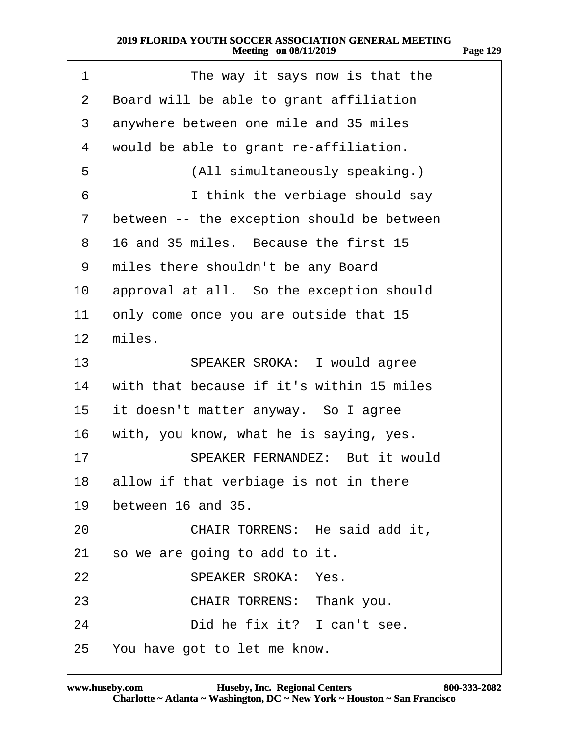| 1               | The way it says now is that the             |
|-----------------|---------------------------------------------|
| 2               | Board will be able to grant affiliation     |
| 3               | anywhere between one mile and 35 miles      |
| 4               | would be able to grant re-affiliation.      |
| 5               | (All simultaneously speaking.)              |
| 6               | I think the verbiage should say             |
| $\overline{7}$  | between -- the exception should be between  |
| 8               | 16 and 35 miles. Because the first 15       |
| 9               | miles there shouldn't be any Board          |
|                 | 10 approval at all. So the exception should |
| 11              | only come once you are outside that 15      |
| 12 <sup>2</sup> | miles.                                      |
| 13              | SPEAKER SROKA: I would agree                |
| 14              | with that because if it's within 15 miles   |
| 15              | it doesn't matter anyway. So I agree        |
| 16              | with, you know, what he is saying, yes.     |
| 17              | <b>SPEAKER FERNANDEZ: But it would</b>      |
|                 | 18 allow if that verbiage is not in there   |
| 19              | between 16 and 35.                          |
| 20              | CHAIR TORRENS: He said add it,              |
| 21              | so we are going to add to it.               |
| 22              | <b>SPEAKER SROKA: Yes.</b>                  |
| 23              | CHAIR TORRENS: Thank you.                   |
| 24              | Did he fix it? I can't see.                 |
| 25              | You have got to let me know.                |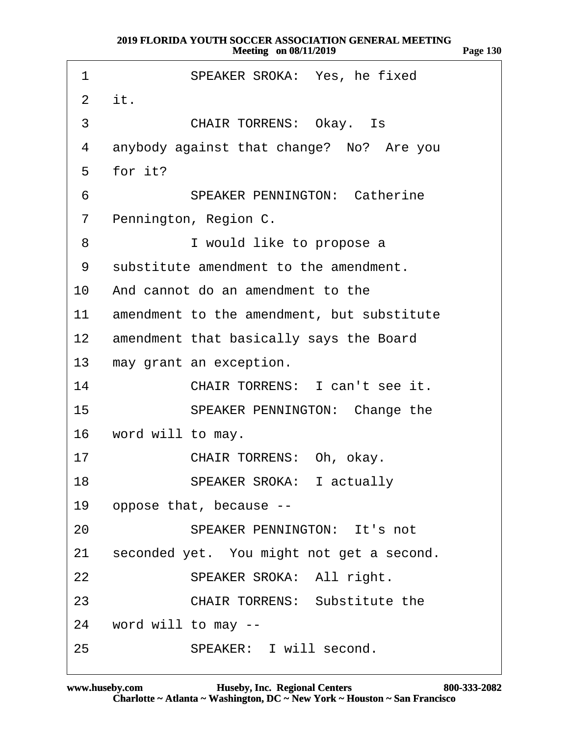| 1               | SPEAKER SROKA: Yes, he fixed               |
|-----------------|--------------------------------------------|
| 2 it.           |                                            |
| 3               | <b>CHAIR TORRENS: Okay. Is</b>             |
| 4               | anybody against that change? No? Are you   |
| 5               | for it?                                    |
| 6               | <b>SPEAKER PENNINGTON: Catherine</b>       |
| 7               | Pennington, Region C.                      |
| 8               | I would like to propose a                  |
| 9               | substitute amendment to the amendment.     |
| 10              | And cannot do an amendment to the          |
| 11              | amendment to the amendment, but substitute |
|                 | 12 amendment that basically says the Board |
| 13 <sup>7</sup> | may grant an exception.                    |
| 14              | CHAIR TORRENS: I can't see it.             |
| 15              | SPEAKER PENNINGTON: Change the             |
|                 | 16 word will to may.                       |
| 17              | CHAIR TORRENS: Oh, okay.                   |
| 18              | <b>SPEAKER SROKA: I actually</b>           |
| 19              | oppose that, because --                    |
| 20              | <b>SPEAKER PENNINGTON: It's not</b>        |
| 21              | seconded yet. You might not get a second.  |
| 22              | SPEAKER SROKA: All right.                  |
| 23              | <b>CHAIR TORRENS: Substitute the</b>       |
|                 | 24 word will to may --                     |
| 25              | SPEAKER: I will second.                    |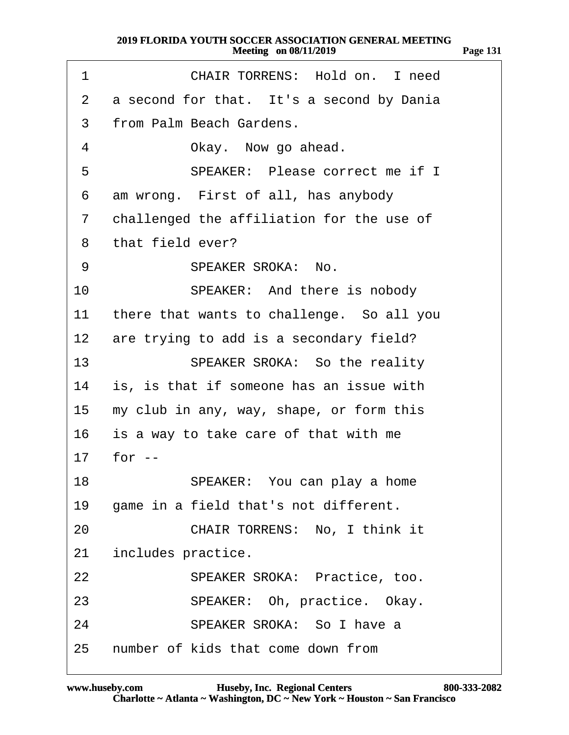| 1<br>ν<br>H |
|-------------|
|-------------|

| 1  | CHAIR TORRENS: Hold on. I need            |
|----|-------------------------------------------|
| 2  | a second for that. It's a second by Dania |
| 3  | from Palm Beach Gardens.                  |
| 4  | Okay. Now go ahead.                       |
| 5  | SPEAKER: Please correct me if I           |
| 6  | am wrong. First of all, has anybody       |
| 7  | challenged the affiliation for the use of |
| 8  | that field ever?                          |
| 9  | SPEAKER SROKA: No.                        |
| 10 | SPEAKER: And there is nobody              |
| 11 | there that wants to challenge. So all you |
| 12 | are trying to add is a secondary field?   |
| 13 | SPEAKER SROKA: So the reality             |
| 14 | is, is that if someone has an issue with  |
| 15 | my club in any, way, shape, or form this  |
| 16 | is a way to take care of that with me     |
| 17 | for $-$                                   |
| 18 | SPEAKER: You can play a home              |
| 19 | game in a field that's not different.     |
| 20 | CHAIR TORRENS: No, I think it             |
| 21 | includes practice.                        |
| 22 | SPEAKER SROKA: Practice, too.             |
| 23 | SPEAKER: Oh, practice. Okay.              |
| 24 | SPEAKER SROKA: So I have a                |
|    | 25 number of kids that come down from     |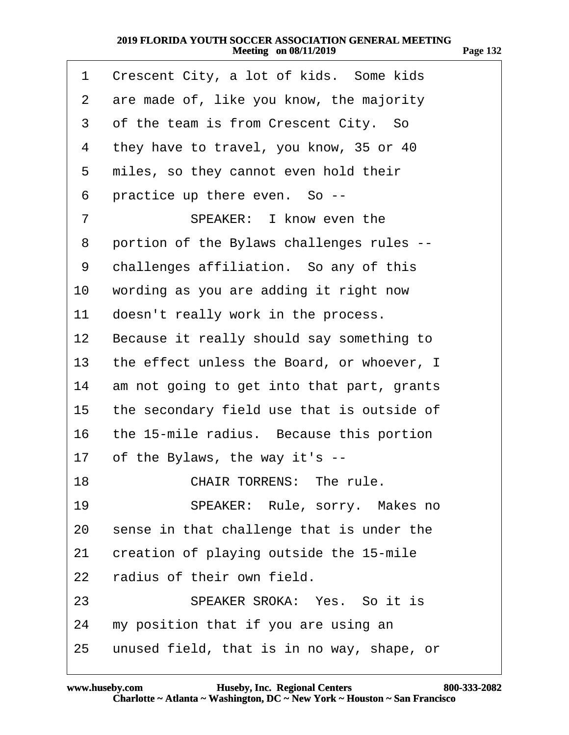| 1               | Crescent City, a lot of kids. Some kids    |
|-----------------|--------------------------------------------|
| 2               | are made of, like you know, the majority   |
| 3               | of the team is from Crescent City. So      |
| 4               | they have to travel, you know, 35 or 40    |
| 5               | miles, so they cannot even hold their      |
| 6               | practice up there even. So --              |
| 7               | SPEAKER: I know even the                   |
| 8               | portion of the Bylaws challenges rules --  |
| 9               | challenges affiliation. So any of this     |
| 10              | wording as you are adding it right now     |
| 11              | doesn't really work in the process.        |
| 12 <sup>°</sup> | Because it really should say something to  |
| 13              | the effect unless the Board, or whoever, I |
| 14              | am not going to get into that part, grants |
| 15              | the secondary field use that is outside of |
| 16              | the 15-mile radius. Because this portion   |
| 17              | of the Bylaws, the way it's --             |
| 18              | <b>CHAIR TORRENS: The rule.</b>            |
| 19              | SPEAKER: Rule, sorry. Makes no             |
| 20              | sense in that challenge that is under the  |
| 21              | creation of playing outside the 15-mile    |
| 22              | radius of their own field.                 |
| 23              | SPEAKER SROKA: Yes. So it is               |
| 24              | my position that if you are using an       |
| 25              | unused field, that is in no way, shape, or |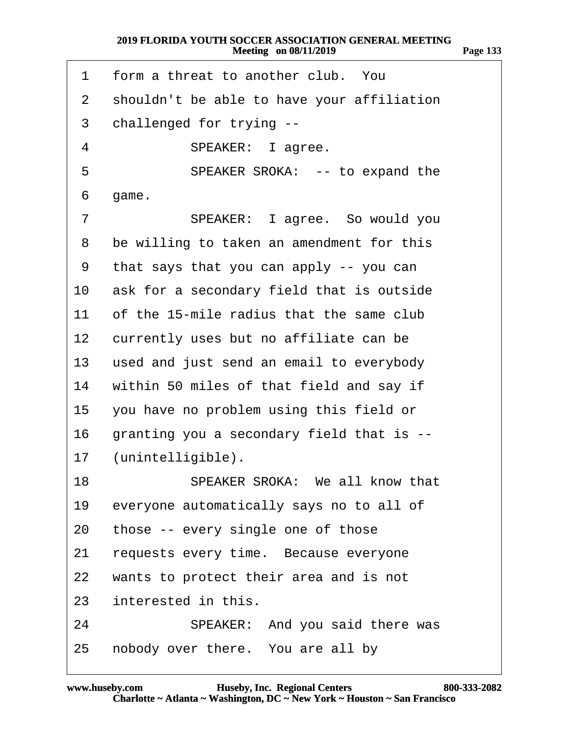| 1              | form a threat to another club. You          |
|----------------|---------------------------------------------|
| $\overline{2}$ | shouldn't be able to have your affiliation  |
| 3              | challenged for trying --                    |
| 4              | SPEAKER: lagree.                            |
| 5              | SPEAKER SROKA: -- to expand the             |
| 6              | game.                                       |
| 7              | SPEAKER: I agree. So would you              |
| 8              | be willing to taken an amendment for this   |
| 9              | that says that you can apply -- you can     |
| 10             | ask for a secondary field that is outside   |
| 11             | of the 15-mile radius that the same club    |
| 12             | currently uses but no affiliate can be      |
| 13             | used and just send an email to everybody    |
|                | 14 within 50 miles of that field and say if |
| 15             | you have no problem using this field or     |
| 16             | granting you a secondary field that is --   |
| 17             | (unintelligible).                           |
| 18             | SPEAKER SROKA: We all know that             |
| 19             | everyone automatically says no to all of    |
| 20             | those -- every single one of those          |
| 21             | requests every time. Because everyone       |
| 22             | wants to protect their area and is not      |
| 23             | interested in this.                         |
| 24             | SPEAKER: And you said there was             |
| 25             | nobody over there. You are all by           |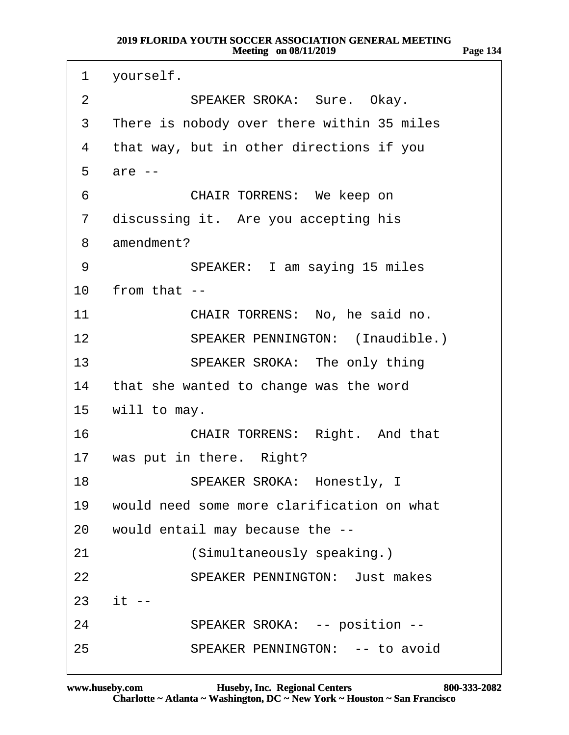| 1                | yourself.                                     |
|------------------|-----------------------------------------------|
| 2                | SPEAKER SROKA: Sure. Okay.                    |
|                  | 3 There is nobody over there within 35 miles  |
| 4                | that way, but in other directions if you      |
| 5                | are --                                        |
| 6                | CHAIR TORRENS: We keep on                     |
| $\overline{7}$   | discussing it. Are you accepting his          |
| 8                | amendment?                                    |
| 9                | SPEAKER: I am saying 15 miles                 |
|                  | 10 from that --                               |
| 11               | CHAIR TORRENS: No, he said no.                |
| 12 <sub>2</sub>  | <b>SPEAKER PENNINGTON: (Inaudible.)</b>       |
| 13               | SPEAKER SROKA: The only thing                 |
| 14               | that she wanted to change was the word        |
| 15 <sup>15</sup> | will to may.                                  |
| 16               | CHAIR TORRENS: Right. And that                |
|                  | 17 was put in there. Right?                   |
| 18               | <b>SPEAKER SROKA: Honestly, I</b>             |
|                  | 19 would need some more clarification on what |
| 20               | would entail may because the --               |
| 21               | (Simultaneously speaking.)                    |
| 22               | <b>SPEAKER PENNINGTON: Just makes</b>         |
|                  | 23 it --                                      |
| 24               | SPEAKER SROKA: -- position --                 |
| 25               | <b>SPEAKER PENNINGTON: -- to avoid</b>        |
|                  |                                               |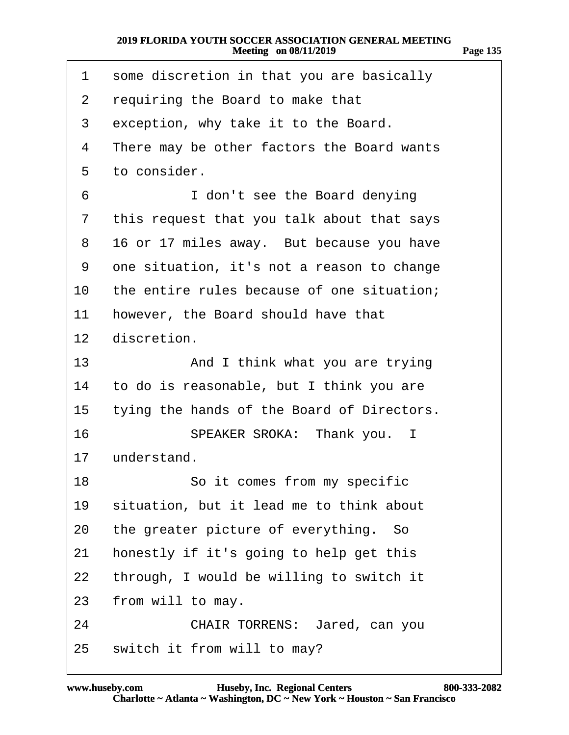| 1                 | some discretion in that you are basically  |
|-------------------|--------------------------------------------|
| 2                 | requiring the Board to make that           |
| 3                 | exception, why take it to the Board.       |
| 4                 | There may be other factors the Board wants |
| 5                 | to consider.                               |
| 6                 | I don't see the Board denying              |
| 7                 | this request that you talk about that says |
| 8                 | 16 or 17 miles away. But because you have  |
| 9                 | one situation, it's not a reason to change |
| 10                | the entire rules because of one situation; |
| 11                | however, the Board should have that        |
| $12 \overline{ }$ | discretion.                                |
| 13                | And I think what you are trying            |
| 14                | to do is reasonable, but I think you are   |
| 15                | tying the hands of the Board of Directors. |
| 16                | SPEAKER SROKA: Thank you. I                |
| 17                | understand.                                |
| 18                | So it comes from my specific               |
| 19                | situation, but it lead me to think about   |
| 20                | the greater picture of everything. So      |
| 21                | honestly if it's going to help get this    |
| 22                | through, I would be willing to switch it   |
| 23                | from will to may.                          |
| 24                | CHAIR TORRENS: Jared, can you              |
| 25                | switch it from will to may?                |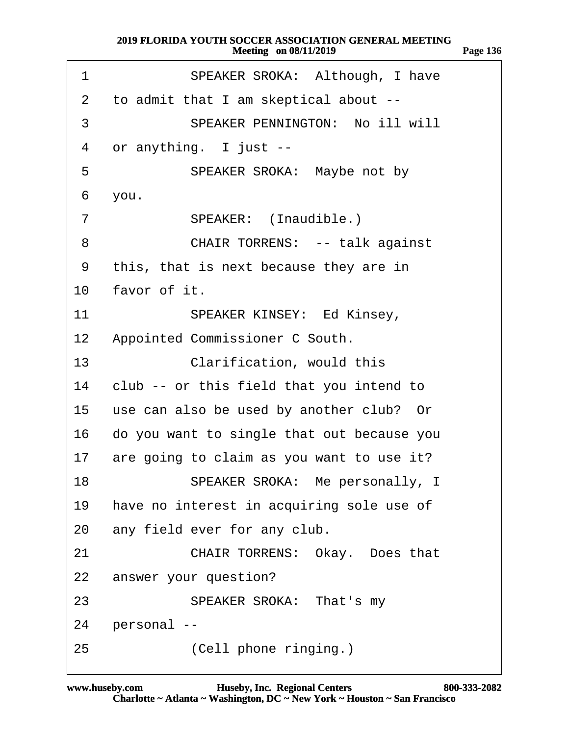| -age - | 136 |
|--------|-----|
|        |     |

| 1              | SPEAKER SROKA: Although, I have            |
|----------------|--------------------------------------------|
| $\overline{2}$ | to admit that I am skeptical about --      |
| 3              | <b>SPEAKER PENNINGTON: No ill will</b>     |
| 4              | or anything. I just --                     |
| 5              | SPEAKER SROKA: Maybe not by                |
| 6              | you.                                       |
| 7              | SPEAKER: (Inaudible.)                      |
| 8              | <b>CHAIR TORRENS: -- talk against</b>      |
| 9              | this, that is next because they are in     |
| 10             | favor of it.                               |
| 11             | SPEAKER KINSEY: Ed Kinsey,                 |
| 12             | Appointed Commissioner C South.            |
| 13             | Clarification, would this                  |
| 14             | club -- or this field that you intend to   |
| 15             | use can also be used by another club? Or   |
| 16             | do you want to single that out because you |
| 17             | are going to claim as you want to use it?  |
| 18             | SPEAKER SROKA: Me personally, I            |
| 19             | have no interest in acquiring sole use of  |
| 20             | any field ever for any club.               |
| 21             | <b>CHAIR TORRENS: Okay. Does that</b>      |
| 22             | answer your question?                      |
| 23             | SPEAKER SROKA: That's my                   |
| 24             | personal --                                |
| 25             | (Cell phone ringing.)                      |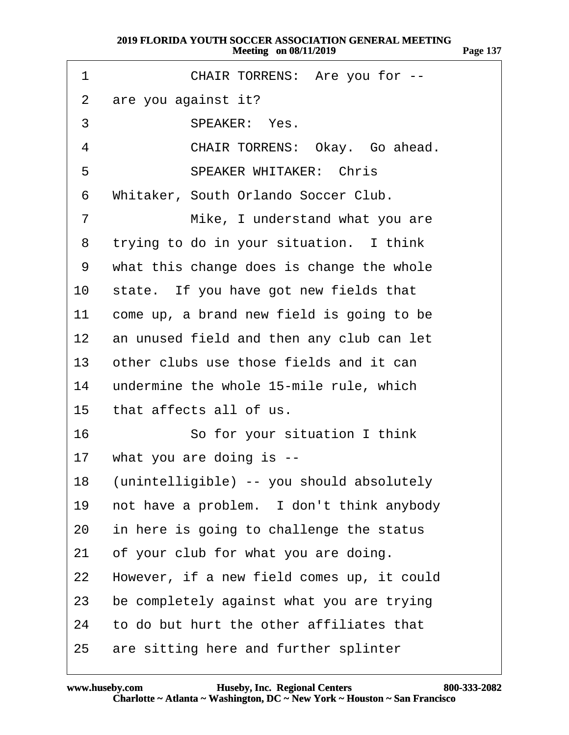| 1               | CHAIR TORRENS: Are you for --                |
|-----------------|----------------------------------------------|
| $\overline{2}$  | are you against it?                          |
| 3               | <b>SPEAKER: Yes.</b>                         |
| 4               | CHAIR TORRENS: Okay. Go ahead.               |
| 5               | <b>SPEAKER WHITAKER: Chris</b>               |
| 6               | Whitaker, South Orlando Soccer Club.         |
| $\overline{7}$  | Mike, I understand what you are              |
| 8               | trying to do in your situation. I think      |
| 9               | what this change does is change the whole    |
| 10              | state. If you have got new fields that       |
| 11              | come up, a brand new field is going to be    |
| 12 <sup>°</sup> | an unused field and then any club can let    |
| 13              | other clubs use those fields and it can      |
| 14              | undermine the whole 15-mile rule, which      |
| 15              | that affects all of us.                      |
| 16              | So for your situation I think                |
|                 | 17 what you are doing is --                  |
|                 | 18 (unintelligible) -- you should absolutely |
| 19              | not have a problem. I don't think anybody    |
| 20              | in here is going to challenge the status     |
| 21              | of your club for what you are doing.         |
| 22              | However, if a new field comes up, it could   |
| 23              | be completely against what you are trying    |
| 24              | to do but hurt the other affiliates that     |
| 25              | are sitting here and further splinter        |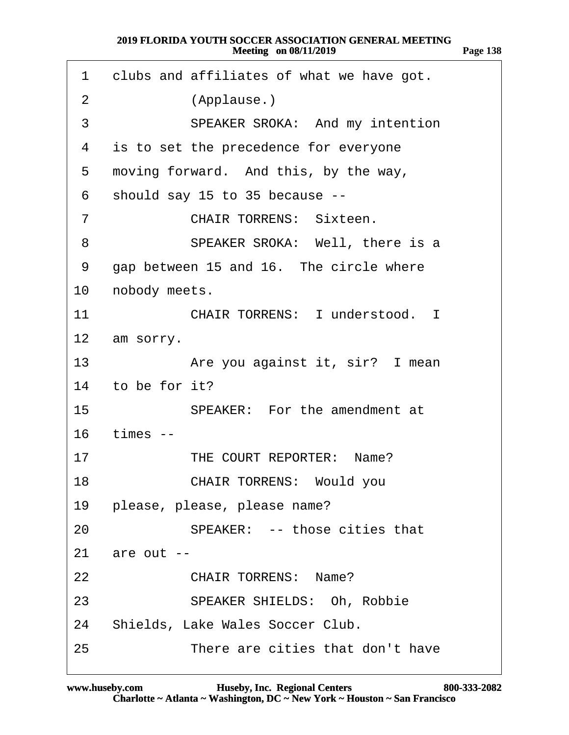| 1               | clubs and affiliates of what we have got. |
|-----------------|-------------------------------------------|
| 2               | (Applause.)                               |
| 3               | <b>SPEAKER SROKA: And my intention</b>    |
| 4               | is to set the precedence for everyone     |
| 5               | moving forward. And this, by the way,     |
| 6               | should say 15 to 35 because --            |
| $\overline{7}$  | <b>CHAIR TORRENS: Sixteen.</b>            |
| 8               | SPEAKER SROKA: Well, there is a           |
| 9               | gap between 15 and 16. The circle where   |
| 10              | nobody meets.                             |
| 11              | <b>CHAIR TORRENS: I understood. I</b>     |
|                 | 12 am sorry.                              |
| 13 <sup>°</sup> | Are you against it, sir? I mean           |
|                 | 14 to be for it?                          |
| 15              | SPEAKER: For the amendment at             |
| 16              | times --                                  |
| 17              | THE COURT REPORTER: Name?                 |
| 18              | <b>CHAIR TORRENS: Would you</b>           |
| 19              | please, please, please name?              |
| 20              | SPEAKER: -- those cities that             |
| 21              | are out --                                |
| 22              | <b>CHAIR TORRENS: Name?</b>               |
| 23              | <b>SPEAKER SHIELDS: Oh, Robbie</b>        |
| 24              | Shields, Lake Wales Soccer Club.          |
| 25              | There are cities that don't have          |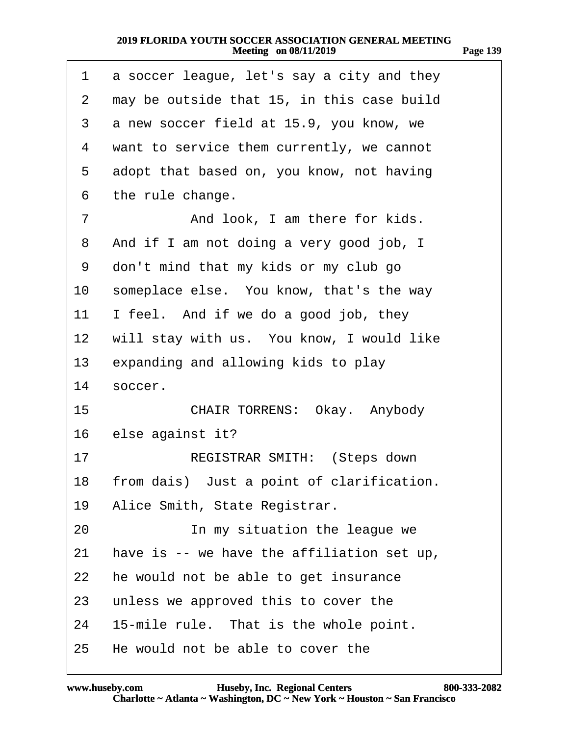| 1              | a soccer league, let's say a city and they   |
|----------------|----------------------------------------------|
| $\overline{2}$ | may be outside that 15, in this case build   |
| 3              | a new soccer field at 15.9, you know, we     |
| 4              | want to service them currently, we cannot    |
| 5              | adopt that based on, you know, not having    |
| 6              | the rule change.                             |
| 7              | And look, I am there for kids.               |
| 8              | And if I am not doing a very good job, I     |
| 9              | don't mind that my kids or my club go        |
| 10             | someplace else. You know, that's the way     |
| 11             | I feel. And if we do a good job, they        |
| 12             | will stay with us. You know, I would like    |
| 13             | expanding and allowing kids to play          |
| 14             | soccer.                                      |
| 15             | <b>CHAIR TORRENS: Okay. Anybody</b>          |
|                | 16 else against it?                          |
| 17             | <b>REGISTRAR SMITH: (Steps down)</b>         |
|                | 18 from dais) Just a point of clarification. |
| 19             | Alice Smith, State Registrar.                |
| 20             | In my situation the league we                |
| 21             | have is -- we have the affiliation set up,   |
| 22             | he would not be able to get insurance        |
| 23             | unless we approved this to cover the         |
| 24             | 15-mile rule. That is the whole point.       |
| 25             | He would not be able to cover the            |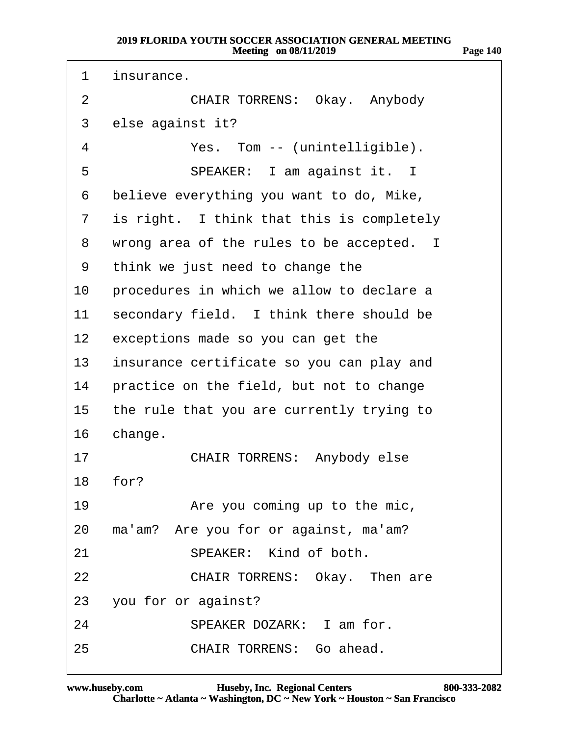1 insurance.

- 2 CHAIR TORRENS: Okay. Anybody
- 3 else against it?
- 4 **· · · Yes.** Tom -- (unintelligible).
- 5 **SPEAKER:** I am against it. I
- 6 believe everything you want to do, Mike,
- 7 is right. I think that this is completely
- 8 wrong area of the rules to be accepted. I
- 9 think we just need to change the
- 10 procedures in which we allow to declare a
- 11 secondary field. I think there should be
- 12 exceptions made so you can get the
- 13 insurance certificate so you can play and
- 14 practice on the field, but not to change
- 15 the rule that you are currently trying to
- 16 change.
- 17 CHAIR TORRENS: Anybody else
- 18 for?
- 19 **Are you coming up to the mic,**
- 20 ma'am? Are you for or against, ma'am?
- 21 · · · · SPEAKER: Kind of both.
- 22 **CHAIR TORRENS: Okay. Then are**
- 23 you for or against?
- 24 **· · SPEAKER DOZARK:** I am for.
- 25 **CHAIR TORRENS: Go ahead.**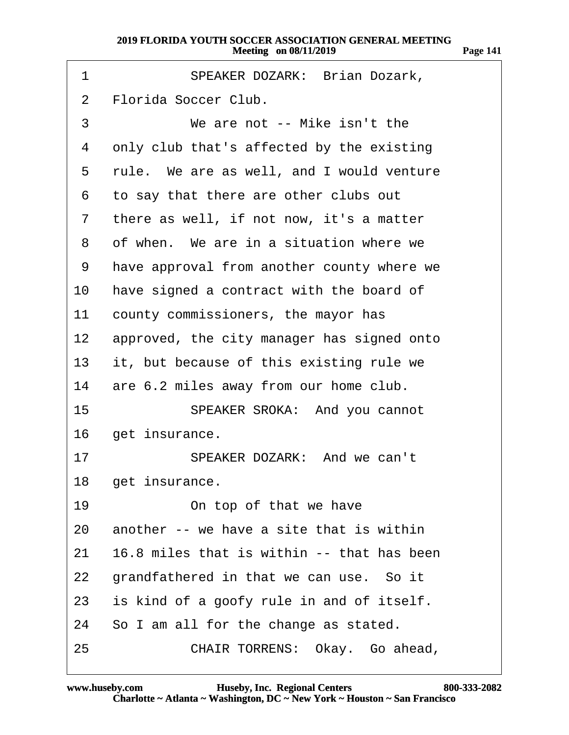| 1               | SPEAKER DOZARK: Brian Dozark,              |
|-----------------|--------------------------------------------|
| 2               | Florida Soccer Club.                       |
| 3               | We are not -- Mike isn't the               |
| 4               | only club that's affected by the existing  |
| 5               | rule. We are as well, and I would venture  |
| 6               | to say that there are other clubs out      |
| $\overline{7}$  | there as well, if not now, it's a matter   |
| 8               | of when. We are in a situation where we    |
| 9               | have approval from another county where we |
| 10              | have signed a contract with the board of   |
| 11              | county commissioners, the mayor has        |
| 12 <sup>1</sup> | approved, the city manager has signed onto |
| 13              | it, but because of this existing rule we   |
| 14              | are 6.2 miles away from our home club.     |
| 15              | SPEAKER SROKA: And you cannot              |
| 16              | get insurance.                             |
| 17              | SPEAKER DOZARK: And we can't               |
|                 | 18 get insurance.                          |
| 19              | On top of that we have                     |
| 20              | another -- we have a site that is within   |
| 21              | 16.8 miles that is within -- that has been |
| 22              | grandfathered in that we can use. So it    |
| 23              | is kind of a goofy rule in and of itself.  |
| 24              | So I am all for the change as stated.      |
| 25              | CHAIR TORRENS: Okay. Go ahead,             |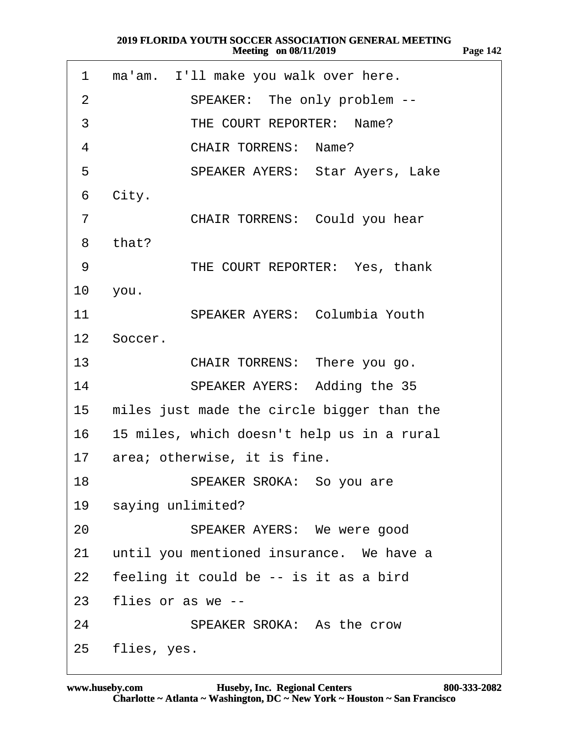| 1               | ma'am. I'll make you walk over here.       |
|-----------------|--------------------------------------------|
| 2               | SPEAKER: The only problem --               |
| 3               | THE COURT REPORTER: Name?                  |
| 4               | <b>CHAIR TORRENS: Name?</b>                |
| 5               | <b>SPEAKER AYERS: Star Ayers, Lake</b>     |
| 6               | City.                                      |
| $\overline{7}$  | <b>CHAIR TORRENS: Could you hear</b>       |
| 8               | that?                                      |
| 9               | THE COURT REPORTER: Yes, thank             |
| 10              | you.                                       |
| 11              | <b>SPEAKER AYERS: Columbia Youth</b>       |
|                 | 12 Soccer.                                 |
| 13 <sup>7</sup> | CHAIR TORRENS: There you go.               |
| 14              | SPEAKER AYERS: Adding the 35               |
| 15              | miles just made the circle bigger than the |
| 16              | 15 miles, which doesn't help us in a rural |
|                 | 17 area; otherwise, it is fine.            |
| 18              | SPEAKER SROKA: So you are                  |
| 19              | saying unlimited?                          |
| 20              | SPEAKER AYERS: We were good                |
| 21              | until you mentioned insurance. We have a   |
| 22              | feeling it could be -- is it as a bird     |
| 23              | flies or as we --                          |
| 24              | SPEAKER SROKA: As the crow                 |
| 25              | flies, yes.                                |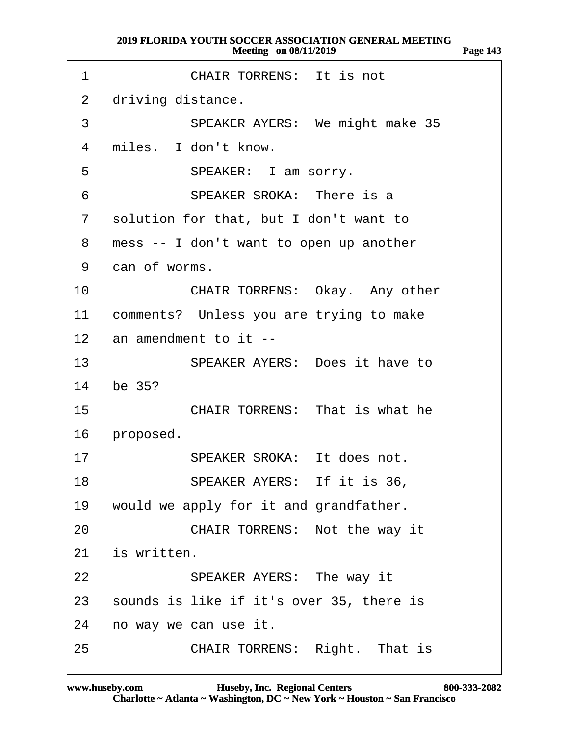| 1               | <b>CHAIR TORRENS: It is not</b>            |
|-----------------|--------------------------------------------|
| 2               | driving distance.                          |
| 3               | SPEAKER AYERS: We might make 35            |
| 4               | miles. I don't know.                       |
| 5               | SPEAKER: I am sorry.                       |
| 6               | SPEAKER SROKA: There is a                  |
|                 | 7 solution for that, but I don't want to   |
| 8               | mess -- I don't want to open up another    |
|                 | 9 can of worms.                            |
| 10              | CHAIR TORRENS: Okay. Any other             |
|                 | 11 comments? Unless you are trying to make |
|                 | 12 an amendment to it --                   |
|                 | 13<br>SPEAKER AYERS: Does it have to       |
|                 | 14 be 35?                                  |
| 15 <sup>1</sup> | <b>CHAIR TORRENS: That is what he</b>      |
|                 | 16 proposed.                               |
| 17              | SPEAKER SROKA: It does not.                |
| 18              | SPEAKER AYERS: If it is 36,                |
| 19              | would we apply for it and grandfather.     |
| 20              | CHAIR TORRENS: Not the way it              |
| 21              | is written.                                |
| 22              | SPEAKER AYERS: The way it                  |
| 23              | sounds is like if it's over 35, there is   |
| 24              | no way we can use it.                      |
| 25              | <b>CHAIR TORRENS: Right. That is</b>       |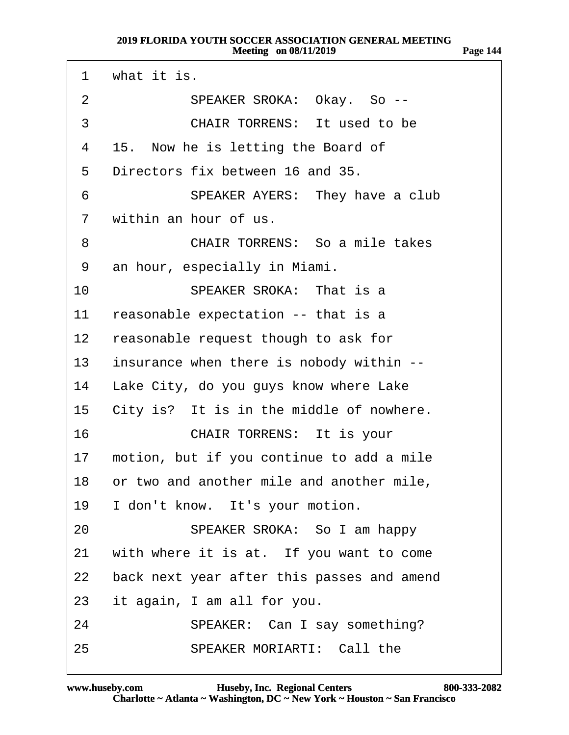| 1              | what it is.                                  |
|----------------|----------------------------------------------|
| 2              | SPEAKER SROKA: Okay. So --                   |
| 3              | <b>CHAIR TORRENS: It used to be</b>          |
| 4              | 15. Now he is letting the Board of           |
| 5              | Directors fix between 16 and 35.             |
| 6              | SPEAKER AYERS: They have a club              |
| $\overline{7}$ | within an hour of us.                        |
| 8              | <b>CHAIR TORRENS: So a mile takes</b>        |
| 9              | an hour, especially in Miami.                |
| 10             | <b>SPEAKER SROKA: That is a</b>              |
| 11             | reasonable expectation -- that is a          |
| 12             | reasonable request though to ask for         |
| 13             | insurance when there is nobody within --     |
|                | 14 Lake City, do you guys know where Lake    |
|                | 15 City is? It is in the middle of nowhere.  |
| 16             | CHAIR TORRENS: It is your                    |
| 17             | motion, but if you continue to add a mile    |
|                | 18 or two and another mile and another mile, |
| 19             | I don't know. It's your motion.              |
| 20             | SPEAKER SROKA: So I am happy                 |
| 21             | with where it is at. If you want to come     |
| 22             | back next year after this passes and amend   |
| 23             | it again, I am all for you.                  |
| 24             | SPEAKER: Can I say something?                |
| 25             | <b>SPEAKER MORIARTI: Call the</b>            |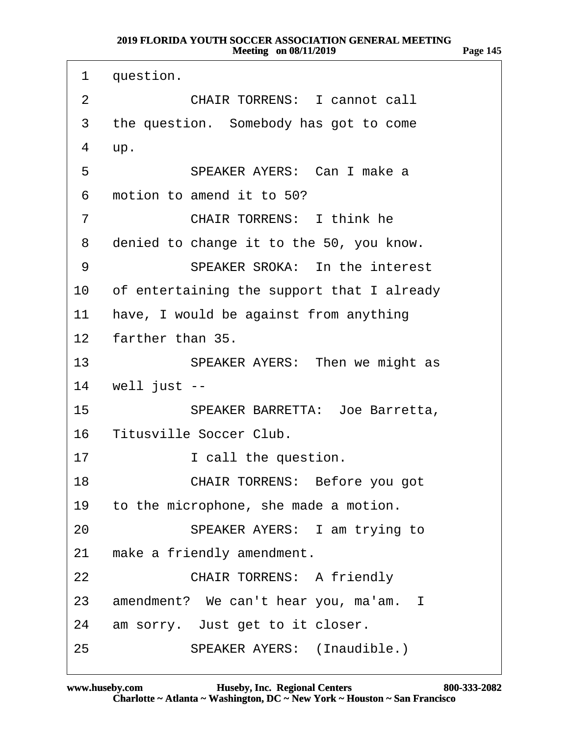| 1                | question.                                  |
|------------------|--------------------------------------------|
| 2                | <b>CHAIR TORRENS: I cannot call</b>        |
| 3                | the question. Somebody has got to come     |
| 4                | up.                                        |
| 5                | SPEAKER AYERS: Can I make a                |
| 6                | motion to amend it to 50?                  |
| $\overline{7}$   | <b>CHAIR TORRENS: I think he</b>           |
| 8                | denied to change it to the 50, you know.   |
| 9                | SPEAKER SROKA: In the interest             |
| 10               | of entertaining the support that I already |
| 11               | have, I would be against from anything     |
|                  | 12 farther than 35.                        |
| 13 <sup>°</sup>  | SPEAKER AYERS: Then we might as            |
|                  | 14 well just --                            |
| 15 <sup>15</sup> | <b>SPEAKER BARRETTA: Joe Barretta,</b>     |
| 16               | Titusville Soccer Club.                    |
| 17               | I call the question.                       |
| 18               | <b>CHAIR TORRENS: Before you got</b>       |
| 19               | to the microphone, she made a motion.      |
| 20               | SPEAKER AYERS: I am trying to              |
| 21               | make a friendly amendment.                 |
| 22               | <b>CHAIR TORRENS: A friendly</b>           |
| 23               | amendment? We can't hear you, ma'am. I     |
| 24               | am sorry. Just get to it closer.           |
| 25               | SPEAKER AYERS: (Inaudible.)                |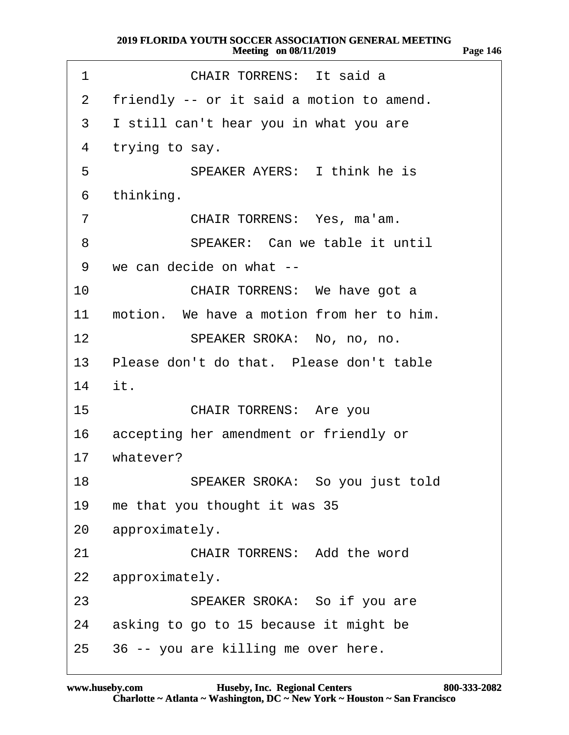| 1               | <b>CHAIR TORRENS: It said a</b>             |
|-----------------|---------------------------------------------|
| 2               | friendly -- or it said a motion to amend.   |
| 3               | I still can't hear you in what you are      |
| 4               | trying to say.                              |
| 5               | SPEAKER AYERS: I think he is                |
| 6               | thinking.                                   |
| 7               | CHAIR TORRENS: Yes, ma'am.                  |
| 8               | SPEAKER: Can we table it until              |
| 9               | we can decide on what --                    |
| 10              | CHAIR TORRENS: We have got a                |
| 11              | motion. We have a motion from her to him.   |
| 12 <sup>7</sup> | SPEAKER SROKA: No, no, no.                  |
|                 | 13 Please don't do that. Please don't table |
|                 | 14 it.                                      |
| 15 <sup>1</sup> | <b>CHAIR TORRENS: Are you</b>               |
|                 | 16 accepting her amendment or friendly or   |
|                 | 17 whatever?                                |
|                 | SPEAKER SROKA: So you just told<br>18 —     |
| 19              | me that you thought it was 35               |
|                 | 20 approximately.                           |
| 21              | <b>CHAIR TORRENS: Add the word</b>          |
|                 | 22 approximately.                           |
| 23              | SPEAKER SROKA: So if you are                |
|                 | 24 asking to go to 15 because it might be   |
|                 | 25 36 -- you are killing me over here.      |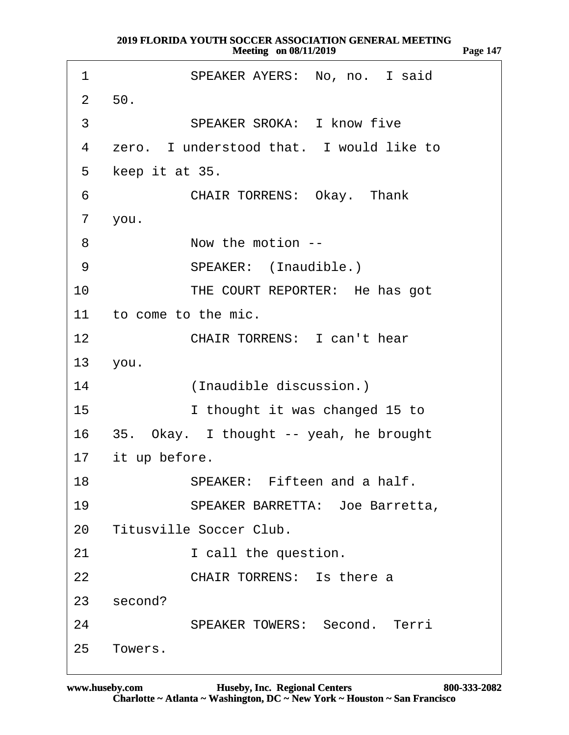| 1                | SPEAKER AYERS: No, no. I said              |
|------------------|--------------------------------------------|
|                  | 2 50.                                      |
| 3                | <b>SPEAKER SROKA: I know five</b>          |
| 4                | zero. I understood that. I would like to   |
| 5                | keep it at 35.                             |
| 6                | <b>CHAIR TORRENS: Okay. Thank</b>          |
| $7\overline{ }$  | you.                                       |
| 8                | Now the motion --                          |
| 9                | SPEAKER: (Inaudible.)                      |
| 10               | THE COURT REPORTER: He has got             |
| 11               | to come to the mic.                        |
| 12 <sup>12</sup> | <b>CHAIR TORRENS: I can't hear</b>         |
|                  | 13 you.                                    |
| 14               | (Inaudible discussion.)                    |
| 15 <sub>1</sub>  | I thought it was changed 15 to             |
|                  | 16 35. Okay. I thought -- yeah, he brought |
|                  | 17 it up before.                           |
| 18               | SPEAKER: Fifteen and a half.               |
| 19               | SPEAKER BARRETTA: Joe Barretta,            |
| <b>20</b>        | <b>Titusville Soccer Club.</b>             |
| 21               | I call the question.                       |
| 22               | <b>CHAIR TORRENS: Is there a</b>           |
|                  | 23 second?                                 |
| 24               | <b>SPEAKER TOWERS: Second. Terri</b>       |
| 25               | Towers.                                    |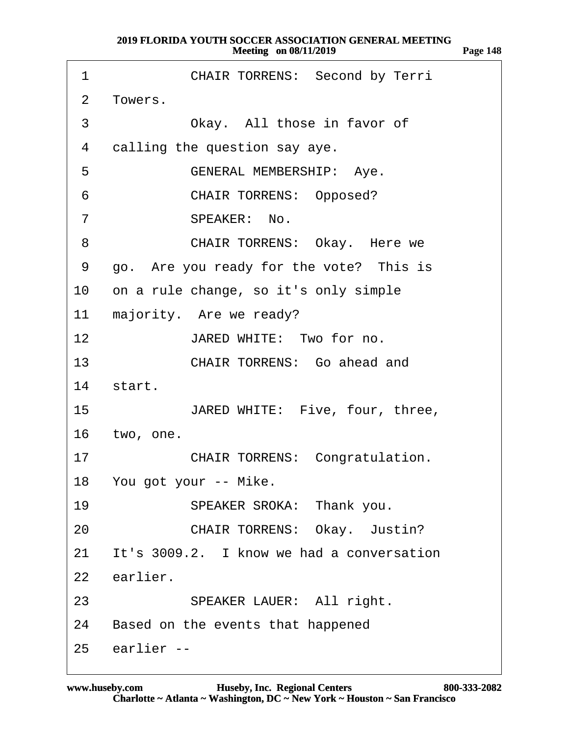| 1  | <b>CHAIR TORRENS: Second by Terri</b>     |
|----|-------------------------------------------|
| 2  | Towers.                                   |
| 3  | Okay. All those in favor of               |
| 4  | calling the question say aye.             |
| 5  | <b>GENERAL MEMBERSHIP: Aye.</b>           |
| 6  | <b>CHAIR TORRENS: Opposed?</b>            |
| 7  | SPEAKER: No.                              |
| 8  | <b>CHAIR TORRENS: Okay. Here we</b>       |
| 9  | go. Are you ready for the vote? This is   |
| 10 | on a rule change, so it's only simple     |
| 11 | majority. Are we ready?                   |
| 12 | JARED WHITE: Two for no.                  |
| 13 | <b>CHAIR TORRENS: Go ahead and</b>        |
|    | 14 start.                                 |
|    | 15<br>JARED WHITE: Five, four, three,     |
|    | 16 two, one.                              |
| 17 | <b>CHAIR TORRENS: Congratulation.</b>     |
|    | 18 You got your -- Mike.                  |
| 19 | SPEAKER SROKA: Thank you.                 |
| 20 | <b>CHAIR TORRENS: Okay. Justin?</b>       |
| 21 | It's 3009.2. I know we had a conversation |
| 22 | earlier.                                  |
| 23 | SPEAKER LAUER: All right.                 |
| 24 | Based on the events that happened         |
| 25 | earlier --                                |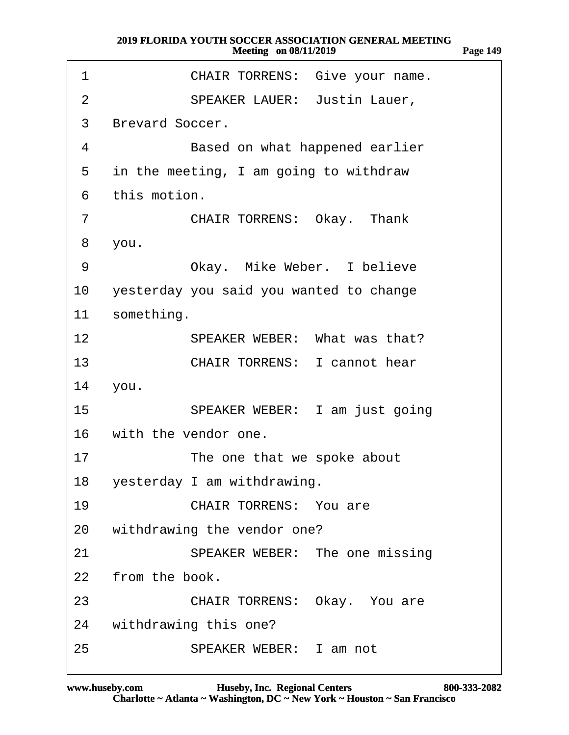| ÆО | п<br>U |
|----|--------|
|    |        |

| 1              | CHAIR TORRENS: Give your name.          |
|----------------|-----------------------------------------|
| $\overline{2}$ | <b>SPEAKER LAUER: Justin Lauer,</b>     |
| 3              | <b>Brevard Soccer.</b>                  |
| 4              | Based on what happened earlier          |
| 5              | in the meeting, I am going to withdraw  |
| 6              | this motion.                            |
| 7              | <b>CHAIR TORRENS: Okay. Thank</b>       |
| 8              | you.                                    |
| 9              | Okay. Mike Weber. I believe             |
| 10             | yesterday you said you wanted to change |
| 11             | something.                              |
| 12             | SPEAKER WEBER: What was that?           |
| 13             | <b>CHAIR TORRENS: I cannot hear</b>     |
| 14             | you.                                    |
| 15             | SPEAKER WEBER: I am just going          |
|                | 16 with the vendor one.                 |
| 17             | The one that we spoke about             |
|                | 18 yesterday I am withdrawing.          |
| 19             | <b>CHAIR TORRENS: You are</b>           |
| 20             | withdrawing the vendor one?             |
| 21             | SPEAKER WEBER: The one missing          |
| 22             | from the book.                          |
| 23             | CHAIR TORRENS: Okay. You are            |
| 24             | withdrawing this one?                   |
| 25             | SPEAKER WEBER: I am not                 |
|                |                                         |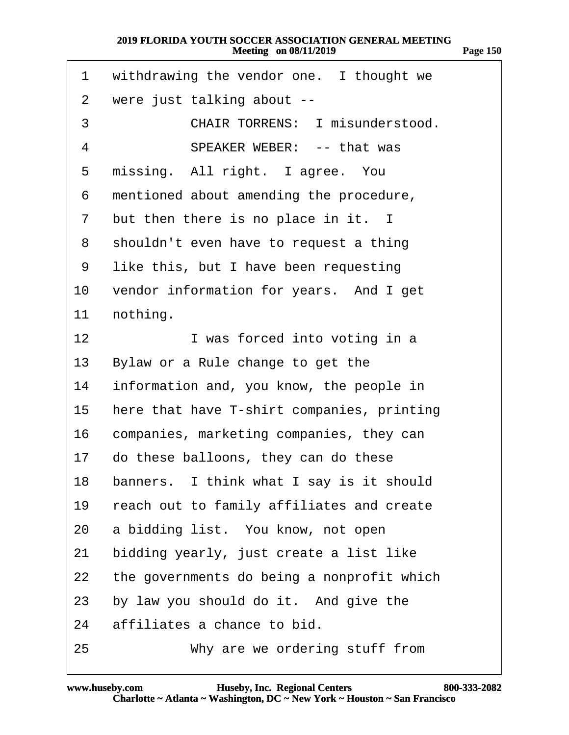| 1              | withdrawing the vendor one. I thought we   |
|----------------|--------------------------------------------|
| 2              | were just talking about --                 |
| 3              | <b>CHAIR TORRENS: I misunderstood.</b>     |
| 4              | SPEAKER WEBER: -- that was                 |
| 5              | missing. All right. I agree. You           |
| 6              | mentioned about amending the procedure,    |
| $\overline{7}$ | but then there is no place in it. I        |
| 8              | shouldn't even have to request a thing     |
| 9              | like this, but I have been requesting      |
| 10             | vendor information for years. And I get    |
| 11             | nothing.                                   |
| 12             | I was forced into voting in a              |
| 13             | Bylaw or a Rule change to get the          |
| 14             | information and, you know, the people in   |
| 15             | here that have T-shirt companies, printing |
| 16             | companies, marketing companies, they can   |
| 17             | do these balloons, they can do these       |
| 18             | banners. I think what I say is it should   |
| 19             | reach out to family affiliates and create  |
| 20             | a bidding list. You know, not open         |
| 21             | bidding yearly, just create a list like    |
| 22             | the governments do being a nonprofit which |
| 23             | by law you should do it. And give the      |
| 24             | affiliates a chance to bid.                |
| 25             | Why are we ordering stuff from             |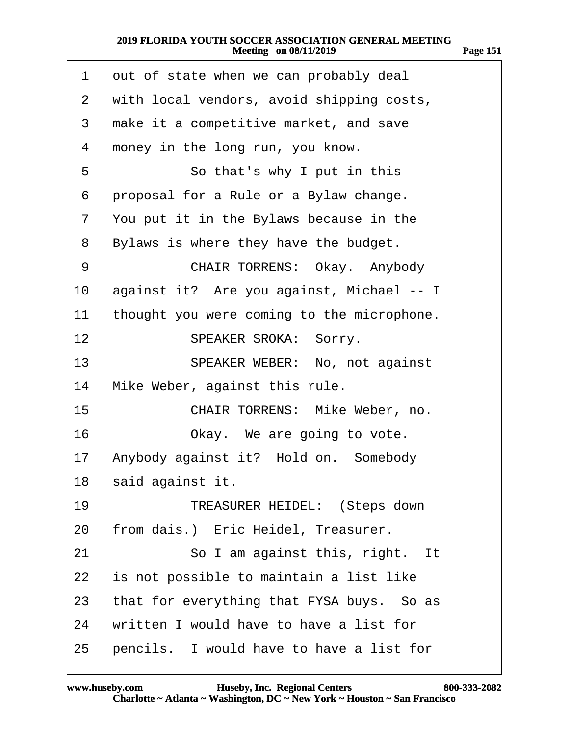| 1  | out of state when we can probably deal     |
|----|--------------------------------------------|
| 2  | with local vendors, avoid shipping costs,  |
| 3  | make it a competitive market, and save     |
| 4  | money in the long run, you know.           |
| 5  | So that's why I put in this                |
| 6  | proposal for a Rule or a Bylaw change.     |
| 7  | You put it in the Bylaws because in the    |
| 8  | Bylaws is where they have the budget.      |
| 9  | <b>CHAIR TORRENS: Okay. Anybody</b>        |
| 10 | against it? Are you against, Michael -- I  |
| 11 | thought you were coming to the microphone. |
| 12 | <b>SPEAKER SROKA: Sorry.</b>               |
| 13 | SPEAKER WEBER: No, not against             |
| 14 | Mike Weber, against this rule.             |
| 15 | CHAIR TORRENS: Mike Weber, no.             |
| 16 | Okay. We are going to vote.                |
| 17 | Anybody against it? Hold on. Somebody      |
| 18 | said against it.                           |
| 19 | <b>TREASURER HEIDEL: (Steps down</b>       |
| 20 | from dais.) Eric Heidel, Treasurer.        |
| 21 | So I am against this, right. It            |
| 22 | is not possible to maintain a list like    |
| 23 | that for everything that FYSA buys. So as  |
| 24 | written I would have to have a list for    |
| 25 | pencils. I would have to have a list for   |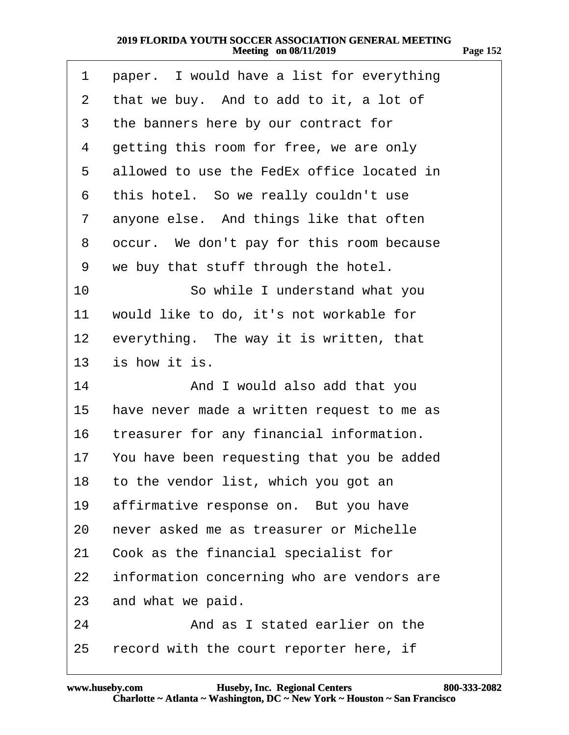| 1       | paper. I would have a list for everything     |
|---------|-----------------------------------------------|
| 2       | that we buy. And to add to it, a lot of       |
| 3       | the banners here by our contract for          |
| 4       | getting this room for free, we are only       |
| 5       | allowed to use the FedEx office located in    |
| 6       | this hotel. So we really couldn't use         |
| 7       | anyone else. And things like that often       |
| 8       | occur. We don't pay for this room because     |
| 9       | we buy that stuff through the hotel.          |
| 10      | So while I understand what you                |
| 11      | would like to do, it's not workable for       |
| $12 \,$ | everything. The way it is written, that       |
| 13      | is how it is.                                 |
| 14      | And I would also add that you                 |
| 15      | have never made a written request to me as    |
| 16      | treasurer for any financial information.      |
|         | 17 You have been requesting that you be added |
| 18      | to the vendor list, which you got an          |
| 19      | affirmative response on. But you have         |
| 20      | never asked me as treasurer or Michelle       |
| 21      | Cook as the financial specialist for          |
| 22      | information concerning who are vendors are    |
| 23      | and what we paid.                             |
| 24      | And as I stated earlier on the                |
| 25      | record with the court reporter here, if       |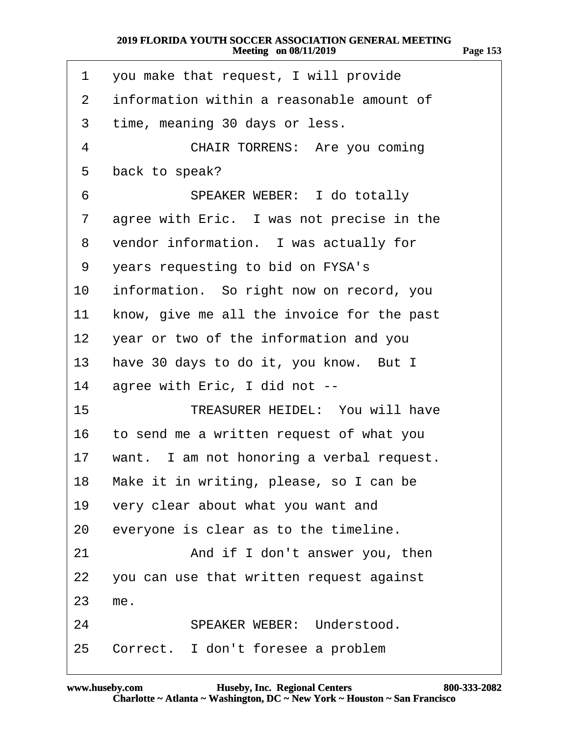| 1               | you make that request, I will provide        |
|-----------------|----------------------------------------------|
| 2               | information within a reasonable amount of    |
| 3               | time, meaning 30 days or less.               |
| 4               | CHAIR TORRENS: Are you coming                |
| 5               | back to speak?                               |
| 6               | <b>SPEAKER WEBER: I do totally</b>           |
| $\overline{7}$  | agree with Eric. I was not precise in the    |
| 8               | vendor information. I was actually for       |
| 9               | years requesting to bid on FYSA's            |
| 10              | information. So right now on record, you     |
| 11              | know, give me all the invoice for the past   |
| 12 <sub>2</sub> | year or two of the information and you       |
| 13              | have 30 days to do it, you know. But I       |
| 14              | agree with Eric, I did not --                |
| 15              | <b>TREASURER HEIDEL: You will have</b>       |
|                 | 16 to send me a written request of what you  |
|                 | 17 want. I am not honoring a verbal request. |
|                 | 18 Make it in writing, please, so I can be   |
| 19              | very clear about what you want and           |
| 20              | everyone is clear as to the timeline.        |
| 21              | And if I don't answer you, then              |
| <u>22</u>       | you can use that written request against     |
| 23              |                                              |
|                 | me.                                          |
| 24              | <b>SPEAKER WEBER: Understood.</b>            |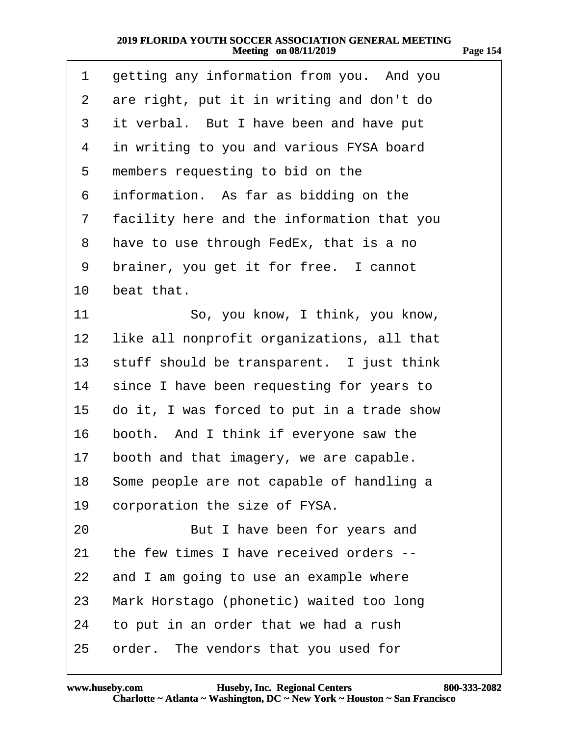| 1              | getting any information from you. And you    |
|----------------|----------------------------------------------|
| 2              | are right, put it in writing and don't do    |
| 3              | it verbal. But I have been and have put      |
| 4              | in writing to you and various FYSA board     |
| 5              | members requesting to bid on the             |
| 6              | information. As far as bidding on the        |
| $\overline{7}$ | facility here and the information that you   |
| 8              | have to use through FedEx, that is a no      |
| 9              | brainer, you get it for free. I cannot       |
| 10             | beat that.                                   |
| 11             | So, you know, I think, you know,             |
| 12             | like all nonprofit organizations, all that   |
| 13             | stuff should be transparent. I just think    |
| 14             | since I have been requesting for years to    |
| 15             | do it, I was forced to put in a trade show   |
| 16             | booth. And I think if everyone saw the       |
| 17             | booth and that imagery, we are capable.      |
|                | 18 Some people are not capable of handling a |
| 19             | corporation the size of FYSA.                |
| 20             | But I have been for years and                |
| 21             | the few times I have received orders --      |
| 22             | and I am going to use an example where       |
| 23             | Mark Horstago (phonetic) waited too long     |
| 24             | to put in an order that we had a rush        |
| 25             | order. The vendors that you used for         |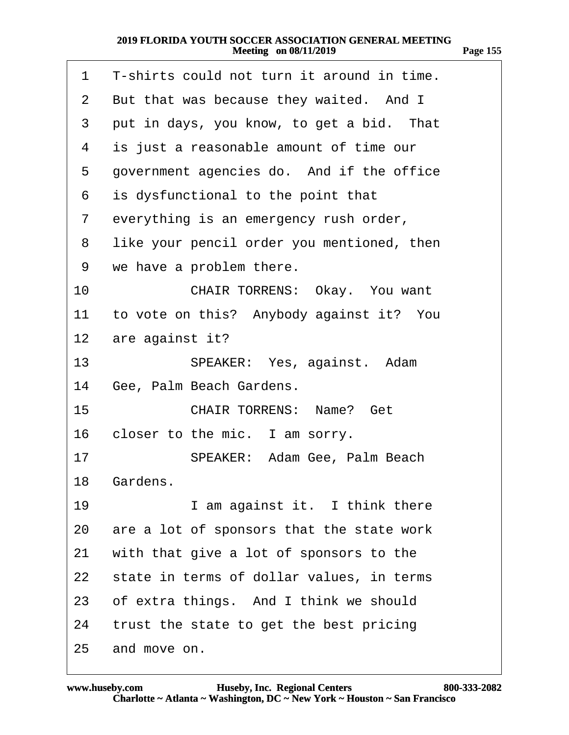| 1               | T-shirts could not turn it around in time. |
|-----------------|--------------------------------------------|
| 2               | But that was because they waited. And I    |
| 3               | put in days, you know, to get a bid. That  |
| 4               | is just a reasonable amount of time our    |
| 5               | government agencies do. And if the office  |
| 6               | is dysfunctional to the point that         |
| $\overline{7}$  | everything is an emergency rush order,     |
| 8               | like your pencil order you mentioned, then |
| 9               | we have a problem there.                   |
| 10              | CHAIR TORRENS: Okay. You want              |
| 11              | to vote on this? Anybody against it? You   |
|                 | 12 are against it?                         |
| 13 <sup>°</sup> | SPEAKER: Yes, against. Adam                |
| 14              | Gee, Palm Beach Gardens.                   |
| 15              | <b>CHAIR TORRENS: Name? Get</b>            |
| 16              | closer to the mic. I am sorry.             |
| 17              | SPEAKER: Adam Gee, Palm Beach              |
| 18              | Gardens.                                   |
| 19              | I am against it. I think there             |
| 20              | are a lot of sponsors that the state work  |
| 21              | with that give a lot of sponsors to the    |
| 22              | state in terms of dollar values, in terms  |
| 23              | of extra things. And I think we should     |
| 24              | trust the state to get the best pricing    |
| 25              | and move on.                               |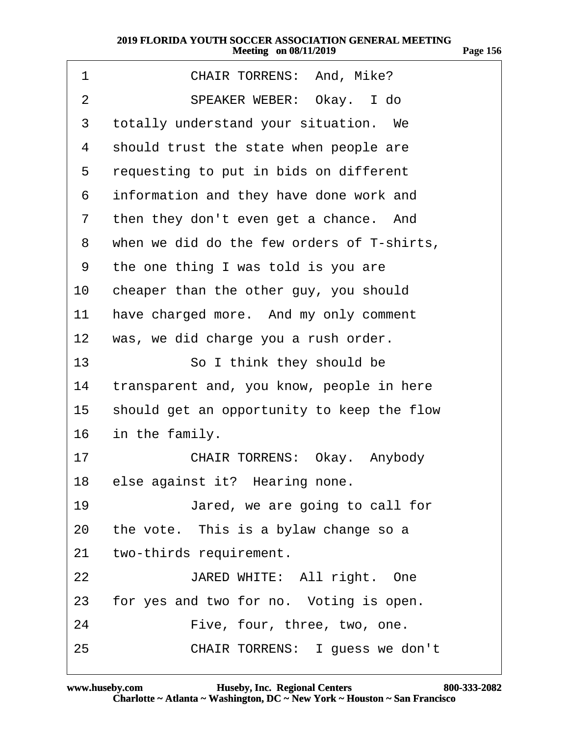| 1              | <b>CHAIR TORRENS: And, Mike?</b>           |
|----------------|--------------------------------------------|
| $\overline{2}$ | SPEAKER WEBER: Okay. I do                  |
| 3              | totally understand your situation. We      |
| 4              | should trust the state when people are     |
| 5              | requesting to put in bids on different     |
| 6              | information and they have done work and    |
| 7              | then they don't even get a chance. And     |
| 8              | when we did do the few orders of T-shirts, |
| 9              | the one thing I was told is you are        |
| 10             | cheaper than the other guy, you should     |
| 11             | have charged more. And my only comment     |
| 12             | was, we did charge you a rush order.       |
| 13             | So I think they should be                  |
| 14             | transparent and, you know, people in here  |
| 15             | should get an opportunity to keep the flow |
| 16             | in the family.                             |
| 17             | CHAIR TORRENS: Okay. Anybody               |
| 18             | else against it? Hearing none.             |
| 19             | Jared, we are going to call for            |
| 20             | the vote. This is a bylaw change so a      |
| 21             | two-thirds requirement.                    |
| 22             | JARED WHITE: All right. One                |
| 23             | for yes and two for no. Voting is open.    |
| 24             | Five, four, three, two, one.               |
| 25             | CHAIR TORRENS: I guess we don't            |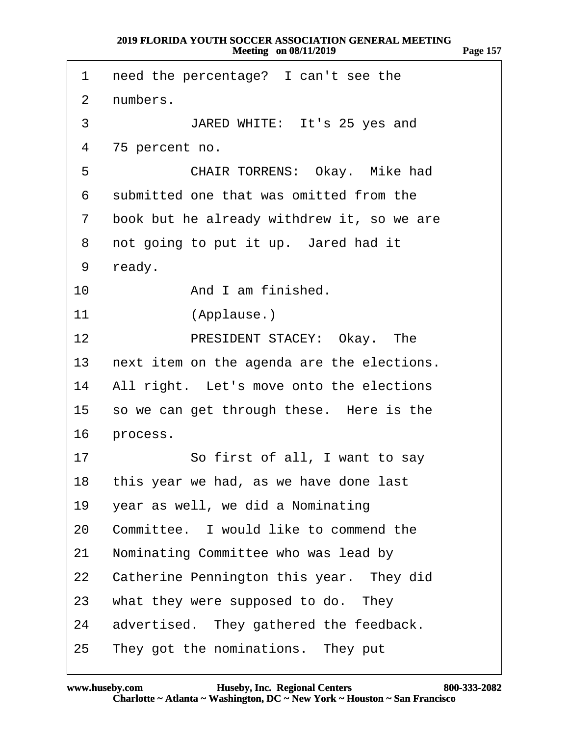| 1              | need the percentage? I can't see the          |
|----------------|-----------------------------------------------|
| 2              | numbers.                                      |
| 3              | JARED WHITE: It's 25 yes and                  |
| 4              | 75 percent no.                                |
| 5              | CHAIR TORRENS: Okay. Mike had                 |
| 6              | submitted one that was omitted from the       |
| $\overline{7}$ | book but he already withdrew it, so we are    |
| 8              | not going to put it up. Jared had it          |
| 9              | ready.                                        |
| 10             | And I am finished.                            |
| 11             | (Applause.)                                   |
| 12             | PRESIDENT STACEY: Okay. The                   |
|                | 13 next item on the agenda are the elections. |
| 14             | All right. Let's move onto the elections      |
| 15             | so we can get through these. Here is the      |
| 16             | process.                                      |
| 17             | So first of all, I want to say                |
| 18             | this year we had, as we have done last        |
| 19             | year as well, we did a Nominating             |
| 20             | Committee. I would like to commend the        |
| 21             | Nominating Committee who was lead by          |
| 22             | Catherine Pennington this year. They did      |
| 23             | what they were supposed to do. They           |
| 24             | advertised. They gathered the feedback.       |
| 25             | They got the nominations. They put            |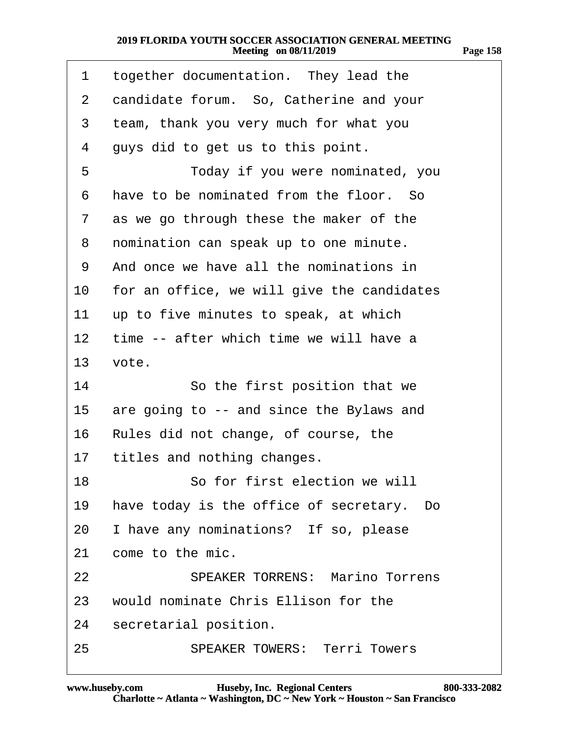| 1              | together documentation. They lead the      |
|----------------|--------------------------------------------|
| 2              | candidate forum. So, Catherine and your    |
| 3              | team, thank you very much for what you     |
| 4              | guys did to get us to this point.          |
| 5              | Today if you were nominated, you           |
| 6              | have to be nominated from the floor. So    |
| $\overline{7}$ | as we go through these the maker of the    |
| 8              | nomination can speak up to one minute.     |
| 9              | And once we have all the nominations in    |
| 10             | for an office, we will give the candidates |
| 11             | up to five minutes to speak, at which      |
| 12             | time -- after which time we will have a    |
| 13             | vote.                                      |
| 14             | So the first position that we              |
| $15\,$         | are going to -- and since the Bylaws and   |
| 16             | Rules did not change, of course, the       |
| 17             | titles and nothing changes.                |
| 18             | So for first election we will              |
| 19             | have today is the office of secretary. Do  |
| 20             | I have any nominations? If so, please      |
| 21             | come to the mic.                           |
| 22             | <b>SPEAKER TORRENS: Marino Torrens</b>     |
| 23             | would nominate Chris Ellison for the       |
| 24             | secretarial position.                      |
| 25             | <b>SPEAKER TOWERS: Terri Towers</b>        |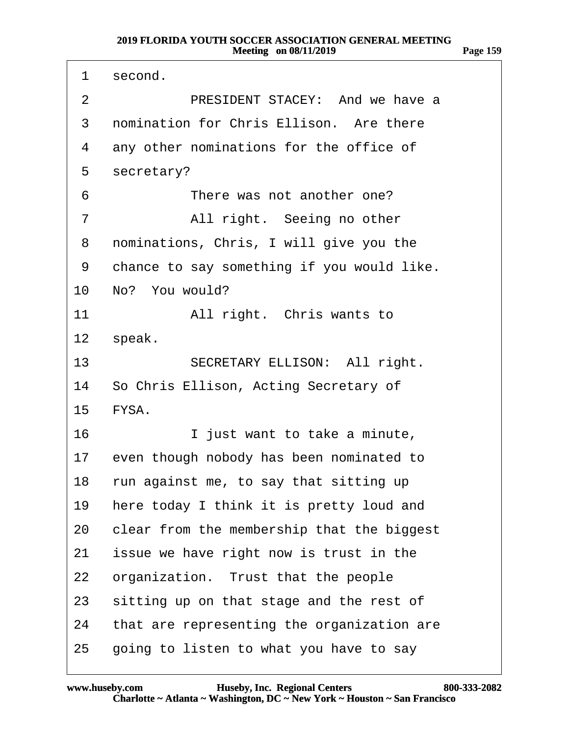| 1               | second.                                     |
|-----------------|---------------------------------------------|
| 2               | PRESIDENT STACEY: And we have a             |
| 3               | nomination for Chris Ellison. Are there     |
| 4               | any other nominations for the office of     |
| 5               | secretary?                                  |
| 6               | There was not another one?                  |
| 7               | All right. Seeing no other                  |
| 8               | nominations, Chris, I will give you the     |
| 9               | chance to say something if you would like.  |
|                 | 10 No? You would?                           |
| 11              | All right. Chris wants to                   |
|                 | 12 speak.                                   |
| 13 <sup>°</sup> | <b>SECRETARY ELLISON: All right.</b>        |
|                 | 14 So Chris Ellison, Acting Secretary of    |
|                 | 15 FYSA.                                    |
| 16              | I just want to take a minute,               |
|                 | 17 even though nobody has been nominated to |
|                 | 18 run against me, to say that sitting up   |
| 19              | here today I think it is pretty loud and    |
| 20              | clear from the membership that the biggest  |
| 21              | issue we have right now is trust in the     |
| 22              | organization. Trust that the people         |
| 23              | sitting up on that stage and the rest of    |
| 24              | that are representing the organization are  |
| 25              | going to listen to what you have to say     |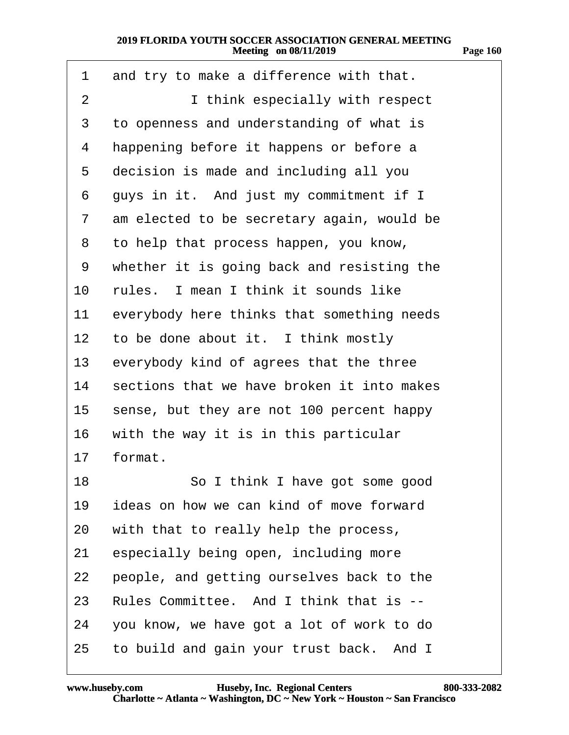| 1               | and try to make a difference with that.    |
|-----------------|--------------------------------------------|
| $\overline{2}$  | I think especially with respect            |
| 3               | to openness and understanding of what is   |
| 4               | happening before it happens or before a    |
| 5               | decision is made and including all you     |
| 6               | guys in it. And just my commitment if I    |
| 7               | am elected to be secretary again, would be |
| 8               | to help that process happen, you know,     |
| 9               | whether it is going back and resisting the |
| 10              | rules. I mean I think it sounds like       |
| 11              | everybody here thinks that something needs |
| 12 <sub>2</sub> | to be done about it. I think mostly        |
| 13              | everybody kind of agrees that the three    |
| 14              | sections that we have broken it into makes |
| 15              | sense, but they are not 100 percent happy  |
| 16              | with the way it is in this particular      |
| 17              | format.                                    |
| 18.             | So I think I have got some good            |
| 19              | ideas on how we can kind of move forward   |
|                 | 20 with that to really help the process,   |
| 21              | especially being open, including more      |
| 22              | people, and getting ourselves back to the  |
| 23              | Rules Committee. And I think that is --    |
| 24              | you know, we have got a lot of work to do  |
| 25              | to build and gain your trust back. And I   |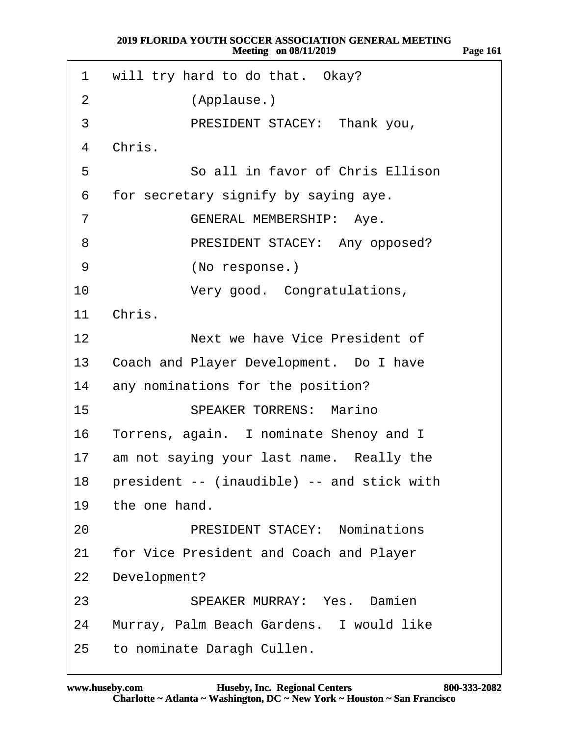| 1               | will try hard to do that. Okay?            |
|-----------------|--------------------------------------------|
| 2               | (Applause.)                                |
| 3               | PRESIDENT STACEY: Thank you,               |
| 4               | Chris.                                     |
| 5               | So all in favor of Chris Ellison           |
| 6               | for secretary signify by saying aye.       |
| 7               | <b>GENERAL MEMBERSHIP: Aye.</b>            |
| 8               | PRESIDENT STACEY: Any opposed?             |
| 9               | (No response.)                             |
| 10              | Very good. Congratulations,                |
| 11              | Chris.                                     |
| 12              | Next we have Vice President of             |
|                 | 13 Coach and Player Development. Do I have |
| 14              | any nominations for the position?          |
| 15              | <b>SPEAKER TORRENS: Marino</b>             |
| 16              | Torrens, again. I nominate Shenoy and I    |
| 17              | am not saying your last name. Really the   |
| 18              | president -- (inaudible) -- and stick with |
| 19              | the one hand.                              |
| 20              | <b>PRESIDENT STACEY: Nominations</b>       |
| 21              | for Vice President and Coach and Player    |
| 22              | Development?                               |
| 23              | <b>SPEAKER MURRAY: Yes. Damien</b>         |
| 24              | Murray, Palm Beach Gardens. I would like   |
| 25 <sub>2</sub> | to nominate Daragh Cullen.                 |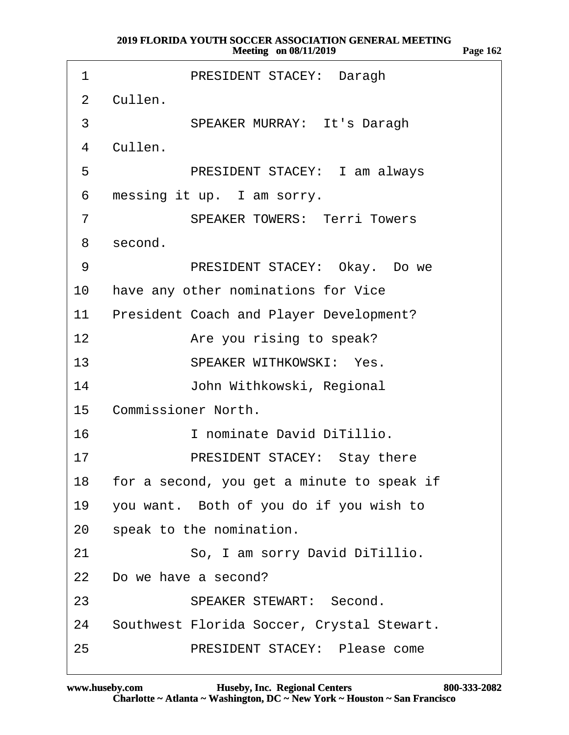| 1               | PRESIDENT STACEY: Daragh                   |
|-----------------|--------------------------------------------|
|                 | 2 Cullen.                                  |
| 3               | SPEAKER MURRAY: It's Daragh                |
| 4               | Cullen.                                    |
| 5               | <b>PRESIDENT STACEY: I am always</b>       |
| 6               | messing it up. I am sorry.                 |
| $\overline{7}$  | <b>SPEAKER TOWERS: Terri Towers</b>        |
| 8               | second.                                    |
| 9               | PRESIDENT STACEY: Okay. Do we              |
| 10              | have any other nominations for Vice        |
| 11              | President Coach and Player Development?    |
| 12 <sup>1</sup> | Are you rising to speak?                   |
| 13 <sup>2</sup> | <b>SPEAKER WITHKOWSKI: Yes.</b>            |
| 14              | John Withkowski, Regional                  |
|                 | 15 Commissioner North.                     |
| 16              | I nominate David DiTillio.                 |
| 17              | <b>PRESIDENT STACEY: Stay there</b>        |
| 18              | for a second, you get a minute to speak if |
| 19              | you want. Both of you do if you wish to    |
| 20              | speak to the nomination.                   |
| 21              | So, I am sorry David DiTillio.             |
| 22              | Do we have a second?                       |
| 23              | <b>SPEAKER STEWART: Second.</b>            |
| 24              | Southwest Florida Soccer, Crystal Stewart. |
| 25              | <b>PRESIDENT STACEY: Please come</b>       |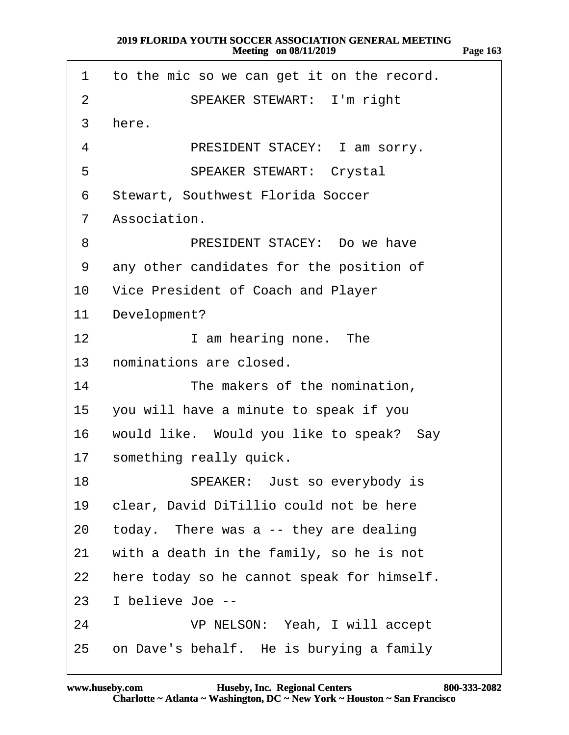| 1                | to the mic so we can get it on the record. |
|------------------|--------------------------------------------|
| 2                | <b>SPEAKER STEWART: I'm right</b>          |
| 3                | here.                                      |
| 4                | PRESIDENT STACEY: I am sorry.              |
| 5                | <b>SPEAKER STEWART: Crystal</b>            |
| 6                | <b>Stewart, Southwest Florida Soccer</b>   |
| $\overline{7}$   | Association.                               |
| 8                | PRESIDENT STACEY: Do we have               |
| 9                | any other candidates for the position of   |
| 10               | Vice President of Coach and Player         |
| 11               | Development?                               |
| 12 <sup>7</sup>  | I am hearing none. The                     |
|                  | 13 nominations are closed.                 |
| 14               | The makers of the nomination,              |
| 15               | you will have a minute to speak if you     |
| 16               | would like. Would you like to speak? Say   |
| 17 <sup>17</sup> | something really quick.                    |
| 18               | SPEAKER: Just so everybody is              |
| 19               | clear, David DiTillio could not be here    |
| 20               | today. There was a -- they are dealing     |
| 21               | with a death in the family, so he is not   |
| 22               | here today so he cannot speak for himself. |
| 23               | I believe Joe --                           |
| 24               | VP NELSON: Yeah, I will accept             |
| 25               | on Dave's behalf. He is burying a family   |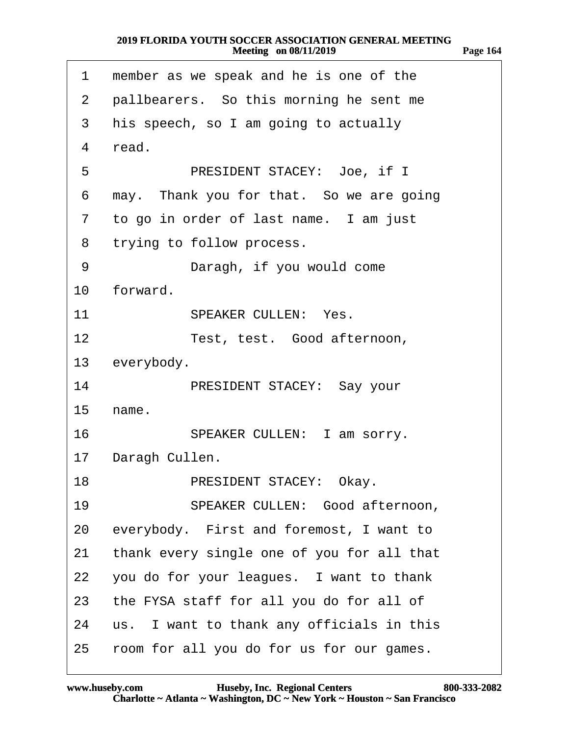| 1                 | member as we speak and he is one of the    |
|-------------------|--------------------------------------------|
| $\overline{2}$    | pallbearers. So this morning he sent me    |
| 3                 | his speech, so I am going to actually      |
| 4                 | read.                                      |
| 5                 | PRESIDENT STACEY: Joe, if I                |
| 6                 | may. Thank you for that. So we are going   |
| $\overline{7}$    | to go in order of last name. I am just     |
| 8                 | trying to follow process.                  |
| 9                 | Daragh, if you would come                  |
| 10                | forward.                                   |
| 11                | <b>SPEAKER CULLEN: Yes.</b>                |
| $12 \overline{ }$ | Test, test. Good afternoon,                |
|                   | 13 everybody.                              |
| 14                | PRESIDENT STACEY: Say your                 |
| 15                | name.                                      |
| 16                | SPEAKER CULLEN: I am sorry.                |
| 17                | Daragh Cullen.                             |
| 18                | PRESIDENT STACEY: Okay.                    |
| 19                | SPEAKER CULLEN: Good afternoon,            |
| 20                | everybody. First and foremost, I want to   |
| 21                | thank every single one of you for all that |
| 22                | you do for your leagues. I want to thank   |
| 23                | the FYSA staff for all you do for all of   |
| 24                | us. I want to thank any officials in this  |
| 25                | room for all you do for us for our games.  |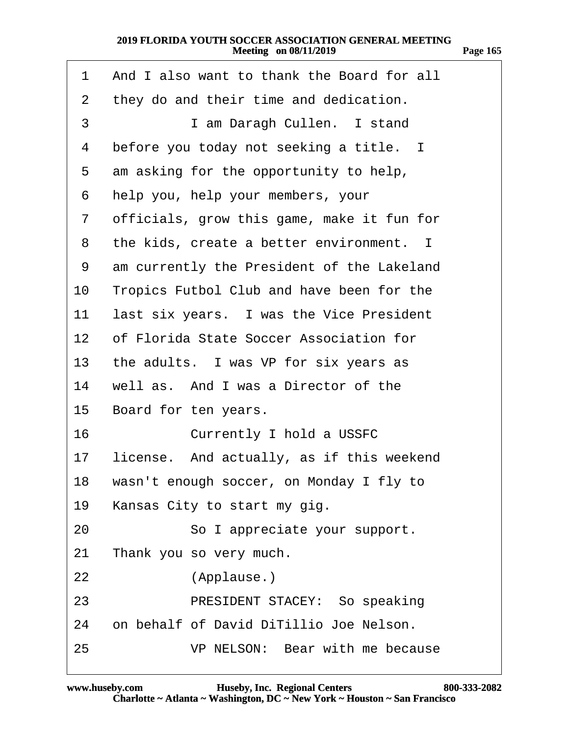| 1               | And I also want to thank the Board for all |
|-----------------|--------------------------------------------|
| 2               | they do and their time and dedication.     |
| 3               | I am Daragh Cullen. I stand                |
| 4               | before you today not seeking a title. I    |
| 5               | am asking for the opportunity to help,     |
| 6               | help you, help your members, your          |
| 7               | officials, grow this game, make it fun for |
| 8               | the kids, create a better environment. I   |
| 9               | am currently the President of the Lakeland |
| 10              | Tropics Futbol Club and have been for the  |
| 11              | last six years. I was the Vice President   |
| 12 <sup>°</sup> | of Florida State Soccer Association for    |
| 13              | the adults. I was VP for six years as      |
| 14              | well as. And I was a Director of the       |
| 15              | Board for ten years.                       |
| 16              | <b>Currently I hold a USSFC</b>            |
| 17              | license. And actually, as if this weekend  |
| 18              | wasn't enough soccer, on Monday I fly to   |
| 19              | Kansas City to start my gig.               |
| 20              | So I appreciate your support.              |
| 21              | Thank you so very much.                    |
| 22              | (Applause.)                                |
| 23              | PRESIDENT STACEY: So speaking              |
| 24              | on behalf of David DiTillio Joe Nelson.    |
| 25              | VP NELSON: Bear with me because            |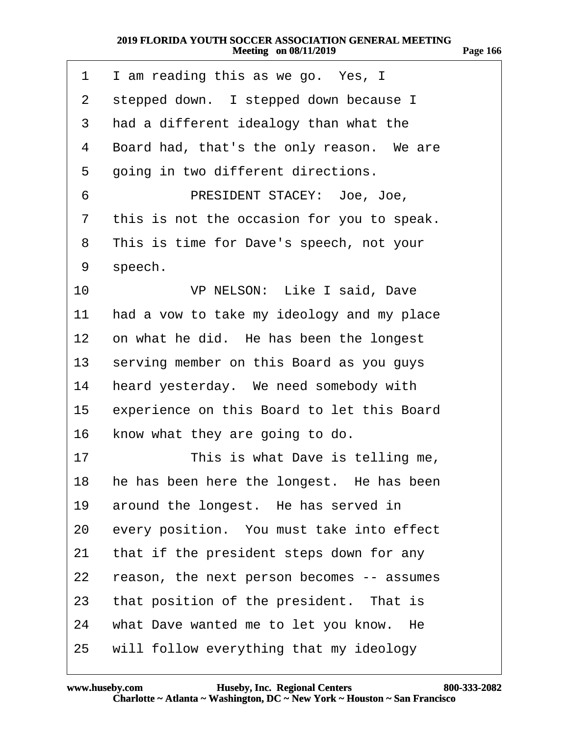| 1                 | I am reading this as we go. Yes, I         |
|-------------------|--------------------------------------------|
| 2                 | stepped down. I stepped down because I     |
| 3                 | had a different idealogy than what the     |
| 4                 | Board had, that's the only reason. We are  |
| 5                 | going in two different directions.         |
| 6                 | PRESIDENT STACEY: Joe, Joe,                |
| 7                 | this is not the occasion for you to speak. |
| 8                 | This is time for Dave's speech, not your   |
| 9                 | speech.                                    |
| 10                | VP NELSON: Like I said, Dave               |
| 11                | had a vow to take my ideology and my place |
| $12 \overline{ }$ | on what he did. He has been the longest    |
| 13 <sup>°</sup>   | serving member on this Board as you guys   |
| 14                | heard yesterday. We need somebody with     |
| 15                | experience on this Board to let this Board |
| 16                | know what they are going to do.            |
| 17                | This is what Dave is telling me,           |
| 18                | he has been here the longest. He has been  |
| 19                | around the longest. He has served in       |
| 20                | every position. You must take into effect  |
| 21                | that if the president steps down for any   |
| 22                | reason, the next person becomes -- assumes |
| 23                | that position of the president. That is    |
| 24                | what Dave wanted me to let you know. He    |
| 25                | will follow everything that my ideology    |

**Page 166**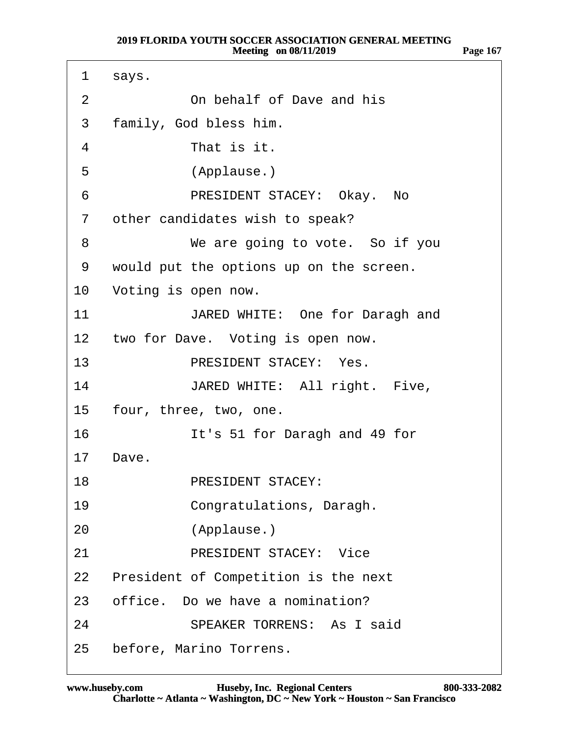| 1               | says.                                   |
|-----------------|-----------------------------------------|
| 2               | On behalf of Dave and his               |
| 3               | family, God bless him.                  |
| 4               | That is it.                             |
| 5               | (Applause.)                             |
| 6               | PRESIDENT STACEY: Okay. No              |
| $\overline{7}$  | other candidates wish to speak?         |
| 8               | We are going to vote. So if you         |
| 9               | would put the options up on the screen. |
|                 | 10 Voting is open now.                  |
| 11              | JARED WHITE: One for Daragh and         |
|                 | 12 two for Dave. Voting is open now.    |
| 13 <sup>°</sup> | PRESIDENT STACEY: Yes.                  |
| 14              | JARED WHITE: All right. Five,           |
| 15              | four, three, two, one.                  |
| 16              | It's 51 for Daragh and 49 for           |
| 17              | Dave.                                   |
| 18.             | <b>PRESIDENT STACEY:</b>                |
| 19              | Congratulations, Daragh.                |
| 20              | (Applause.)                             |
| 21              | <b>PRESIDENT STACEY: Vice</b>           |
|                 | 22 President of Competition is the next |
| 23              | office. Do we have a nomination?        |
| 24              | <b>SPEAKER TORRENS: As I said</b>       |
| 25              | before, Marino Torrens.                 |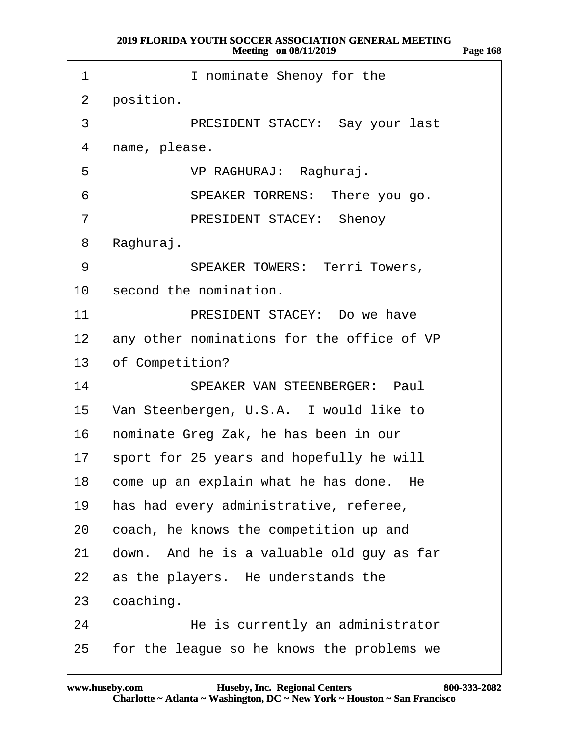| 1               | I nominate Shenoy for the                     |
|-----------------|-----------------------------------------------|
| 2               | position.                                     |
| 3               | PRESIDENT STACEY: Say your last               |
| 4               | name, please.                                 |
| 5               | VP RAGHURAJ: Raghuraj.                        |
| 6               | SPEAKER TORRENS: There you go.                |
| 7               | <b>PRESIDENT STACEY: Shenoy</b>               |
| 8               | Raghuraj.                                     |
| 9               | <b>SPEAKER TOWERS: Terri Towers,</b>          |
| 10              | second the nomination.                        |
| 11              | PRESIDENT STACEY: Do we have                  |
|                 | 12 any other nominations for the office of VP |
|                 | 13 of Competition?                            |
| 14              | <b>SPEAKER VAN STEENBERGER: Paul</b>          |
|                 | 15 Van Steenbergen, U.S.A. I would like to    |
| 16              | nominate Greg Zak, he has been in our         |
| 17 <sup>7</sup> | sport for 25 years and hopefully he will      |
| 18              | come up an explain what he has done. He       |
| 19              | has had every administrative, referee,        |
| 20              | coach, he knows the competition up and        |
| 21              | down. And he is a valuable old guy as far     |
| 22              | as the players. He understands the            |
| 23              | coaching.                                     |
| 24              | He is currently an administrator              |
| 25              | for the league so he knows the problems we    |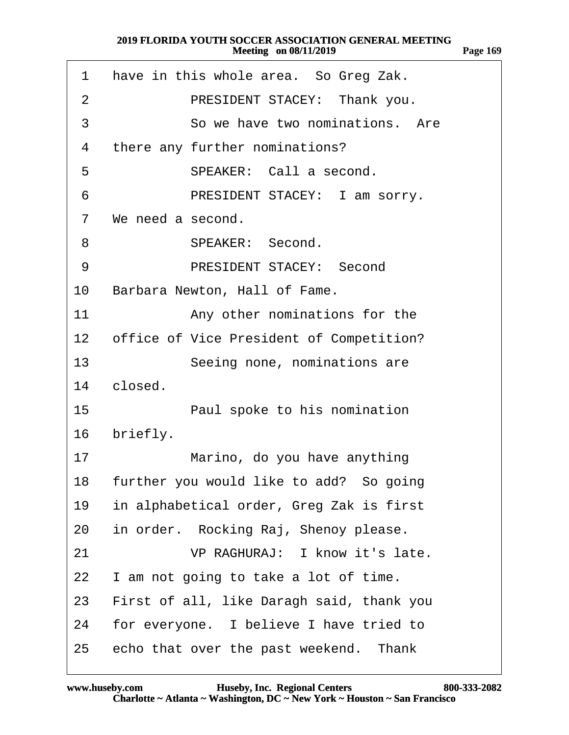| 1              | have in this whole area. So Greg Zak.       |
|----------------|---------------------------------------------|
| 2              | PRESIDENT STACEY: Thank you.                |
| 3              | So we have two nominations. Are             |
| 4              | there any further nominations?              |
| 5              | SPEAKER: Call a second.                     |
| 6              | PRESIDENT STACEY: I am sorry.               |
| $\overline{7}$ | We need a second.                           |
| 8              | <b>SPEAKER: Second.</b>                     |
| 9              | <b>PRESIDENT STACEY: Second</b>             |
| 10             | Barbara Newton, Hall of Fame.               |
| 11             | Any other nominations for the               |
|                | 12 office of Vice President of Competition? |
| 13             | Seeing none, nominations are                |
| 14             | closed.                                     |
| 15             | Paul spoke to his nomination                |
| 16             | briefly.                                    |
| 17             | Marino, do you have anything                |
| 18             | further you would like to add? So going     |
| 19             | in alphabetical order, Greg Zak is first    |
| 20             | in order. Rocking Raj, Shenoy please.       |
| 21             | VP RAGHURAJ: I know it's late.              |
| 22             | I am not going to take a lot of time.       |
| 23             | First of all, like Daragh said, thank you   |
| 24             | for everyone. I believe I have tried to     |
| 25             | echo that over the past weekend. Thank      |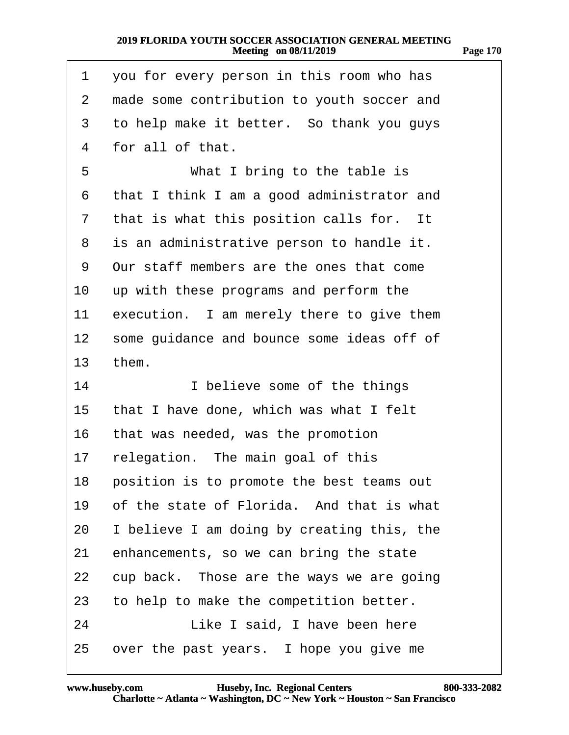| 1  | you for every person in this room who has  |
|----|--------------------------------------------|
| 2  | made some contribution to youth soccer and |
| 3  | to help make it better. So thank you guys  |
| 4  | for all of that.                           |
| 5  | What I bring to the table is               |
| 6  | that I think I am a good administrator and |
| 7  | that is what this position calls for. It   |
| 8  | is an administrative person to handle it.  |
| 9  | Our staff members are the ones that come   |
| 10 | up with these programs and perform the     |
| 11 | execution. I am merely there to give them  |
| 12 | some guidance and bounce some ideas off of |
| 13 | them.                                      |
| 14 | I believe some of the things               |
| 15 | that I have done, which was what I felt    |
| 16 | that was needed, was the promotion         |
| 17 | relegation. The main goal of this          |
| 18 | position is to promote the best teams out  |
| 19 | of the state of Florida. And that is what  |
| 20 | I believe I am doing by creating this, the |
| 21 | enhancements, so we can bring the state    |
| 22 | cup back. Those are the ways we are going  |
| 23 | to help to make the competition better.    |
| 24 | Like I said, I have been here              |
| 25 | over the past years. I hope you give me    |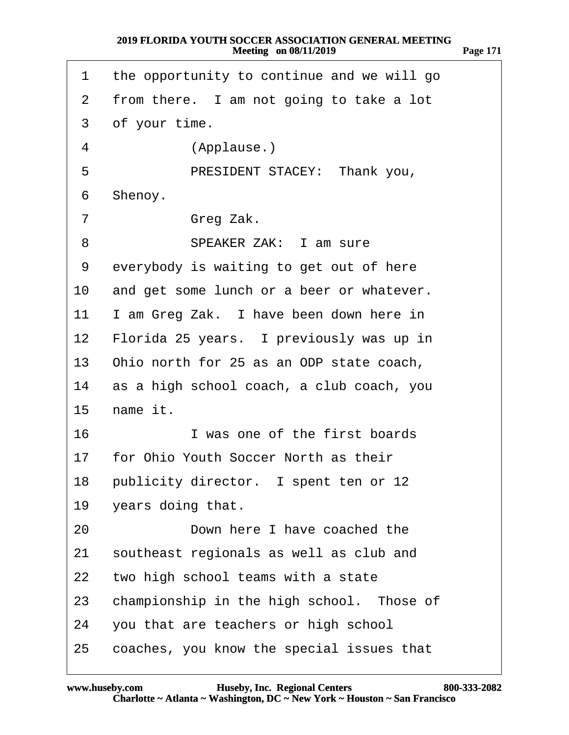|  | .,<br> |  |
|--|--------|--|
|--|--------|--|

| 1               | the opportunity to continue and we will go |
|-----------------|--------------------------------------------|
| 2               | from there. I am not going to take a lot   |
| 3               | of your time.                              |
| 4               | (Applause.)                                |
| 5               | PRESIDENT STACEY: Thank you,               |
| 6               | Shenoy.                                    |
| 7               | Greg Zak.                                  |
| 8               | <b>SPEAKER ZAK: I am sure</b>              |
| 9               | everybody is waiting to get out of here    |
| 10              | and get some lunch or a beer or whatever.  |
| 11              | I am Greg Zak. I have been down here in    |
| 12              | Florida 25 years. I previously was up in   |
| 13              | Ohio north for 25 as an ODP state coach,   |
| 14              | as a high school coach, a club coach, you  |
| 15              | name it.                                   |
| 16              | I was one of the first boards              |
| 17 <sub>2</sub> | for Ohio Youth Soccer North as their       |
|                 | 18 publicity director. I spent ten or 12   |
| 19              | years doing that.                          |
| 20              | Down here I have coached the               |
| 21              | southeast regionals as well as club and    |
| 22              | two high school teams with a state         |
| 23              | championship in the high school. Those of  |
| 24              | you that are teachers or high school       |
| 25              | coaches, you know the special issues that  |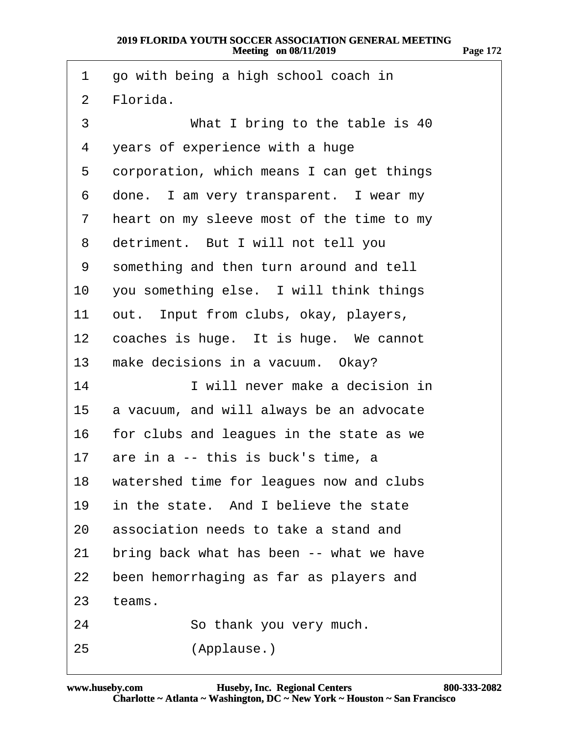- 1 go with being a high school coach in
- 2 Florida.
- 3 What I bring to the table is 40
- 4 years of experience with a huge
- 5 corporation, which means I can get things
- 6 done. I am very transparent. I wear my
- 7 heart on my sleeve most of the time to my
- 8 detriment. But I will not tell you
- 9 something and then turn around and tell
- 10 you something else. I will think things
- 11 out. Input from clubs, okay, players,
- 12 coaches is huge. It is huge. We cannot
- 13 make decisions in a vacuum. Okay?
- 14 **· · ·** I will never make a decision in
- 15 a vacuum, and will always be an advocate
- 16 for clubs and leagues in the state as we
- 17 are in  $a -$  this is buck's time, a
- 18 watershed time for leagues now and clubs
- 19 in the state. And I believe the state
- 20 association needs to take a stand and
- 21 bring back what has been -- what we have
- 22 been hemorrhaging as far as players and
- 23 teams.
- 24 · · · So thank you very much.
- 25 *(Applause.)*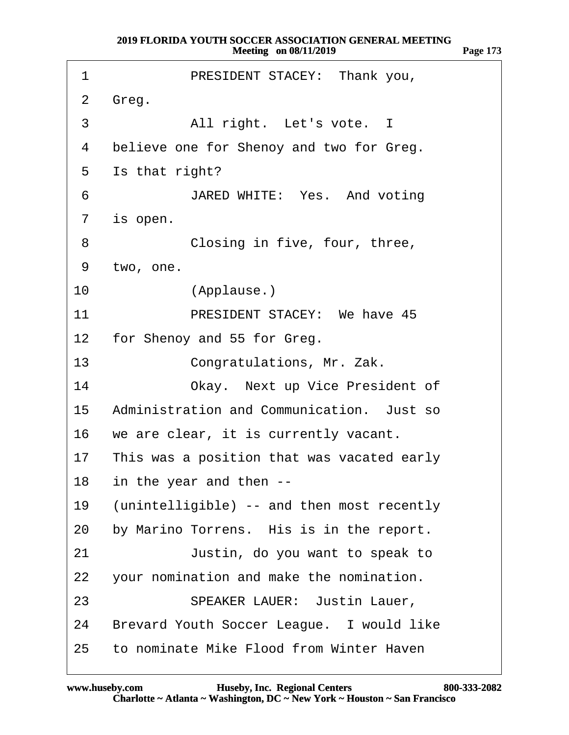| 1              | PRESIDENT STACEY: Thank you,               |
|----------------|--------------------------------------------|
| $\overline{2}$ | Greg.                                      |
| 3              | All right. Let's vote. I                   |
| 4              | believe one for Shenoy and two for Greg.   |
| 5              | Is that right?                             |
| 6              | JARED WHITE: Yes. And voting               |
| $\overline{7}$ | is open.                                   |
| 8              | Closing in five, four, three,              |
| 9              | two, one.                                  |
| 10             | (Applause.)                                |
| 11             | PRESIDENT STACEY: We have 45               |
|                | 12 for Shenoy and 55 for Greg.             |
| 13             | Congratulations, Mr. Zak.                  |
| 14             | Okay. Next up Vice President of            |
| 15             | Administration and Communication. Just so  |
|                | 16 we are clear, it is currently vacant.   |
| 17             | This was a position that was vacated early |
| 18             | in the year and then --                    |
| 19             | (unintelligible) -- and then most recently |
| 20             | by Marino Torrens. His is in the report.   |
| 21             | Justin, do you want to speak to            |
| 22             | your nomination and make the nomination.   |
| 23             | <b>SPEAKER LAUER: Justin Lauer,</b>        |
| 24             | Brevard Youth Soccer League. I would like  |
| 25             | to nominate Mike Flood from Winter Haven   |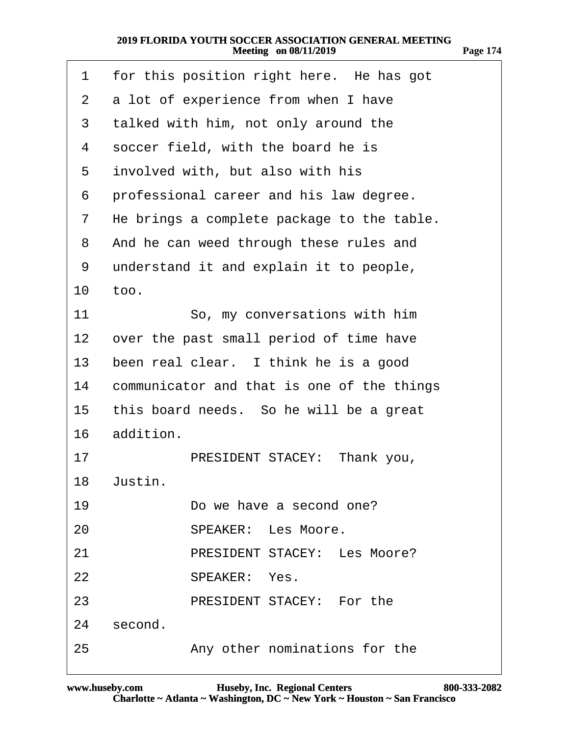- 1 for this position right here. He has got
- 2 a lot of experience from when I have
- 3 talked with him, not only around the
- 4 soccer field, with the board he is
- 5 involved with, but also with his
- 6 professional career and his law degree.
- 7 He brings a complete package to the table.
- 8 And he can weed through these rules and
- 9 understand it and explain it to people,
- 10 too.
- 11 · · · So, my conversations with him
- 12 over the past small period of time have
- 13 been real clear. I think he is a good
- 14 communicator and that is one of the things
- 15 this board needs. So he will be a great
- 16 addition.
- 17 PRESIDENT STACEY: Thank you,
- 18 Justin.
- 19 **· · · · Do we have a second one?**
- 20 · · · · SPEAKER: Les Moore.
- 21 PRESIDENT STACEY: Les Moore?
- 22 SPEAKER: Yes.
- 23 PRESIDENT STACEY: For the
- 24 second.
- 25 **Any other nominations for the**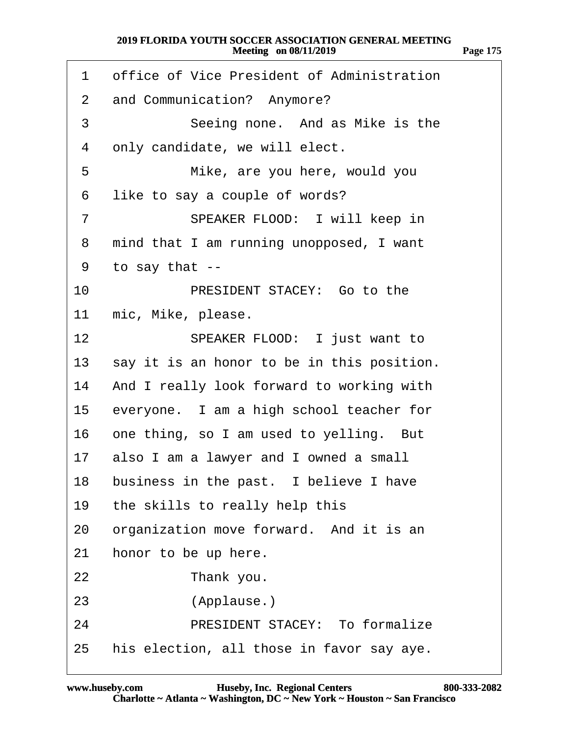| 1               | office of Vice President of Administration  |
|-----------------|---------------------------------------------|
| 2               | and Communication? Anymore?                 |
| 3               | Seeing none. And as Mike is the             |
| 4               | only candidate, we will elect.              |
| 5               | Mike, are you here, would you               |
| 6               | like to say a couple of words?              |
| $\overline{7}$  | SPEAKER FLOOD: I will keep in               |
| 8               | mind that I am running unopposed, I want    |
| 9               | to say that --                              |
| 10              | PRESIDENT STACEY: Go to the                 |
| 11              | mic, Mike, please.                          |
| 12              | SPEAKER FLOOD: I just want to               |
| 13              | say it is an honor to be in this position.  |
| 14              | And I really look forward to working with   |
|                 | 15 everyone. I am a high school teacher for |
| 16              | one thing, so I am used to yelling. But     |
| 17 <sup>1</sup> | also I am a lawyer and I owned a small      |
|                 | 18 business in the past. I believe I have   |
| 19              | the skills to really help this              |
| 20              | organization move forward. And it is an     |
| 21              | honor to be up here.                        |
| 22              | Thank you.                                  |
| 23              | (Applause.)                                 |
| 24              | <b>PRESIDENT STACEY: To formalize</b>       |
| 25              | his election, all those in favor say aye.   |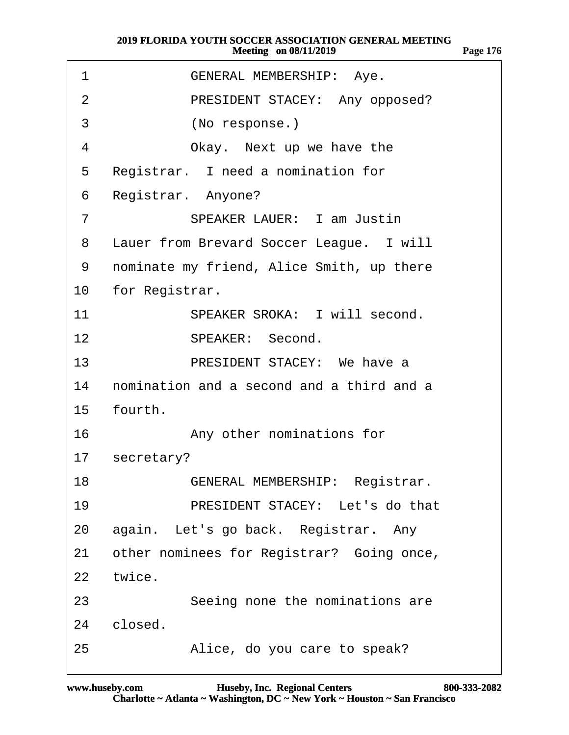| 1              | <b>GENERAL MEMBERSHIP: Aye.</b>           |
|----------------|-------------------------------------------|
| 2              | PRESIDENT STACEY: Any opposed?            |
| 3              | (No response.)                            |
| 4              | Okay. Next up we have the                 |
| 5              | Registrar. I need a nomination for        |
| 6              | Registrar. Anyone?                        |
| $\overline{7}$ | <b>SPEAKER LAUER: I am Justin</b>         |
| 8              | Lauer from Brevard Soccer League. I will  |
| 9              | nominate my friend, Alice Smith, up there |
| 10             | for Registrar.                            |
| 11             | SPEAKER SROKA: I will second.             |
| 12             | <b>SPEAKER: Second.</b>                   |
| 13             | PRESIDENT STACEY: We have a               |
| 14             | nomination and a second and a third and a |
| 15             | fourth.                                   |
| 16             | Any other nominations for                 |
| 17             | secretary?                                |
| 18             | <b>GENERAL MEMBERSHIP: Registrar.</b>     |
| 19             | PRESIDENT STACEY: Let's do that           |
| 20             | again. Let's go back. Registrar. Any      |
| 21             | other nominees for Registrar? Going once, |
| 22             | twice.                                    |
| 23             | Seeing none the nominations are           |
| 24             | closed.                                   |
| 25             | Alice, do you care to speak?              |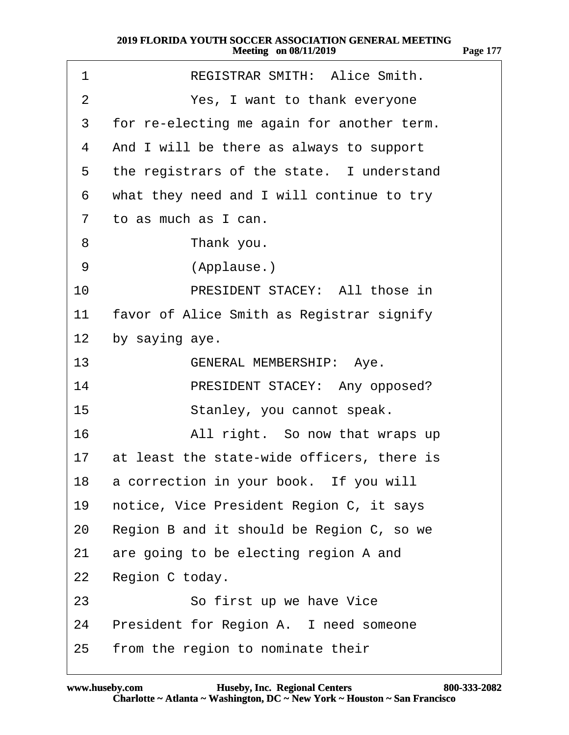| 1            | <b>REGISTRAR SMITH: Alice Smith.</b>          |
|--------------|-----------------------------------------------|
| 2            | Yes, I want to thank everyone                 |
| 3            | for re-electing me again for another term.    |
| 4            | And I will be there as always to support      |
| 5            | the registrars of the state. I understand     |
| 6            | what they need and I will continue to try     |
| $\mathbf{7}$ | to as much as I can.                          |
| 8            | Thank you.                                    |
| 9            | (Applause.)                                   |
| 10           | PRESIDENT STACEY: All those in                |
| 11           | favor of Alice Smith as Registrar signify     |
| 12           | by saying aye.                                |
| 13           | <b>GENERAL MEMBERSHIP: Aye.</b>               |
| 14           | PRESIDENT STACEY: Any opposed?                |
| 15           | Stanley, you cannot speak.                    |
| 16           | All right. So now that wraps up               |
|              | 17 at least the state-wide officers, there is |
|              | 18 a correction in your book. If you will     |
| 19           | notice, Vice President Region C, it says      |
| 20           | Region B and it should be Region C, so we     |
| 21           | are going to be electing region A and         |
| 22           | Region C today.                               |
| 23           | So first up we have Vice                      |
|              | 24 President for Region A. I need someone     |
| 25           | from the region to nominate their             |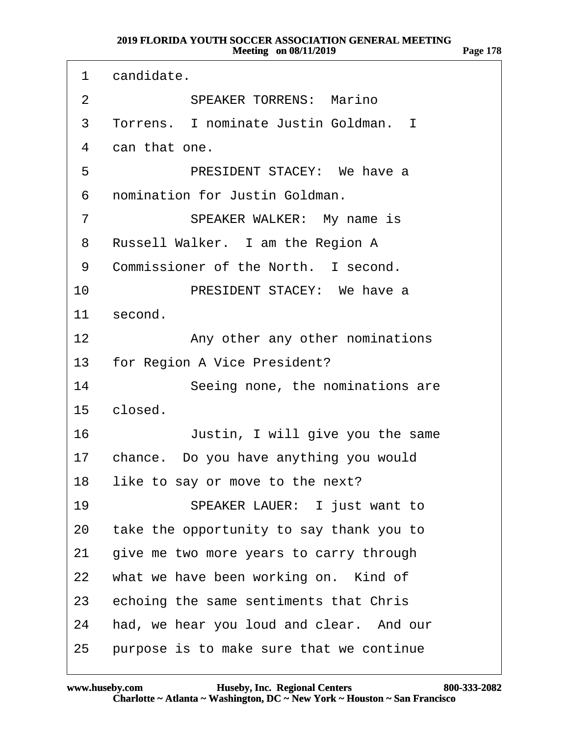1 candidate. 2 SPEAKER TORRENS: Marino 3 Torrens. I nominate Justin Goldman. I 4 can that one. 5 PRESIDENT STACEY: We have a ·6· ·nomination for Justin Goldman. 7 SPEAKER WALKER: My name is 8 Russell Walker. I am the Region A 9 Commissioner of the North. I second. 10 PRESIDENT STACEY: We have a 11 second. 12 • **Any other any other nominations** 13 for Region A Vice President? 14 Seeing none, the nominations are 15 closed. 16 **Justin, I will give you the same** 17 chance. Do you have anything you would 18 like to say or move to the next? 19 **· · SPEAKER LAUER:** I just want to 20 take the opportunity to say thank you to 21 give me two more years to carry through 22 what we have been working on. Kind of 23 echoing the same sentiments that Chris 24 had, we hear you loud and clear. And our 25 purpose is to make sure that we continue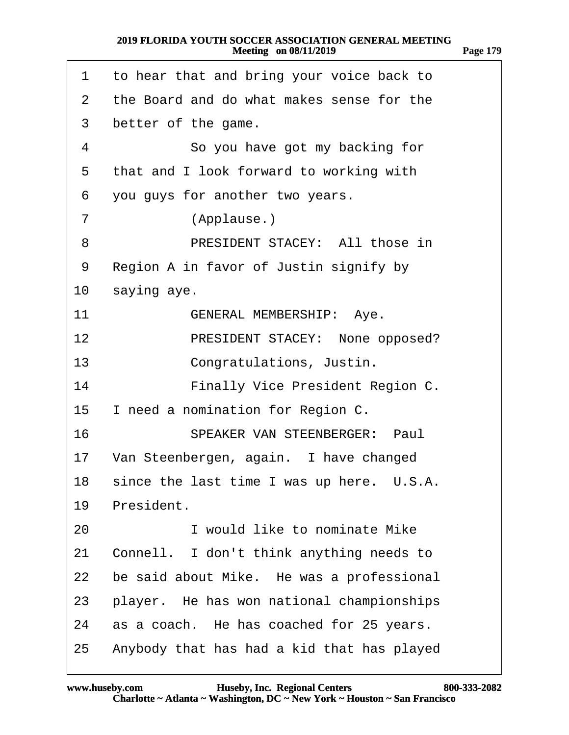| 1  | to hear that and bring your voice back to  |
|----|--------------------------------------------|
| 2  | the Board and do what makes sense for the  |
| 3  | better of the game.                        |
| 4  | So you have got my backing for             |
| 5  | that and I look forward to working with    |
| 6  | you guys for another two years.            |
| 7  | (Applause.)                                |
| 8  | PRESIDENT STACEY: All those in             |
| 9  | Region A in favor of Justin signify by     |
| 10 | saying aye.                                |
| 11 | <b>GENERAL MEMBERSHIP: Aye.</b>            |
| 12 | PRESIDENT STACEY: None opposed?            |
| 13 | Congratulations, Justin.                   |
| 14 | Finally Vice President Region C.           |
| 15 | I need a nomination for Region C.          |
| 16 | <b>SPEAKER VAN STEENBERGER: Paul</b>       |
| 17 | Van Steenbergen, again. I have changed     |
| 18 | since the last time I was up here. U.S.A.  |
| 19 | President.                                 |
| 20 | I would like to nominate Mike              |
| 21 | Connell. I don't think anything needs to   |
| 22 | be said about Mike. He was a professional  |
| 23 | player. He has won national championships  |
| 24 | as a coach. He has coached for 25 years.   |
| 25 | Anybody that has had a kid that has played |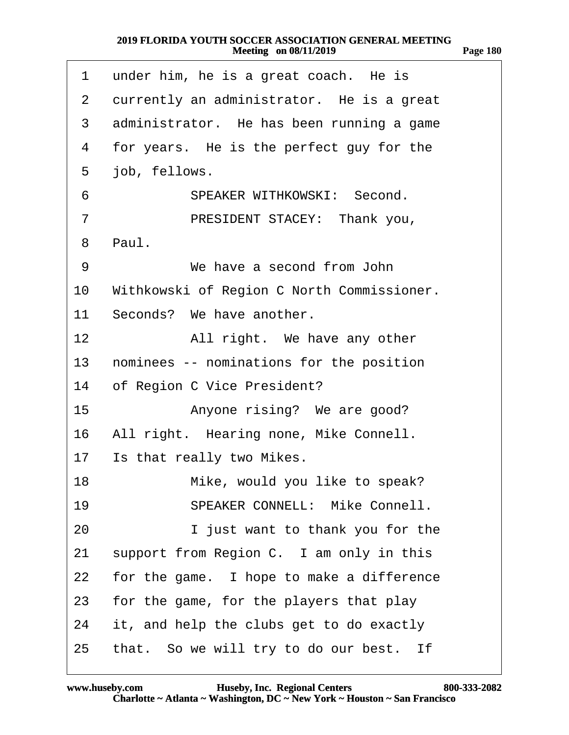| 1         | under him, he is a great coach. He is       |
|-----------|---------------------------------------------|
| 2         | currently an administrator. He is a great   |
| 3         | administrator. He has been running a game   |
| 4         | for years. He is the perfect guy for the    |
| 5         | job, fellows.                               |
| 6         | <b>SPEAKER WITHKOWSKI: Second.</b>          |
| 7         | PRESIDENT STACEY: Thank you,                |
| 8         | Paul.                                       |
| 9         | We have a second from John                  |
| 10        | Withkowski of Region C North Commissioner.  |
| 11        | Seconds? We have another.                   |
| 12        | All right. We have any other                |
|           | 13 nominees -- nominations for the position |
| 14        | of Region C Vice President?                 |
| 15        | Anyone rising? We are good?                 |
| 16        | All right. Hearing none, Mike Connell.      |
|           | 17 Is that really two Mikes.                |
| 18        | Mike, would you like to speak?              |
| 19        | <b>SPEAKER CONNELL: Mike Connell.</b>       |
| 20        | I just want to thank you for the            |
| 21        | support from Region C. I am only in this    |
| <u>22</u> | for the game. I hope to make a difference   |
| 23        | for the game, for the players that play     |
| 24        | it, and help the clubs get to do exactly    |
| 25        | that. So we will try to do our best. If     |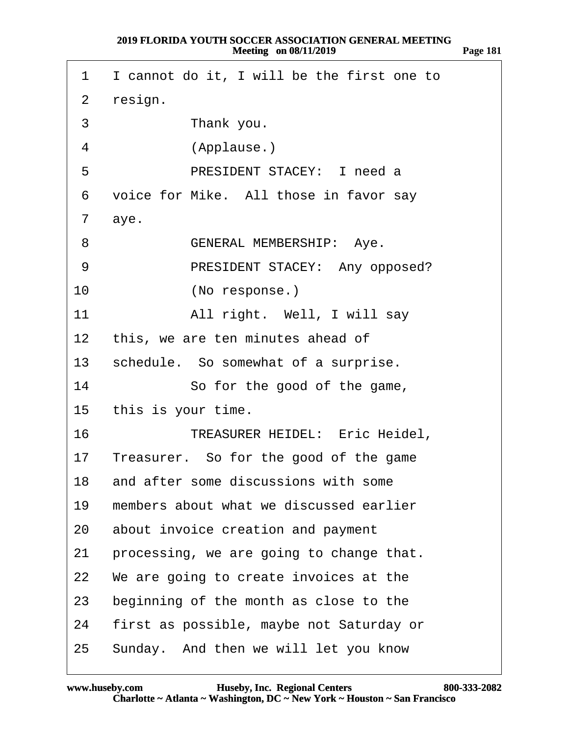<span id="page-180-0"></span>

| 1               | I cannot do it, I will be the first one to |
|-----------------|--------------------------------------------|
| $\overline{2}$  | resign.                                    |
| 3               | Thank you.                                 |
| 4               | (Applause.)                                |
| 5               | PRESIDENT STACEY: I need a                 |
| 6               | voice for Mike. All those in favor say     |
| $\mathbf{7}$    | aye.                                       |
| 8               | <b>GENERAL MEMBERSHIP: Aye.</b>            |
| 9               | PRESIDENT STACEY: Any opposed?             |
| 10              | (No response.)                             |
| 11              | All right. Well, I will say                |
| 12 <sup>1</sup> | this, we are ten minutes ahead of          |
|                 | 13 schedule. So somewhat of a surprise.    |
| 14              | So for the good of the game,               |
| 15              | this is your time.                         |
| 16              | <b>TREASURER HEIDEL: Eric Heidel,</b>      |
| 17              | Treasurer. So for the good of the game     |
| 18              | and after some discussions with some       |
| 19              | members about what we discussed earlier    |
| 20              | about invoice creation and payment         |
| 21              | processing, we are going to change that.   |
| 22              | We are going to create invoices at the     |
| 23              | beginning of the month as close to the     |
| 24              | first as possible, maybe not Saturday or   |
| 25              | Sunday. And then we will let you know      |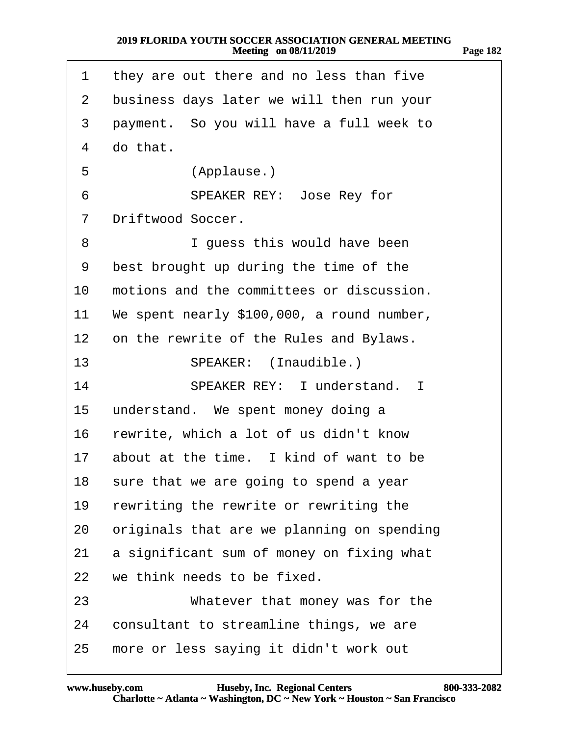| נ מ |  |
|-----|--|
|-----|--|

<span id="page-181-0"></span>

| 1               | they are out there and no less than five   |
|-----------------|--------------------------------------------|
| $\mathbf{2}$    | business days later we will then run your  |
| 3               | payment. So you will have a full week to   |
| 4               | do that.                                   |
| 5               | (Applause.)                                |
| 6               | SPEAKER REY: Jose Rey for                  |
| $\overline{7}$  | Driftwood Soccer.                          |
| 8               | I guess this would have been               |
| 9               | best brought up during the time of the     |
| 10              | motions and the committees or discussion.  |
| 11              | We spent nearly \$100,000, a round number, |
| 12 <sup>°</sup> | on the rewrite of the Rules and Bylaws.    |
| 13 <sup>°</sup> | SPEAKER: (Inaudible.)                      |
| 14              | SPEAKER REY: I understand. I               |
| 15 <sub>1</sub> | understand. We spent money doing a         |
| 16              | rewrite, which a lot of us didn't know     |
| 17              | about at the time. I kind of want to be    |
|                 | 18 sure that we are going to spend a year  |
| 19              | rewriting the rewrite or rewriting the     |
| 20              | originals that are we planning on spending |
| 21              | a significant sum of money on fixing what  |
| 22              | we think needs to be fixed.                |
| 23              | Whatever that money was for the            |
| 24              | consultant to streamline things, we are    |
| 25              | more or less saying it didn't work out     |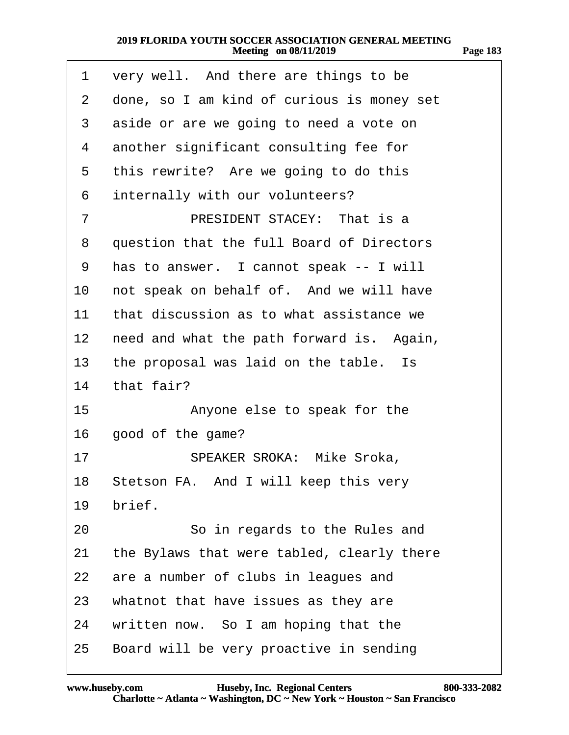<span id="page-182-0"></span>

| 1              | very well. And there are things to be      |
|----------------|--------------------------------------------|
| $\overline{2}$ | done, so I am kind of curious is money set |
| 3              | aside or are we going to need a vote on    |
| 4              | another significant consulting fee for     |
| 5              | this rewrite? Are we going to do this      |
| 6              | internally with our volunteers?            |
| 7              | PRESIDENT STACEY: That is a                |
| 8              | question that the full Board of Directors  |
| 9              | has to answer. I cannot speak -- I will    |
| 10             | not speak on behalf of. And we will have   |
| 11             | that discussion as to what assistance we   |
| 12             | need and what the path forward is. Again,  |
| 13             | the proposal was laid on the table. Is     |
|                | 14 that fair?                              |
| 15             | Anyone else to speak for the               |
| 16             | good of the game?                          |
| 17             | <b>SPEAKER SROKA: Mike Sroka,</b>          |
|                | 18 Stetson FA. And I will keep this very   |
| 19             | brief.                                     |
| 20             | So in regards to the Rules and             |
| 21             | the Bylaws that were tabled, clearly there |
| 22             | are a number of clubs in leagues and       |
| 23             | whatnot that have issues as they are       |
| 24             | written now. So I am hoping that the       |
| 25             | Board will be very proactive in sending    |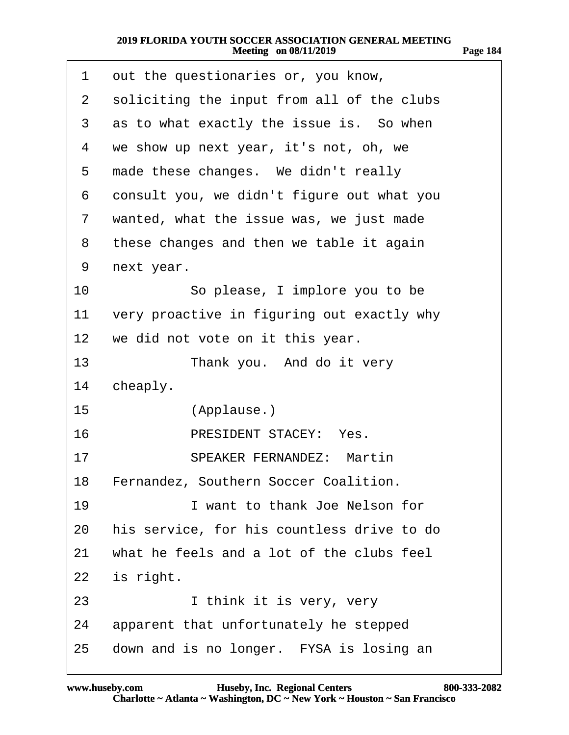<span id="page-183-0"></span>

| 1               | out the questionaries or, you know,        |
|-----------------|--------------------------------------------|
| 2               | soliciting the input from all of the clubs |
| 3               | as to what exactly the issue is. So when   |
| 4               | we show up next year, it's not, oh, we     |
| 5               | made these changes. We didn't really       |
| 6               | consult you, we didn't figure out what you |
| 7               | wanted, what the issue was, we just made   |
| 8               | these changes and then we table it again   |
| 9               | next year.                                 |
| 10              | So please, I implore you to be             |
| 11              | very proactive in figuring out exactly why |
| 12 <sup>1</sup> | we did not vote on it this year.           |
| 13              | Thank you. And do it very                  |
| 14              | cheaply.                                   |
| 15              | (Applause.)                                |
| 16              | PRESIDENT STACEY: Yes.                     |
| 17              | <b>SPEAKER FERNANDEZ: Martin</b>           |
|                 | 18 Fernandez, Southern Soccer Coalition.   |
| 19              | I want to thank Joe Nelson for             |
| 20              | his service, for his countless drive to do |
| 21              | what he feels and a lot of the clubs feel  |
| 22              | is right.                                  |
| 23              | I think it is very, very                   |
| 24              | apparent that unfortunately he stepped     |
| 25              | down and is no longer. FYSA is losing an   |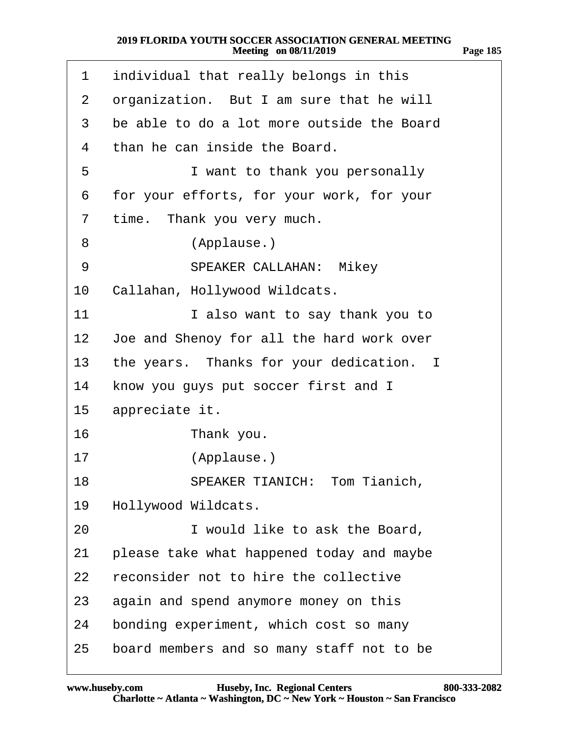<span id="page-184-0"></span>

| 1               | individual that really belongs in this     |
|-----------------|--------------------------------------------|
| 2               | organization. But I am sure that he will   |
| 3               | be able to do a lot more outside the Board |
| 4               | than he can inside the Board.              |
| 5               | I want to thank you personally             |
| 6               | for your efforts, for your work, for your  |
| 7               | time. Thank you very much.                 |
| 8               | (Applause.)                                |
| 9               | <b>SPEAKER CALLAHAN: Mikey</b>             |
| 10              | Callahan, Hollywood Wildcats.              |
| 11              | I also want to say thank you to            |
| 12 <sub>2</sub> | Joe and Shenoy for all the hard work over  |
| 13              | the years. Thanks for your dedication. I   |
| 14              | know you guys put soccer first and I       |
| 15              | appreciate it.                             |
| 16              | Thank you.                                 |
| 17              | (Applause.)                                |
| 18              | SPEAKER TIANICH: Tom Tianich,              |
| 19              | Hollywood Wildcats.                        |
| 20              | I would like to ask the Board,             |
| 21              | please take what happened today and maybe  |
| 22              | reconsider not to hire the collective      |
| 23              | again and spend anymore money on this      |
| 24              | bonding experiment, which cost so many     |
| 25              | board members and so many staff not to be  |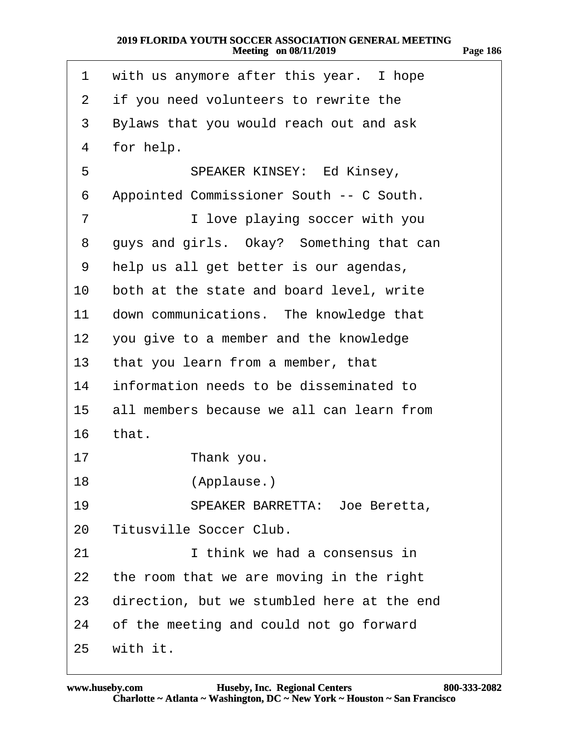<span id="page-185-0"></span>

| 1               | with us anymore after this year. I hope    |
|-----------------|--------------------------------------------|
| 2               | if you need volunteers to rewrite the      |
| 3               | Bylaws that you would reach out and ask    |
| 4               | for help.                                  |
| 5               | SPEAKER KINSEY: Ed Kinsey,                 |
| 6               | Appointed Commissioner South -- C South.   |
| 7               | I love playing soccer with you             |
| 8               | guys and girls. Okay? Something that can   |
| 9               | help us all get better is our agendas,     |
| 10              | both at the state and board level, write   |
| 11              | down communications. The knowledge that    |
| 12 <sub>2</sub> | you give to a member and the knowledge     |
| 13              | that you learn from a member, that         |
| 14              | information needs to be disseminated to    |
| 15              | all members because we all can learn from  |
| 16              | that.                                      |
| 17              | Thank you.                                 |
| 18              | (Applause.)                                |
| 19              | <b>SPEAKER BARRETTA: Joe Beretta,</b>      |
| 20              | <b>Titusville Soccer Club.</b>             |
| 21              | I think we had a consensus in              |
| 22              | the room that we are moving in the right   |
| 23              | direction, but we stumbled here at the end |
| 24              | of the meeting and could not go forward    |
| 25              | with it.                                   |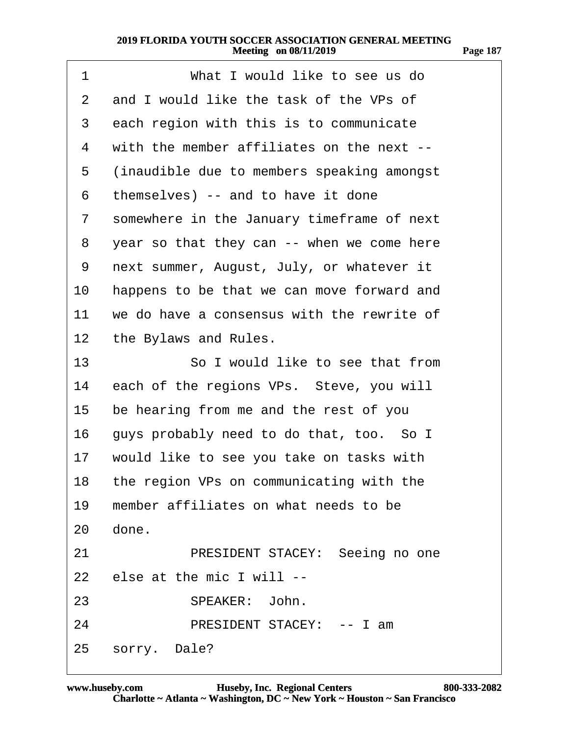<span id="page-186-0"></span>

| 1               | What I would like to see us do              |
|-----------------|---------------------------------------------|
| 2               | and I would like the task of the VPs of     |
| 3               | each region with this is to communicate     |
| 4               | with the member affiliates on the next --   |
| 5               | (inaudible due to members speaking amongst  |
| 6               | themselves) -- and to have it done          |
| 7               | somewhere in the January timeframe of next  |
| 8               | year so that they can -- when we come here  |
| 9               | next summer, August, July, or whatever it   |
| 10              | happens to be that we can move forward and  |
| 11              | we do have a consensus with the rewrite of  |
| 12 <sup>°</sup> | the Bylaws and Rules.                       |
| 13              | So I would like to see that from            |
| 14              | each of the regions VPs. Steve, you will    |
| 15              | be hearing from me and the rest of you      |
| 16              | guys probably need to do that, too. So I    |
| 17              | would like to see you take on tasks with    |
|                 | 18 the region VPs on communicating with the |
|                 | 19 member affiliates on what needs to be    |
|                 | 20 done.                                    |
| 21              | PRESIDENT STACEY: Seeing no one             |
|                 | 22 else at the mic I will --                |
| 23              | SPEAKER: John.                              |
| 24              | PRESIDENT STACEY: -- I am                   |
|                 | 25 sorry. Dale?                             |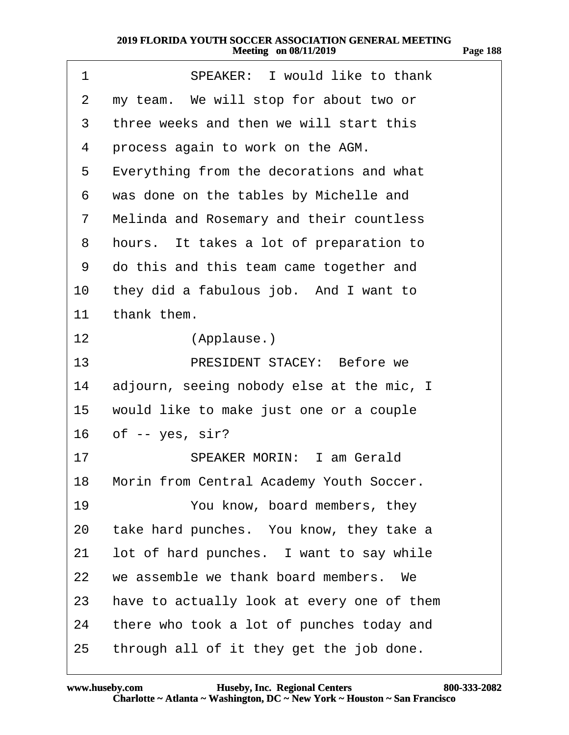<span id="page-187-0"></span>

| 1               | <b>SPEAKER: I would like to thank</b>       |
|-----------------|---------------------------------------------|
| 2               | my team. We will stop for about two or      |
| 3               | three weeks and then we will start this     |
| 4               | process again to work on the AGM.           |
| 5               | Everything from the decorations and what    |
| 6               | was done on the tables by Michelle and      |
| 7               | Melinda and Rosemary and their countless    |
| 8               | hours. It takes a lot of preparation to     |
| 9               | do this and this team came together and     |
| 10              | they did a fabulous job. And I want to      |
| 11              | thank them.                                 |
| 12 <sup>2</sup> | (Applause.)                                 |
| 13              | <b>PRESIDENT STACEY: Before we</b>          |
| 14              | adjourn, seeing nobody else at the mic, I   |
| 15              | would like to make just one or a couple     |
|                 | 16 of $-$ yes, sir?                         |
| 17              | <b>SPEAKER MORIN: I am Gerald</b>           |
|                 | 18 Morin from Central Academy Youth Soccer. |
| 19              | You know, board members, they               |
| 20              | take hard punches. You know, they take a    |
| 21              | lot of hard punches. I want to say while    |
| 22              | we assemble we thank board members. We      |
| 23              | have to actually look at every one of them  |
| 24              | there who took a lot of punches today and   |
| 25              | through all of it they get the job done.    |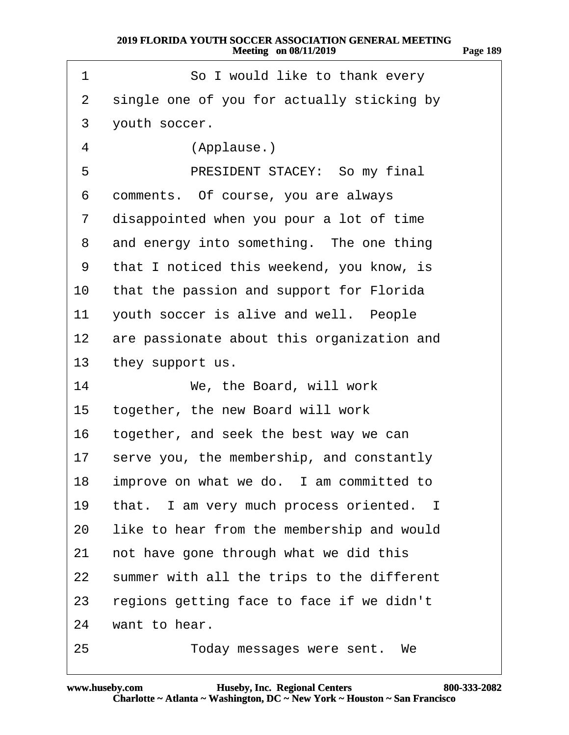<span id="page-188-0"></span>1 **· · · · So I would like to thank every** 

2 single one of you for actually sticking by

| 3  | youth soccer.                              |
|----|--------------------------------------------|
| 4  | (Applause.)                                |
| 5  | PRESIDENT STACEY: So my final              |
| 6  | comments. Of course, you are always        |
| 7  | disappointed when you pour a lot of time   |
| 8  | and energy into something. The one thing   |
| 9  | that I noticed this weekend, you know, is  |
| 10 | that the passion and support for Florida   |
| 11 | youth soccer is alive and well. People     |
| 12 | are passionate about this organization and |
| 13 | they support us.                           |
| 14 | We, the Board, will work                   |
| 15 | together, the new Board will work          |
| 16 | together, and seek the best way we can     |
| 17 | serve you, the membership, and constantly  |
| 18 | improve on what we do. I am committed to   |
| 19 | that. I am very much process oriented. I   |

- 20 like to hear from the membership and would
- 21 not have gone through what we did this
- 22 summer with all the trips to the different
- 23 regions getting face to face if we didn't
- 24 want to hear.

25 **· · · · · Today messages were sent.** We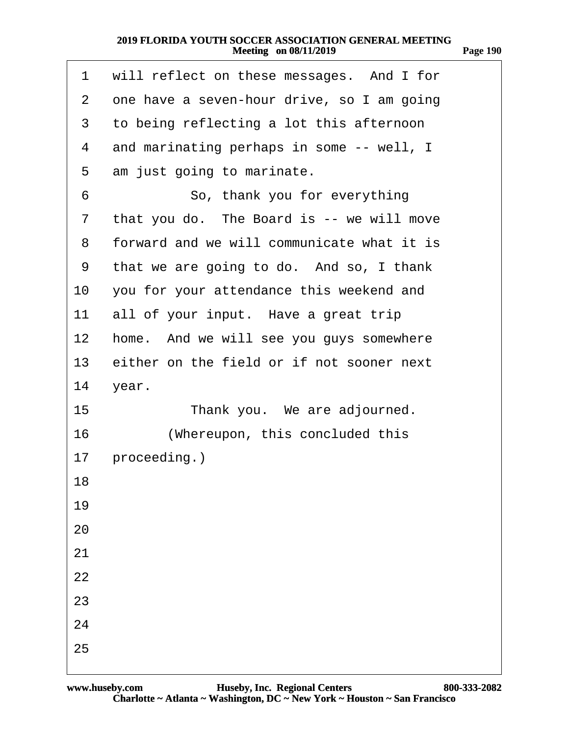<span id="page-189-0"></span>

| 1       | will reflect on these messages. And I for  |
|---------|--------------------------------------------|
| 2       | one have a seven-hour drive, so I am going |
| 3       | to being reflecting a lot this afternoon   |
| 4       | and marinating perhaps in some -- well, I  |
| 5       | am just going to marinate.                 |
| 6       | So, thank you for everything               |
| 7       | that you do. The Board is -- we will move  |
| 8       | forward and we will communicate what it is |
| 9       | that we are going to do. And so, I thank   |
| 10      | you for your attendance this weekend and   |
| 11      | all of your input. Have a great trip       |
| $12 \,$ | home. And we will see you guys somewhere   |
| 13      | either on the field or if not sooner next  |
| 14      | year.                                      |
| 15      | Thank you. We are adjourned.               |
| 16      | (Whereupon, this concluded this            |
| 17      | proceeding.)                               |
| 18      |                                            |
| 19      |                                            |
| 20      |                                            |
| 21      |                                            |
| 22      |                                            |
| 23      |                                            |
| 24      |                                            |
| 25      |                                            |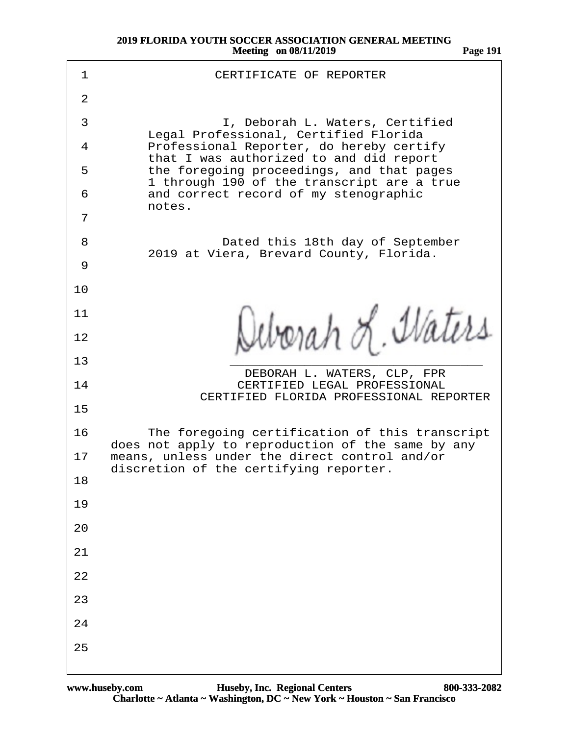| 1              | <b>CERTIFICATE OF REPORTER</b>                                                                      |
|----------------|-----------------------------------------------------------------------------------------------------|
| $\overline{2}$ |                                                                                                     |
| 3              | I, Deborah L. Waters, Certified                                                                     |
| 4              | Legal Professional, Certified Florida<br>Professional Reporter, do hereby certify                   |
| 5              | that I was authorized to and did report<br>the foregoing proceedings, and that pages                |
| 6              | 1 through 190 of the transcript are a true<br>and correct record of my stenographic<br>notes.       |
| $\overline{7}$ |                                                                                                     |
| 8              | Dated this 18th day of September<br>2019 at Viera, Brevard County, Florida.                         |
| 9              |                                                                                                     |
| 10             |                                                                                                     |
| 11             |                                                                                                     |
| 12             |                                                                                                     |
| 13             | DEBORAH L. WATERS, CLP, FPR                                                                         |
| 14             | <b>CERTIFIED LEGAL PROFESSIONAL</b><br>CERTIFIED FLORIDA PROFESSIONAL REPORTER                      |
| 15             |                                                                                                     |
| 16             | The foregoing certification of this transcript<br>does not apply to reproduction of the same by any |
| 17             | means, unless under the direct control and/or<br>discretion of the certifying reporter.             |
| 18             |                                                                                                     |
| 19             |                                                                                                     |
| 20             |                                                                                                     |
| 21             |                                                                                                     |
| 22             |                                                                                                     |
| 23             |                                                                                                     |
| 24             |                                                                                                     |
| 25             |                                                                                                     |
|                |                                                                                                     |

**Page 191**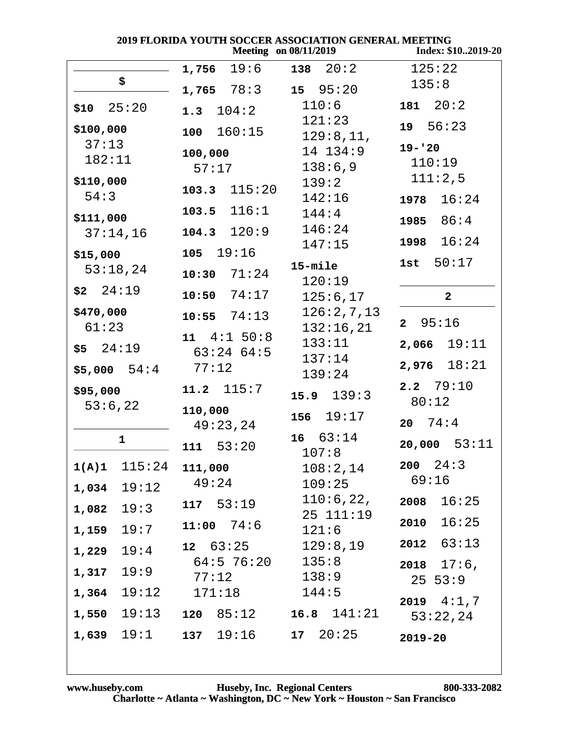|                 |                   | Meeting on 08/11/2019  | Index: \$102019-20 |
|-----------------|-------------------|------------------------|--------------------|
|                 | 19:6<br>1,756     | 138 $20:2$             | 125:22             |
| \$              | $1,765$ $78:3$    | 15 95:20               | 135:8              |
| $$10$ $25:20$   | $1.3 \quad 104:2$ | 110:6                  | 181 $20:2$         |
| \$100,000       | 160:15<br>100     | 121:23                 | 19 56:23           |
| 37:13           |                   | 129:8,11,<br>14 134:9  | $19 - 20$          |
| 182:11          | 100,000<br>57:17  | 138:6,9                | 110:19             |
| \$110,000       |                   | 139:2                  | 111:2,5            |
| 54:3            | 115:20<br>103.3   | 142:16                 | 16:24<br>1978      |
| \$111,000       | 116:1<br>103.5    | 144:4                  | 86:4<br>1985       |
| 37:14,16        | 120:9<br>104.3    | 146:24                 |                    |
| \$15,000        | 105 19:16         | 147:15                 | 16:24<br>1998      |
| 53:18,24        | $10:30$ $71:24$   | 15-mile                | 1st $50:17$        |
| \$24:19         |                   | 120:19                 |                    |
|                 | 74:17<br>10:50    | 125:6,17               | $\overline{2}$     |
| \$470,000       | $10:55$ $74:13$   | 126:2,7,13             | 295:16             |
| 61:23           | 11 4:1 50:8       | 132:16,21              |                    |
| $$5$ 24:19      | $63:24$ 64:5      | 133:11                 | $2,066$ 19:11      |
| $$5,000$ $54:4$ | 77:12             | 137:14<br>139:24       | $2,976$ $18:21$    |
| \$95,000        | 11.2 $115:7$      | $15.9$ $139:3$         | $2.2$ 79:10        |
| 53:6,22         | 110,000           |                        | 80:12              |
|                 | 49:23,24          | 19:17<br>156           | $20 \t 74:4$       |
| $\mathbf{1}$    | 53:20<br>111      | $16 \quad 63:14$       | $20,000$ 53:11     |
|                 |                   | 107:8                  |                    |
| 1(A)1 115:24    | 111,000           | 108:2,14               | $200 \quad 24:3$   |
| 19:12<br>1,034  | 49:24             | 109:25                 | 69:16              |
| 19:3<br>1,082   | 117 53:19         | 110:6,22,<br>25 111:19 | 16:25<br>2008      |
| 19:7<br>1,159   | $11:00$ 74:6      | 121:6                  | 16:25<br>2010      |
| 19:4<br>1,229   | $12 \quad 63:25$  | 129:8,19               | 63:13<br>2012      |
| 19:9<br>1,317   | 64:5 76:20        | 135:8                  | $2018$ 17:6,       |
| 19:12<br>1,364  | 77:12<br>171:18   | 138:9<br>144:5         | 25 53:9            |
|                 |                   |                        | 2019 $4:1,7$       |
| 19:13<br>1,550  | $120 \quad 85:12$ | $16.8 \quad 141:21$    | 53:22,24           |
| 19:1<br>1,639   | 19:16<br>137      | $17 \quad 20:25$       | $2019 - 20$        |

2019 FLORIDA YOUTH SOCCER ASSOCIATION GENERAL MEETING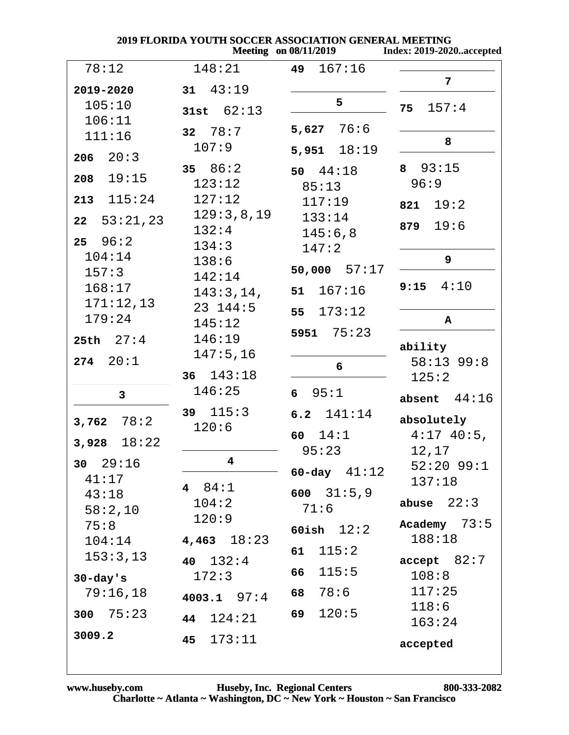|                                 |                         | <b>Meeting</b> on 08/11/2019   | <b>Index: 2019-2020accepted</b> |
|---------------------------------|-------------------------|--------------------------------|---------------------------------|
| 78:12                           | 148:21                  | 167:16<br>49                   |                                 |
| 2019-2020                       | 31 43:19                |                                | $\overline{7}$                  |
| 105:10<br>106:11                | 31st $62:13$            | 5                              | 157:4<br>75                     |
| 111:16                          | 32 $78:7$               | $5,627$ 76:6                   | 8                               |
| 20:3<br>206                     | 107:9                   | 18:19<br>5,951                 |                                 |
| 19:15<br>208                    | 35 $86:2$<br>123:12     | 50 $44:18$<br>85:13            | $8$ 93:15<br>96:9               |
| 115:24<br>213                   | 127:12                  | 117:19                         | 19:2<br>821                     |
| 53:21,23<br>22                  | 129:3,8,19<br>132:4     | 133:14<br>145:6,8              | 19:6<br>879                     |
| 96:2<br>25<br>104:14            | 134:3<br>138:6          | 147:2                          | 9                               |
| 157:3<br>168:17                 | 142:14                  | 50,000 $57:17$<br>167:16<br>51 | 4:10<br>9:15                    |
| 171:12,13                       | 143:3,14,<br>23 144:5   | 173:12<br>55                   |                                 |
| 179:24                          | 145:12<br>146:19        | 75:23<br>5951                  | ${\bf A}$                       |
| $25th$ $27:4$                   | 147:5,16                |                                | ability                         |
| 20:1<br>274                     | 36 $143:18$             | 6                              | 58:13 99:8<br>125:2             |
| 3                               | 146:25                  | 95:1<br>6                      | absent $44:16$                  |
| 78:2<br>3,762<br>18:22<br>3,928 | 39 $115:3$<br>120:6     | 141:14<br>6.2<br>14:1<br>60    | absolutely<br>$4:17$ 40:5,      |
| 30 $29:16$                      | $\overline{\mathbf{4}}$ | 95:23                          | 12,17<br>$52:20$ 99:1           |
| 41:17                           |                         | 60-day $41:12$                 | 137:18                          |
| 43:18<br>58:2,10                | 4 $84:1$<br>104:2       | 600 $31:5,9$<br>71:6           | abuse $22:3$                    |
| 75:8<br>104:14                  | 120:9<br>$4,463$ 18:23  | 60ish $12:2$                   | Academy $73:5$<br>188:18        |
| 153:3,13                        | 40 $132:4$              | 115:2<br>61                    | accept 82:7                     |
| $30$ -day's                     | 172:3                   | 115:5<br>66                    | 108:8                           |
| 79:16,18                        | $4003.1$ $97:4$         | 78:6<br>68                     | 117:25<br>118:6                 |
| 300 $75:23$                     | 124:21<br>44            | 120:5<br>69                    | 163:24                          |
| 3009.2                          | 173:11<br>45            |                                | accepted                        |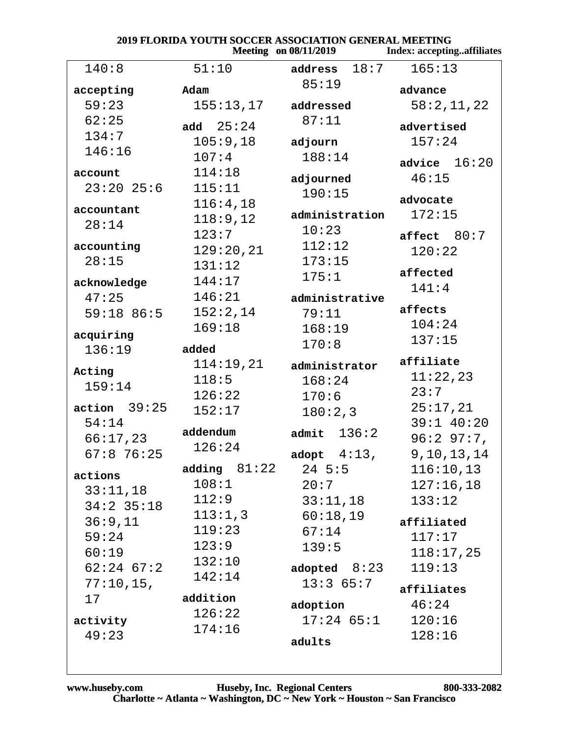|                |                   | <b>Meeting</b> on 08/11/2019 | <b>Index: acceptingaffiliates</b> |
|----------------|-------------------|------------------------------|-----------------------------------|
| 140:8          | 51:10             | address $18:7$               | 165:13                            |
| accepting      | Adam              | 85:19                        | advance                           |
| 59:23          | 155:13,17         | addressed                    | 58:2,11,22                        |
| 62:25          | add $25:24$       | 87:11                        |                                   |
| 134:7          |                   |                              | advertised                        |
| 146:16         | 105:9,18<br>107:4 | adjourn                      | 157:24                            |
|                |                   | 188:14                       | advice $16:20$                    |
| account        | 114:18<br>115:11  | adjourned                    | 46:15                             |
| $23:20$ 25:6   |                   | 190:15                       | advocate                          |
| accountant     | 116:4,18          | administration               | 172:15                            |
| 28:14          | 118:9,12          | 10:23                        |                                   |
| accounting     | 123:7             | 112:12                       | affect $80:7$                     |
| 28:15          | 129:20,21         | 173:15                       | 120:22                            |
|                | 131:12            | 175:1                        | affected                          |
| acknowledge    | 144:17            |                              | 141:4                             |
| 47:25          | 146:21            | administrative               | affects                           |
| $59:18$ 86:5   | 152:2,14          | 79:11                        | 104:24                            |
| acquiring      | 169:18            | 168:19                       | 137:15                            |
| 136:19         | added             | 170:8                        |                                   |
| Acting         | 114:19,21         | administrator                | affiliate                         |
| 159:14         | 118:5             | 168:24                       | 11:22,23                          |
|                | 126:22            | 170:6                        | 23:7                              |
| action 39:25   | 152:17            | 180:2,3                      | 25:17,21                          |
| 54:14          | addendum          | admit $136:2$                | 39:1 40:20                        |
| 66:17,23       | 126:24            |                              | $96:297:7$ ,                      |
| $67:8$ 76:25   |                   | $4:13$ ,<br>adopt            | 9, 10, 13, 14                     |
| actions        | adding $81:22$    | $24\;\;5:5$                  | 116:10,13                         |
| 33:11,18       | 108:1             | 20:7                         | 127:16,18                         |
| $34:2$ 35:18   | 112:9             | 33:11,18                     | 133:12                            |
| 36:9,11        | 113:1,3           | 60:18,19                     | affiliated                        |
| 59:24          | 119:23            | 67:14                        | 117:17                            |
| 60:19          | 123:9             | 139:5                        | 118:17,25                         |
| $62:24$ $67:2$ | 132:10            | adopted $8:23$               | 119:13                            |
| 77:10,15,      | 142:14            | 13:365:7                     | affiliates                        |
| 17             | addition          | adoption                     | 46:24                             |
| activity       | 126:22            | $17:24$ 65:1                 | 120:16                            |
| 49:23          | 174:16            |                              | 128:16                            |
|                |                   | adults                       |                                   |
|                |                   |                              |                                   |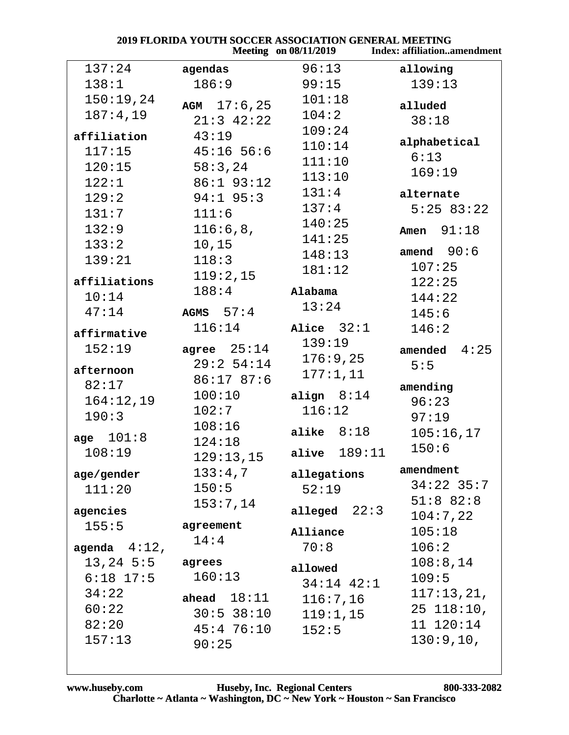|                 |               | UMMON UMMA<br><b>Meeting</b> on 08/11/2019 | Index: affiliationamendment |
|-----------------|---------------|--------------------------------------------|-----------------------------|
| 137:24          | agendas       | 96:13                                      | allowing                    |
| 138:1           | 186:9         | 99:15                                      | 139:13                      |
| 150:19,24       | AGM $17:6,25$ | 101:18                                     | alluded                     |
| 187:4,19        | $21:3$ 42:22  | 104:2                                      | 38:18                       |
| affiliation     | 43:19         | 109:24                                     |                             |
| 117:15          | $45:16$ 56:6  | 110:14                                     | alphabetical                |
| 120:15          | 58:3,24       | 111:10                                     | 6:13                        |
| 122:1           | $86:1$ 93:12  | 113:10                                     | 169:19                      |
| 129:2           | $94:1$ 95:3   | 131:4                                      | alternate                   |
| 131:7           | 111:6         | 137:4                                      | 5:25 83:22                  |
| 132:9           | 116:6,8,      | 140:25                                     | Amen 91:18                  |
| 133:2           | 10, 15        | 141:25                                     |                             |
| 139:21          | 118:3         | 148:13                                     | amend $90:6$                |
|                 | 119:2,15      | 181:12                                     | 107:25                      |
| affiliations    | 188:4         | Alabama                                    | 122:25                      |
| 10:14           |               | 13:24                                      | 144:22                      |
| 47:14           | AGMS $57:4$   |                                            | 145:6                       |
| affirmative     | 116:14        | Alice $32:1$                               | 146:2                       |
| 152:19          | agree $25:14$ | 139:19                                     | 4:25<br>amended             |
| afternoon       | $29:2$ 54:14  | 176:9,25                                   | 5:5                         |
| 82:17           | 86:1787:6     | 177:1,11                                   | amending                    |
| 164:12,19       | 100:10        | align $8:14$                               | 96:23                       |
| 190:3           | 102:7         | 116:12                                     | 97:19                       |
|                 | 108:16        | alike $8:18$                               | 105:16,17                   |
| age 101:8       | 124:18        |                                            | 150:6                       |
| 108:19          | 129:13,15     | 189:11<br>alive                            |                             |
| age/gender      | 133:4,7       | allegations                                | amendment                   |
| 111:20          | 150:5         | 52:19                                      | $34:22$ 35:7                |
| agencies        | 153:7,14      | alleged $22:3$                             | $51:8$ 82:8                 |
| 155:5           | agreement     |                                            | 104:7,22                    |
|                 | 14:4          | Alliance                                   | 105:18                      |
| agenda $4:12$ , |               | 70:8                                       | 106:2                       |
| $13,24$ 5:5     | agrees        | allowed                                    | 108:8,14                    |
| $6:18$ $17:5$   | 160:13        | $34:14$ $42:1$                             | 109:5                       |
| 34:22           | ahead $18:11$ | 116:7,16                                   | 117:13,21,                  |
| 60:22           | $30:5$ 38:10  | 119:1,15                                   | $25\;118:10$ ,              |
| 82:20           | 45:476:10     | 152:5                                      | 11 120:14                   |
| 157:13          | 90:25         |                                            | 130:9,10,                   |
|                 |               |                                            |                             |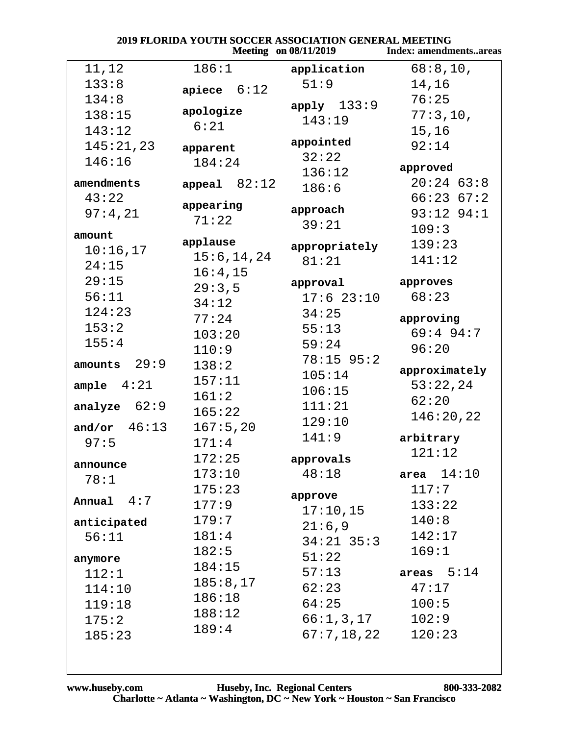| 2019 FLORIDA YOUTH SOCCER ASSOCIATION GENERAL MEETING |                          |                              |                               |
|-------------------------------------------------------|--------------------------|------------------------------|-------------------------------|
|                                                       |                          | <b>Meeting</b> on 08/11/2019 | <b>Index: amendmentsareas</b> |
| 11,12                                                 | 186:1                    | application                  | 68:8,10,                      |
| 133:8                                                 | apiece $6:12$            | 51:9                         | 14,16                         |
| 134:8                                                 |                          | $apply$ 133:9                | 76:25                         |
| 138:15                                                | apologize                | 143:19                       | 77:3,10,                      |
| 143:12                                                | 6:21                     |                              | 15,16                         |
| 145:21,23                                             | apparent                 | appointed                    | 92:14                         |
| 146:16                                                | 184:24                   | 32:22                        |                               |
|                                                       |                          | 136:12                       | approved<br>$20:24$ 63:8      |
| amendments                                            | appeal $82:12$           | 186:6                        |                               |
| 43:22                                                 | appearing                | approach                     | 66:2367:2                     |
| 97:4,21                                               | 71:22                    | 39:21                        | $93:12$ $94:1$                |
| amount                                                |                          |                              | 109:3                         |
| 10:16,17                                              | applause<br>15:6, 14, 24 | appropriately                | 139:23                        |
| 24:15                                                 |                          | 81:21                        | 141:12                        |
| 29:15                                                 | 16:4,15                  | approval                     | approves                      |
| 56:11                                                 | 29:3,5                   | $17:6$ $23:10$               | 68:23                         |
| 124:23                                                | 34:12                    | 34:25                        |                               |
| 153:2                                                 | 77:24                    | 55:13                        | approving                     |
| 155:4                                                 | 103:20                   | 59:24                        | $69:4$ 94:7                   |
|                                                       | 110:9                    | $78:15$ 95:2                 | 96:20                         |
| amounts $29:9$                                        | 138:2                    | 105:14                       | approximately                 |
| ample $4:21$                                          | 157:11                   | 106:15                       | 53:22,24                      |
| analyze $62:9$                                        | 161:2                    | 111:21                       | 62:20                         |
|                                                       | 165:22                   | 129:10                       | 146:20,22                     |
| and/or $46:13$                                        | 167:5,20                 |                              |                               |
| 97:5                                                  | 171:4                    | 141:9                        | arbitrary                     |
| announce                                              | 172:25                   | approvals                    | 121:12                        |
| 78:1                                                  | 173:10                   | 48:18                        | area $14:10$                  |
|                                                       | 175:23                   | approve                      | 117:7                         |
| Annual $4:7$                                          | 177:9                    | 17:10,15                     | 133:22                        |
| anticipated                                           | 179:7                    | 21:6,9                       | 140:8                         |
| 56:11                                                 | 181:4                    | $34:21$ $35:3$               | 142:17                        |
|                                                       | 182:5                    | 51:22                        | 169:1                         |
| anymore                                               | 184:15                   |                              |                               |
| 112:1                                                 | 185:8,17                 | 57:13                        | areas $5:14$                  |
| 114:10                                                | 186:18                   | 62:23                        | 47:17                         |
| 119:18                                                | 188:12                   | 64:25                        | 100:5                         |
| 175:2                                                 | 189:4                    | 66:1,3,17                    | 102:9                         |
| 185:23                                                |                          | 67:7,18,22                   | 120:23                        |
|                                                       |                          |                              |                               |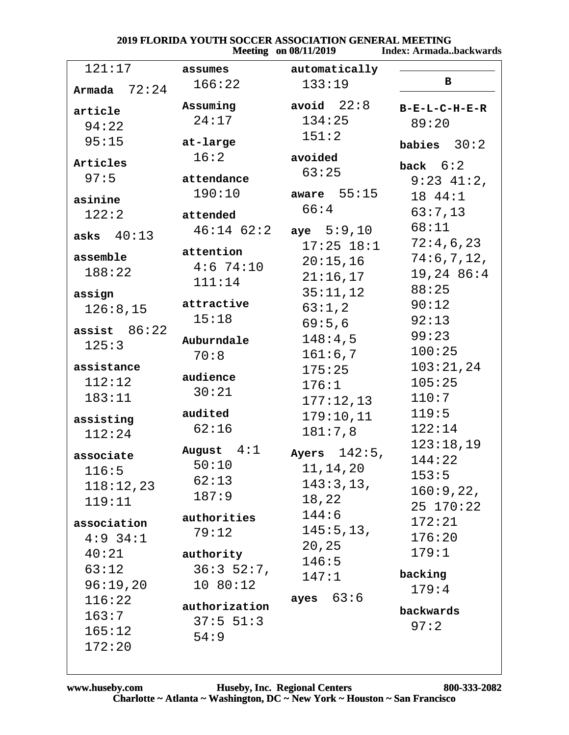#### 2019 FLORIDA YOUTH SOCCER ASSOCIATION GENERAL MEETING<br>Meeting on 08/11/2019 Index: Armada.. Index: Armada..backwards

|                      |                  | INCOURS ON $00/11/201$ |                        |
|----------------------|------------------|------------------------|------------------------|
| 121:17               | assumes          | automatically          |                        |
| Armada $72:24$       | 166:22           | 133:19                 | в                      |
| article              | Assuming         | avoid $22:8$           | $B-E-L-C-H-E-R$        |
| 94:22                | 24:17            | 134:25                 | 89:20                  |
| 95:15                | at-large         | 151:2                  | babies $30:2$          |
| Articles             | 16:2             | avoided                |                        |
| 97:5                 | attendance       | 63:25                  | back $6:2$             |
|                      | 190:10           | aware $55:15$          | $9:23$ $41:2$ ,        |
| asinine              |                  | 66:4                   | 18 44:1                |
| 122:2                | attended         |                        | 63:7,13                |
| asks $40:13$         | $46:14$ $62:2$   | aye $5:9,10$           | 68:11                  |
| assemble             | attention        | $17:25$ $18:1$         | 72:4,6,23              |
| 188:22               | $4:6$ 74:10      | 20:15,16               | 74:6, 7, 12,           |
|                      | 111:14           | 21:16,17               | 19,24 86:4             |
| assign               | attractive       | 35:11,12               | 88:25<br>90:12         |
| 126:8,15             | 15:18            | 63:1,2                 |                        |
| assist $86:22$       |                  | 69:5,6                 | 92:13                  |
| 125:3                | Auburndale       | 148:4,5                | 99:23                  |
|                      | 70:8             | 161:6,7                | 100:25                 |
| assistance<br>112:12 | audience         | 175:25                 | 103:21,24<br>105:25    |
| 183:11               | 30:21            | 176:1                  |                        |
|                      |                  | 177:12,13              | 110:7                  |
| assisting            | audited<br>62:16 | 179:10,11              | 119:5<br>122:14        |
| 112:24               |                  | 181:7,8                |                        |
| associate            | August $4:1$     | Ayers $142:5$ ,        | 123:18,19              |
| 116:5                | 50:10            | 11,14,20               | 144:22                 |
| 118:12,23            | 62:13            | 143:3,13,              | 153:5                  |
| 119:11               | 187:9            | 18,22                  | 160:9,22,<br>25 170:22 |
|                      | authorities      | 144:6                  | 172:21                 |
| association          | 79:12            | 145:5, 13,             | 176:20                 |
| $4:9$ 34:1           |                  | 20, 25                 | 179:1                  |
| 40:21                | authority        | 146:5                  |                        |
| 63:12                | $36:352:7$ ,     | 147:1                  | backing                |
| 96:19,20             | 10 80:12         | 63:6<br>ayes           | 179:4                  |
| 116:22               | authorization    |                        | backwards              |
| 163:7                | 37:5 51:3        |                        | 97:2                   |
| 165:12               | 54:9             |                        |                        |
| 172:20               |                  |                        |                        |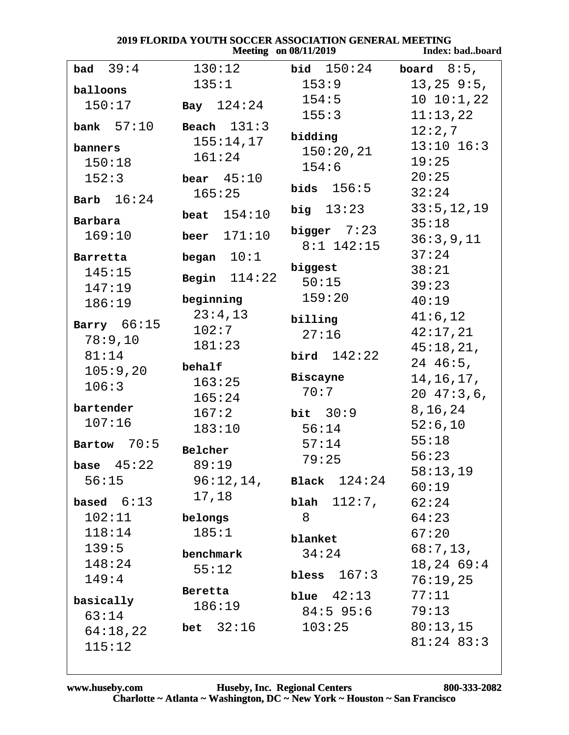#### 2019 FLORIDA YOUTH SOCCER ASSOCIATION GENERAL MEETING<br>Meeting on 08/11/2019 Index: Index: bad., board

|                |                | $m \cos \theta$   | mata baaman    |
|----------------|----------------|-------------------|----------------|
| bad $39:4$     | 130:12         | <b>bid</b> 150:24 | board $8:5$ ,  |
| balloons       | 135:1          | 153:9             | $13, 25$ 9:5,  |
| 150:17         | Bay $124:24$   | 154:5             | 10 10:1,22     |
|                |                | 155:3             | 11:13,22       |
| bank $57:10$   | Beach $131:3$  | bidding           | 12:2,7         |
| banners        | 155:14,17      | 150:20,21         | $13:10$ $16:3$ |
| 150:18         | 161:24         | 154:6             | 19:25          |
| 152:3          | bear $45:10$   |                   | 20:25          |
| Barb $16:24$   | 165:25         | bids $156:5$      | 32:24          |
|                | beat $154:10$  | big $13:23$       | 33:5, 12, 19   |
| Barbara        |                | bigger $7:23$     | 35:18          |
| 169:10         | beer $171:10$  | $8:1$ 142:15      | 36:3,9,11      |
| Barretta       | began $10:1$   |                   | 37:24          |
| 145:15         | Begin $114:22$ | biggest<br>50:15  | 38:21          |
| 147:19         |                |                   | 39:23          |
| 186:19         | beginning      | 159:20            | 40:19          |
| Barry $66:15$  | 23:4,13        | billing           | 41:6,12        |
| 78:9,10        | 102:7          | 27:16             | 42:17,21       |
| 81:14          | 181:23         | bird $142:22$     | 45:18,21,      |
| 105:9,20       | behalf         |                   | $24\;46:5$ ,   |
| 106:3          | 163:25         | Biscayne          | 14,16,17,      |
|                | 165:24         | 70:7              | $20\;47:3,6,$  |
| bartender      | 167:2          | bit 30:9          | 8, 16, 24      |
| 107:16         | 183:10         | 56:14             | 52:6,10        |
| 70:5<br>Bartow | Belcher        | 57:14             | 55:18          |
| 45:22<br>base  | 89:19          | 79:25             | 56:23          |
| 56:15          | 96:12,14,      | Black $124:24$    | 58:13,19       |
| based $6:13$   | 17,18          | $blah$ $112:7,$   | 60:19<br>62:24 |
| 102:11         | belongs        | 8                 | 64:23          |
| 118:14         | 185:1          |                   | 67:20          |
| 139:5          |                | blanket           | 68:7,13,       |
| 148:24         | benchmark      | 34:24             | $18, 24$ 69:4  |
| 149:4          | 55:12          | 167:3<br>bless    | 76:19,25       |
|                | Beretta        | blue $42:13$      | 77:11          |
| basically      | 186:19         | 84:5 95:6         | 79:13          |
| 63:14          | 32:16<br>bet   | 103:25            | 80:13,15       |
| 64:18,22       |                |                   | $81:24$ $83:3$ |
| 115:12         |                |                   |                |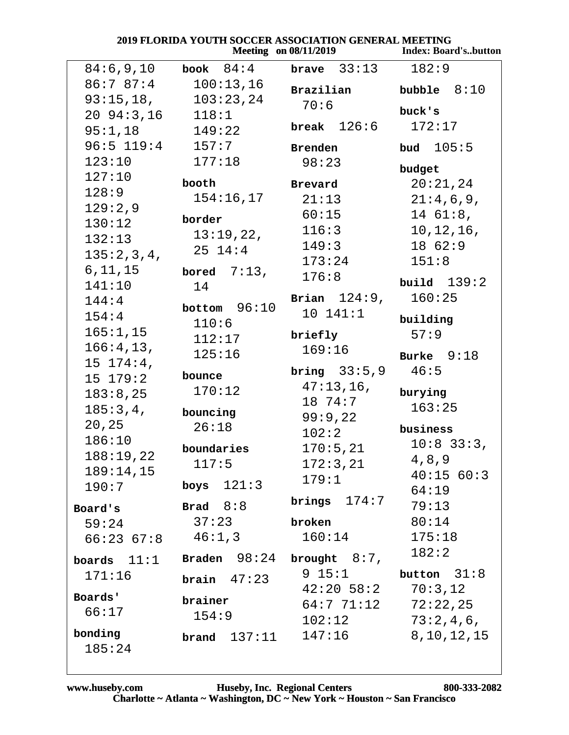|  |                       | 2019 FLORIDA YOUTH SOCCER ASSOCIATION GENERAL MEETING |
|--|-----------------------|-------------------------------------------------------|
|  | Meeting on 08/11/2019 | - Index: Board's                                      |

|                         | <b>Meeting</b> on 08/11/2019 |                       | <b>Index: Board'sbutton</b> |
|-------------------------|------------------------------|-----------------------|-----------------------------|
| 84:6,9,10               | book $84:4$                  | brave $33:13$         | 182:9                       |
| 86:787:4                | 100:13,16                    | Brazilian             | bubble $8:10$               |
| 93:15,18,               | 103:23,24                    | 70:6                  |                             |
| $20\ \ 94:3,16$         | 118:1                        |                       | buck's                      |
| $95:1,18$ 149:22        |                              | break $126:6$         | 172:17                      |
| 96:5 119:4 157:7        |                              | Brenden               | bud $105:5$                 |
| 123:10                  | 177:18                       | 98:23                 | budget                      |
| 127:10                  | booth                        | Brevard               | 20:21,24                    |
| 128:9                   | 154:16,17                    | 21:13                 | 21:4,6,9,                   |
| 129:2,9                 |                              | 60:15                 | $14 \t61:8,$                |
| 130:12                  | border                       | 116:3                 | 10, 12, 16,                 |
| 132:13                  | 13:19,22,                    | 149:3                 | 1862:9                      |
| 135:2,3,4,              | $25 \t14:4$                  | 173:24                | 151:8                       |
| 6,11,15                 | bored $7:13$ ,               | 176:8                 |                             |
| 141:10                  | 14                           |                       | build $139:2$               |
| 144:4                   | bottom $96:10$               | Brian $124:9$ ,       | 160:25                      |
| 154:4                   | 110:6                        | 10 141:1              | building                    |
| 165:1,15                | 112:17                       | briefly               | 57:9                        |
| 166:4, 13,              | 125:16                       | 169:16                | Burke $9:18$                |
| 15 174:4,               |                              | <b>bring</b> $33:5,9$ | 46:5                        |
| 15 179:2                | bounce                       | 47:13,16,             |                             |
| 183:8,25                | 170:12                       | 18 74:7               | burying                     |
| 185:3,4,                | bouncing                     | 99:9,22               | 163:25                      |
| 20, 25                  | 26:18                        | 102:2                 | business                    |
| 186:10                  | boundaries                   | 170:5,21              | $10:8$ 33:3,                |
| 188:19,22               | 117:5                        | 172:3,21              | 4,8,9                       |
| 189:14,15               |                              | 179:1                 | 40:1560:3                   |
| 190:7                   | boys $121:3$                 |                       | 64:19                       |
| Board's                 | Brad $8:8$                   | brings $174:7$        | 79:13                       |
| 59:24                   | 37:23                        | broken                | 80:14                       |
| $66:23$ $67:8$ $46:1,3$ |                              | 160:14                | 175:18                      |
| boards $11:1$           | Braden $98:24$               | brought $8:7$ ,       | 182:2                       |
| 171:16                  | brain $47:23$                | 9 15:1                | button $31:8$               |
| Boards'                 |                              | $42:20$ 58:2          | 70:3,12                     |
| 66:17                   | brainer                      | 64:7 71:12            | 72:22,25                    |
|                         | 154:9                        | 102:12                | 73:2,4,6,                   |
| bonding<br>185:24       | $brand$ $137:11$             | 147:16                | 8, 10, 12, 15               |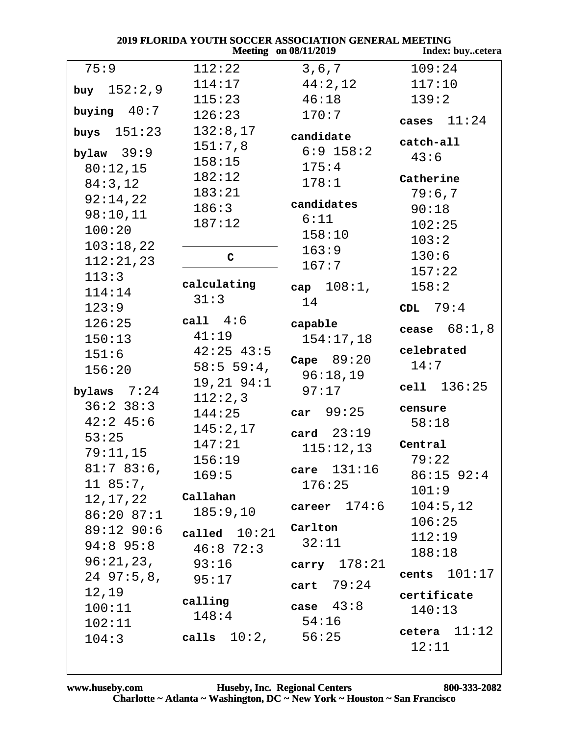|                              | ZUI9 FLOKIDA YOUTH SOCCEK ASSOCIATION GENEKAL MEETING | <b>Meeting</b> on 08/11/2019 | Index: buycetera |
|------------------------------|-------------------------------------------------------|------------------------------|------------------|
| 75:9                         | 112:22                                                | 3, 6, 7                      | 109:24           |
| buy $152:2,9$                | 114:17                                                | 44:2,12                      | 117:10           |
|                              | 115:23                                                | 46:18                        | 139:2            |
| buying $40:7$                | 126:23                                                | 170:7                        | cases $11:24$    |
| 151:23<br>buys               | 132:8,17                                              | candidate                    |                  |
| bylaw $39:9$                 | 151:7,8                                               | $6:9$ 158:2                  | catch-all        |
| 80:12,15                     | 158:15                                                | 175:4                        | 43:6             |
| 84:3,12                      | 182:12                                                | 178:1                        | Catherine        |
| 92:14,22                     | 183:21                                                |                              | 79:6,7           |
| 98:10,11                     | 186:3                                                 | candidates                   | 90:18            |
| 100:20                       | 187:12                                                | 6:11                         | 102:25           |
| 103:18,22                    |                                                       | 158:10                       | 103:2            |
| 112:21,23                    | C                                                     | 163:9                        | 130:6            |
| 113:3                        |                                                       | 167:7                        | 157:22           |
| 114:14                       | calculating                                           | cap $108:1$ ,                | 158:2            |
| 123:9                        | 31:3                                                  | 14                           | CDL $79:4$       |
| 126:25                       | call $4:6$                                            | capable                      |                  |
| 150:13                       | 41:19                                                 | 154:17,18                    | cease $68:1,8$   |
| 151:6                        | $42:25$ $43:5$                                        |                              | celebrated       |
| 156:20                       | 58:5 59:4,                                            | Cape $89:20$                 | 14:7             |
|                              | $19,21$ $94:1$                                        | 96:18,19                     | cell $136:25$    |
| bylaws $7:24$                | 112:2,3                                               | 97:17                        |                  |
| $36:2$ 38:3                  | 144:25                                                | car $99:25$                  | censure          |
| $42:2$ 45:6                  | 145:2,17                                              | card $23:19$                 | 58:18            |
| 53:25                        | 147:21                                                | 115:12,13                    | Central          |
| 79:11,15                     | 156:19                                                |                              | 79:22            |
| 81:783:6,                    | 169:5                                                 | care $131:16$                | 86:15 92:4       |
| 11 85:7,<br>12,17,22         | Callahan                                              | 176:25                       | 101:9            |
| $86:20$ $87:1$               | 185:9,10                                              | career $174:6$               | 104:5, 12        |
| $89:12$ 90:6                 |                                                       | Carlton                      | 106:25           |
| $94:8$ 95:8                  | called $10:21$                                        | 32:11                        | 112:19           |
|                              | $46:8$ 72:3                                           |                              | 188:18           |
| 96:21,23,<br>$24\ \ 97:5,8,$ | 93:16                                                 | carry $178:21$               | cents $101:17$   |
| 12,19                        | 95:17                                                 | cart $79:24$                 |                  |
| 100:11                       | calling                                               | case $43:8$                  | certificate      |
| 102:11                       | 148:4                                                 | 54:16                        | 140:13           |
| 104:3                        | $cal$ 18 $10:2$ ,                                     | 56:25                        | cetera $11:12$   |
|                              |                                                       |                              | 12:11            |

**MEETHIALO**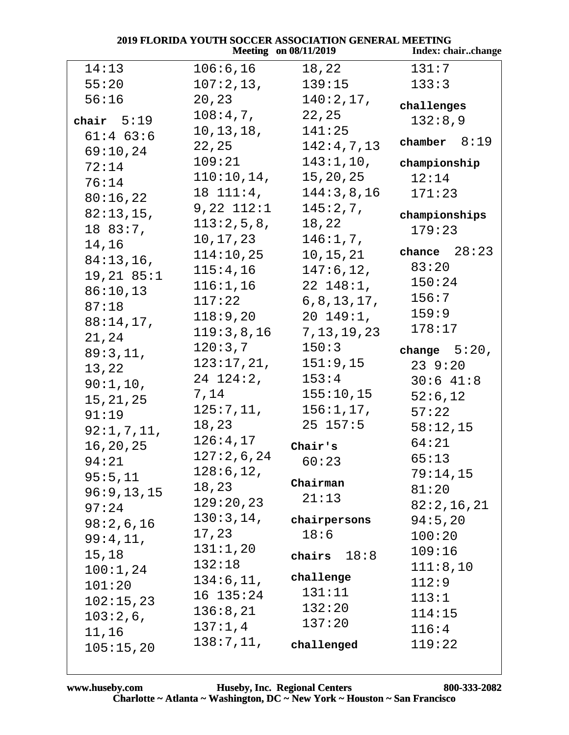| <b>2019 FLORIDA YOUTH SOCCER ASSOCIATION GENERAL MEETING</b> |                |                              |                    |
|--------------------------------------------------------------|----------------|------------------------------|--------------------|
|                                                              |                | <b>Meeting</b> on 08/11/2019 | Index: chairchange |
| 14:13                                                        | 106:6, 16      | 18,22                        | 131:7              |
| 55:20                                                        | 107:2,13,      | 139:15                       | 133:3              |
| 56:16                                                        | 20,23          | 140:2,17,                    | challenges         |
| chair $5:19$                                                 | 108:4,7,       | 22,25                        | 132:8,9            |
| $61:4$ $63:6$                                                | 10,13,18,      | 141:25                       |                    |
| 69:10,24                                                     | 22,25          | 142:4,7,13                   | chamber $8:19$     |
| 72:14                                                        | 109:21         | 143:1,10,                    | championship       |
| 76:14                                                        | $110:10,14$ ,  | 15,20,25                     | 12:14              |
| 80:16,22                                                     | $18$ $111:4$ , | 144:3,8,16                   | 171:23             |
| 82:13,15,                                                    | 9,22 112:1     | 145:2,7,                     | championships      |
| 1883:7,                                                      | 113:2,5,8,     | 18,22                        | 179:23             |
| 14,16                                                        | 10,17,23       | 146:1,7,                     |                    |
| 84:13,16,                                                    | 114:10,25      | 10, 15, 21                   | chance $28:23$     |
| $19,21$ $85:1$                                               | 115:4,16       | 147:6, 12,                   | 83:20              |
| 86:10,13                                                     | 116:1,16       | $22\;148:1$ ,                | 150:24             |
| 87:18                                                        | 117:22         | 6, 8, 13, 17,                | 156:7              |
| 88:14,17,                                                    | 118:9,20       | $20\;149:1$ ,                | 159:9              |
| 21,24                                                        | 119:3,8,16     | 7, 13, 19, 23                | 178:17             |
| 89:3,11,                                                     | 120:3,7        | 150:3                        | change $5:20$ ,    |
| 13,22                                                        | 123:17,21,     | 151:9,15                     | 239:20             |
| 90:1,10,                                                     | $24$ $124:2$ , | 153:4                        | $30:6$ 41:8        |
| 15, 21, 25                                                   | 7,14           | 155:10,15                    | 52:6,12            |
| 91:19                                                        | 125:7,11,      | 156:1, 17,                   | 57:22              |
| 92:1,7,11,                                                   | 18,23          | $25$ 157:5                   | 58:12,15           |
| 16,20,25                                                     | 126:4,17       | Chair's                      | 64:21              |
| 94:21                                                        | 127:2,6,24     | 60:23                        | 65:13              |
| 95:5,11                                                      | 128:6, 12,     |                              | 79:14,15           |
| 96:9,13,15                                                   | 18,23          | Chairman                     | 81:20              |
| 97:24                                                        | 129:20,23      | 21:13                        | 82:2,16,21         |
| 98:2,6,16                                                    | 130:3, 14,     | chairpersons                 | 94:5,20            |
| 99:4,11,                                                     | 17,23          | 18:6                         | 100:20             |
| 15,18                                                        | 131:1,20       | chairs $18:8$                | 109:16             |
| 100:1,24                                                     | 132:18         |                              | 111:8,10           |
| 101:20                                                       | 134:6, 11,     | challenge                    | 112:9              |
| 102:15,23                                                    | $16$ $135:24$  | 131:11                       | 113:1              |
| 103:2,6,                                                     | 136:8,21       | 132:20                       | 114:15             |
| 11,16                                                        | 137:1,4        | 137:20                       | 116:4              |
| 105:15,20                                                    | 138:7,11,      | challenged                   | 119:22             |
|                                                              |                |                              |                    |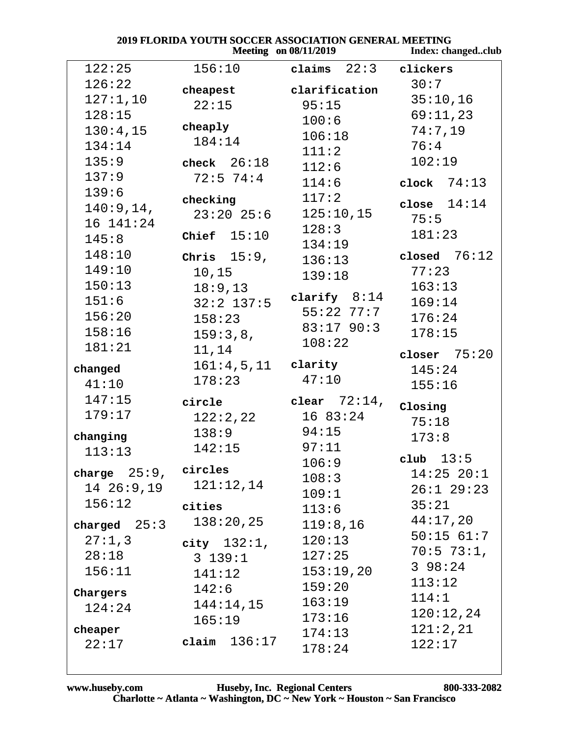| 2019 FLORIDA YOUTH SOCCER ASSOCIATION GENERAL MEETING<br>Index: changedclub<br><b>Meeting</b> on 08/11/2019 |                |                            |                |  |
|-------------------------------------------------------------------------------------------------------------|----------------|----------------------------|----------------|--|
|                                                                                                             |                |                            |                |  |
| 122:25                                                                                                      | 156:10         | claims $22:3$              | clickers       |  |
| 126:22                                                                                                      | cheapest       | clarification              | 30:7           |  |
| 127:1,10                                                                                                    | 22:15          | 95:15                      | 35:10,16       |  |
| 128:15                                                                                                      |                | 100:6                      | 69:11,23       |  |
| 130:4,15                                                                                                    | cheaply        | 106:18                     | 74:7,19        |  |
| 134:14                                                                                                      | 184:14         | 111:2                      | 76:4           |  |
| 135:9                                                                                                       | check $26:18$  | 112:6                      | 102:19         |  |
| 137:9                                                                                                       | $72:5$ $74:4$  | 114:6                      | clock $74:13$  |  |
| 139:6                                                                                                       | checking       | 117:2                      |                |  |
| 140:9, 14,                                                                                                  | $23:20$ 25:6   | 125:10,15                  | close $14:14$  |  |
| 16 141:24                                                                                                   |                | 128:3                      | 75:5           |  |
| 145:8                                                                                                       | Chief $15:10$  | 134:19                     | 181:23         |  |
| 148:10                                                                                                      | Chris $15:9$ , | 136:13                     | closed $76:12$ |  |
| 149:10                                                                                                      | 10,15          | 139:18                     | 77:23          |  |
| 150:13                                                                                                      | 18:9,13        |                            | 163:13         |  |
| 151:6                                                                                                       | $32:2$ 137:5   | clarify $8:14$             | 169:14         |  |
| 156:20                                                                                                      | 158:23         | $55:22$ $77:7$             | 176:24         |  |
| 158:16                                                                                                      | 159:3,8,       | $83:17$ 90:3               | 178:15         |  |
| 181:21                                                                                                      | 11,14          | 108:22                     | closer $75:20$ |  |
| changed                                                                                                     | 161:4,5,11     | clarity                    | 145:24         |  |
| 41:10                                                                                                       | 178:23         | 47:10                      | 155:16         |  |
| 147:15                                                                                                      |                |                            |                |  |
| 179:17                                                                                                      | circle         | clear $72:14$ ,<br>1683:24 | Closing        |  |
|                                                                                                             | 122:2,22       |                            | 75:18          |  |
| changing                                                                                                    | 138:9          | 94:15                      | 173:8          |  |
| 113:13                                                                                                      | 142:15         | 97:11                      | club $13:5$    |  |
| charge $25:9$ ,                                                                                             | circles        | 106:9                      | $14:25$ 20:1   |  |
| 1426:9,19                                                                                                   | 121:12,14      | 108:3                      | $26:1$ $29:23$ |  |
| 156:12                                                                                                      | cities         | 109:1                      | 35:21          |  |
|                                                                                                             | 138:20,25      | 113:6                      | 44:17,20       |  |
| charged $25:3$                                                                                              |                | 119:8,16                   | $50:15$ $61:7$ |  |
| 27:1,3                                                                                                      | city $132:1$ , | 120:13                     | $70:5$ 73:1,   |  |
| 28:18                                                                                                       | 3 139:1        | 127:25                     | 398:24         |  |
| 156:11                                                                                                      | 141:12         | 153:19,20                  | 113:12         |  |
| Chargers                                                                                                    | 142:6          | 159:20                     | 114:1          |  |
| 124:24                                                                                                      | 144:14,15      | 163:19                     | 120:12,24      |  |
| cheaper                                                                                                     | 165:19         | 173:16                     | 121:2,21       |  |
| 22:17                                                                                                       | claim $136:17$ | 174:13                     | 122:17         |  |
|                                                                                                             |                | 178:24                     |                |  |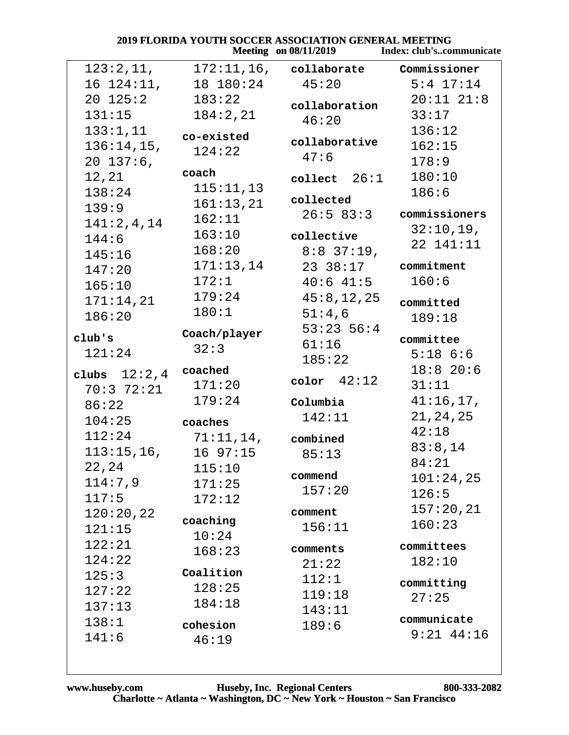|                |                       | <b>Meeting on 08/11/2019</b> | Index: club'scommunicate            |
|----------------|-----------------------|------------------------------|-------------------------------------|
| 123:2,11,      |                       |                              | 172:11,16, collaborate Commissioner |
| 16 124:11,     | 18 180:24             | 45:20                        | $5:4$ 17:14                         |
| $20\;125:2$    | 183:22                | collaboration                | $20:11$ $21:8$                      |
| 131:15         | 184:2,21              | 46:20                        | 33:17                               |
| 133:1,11       | co-existed            |                              | 136:12                              |
| $136:14,15$ ,  | 124:22                | collaborative                | 162:15                              |
| $20137:6$ ,    |                       | 47:6                         | 178:9                               |
| 12,21          | coach                 | collect 26:1                 | 180:10                              |
| 138:24         | 115:11,13             |                              | 186:6                               |
| 139:9          | 161:13,21             | collected                    |                                     |
| 141:2,4,14     | 162:11                | 26:583:3                     | commissioners                       |
| 144:6          | 163:10                | collective                   | 32:10,19,                           |
| 145:16         | 168:20                | $8:8$ 37:19,                 | 22 141:11                           |
| 147:20         | 171:13,14             | 23 38:17                     | commitment                          |
| 165:10         | 172:1                 | $40:6$ $41:5$                | 160:6                               |
| 171:14,21      | 179:24                | 45:8, 12, 25                 | committed                           |
| 186:20         | 180:1                 | 51:4,6                       | 189:18                              |
|                | Coach/player          | $53:23$ 56:4                 |                                     |
| club's         | 32:3                  | 61:16                        | committee                           |
| 121:24         |                       | 185:22                       | $5:18$ $6:6$                        |
| clubs $12:2,4$ | coached               |                              | $18:8$ 20:6                         |
| 70:372:21      | 171:20                | color $42:12$                | 31:11                               |
| 86:22          | 179:24                | Columbia                     | 41:16,17,                           |
| 104:25         | coaches               | 142:11                       | 21, 24, 25                          |
| 112:24         | $71:11,14$ , combined |                              | 42:18                               |
| $113:15,16$ ,  | 1697:15               | 85:13                        | 83:8,14                             |
| 22,24          | 115:10                |                              | 84:21                               |
| 114:7,9        | 171:25                | commend                      | 101:24,25                           |
| 117:5          | 172:12                | 157:20                       | 126:5                               |
| 120:20,22      |                       | comment                      | 157:20,21                           |
| 121:15         | coaching              | 156:11                       | 160:23                              |
| 122:21         | 10:24                 |                              | committees                          |
| 124:22         | 168:23                | comments                     | 182:10                              |
| 125:3          | Coalition             | 21:22                        |                                     |
| 127:22         | 128:25                | 112:1                        | committing                          |
| 137:13         | 184:18                | 119:18                       | 27:25                               |
| 138:1          |                       | 143:11                       | communicate                         |
| 141:6          | cohesion              | 189:6                        | $9:21$ $44:16$                      |
|                | 46:19                 |                              |                                     |
|                |                       |                              |                                     |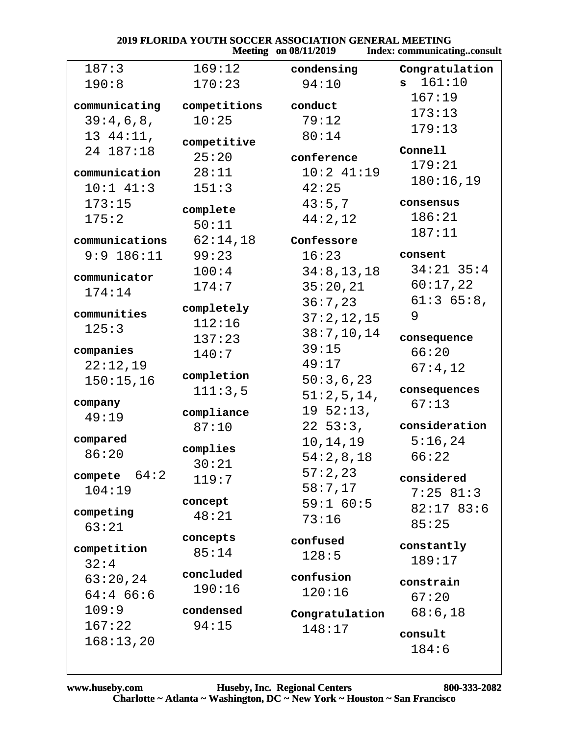|                |              | <b>2019 FLORIDA YOUTH SOCCER ASSOCIATION GENERAL MEETING</b><br><b>Meeting</b> on 08/11/2019 | <b>Index: communicatingconsult</b> |
|----------------|--------------|----------------------------------------------------------------------------------------------|------------------------------------|
| 187:3          | 169:12       | condensing                                                                                   | Congratulation                     |
| 190:8          | 170:23       | 94:10                                                                                        | 161:10<br>s                        |
| communicating  | competitions | conduct                                                                                      | 167:19                             |
|                | 10:25        | 79:12                                                                                        | 173:13                             |
| 39:4,6,8,      |              | 80:14                                                                                        | 179:13                             |
| $13 \t44:11$ , | competitive  |                                                                                              | Connell                            |
| 24 187:18      | 25:20        | conference                                                                                   | 179:21                             |
| communication  | 28:11        | $10:2$ 41:19                                                                                 | 180:16,19                          |
| $10:1$ 41:3    | 151:3        | 42:25                                                                                        |                                    |
| 173:15         | complete     | 43:5,7                                                                                       | consensus                          |
| 175:2          | 50:11        | 44:2,12                                                                                      | 186:21                             |
| communications | 62:14,18     | Confessore                                                                                   | 187:11                             |
| $9:9$ 186:11   | 99:23        | 16:23                                                                                        | consent                            |
|                | 100:4        | 34:8,13,18                                                                                   | $34:21$ 35:4                       |
| communicator   |              |                                                                                              | 60:17,22                           |
| 174:14         | 174:7        | 35:20,21                                                                                     | 61:365:8,                          |
| communities    | completely   | 36:7,23                                                                                      | 9                                  |
| 125:3          | 112:16       | 37:2,12,15                                                                                   |                                    |
|                | 137:23       | 38:7, 10, 14                                                                                 | consequence                        |
| companies      | 140:7        | 39:15                                                                                        | 66:20                              |
| 22:12,19       | completion   | 49:17                                                                                        | 67:4,12                            |
| 150:15,16      | 111:3,5      | 50:3,6,23                                                                                    | consequences                       |
| company        |              | 51:2,5,14,                                                                                   | 67:13                              |
| 49:19          | compliance   | $19\;\;52:13$ ,                                                                              |                                    |
|                | 87:10        | $22\;\;53:3$ ,                                                                               | consideration                      |
| compared       | complies     | 10, 14, 19                                                                                   | 5:16,24                            |
| 86:20          | 30:21        | 54:2,8,18                                                                                    | 66:22                              |
| compete $64:2$ | 119:7        | 57:2,23                                                                                      | considered                         |
| 104:19         |              | 58:7,17                                                                                      | $7:25$ 81:3                        |
|                | concept      | 59:1 60:5                                                                                    | 82:1783:6                          |
| competing      | 48:21        | 73:16                                                                                        | 85:25                              |
| 63:21          | concepts     | confused                                                                                     |                                    |
| competition    | 85:14        | 128:5                                                                                        | constantly                         |
| 32:4           |              |                                                                                              | 189:17                             |
| 63:20,24       | concluded    | confusion                                                                                    | constrain                          |
| 64:466:6       | 190:16       | 120:16                                                                                       | 67:20                              |
| 109:9          | condensed    | Congratulation                                                                               | 68:6,18                            |
| 167:22         | 94:15        | 148:17                                                                                       |                                    |
| 168:13,20      |              |                                                                                              | consult                            |
|                |              |                                                                                              | 184:6                              |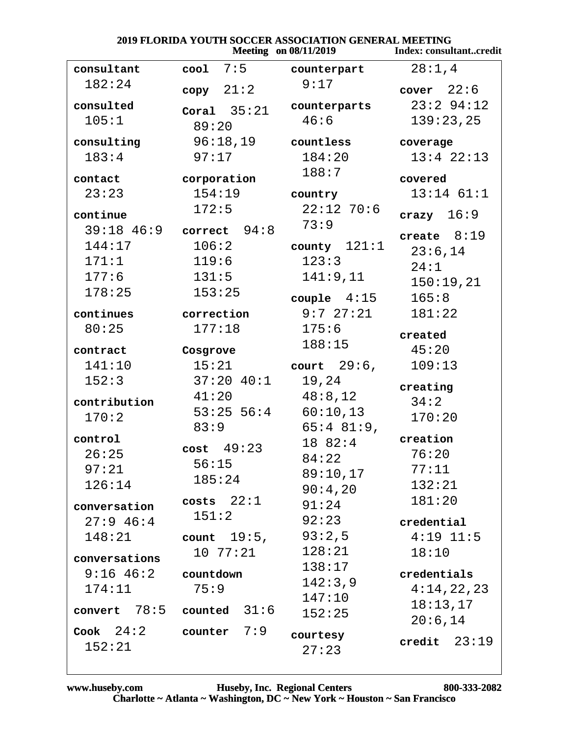|  |                       | <b>2019 FLORIDA YOUTH SOCCER ASSOCIATION GENERAL MEETING</b> |
|--|-----------------------|--------------------------------------------------------------|
|  | Meeting on 08/11/2019 | <b>Index: consultant</b>                                     |

|                               |                         | <b>Meeting</b> on 08/11/2019 | Index: consultantcredit |
|-------------------------------|-------------------------|------------------------------|-------------------------|
| consultant                    | $cool \t7:5$            | counterpart                  | 28:1,4                  |
| 182:24                        | copy 21:2               | 9:17                         | cover $22:6$            |
| consulted                     |                         | counterparts                 | $23:2$ 94:12            |
| 105:1                         | Coral $35:21$           | 46:6                         | 139:23,25               |
|                               | 89:20                   |                              |                         |
| consulting                    | 96:18,19                | countless                    | coverage                |
| 183:4                         | 97:17                   | 184:20                       | $13:4$ $22:13$          |
| contact                       | corporation             | 188:7                        | covered                 |
| 23:23                         | 154:19                  | country                      | $13:14$ $61:1$          |
| continue                      | 172:5                   | $22:12$ 70:6                 | crazy $16:9$            |
|                               | 39:18 46:9 correct 94:8 | 73:9                         |                         |
| 144:17                        | 106:2                   | county $121:1$               | create $8:19$           |
| 171:1                         | 119:6                   | 123:3                        | 23:6,14                 |
|                               | 131:5                   | 141:9,11                     | 24:1                    |
| 177:6                         |                         |                              | 150:19,21               |
| 178:25                        | 153:25                  | $\texttt{couple} \quad 4:15$ | 165:8                   |
| continues                     | correction              | $9:7 \ 27:21$                | 181:22                  |
| 80:25                         | 177:18                  | 175:6                        | created                 |
| contract                      | Cosgrove                | 188:15                       | 45:20                   |
| 141:10                        | 15:21                   | court $29:6$ ,               | 109:13                  |
| 152:3                         | 37:20 40:1              | 19,24                        |                         |
|                               | 41:20                   | 48:8,12                      | creating                |
| contribution                  | 53:25 56:4              | 60:10,13                     | 34:2                    |
| 170:2                         | 83:9                    | $65:4$ 81:9,                 | 170:20                  |
| control                       |                         | 18 82:4                      | creation                |
| 26:25                         | $cost$ 49:23            | 84:22                        | 76:20                   |
| 97:21                         | 56:15                   | 89:10,17                     | 77:11                   |
| 126:14                        | 185:24                  |                              | 132:21                  |
|                               | $costs$ $22:1$          | 90:4,20                      | 181:20                  |
| conversation                  | 151:2                   | 91:24                        |                         |
| $27:9$ 46:4                   |                         | 92:23                        | credential              |
| 148:21                        | count $19:5$ ,          | 93:2,5                       | $4:19$ 11:5             |
| conversations                 | 10 77:21                | 128:21                       | 18:10                   |
| $9:16$ 46:2                   | countdown               | 138:17                       | credentials             |
| 174:11                        | 75:9                    | 142:3,9                      | 4:14,22,23              |
| convert $78:5$ counted $31:6$ |                         | 147:10                       | 18:13,17                |
|                               |                         | 152:25                       | 20:6,14                 |
| Cook $24:2$                   | 7:9<br>counter          | courtesy                     | 23:19<br>credit         |
| 152:21                        |                         | 27:23                        |                         |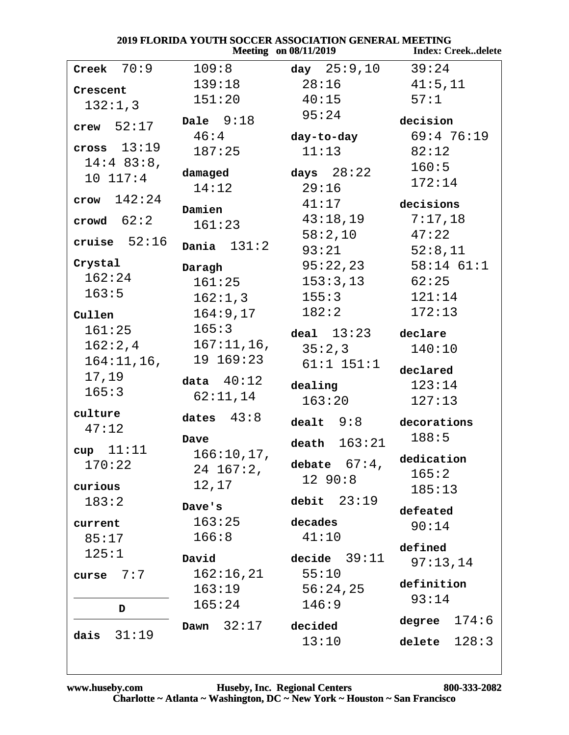|                 | ZUI9 FLORIDA YOUTH SOCCER ASSOCIATION GENERAL MEETING | <b>Meeting</b> on 08/11/2019 | <b>Index: Creekdelete</b> |
|-----------------|-------------------------------------------------------|------------------------------|---------------------------|
| Creek $70:9$    | 109:8                                                 | $\tt day$ $25:9$ ,10         | 39:24                     |
| Crescent        | 139:18                                                | 28:16                        | 41:5,11                   |
| 132:1,3         | 151:20                                                | 40:15                        | 57:1                      |
| crew $52:17$    | Dale $9:18$                                           | 95:24                        | decision                  |
|                 | 46:4                                                  | day-to-day                   | 69:476:19                 |
| cross $13:19$   | 187:25                                                | 11:13                        | 82:12                     |
| $14:4$ 83:8,    | damaged                                               | <b>days</b> 28:22            | 160:5                     |
| 10 117:4        | 14:12                                                 | 29:16                        | 172:14                    |
| crow $142:24$   | Damien                                                | 41:17                        | decisions                 |
| crowd $62:2$    | 161:23                                                | 43:18,19                     | 7:17,18                   |
| cruise $52:16$  |                                                       | 58:2,10                      | 47:22                     |
|                 | Dania $131:2$                                         | 93:21                        | 52:8,11                   |
| Crystal         | Daragh                                                | 95:22,23                     | $58:14$ $61:1$            |
| 162:24<br>163:5 | 161:25                                                | $153:3,13$ 62:25             |                           |
|                 | 162:1,3                                               | $155:3$ $121:14$             |                           |
| Cullen          | 164:9,17                                              | 182:2                        | 172:13                    |
| 161:25          | 165:3                                                 | $deal$ $13:23$ declare       |                           |
|                 | $162:2,4$ $167:11,16,$                                | 35:2,3                       | 140:10                    |
| 164:11,16,      | 19 169:23                                             | $61:1$ $151:1$               | declared                  |
| 17,19<br>165:3  | data $40:12$                                          | dealing                      | 123:14                    |
|                 | 62:11,14                                              | 163:20                       | 127:13                    |
| culture         | dates $43:8$                                          | $dealt$ 9:8 decorations      |                           |
| 47:12           | Dave                                                  |                              | 188:5                     |
| cup $11:11$     | $166:10,17$ ,                                         | death $163:21$               | dedication                |
| 170:22          | $24$ 167:2,                                           | debate $67:4$ ,              | 165:2                     |
| curious         | 12,17                                                 | 1290:8                       | 185:13                    |
| 183:2           | Dave's                                                | debit $23:19$                |                           |
| current         | 163:25                                                | decades                      | defeated<br>90:14         |
| 85:17           | 166:8                                                 | 41:10                        |                           |
| 125:1           | David                                                 | 39:11<br>decide              | defined                   |
| 7:7             | 162:16,21                                             | 55:10                        | 97:13,14                  |
| curse           | 163:19                                                | 56:24,25                     | definition                |
| D               | 165:24                                                | 146:9                        | 93:14                     |
|                 | 32:17<br>Dawn                                         | decided                      | 174:6<br>degree           |
| 31:19<br>dais   |                                                       | 13:10                        | 128:3<br>delete           |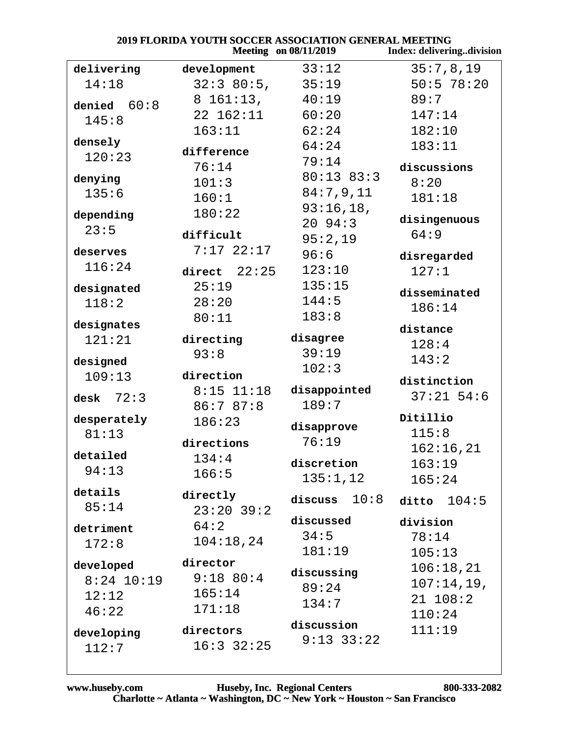| <b>2019 FLORIDA YOUTH SOCCER ASSOCIATION GENERAL MEETING</b> |                |                              |                             |
|--------------------------------------------------------------|----------------|------------------------------|-----------------------------|
|                                                              |                | <b>Meeting</b> on 08/11/2019 | Index: deliveringdivision   |
| delivering                                                   | development    | 33:12                        | 35:7,8,19                   |
| 14:18                                                        | 32:380:5,      | 35:19                        | 50:578:20                   |
| denied $60:8$                                                | 8 161:13,      | 40:19                        | 89:7                        |
| 145:8                                                        | 22 162:11      | 60:20                        | 147:14                      |
|                                                              | 163:11         | 62:24                        | 182:10                      |
| densely                                                      | difference     | 64:24                        | 183:11                      |
| 120:23                                                       | 76:14          | 79:14                        | discussions                 |
| denying                                                      | 101:3          | $80:13$ $83:3$               | 8:20                        |
| 135:6                                                        | 160:1          | 84:7,9,11                    | 181:18                      |
|                                                              | 180:22         | 93:16,18,                    |                             |
| depending                                                    |                | 20, 94:3                     | disingenuous                |
| 23:5                                                         | difficult      | 95:2,19                      | 64:9                        |
| deserves                                                     | $7:17$ 22:17   | 96:6                         | disregarded                 |
| 116:24                                                       | direct $22:25$ | 123:10                       | 127:1                       |
| designated                                                   | 25:19          | 135:15                       |                             |
| 118:2                                                        | 28:20          | 144:5                        | disseminated                |
|                                                              | 80:11          | 183:8                        | 186:14                      |
| designates                                                   |                |                              | distance                    |
| 121:21                                                       | directing      | disagree                     | 128:4                       |
| designed                                                     | 93:8           | 39:19                        | 143:2                       |
| 109:13                                                       | direction      | 102:3                        |                             |
|                                                              | $8:15$ $11:18$ | disappointed                 | distinction<br>$37:21$ 54:6 |
| desk $72:3$                                                  | 86:787:8       | 189:7                        |                             |
| desperately                                                  | 186:23         |                              | Ditillio                    |
| 81:13                                                        |                | disapprove<br>76:19          | 115:8                       |
| detailed                                                     | directions     |                              | 162:16,21                   |
| 94:13                                                        | 134:4          | discretion                   | 163:19                      |
|                                                              | 166:5          | 135:1,12                     | 165:24                      |
| details                                                      | directly       | 10:8<br>discuss              | ditto $104:5$               |
| 85:14                                                        | $23:20$ 39:2   |                              |                             |
| detriment                                                    | 64:2           | discussed                    | division                    |
| 172:8                                                        | 104:18,24      | 34:5                         | 78:14                       |
|                                                              | director       | 181:19                       | 105:13                      |
| developed<br>$8:24$ 10:19                                    | $9:18$ 80:4    | discussing                   | 106:18,21                   |
|                                                              | 165:14         | 89:24                        | 107:14,19,                  |
| 12:12                                                        | 171:18         | 134:7                        | 21 108:2                    |
| 46:22                                                        |                | discussion                   | 110:24                      |
| developing                                                   | directors      | $9:13$ $33:22$               | 111:19                      |
| 112:7                                                        | $16:3$ 32:25   |                              |                             |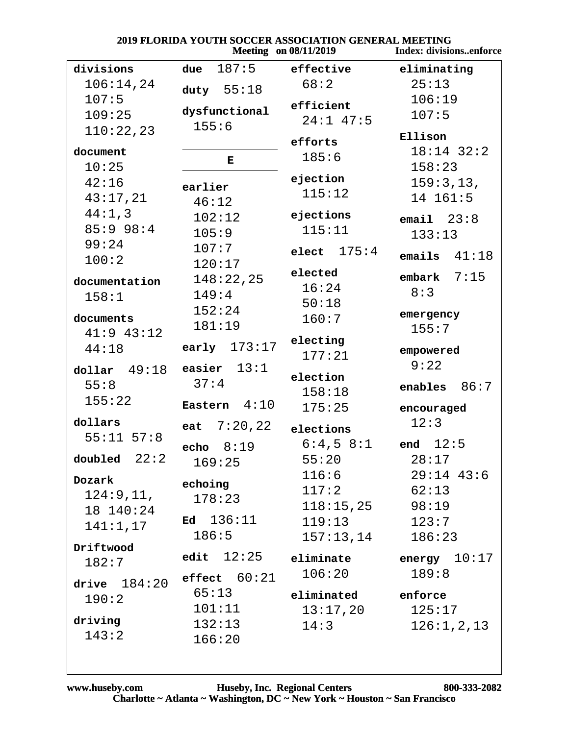|  |                       | 2019 FLORIDA YOUTH SOCCER ASSOCIATION GENERAL MEETING |
|--|-----------------------|-------------------------------------------------------|
|  | Meeting on 08/11/2019 | Index: divisionse                                     |

|                | <b>Meeting</b> on 08/11/2019 |                    | <b>Index: divisionsenforce</b> |
|----------------|------------------------------|--------------------|--------------------------------|
| divisions      | 187:5<br>due                 | effective          | eliminating                    |
| 106:14,24      | duty $55:18$                 | 68:2               | 25:13                          |
| 107:5          |                              | efficient          | 106:19                         |
| 109:25         | dysfunctional                | $24:1$ 47:5        | 107:5                          |
| 110:22,23      | 155:6                        |                    | Ellison                        |
| document       |                              | efforts            | $18:14$ 32:2                   |
| 10:25          | Е                            | 185:6              | 158:23                         |
| 42:16          |                              | ejection           | 159:3, 13,                     |
| 43:17,21       | earlier<br>46:12             | 115:12             | 14 161:5                       |
| 44:1,3         | 102:12                       | ejections          |                                |
| 85:998:4       | 105:9                        | 115:11             | email $23:8$                   |
| 99:24          | 107:7                        |                    | 133:13                         |
| 100:2          | 120:17                       | elect $175:4$      | emails $41:18$                 |
|                | 148:22,25                    | elected            | $embark$ 7:15                  |
| documentation  | 149:4                        | 16:24              | 8:3                            |
| 158:1          | 152:24                       | 50:18              |                                |
| documents      | 181:19                       | 160:7              | emergency                      |
| $41:9$ $43:12$ |                              | electing           | 155:7                          |
| 44:18          | early $173:17$               | 177:21             | empowered                      |
| dollar $49:18$ | easier $13:1$                |                    | 9:22                           |
| 55:8           | 37:4                         | election           | enables $86:7$                 |
| 155:22         | Eastern $4:10$               | 158:18<br>175:25   |                                |
| dollars        |                              |                    | encouraged<br>12:3             |
| $55:11$ $57:8$ | eat $7:20,22$                | elections          |                                |
|                | 8:19<br>echo                 | 6:4,58:1           | end $12:5$                     |
| doubled $22:2$ | 169:25                       | 55:20              | 28:17                          |
| Dozark         | echoing                      | 116:6              | $29:14$ 43:6                   |
| 124:9,11,      | 178:23                       | 117:2              | 62:13                          |
| 18 140:24      |                              | $118:15,25$ 98:19  |                                |
| 141:1,17       | $Ed$ 136:11                  | 119:13             | 123:7                          |
| Driftwood      | 186:5                        | 157:13,14          | 186:23                         |
| 182:7          | edit $12:25$                 |                    | eliminate $energy 10:17$       |
|                | effect $60:21$               | 106:20             | 189:8                          |
| drive $184:20$ | 65:13                        | eliminated enforce |                                |
| 190:2          | 101:11                       | 13:17,20           | 125:17                         |
| driving        | 132:13                       | 14:3               | 126:1, 2, 13                   |
| 143:2          | 166:20                       |                    |                                |
|                |                              |                    |                                |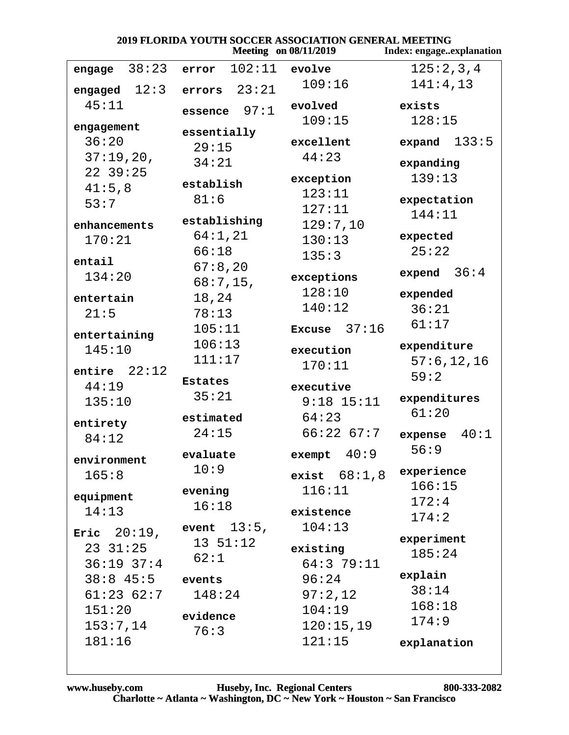|  |                       | 2019 FLORIDA YOUTH SOCCER ASSOCIATION GENERAL MEETING |
|--|-----------------------|-------------------------------------------------------|
|  | Meeting on 08/11/2019 | Index: engage explanat                                |

|                                    | <b>Meeting</b> on 08/11/2019 |                       | Index: engageexplanation |
|------------------------------------|------------------------------|-----------------------|--------------------------|
| 38:23<br>engage                    | 102:11<br>error              | evolve                | 125:2,3,4                |
| engaged $12:3$                     | 23:21<br>errors              | 109:16                | 141:4,13                 |
| 45:11                              | 97:1<br>essence              | evolved               | exists                   |
| engagement                         |                              | 109:15                | 128:15                   |
| 36:20                              | essentially<br>29:15         | excellent             | 133:5<br>expand          |
| 37:19,20,                          | 34:21                        | 44:23                 | expanding                |
| 22 39:25                           |                              | exception             | 139:13                   |
| 41:5,8                             | establish                    | 123:11                |                          |
| 53:7                               | 81:6                         | 127:11                | expectation              |
| enhancements                       | establishing                 | 129:7,10              | 144:11                   |
| 170:21                             | 64:1,21                      | 130:13                | expected                 |
| entail                             | 66:18                        | 135:3                 | 25:22                    |
| 134:20                             | 67:8,20                      | exceptions            | expend $36:4$            |
|                                    | $68:7,15$ ,                  | 128:10                | expended                 |
| entertain<br>21:5                  | 18,24<br>78:13               | 140:12                | 36:21                    |
|                                    | 105:11                       | Excuse $37:16$        | 61:17                    |
| entertaining                       | 106:13                       |                       | expenditure              |
| 145:10                             | 111:17                       | execution             | 57:6, 12, 16             |
| entire $22:12$                     |                              | 170:11                | 59:2                     |
| 44:19                              | <b>Estates</b>               | executive             |                          |
| 135:10                             | 35:21                        | $9:18$ $15:11$        | expenditures<br>61:20    |
| entirety                           | estimated                    | 64:23                 |                          |
| 84:12                              | 24:15                        | 66:2267:7             | 40:1<br>expense          |
| environment                        | evaluate                     | 40:9<br>exempt        | 56:9                     |
| 165:8                              | 10:9                         | exist $68:1,8$        | experience               |
| equipment                          | evening                      | 116:11                | 166:15                   |
| 14:13                              | 16:18                        | existence             | 172:4                    |
|                                    | event $13:5$ ,               | 104:13                | 174:2                    |
| Eric $20:19$ ,<br>$23 \quad 31:25$ | $13 \t51:12$                 |                       | experiment               |
| $36:19$ $37:4$                     | 62:1                         | existing<br>64:379:11 | 185:24                   |
| $38:8$ 45:5 events                 |                              | 96:24                 | explain                  |
| $61:23$ $62:7$                     | 148:24                       | 97:2,12               | 38:14                    |
| 151:20                             |                              | 104:19                | 168:18                   |
| 153:7,14                           | evidence<br>76:3             | 120:15,19             | 174:9                    |
| 181:16                             |                              | 121:15                | explanation              |
|                                    |                              |                       |                          |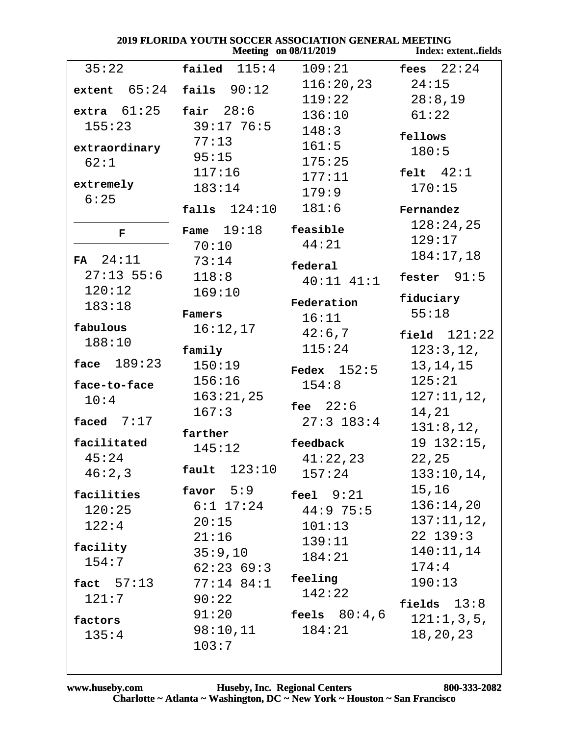| <b>2019 FLORIDA YOUTH SOCCER ASSOCIATION GENERAL MEETING</b> |                           |                   |                 |  |
|--------------------------------------------------------------|---------------------------|-------------------|-----------------|--|
| <b>Meeting</b> on 08/11/2019<br>Index: extentfields          |                           |                   |                 |  |
| 35:22                                                        | $\mathtt{failed}$ $115:4$ | 109:21            | fees $22:24$    |  |
| extent 65:24                                                 | fails $90:12$             | 116:20,23         | 24:15           |  |
|                                                              |                           | 119:22            | 28:8,19         |  |
| $extra$ $61:25$                                              | fair $28:6$               | 136:10            | 61:22           |  |
| 155:23                                                       | $39:17$ 76:5              | 148:3             | fellows         |  |
| extraordinary                                                | 77:13                     | 161:5             | 180:5           |  |
| 62:1                                                         | 95:15                     | 175:25            |                 |  |
| extremely                                                    | 117:16                    | 177:11            | felt $42:1$     |  |
| 6:25                                                         | 183:14                    | 179:9             | 170:15          |  |
|                                                              | $falls$ $124:10$          | 181:6             | Fernandez       |  |
| $\mathbf{F}$                                                 | Fame $19:18$              | feasible          | 128:24,25       |  |
|                                                              | 70:10                     | 44:21             | 129:17          |  |
| FA 24:11                                                     | 73:14                     |                   | 184:17,18       |  |
| $27:13$ 55:6                                                 | 118:8                     | federal           | fester $91:5$   |  |
| 120:12                                                       | 169:10                    | $40:11$ $41:1$    |                 |  |
| 183:18                                                       |                           | Federation        | fiduciary       |  |
|                                                              | Famers                    | 16:11             | 55:18           |  |
| fabulous                                                     | 16:12,17                  | 42:6,7            | field $121:22$  |  |
| 188:10                                                       | family                    | 115:24            | 123:3,12,       |  |
| face $189:23$                                                | 150:19                    | Fedex $152:5$     | 13, 14, 15      |  |
| face-to-face                                                 | 156:16                    | 154:8             | 125:21          |  |
| 10:4                                                         | 163:21,25                 |                   | 127:11,12,      |  |
|                                                              | 167:3                     | fee $22:6$        | 14,21           |  |
| faced $7:17$                                                 | farther                   | $27:3$ 183:4      | 131:8,12,       |  |
| facilitated                                                  | 145:12                    | feedback          | $19$ $132:15$ , |  |
| 45:24                                                        |                           | 41:22,23          | 22, 25          |  |
| 46:2,3                                                       | fault $123:10$            | 157:24            | 133:10,14,      |  |
| facilities                                                   | favor $5:9$               | $feel \quad 9:21$ | 15,16           |  |
| 120:25                                                       | $6:1$ 17:24               | 44:975:5          | 136:14,20       |  |
| 122:4                                                        | 20:15                     | 101:13            | 137:11,12,      |  |
|                                                              | 21:16                     | 139:11            | $22$ $139:3$    |  |
| facility                                                     | 35:9,10                   | 184:21            | 140:11,14       |  |
| 154:7                                                        | 62:2369:3                 |                   | 174:4           |  |
| fact $57:13$                                                 | $77:14$ 84:1              | feeling           | 190:13          |  |
| 121:7                                                        | 90:22                     | 142:22            | fields $13:8$   |  |
| factors                                                      | 91:20                     | feels $80:4,6$    | 121:1,3,5,      |  |
| 135:4                                                        | 98:10,11                  | 184:21            | 18, 20, 23      |  |
|                                                              | 103:7                     |                   |                 |  |
|                                                              |                           |                   |                 |  |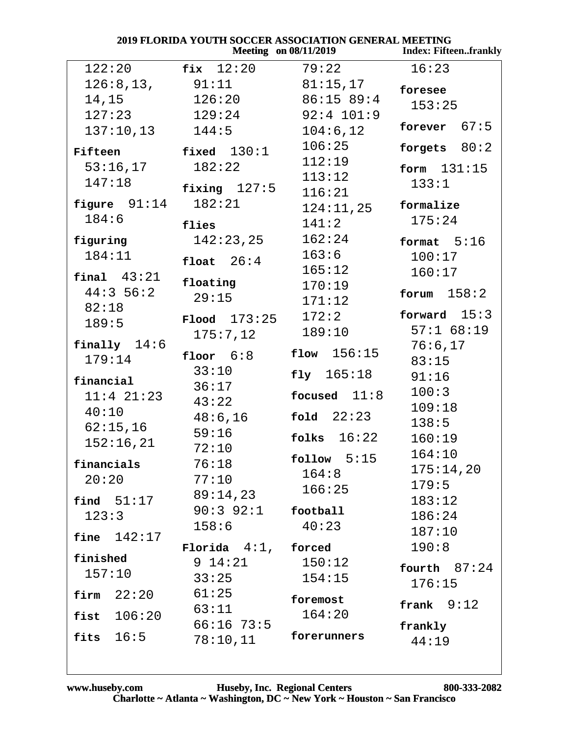| <b>2019 FLORIDA YOUTH SOCCER ASSOCIATION GENERAL MEETING</b> |                            |                              |                              |
|--------------------------------------------------------------|----------------------------|------------------------------|------------------------------|
|                                                              |                            | <b>Meeting</b> on 08/11/2019 | <b>Index: Fifteenfrankly</b> |
| 122:20                                                       | fix $12:20$                | 79:22                        | 16:23                        |
| 126:8, 13,                                                   | 91:11                      | 81:15,17                     | foresee                      |
| 14,15                                                        | 126:20                     | 86:15 89:4                   | 153:25                       |
| 127:23                                                       | 129:24                     | $92:4$ 101:9                 |                              |
| 137:10,13                                                    | 144:5                      | 104:6,12                     | forever $67:5$               |
|                                                              | fixed $130:1$              | 106:25                       | forgets $80:2$               |
| Fifteen                                                      | 182:22                     | 112:19                       |                              |
| 53:16,17                                                     |                            | 113:12                       | form $131:15$                |
| 147:18                                                       | fixing $127:5$             | 116:21                       | 133:1                        |
| figure $91:14$                                               | 182:21                     | 124:11,25                    | formalize                    |
| 184:6                                                        | flies                      | 141:2                        | 175:24                       |
| figuring                                                     | 142:23,25                  | 162:24                       | format $5:16$                |
| 184:11                                                       |                            | 163:6                        | 100:17                       |
|                                                              | float $26:4$               | 165:12                       | 160:17                       |
| final $43:21$                                                | floating                   | 170:19                       |                              |
| 44:356:2                                                     | 29:15                      | 171:12                       | forum $158:2$                |
| 82:18                                                        |                            | 172:2                        | forward $15:3$               |
| 189:5                                                        | $Flood$ $173:25$           | 189:10                       | 57:168:19                    |
| finally $14:6$                                               | 175:7,12                   |                              | 76:6,17                      |
| 179:14                                                       | floor $6:8$                | flow $156:15$                | 83:15                        |
|                                                              | 33:10                      | fly $165:18$                 | 91:16                        |
| financial                                                    | 36:17                      | focused $11:8$               | 100:3                        |
| $11:4$ $21:23$                                               | 43:22                      |                              | 109:18                       |
| 40:10                                                        | 48:6,16                    | fold $22:23$                 | 138:5                        |
| 62:15,16                                                     | 59:16                      | folks $16:22$                | 160:19                       |
| 152:16,21                                                    | 72:10                      |                              | 164:10                       |
| financials                                                   | 76:18                      | follow $5:15$                | 175:14,20                    |
| 20:20                                                        | 77:10                      | 164:8                        | 179:5                        |
| find $51:17$                                                 | 89:14,23                   | 166:25                       | 183:12                       |
| 123:3                                                        | $90:3$ $92:1$              | football                     | 186:24                       |
|                                                              | 158:6                      | 40:23                        | 187:10                       |
| fine $142:17$                                                |                            |                              | 190:8                        |
| finished                                                     | Florida $4:1$ ,<br>9 14:21 | forced                       |                              |
| 157:10                                                       |                            | 150:12                       | fourth $87:24$               |
|                                                              | 33:25                      | 154:15                       | 176:15                       |
| firm 22:20                                                   | 61:25                      | foremost                     | frank $9:12$                 |
| 106:20<br>fist                                               | 63:11                      | 164:20                       |                              |
| 16:5<br>fits                                                 | $66:16$ 73:5               | forerunners                  | frankly                      |
|                                                              | 78:10,11                   |                              | 44:19                        |

## www.huseby.com Huseby, Inc. Regional Centers 800<br>Charlotte ~ Atlanta ~ Washington, DC ~ New York ~ Houston ~ San Francisco 800-333-2082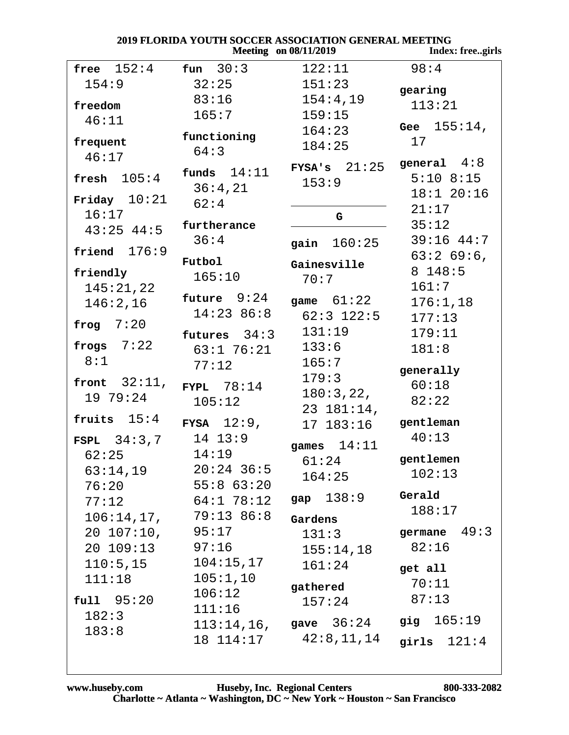|  |                         | <b>2019 FLORIDA YOUTH SOCCER ASSOCIATION GENERAL MEETING</b> |  |
|--|-------------------------|--------------------------------------------------------------|--|
|  | Meeting on $08/11/2019$ | Index: fre                                                   |  |

|                  |                      | <b>Meeting</b> on 08/11/2019 | <b>Index: freegirls</b> |
|------------------|----------------------|------------------------------|-------------------------|
| free $152:4$     | fun $30:3$           | 122:11                       | 98:4                    |
| 154:9            | 32:25                | 151:23                       | gearing                 |
| freedom          | 83:16                | 154:4,19                     | 113:21                  |
| 46:11            | 165:7                | 159:15                       |                         |
|                  | functioning          | 164:23                       | Gee $155:14$ ,          |
| frequent         | 64:3                 | 184:25                       | 17                      |
| 46:17            |                      | FYSA'S 21:25                 | general $4:8$           |
| fresh $105:4$    | funds $14:11$        | 153:9                        | $5:10$ 8:15             |
| Friday $10:21$   | 36:4,21              |                              | 18:120:16               |
| 16:17            | 62:4                 | G                            | 21:17                   |
| $43:25$ $44:5$   | furtherance          |                              | 35:12                   |
|                  | 36:4                 | gain $160:25$                | $39:16$ 44:7            |
| friend $176:9$   | Futbol               | Gainesville                  | 63:269:6                |
| friendly         | 165:10               | 70:7                         | 8 148:5                 |
| 145:21,22        |                      |                              | 161:7                   |
| 146:2,16         | future $9:24$        | game $61:22$                 | 176:1,18                |
| 7:20<br>frog     | 14:23 86:8           | $62:3$ 122:5                 | 177:13                  |
|                  | futures $34:3$       | 131:19                       | 179:11                  |
| frogs $7:22$     | $63:1$ 76:21         | 133:6                        | 181:8                   |
| 8:1              | 77:12                | 165:7                        | generally               |
| front $32:11$ ,  | <b>FYPL</b> 78:14    | 179:3                        | 60:18                   |
| 19 79:24         | 105:12               | 180:3,22,                    | 82:22                   |
| fruits $15:4$    | FYSA $12:9$ ,        | 23 181:14,                   | gentleman               |
| FSPL $34:3,7$    | 14 13:9              | 17 183:16                    | 40:13                   |
| 62:25            | 14:19                | 14:11<br>games               |                         |
| 63:14,19         | $20:24$ 36:5         | 61:24                        | gentlemen               |
| 76:20            | $55:8$ $63:20$       | 164:25                       | 102:13                  |
| 77:12            | 64:1 78:12           | gap 138:9                    | Gerald                  |
|                  | 106:14,17, 79:1386:8 | Gardens                      | 188:17                  |
| 20 107:10, 95:17 |                      | 131:3                        | 49:3<br>germane         |
|                  | 20 109:13 97:16      | 155:14,18                    | 82:16                   |
| 110:5, 15        | $104:15$ , 17        | 161:24                       |                         |
| 111:18           | 105:1,10             |                              | get all<br>70:11        |
| $full$ 95:20     | 106:12               | gathered                     | 87:13                   |
|                  | 111:16               | 157:24                       |                         |
| 182:3<br>183:8   |                      | $113:14,16$ , gave $36:24$   | gig $165:19$            |
|                  | 18 114:17            | 42:8,11,14                   | girls $121:4$           |
|                  |                      |                              |                         |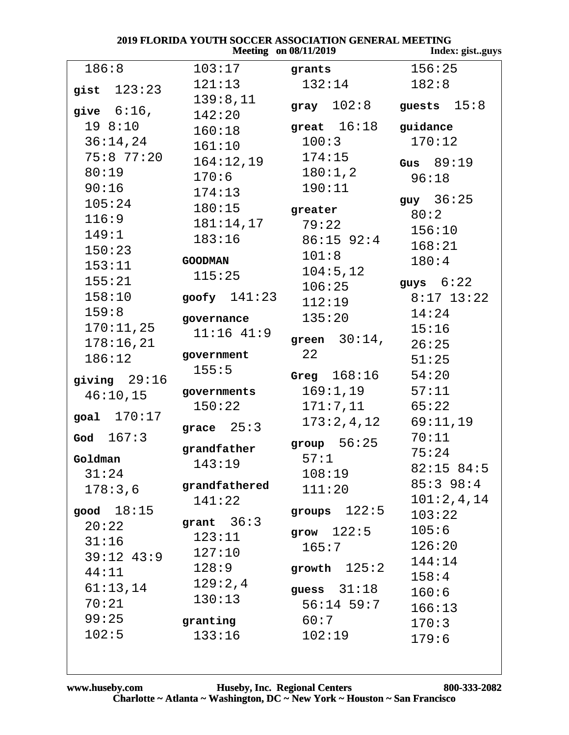|                |                | Meeting on $08/11/2019$ | Index: gistguys |
|----------------|----------------|-------------------------|-----------------|
| 186:8          | 103:17         | grants                  | 156:25          |
| gist $123:23$  | 121:13         | 132:14                  | 182:8           |
|                | 139:8,11       | gray $102:8$            | guests $15:8$   |
| give $6:16$ ,  | 142:20         |                         |                 |
| 198:10         | 160:18         | great $16:18$           | guidance        |
| 36:14,24       | 161:10         | 100:3                   | 170:12          |
| $75:8$ 77:20   | 164:12,19      | 174:15                  | Gus $89:19$     |
| 80:19          | 170:6          | 180:1,2                 | 96:18           |
| 90:16          | 174:13         | 190:11                  |                 |
| 105:24         | 180:15         | greater                 | $guy$ 36:25     |
| 116:9          | 181:14,17      | 79:22                   | 80:2            |
| 149:1          | 183:16         | $86:15$ 92:4            | 156:10          |
| 150:23         |                | 101:8                   | 168:21          |
| 153:11         | <b>GOODMAN</b> | 104:5, 12               | 180:4           |
| 155:21         | 115:25         | 106:25                  | guys $6:22$     |
| 158:10         | goofy $141:23$ | 112:19                  | $8:17$ 13:22    |
| 159:8          | governance     | 135:20                  | 14:24           |
| 170:11,25      | $11:16$ $41:9$ |                         | 15:16           |
| 178:16,21      |                | green $30:14$ ,         | 26:25           |
| 186:12         | government     | 22                      | 51:25           |
| giving $29:16$ | 155:5          | Greg $168:16$           | 54:20           |
| 46:10,15       | governments    | 169:1,19                | 57:11           |
|                | 150:22         | 171:7,11                | 65:22           |
| goal 170:17    | grace $25:3$   | 173:2,4,12              | 69:11,19        |
| God $167:3$    |                | group $56:25$           | 70:11           |
| Goldman        | grandfather    | 57:1                    | 75:24           |
| 31:24          | 143:19         | 108:19                  | 82:15 84:5      |
| 178:3,6        | grandfathered  | 111:20                  | $85:3$ 98:4     |
|                | 141:22         |                         | 101:2,4,14      |
| good $18:15$   |                | groups $122:5$          | 103:22          |
| 20:22          | grant $36:3$   | grow $122:5$            | 105:6           |
| 31:16          | 123:11         | 165:7                   | 126:20          |
| $39:12$ 43:9   | 127:10         |                         | 144:14          |
| 44:11          | 128:9          | growth $125:2$          | 158:4           |
| 61:13,14       | 129:2,4        | guess $31:18$           | 160:6           |
| 70:21          | 130:13         | 56:14 59:7              | 166:13          |
| 99:25          | granting       | 60:7                    | 170:3           |
| 102:5          | 133:16         | 102:19                  | 179:6           |
|                |                |                         |                 |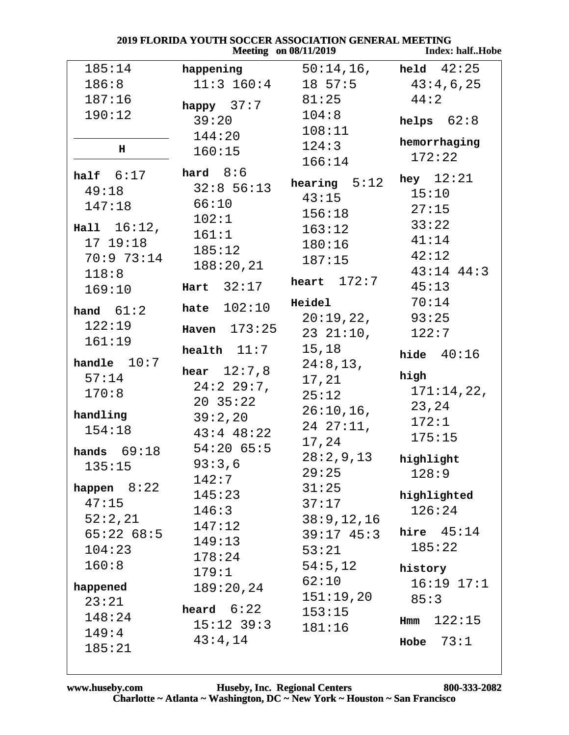| <b>2019 FLORIDA YOUTH SOCCER ASSOCIATION GENERAL MEETING</b> |                      |                                     |                          |
|--------------------------------------------------------------|----------------------|-------------------------------------|--------------------------|
|                                                              |                      | <b>Meeting</b> on 08/11/2019        | Index: halfHobe          |
| 185:14                                                       |                      | happening $50:14,16$ , held $42:25$ |                          |
| 186:8                                                        | $11:3$ $160:4$       |                                     | $18\;\;57:5$ $43:4,6,25$ |
| 187:16                                                       | happy $37:7$         | 81:25                               | 44:2                     |
| 190:12                                                       | 39:20                | 104:8                               | helps $62:8$             |
|                                                              | 144:20               | 108:11                              |                          |
| н                                                            | 160:15               | 124:3                               | hemorrhaging             |
|                                                              |                      | 166:14                              | 172:22                   |
| half $6:17$ hard $8:6$                                       |                      |                                     | hey $12:21$              |
| 49:18                                                        | $32:8$ 56:13         | hearing $5:12$                      | 15:10                    |
| 147:18                                                       | 66:10                | 43:15                               | 27:15                    |
|                                                              | 102:1                | 156:18                              | 33:22                    |
| Hall 16:12,                                                  | 161:1                | 163:12                              | 41:14                    |
| 17 19:18                                                     | 185:12               | 180:16                              | 42:12                    |
| 70:973:14                                                    | 188:20,21            | 187:15                              | $43:14$ $44:3$           |
| 118:8                                                        | Hart $32:17$         | heart $172:7$                       | 45:13                    |
| 169:10                                                       |                      | Heidel                              | 70:14                    |
| hand $61:2$                                                  | hate $102:10$        | 20:19,22, 93:25                     |                          |
| 122:19                                                       | Haven $173:25$       |                                     | 122:7                    |
| 161:19                                                       |                      | 23 21:10,                           |                          |
| handle $10:7$                                                | health $11:7$        | 15,18                               | hide $40:16$             |
| 57:14                                                        | <b>hear</b> $12:7,8$ | 24:8,13,                            | high                     |
| 170:8                                                        | $24:2$ 29:7,         | 17,21                               | 171:14,22,               |
|                                                              | $20\;\;35:22$        | 25:12                               | 23,24                    |
| handling                                                     | 39:2,20              | 26:10,16,                           | 172:1                    |
| 154:18                                                       | $43:4$ $48:22$       | 2427:11,                            | 175:15                   |
| hands $69:18$                                                | $54:20$ 65:5         | 17,24                               |                          |
| 135:15                                                       | 93:3,6               | 28:2,9,13                           | highlight                |
|                                                              | 142:7                | 29:25                               | 128:9                    |
| happen $8:22$                                                | 145:23               | 31:25                               | highlighted              |
| 47:15                                                        | 146:3                | 37:17                               | 126:24                   |
| 52:2,21                                                      | 147:12               | 38:9, 12, 16                        |                          |
| 65:2268:5                                                    | 149:13               | $39:17$ 45:3                        | hire $45:14$             |
| 104:23                                                       | 178:24               | 53:21                               | 185:22                   |
| 160:8                                                        | 179:1                | 54:5,12                             | history                  |
| happened                                                     | 189:20,24            | 62:10                               | $16:19$ $17:1$           |
| 23:21                                                        |                      | 151:19,20                           | 85:3                     |
| 148:24                                                       | heard $6:22$         | 153:15                              | 122:15<br>Hmm            |
| 149:4                                                        | $15:12$ 39:3         | 181:16                              |                          |
| 185:21                                                       | 43:4,14              |                                     | 73:1<br>Hobe             |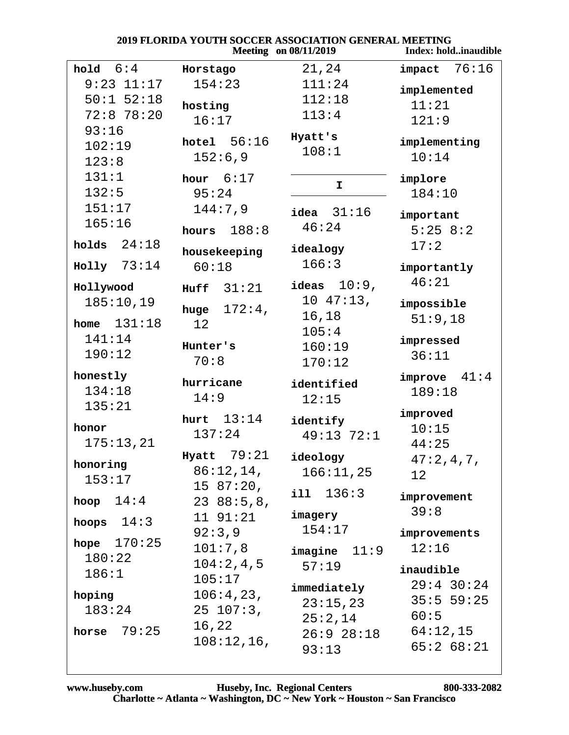| <b>2019 FLORIDA YOUTH SOCCER ASSOCIATION GENERAL MEETING</b><br>Index: holdinaudible<br><b>Meeting</b> on 08/11/2019 |                      |                              |                           |                          |
|----------------------------------------------------------------------------------------------------------------------|----------------------|------------------------------|---------------------------|--------------------------|
| hold $6:4$                                                                                                           |                      | Horstago                     | 21,24                     | $impact$ 76:16           |
|                                                                                                                      | $9:23$ $11:17$       | 154:23                       | 111:24                    | implemented              |
|                                                                                                                      | $50:1$ 52:18         | hosting                      | 112:18                    | 11:21                    |
|                                                                                                                      | $72:8$ 78:20         | 16:17                        | 113:4                     | 121:9                    |
| 93:16                                                                                                                |                      |                              | Hyatt's                   |                          |
| 102:19                                                                                                               |                      | hotel $56:16$                | 108:1                     | implementing             |
| 123:8                                                                                                                |                      | 152:6,9                      |                           | 10:14                    |
| 131:1                                                                                                                |                      | hour $6:17$                  | I.                        | implore                  |
| 132:5                                                                                                                |                      | 95:24                        |                           | 184:10                   |
| 151:17                                                                                                               |                      | 144:7,9                      | idea $31:16$              | important                |
| 165:16                                                                                                               |                      | hours $188:8$                | 46:24                     | 5:258:2                  |
|                                                                                                                      | holds $24:18$        |                              |                           | 17:2                     |
|                                                                                                                      |                      | housekeeping                 | idealogy<br>166:3         |                          |
|                                                                                                                      | $Holly$ 73:14        | 60:18                        |                           | importantly              |
| Hollywood                                                                                                            |                      | Huff $31:21$                 | ideas $10:9$ ,            | 46:21                    |
|                                                                                                                      | 185:10,19            | $172:4$ ,<br>huge            | $10 47:13$ ,              | impossible               |
|                                                                                                                      | <b>home</b> $131:18$ | 12 <sup>°</sup>              | 16,18                     | 51:9,18                  |
| 141:14                                                                                                               |                      |                              | 105:4                     | impressed                |
| 190:12                                                                                                               |                      | Hunter's                     | 160:19                    | 36:11                    |
|                                                                                                                      |                      | 70:8                         | 170:12                    |                          |
| honestly<br>134:18                                                                                                   |                      | hurricane                    | identified                | improve $41:4$<br>189:18 |
| 135:21                                                                                                               |                      | 14:9                         | 12:15                     |                          |
|                                                                                                                      |                      | hurt $13:14$                 | identify                  | improved                 |
| honor                                                                                                                |                      | 137:24                       | 49:13 72:1                | 10:15                    |
|                                                                                                                      | 175:13,21            | Hyatt $79:21$                |                           | 44:25                    |
| honoring                                                                                                             |                      |                              | ideology                  | 47:2,4,7,                |
| 153:17                                                                                                               |                      | 86:12,14,                    | 166:11,25                 | $12 \,$                  |
| hoop $14:4$                                                                                                          |                      | $15\ \,87:20$ ,<br>2388:5,8, | i11 136:3                 | improvement              |
|                                                                                                                      |                      | 11 91:21                     | imagery                   | 39:8                     |
| hoops $14:3$                                                                                                         |                      | 92:3,9                       | 154:17                    | improvements             |
|                                                                                                                      | hope $170:25$        | 101:7,8                      |                           | 12:16                    |
| 180:22                                                                                                               |                      | 104:2,4,5                    | $imagine$ $11:9$<br>57:19 |                          |
| 186:1                                                                                                                |                      | 105:17                       |                           | inaudible                |
| hoping                                                                                                               |                      | 106:4,23,                    | immediately               | $29:4$ 30:24             |
| 183:24                                                                                                               |                      | $25\;107:3$ ,                | 23:15,23                  | $35:5$ 59:25             |
|                                                                                                                      | horse $79:25$        | 16,22                        | 25:2,14                   | 60:5                     |
|                                                                                                                      |                      | 108:12,16,                   | $26:9$ $28:18$            | 64:12,15                 |
|                                                                                                                      |                      |                              | 93:13                     | $65:2$ $68:21$           |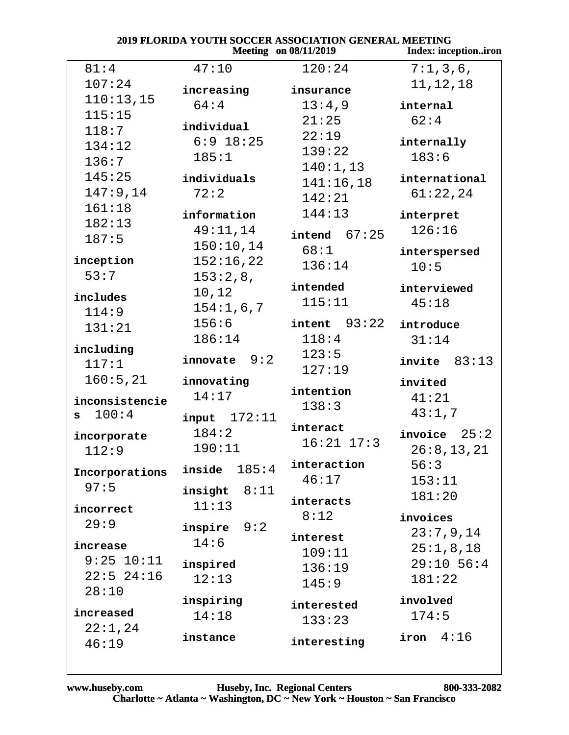|                   | 2019 FLOKIDA TOUTH SOCCER ASSOCIATION GENEKAL MEETING | <b>Meeting</b> on 08/11/2019 | Index: inceptioniron |
|-------------------|-------------------------------------------------------|------------------------------|----------------------|
| 81:4              | 47:10                                                 | 120:24                       | 7:1,3,6,             |
| 107:24            | increasing                                            | insurance                    | 11, 12, 18           |
| 110:13,15         | 64:4                                                  | 13:4,9                       | internal             |
| 115:15            |                                                       | 21:25                        | 62:4                 |
| 118:7             | individual                                            | 22:19                        |                      |
| 134:12            | $6:9$ 18:25                                           | 139:22                       | internally           |
| 136:7             | 185:1                                                 | 140:1,13                     | 183:6                |
| 145:25            | individuals                                           | 141:16,18                    | international        |
| 147:9,14          | 72:2                                                  | 142:21                       | 61:22,24             |
| 161:18            |                                                       | 144:13                       |                      |
| 182:13            | information                                           |                              | interpret<br>126:16  |
| 187:5             | 49:11,14                                              | intend $67:25$               |                      |
|                   | 150:10,14                                             | 68:1                         | interspersed         |
| inception<br>53:7 | 152:16,22                                             | 136:14                       | 10:5                 |
|                   | 153:2,8,                                              | intended                     | interviewed          |
| includes          | 10,12                                                 | 115:11                       | 45:18                |
| 114:9             | 154:1,6,7                                             |                              |                      |
| 131:21            | 156:6                                                 | $intent$ $93:22$             | introduce            |
| including         | 186:14                                                | 118:4                        | 31:14                |
| 117:1             | innovate $9:2$                                        | 123:5                        | $invite$ 83:13       |
| 160:5,21          | innovating                                            | 127:19                       | invited              |
|                   | 14:17                                                 | intention                    | 41:21                |
| inconsistencie    |                                                       | 138:3                        | 43:1,7               |
| 100:4<br>s        | $input$ $172:11$                                      | interact                     |                      |
| incorporate       | 184:2                                                 | $16:21$ $17:3$               | invoice $25:2$       |
| 112:9             | 190:11                                                |                              | 26:8, 13, 21         |
| Incorporations    | 185:4<br>inside                                       | interaction                  | 56:3                 |
| 97:5              |                                                       | 46:17                        | 153:11               |
|                   | insight $8:11$                                        | interacts                    | 181:20               |
| incorrect         | 11:13                                                 | 8:12                         | invoices             |
| 29:9              | 9:2<br>inspire                                        |                              | 23:7,9,14            |
| increase          | 14:6                                                  | interest                     | 25:1,8,18            |
| $9:25$ $10:11$    | inspired                                              | 109:11                       | $29:10$ 56:4         |
| $22:5$ 24:16      | 12:13                                                 | 136:19                       | 181:22               |
| 28:10             |                                                       | 145:9                        |                      |
|                   | inspiring                                             | interested                   | involved             |
| increased         | 14:18                                                 | 133:23                       | 174:5                |
| 22:1,24           | instance                                              | interesting                  | 4:16<br>iron         |
| 46:19             |                                                       |                              |                      |

 $\sqrt{2}$ 

**MEETHIALO**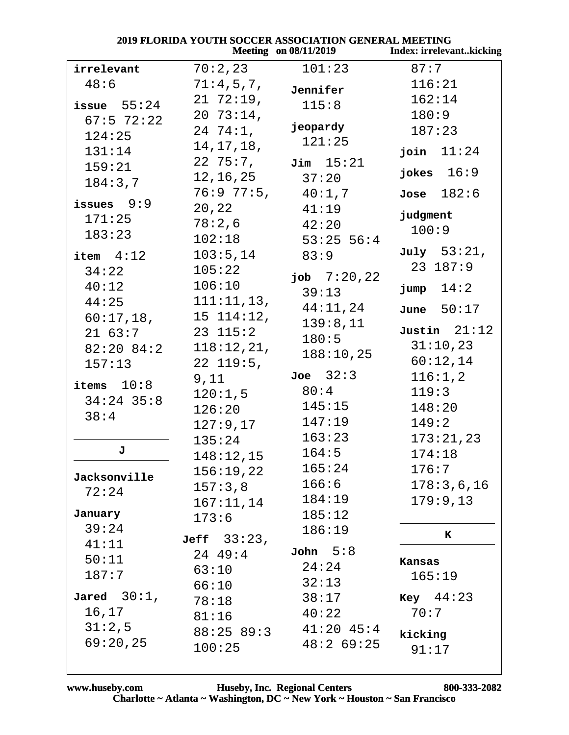| 2019 FLORIDA YOUTH SOCCER ASSOCIATION GENERAL MEETING |                 |                                         |                          |
|-------------------------------------------------------|-----------------|-----------------------------------------|--------------------------|
|                                                       |                 | <b>Meeting</b> on 08/11/2019            | Index: irrelevantkicking |
| irrelevant                                            | $70:2$ , $23$   | 101:23                                  | 87:7                     |
| 48:6                                                  | 71:4,5,7,       | Jennifer                                | 116:21                   |
| issue $55:24$                                         | $21\ \ 72:19$ , | 115:8                                   | 162:14                   |
| $67:5$ 72:22                                          | $20\ \ 73:14$ , |                                         | 180:9                    |
| 124:25                                                | $24 \t74:1$ ,   | jeopardy                                | 187:23                   |
| 131:14                                                | 14, 17, 18,     | 121:25                                  | join $11:24$             |
| 159:21                                                |                 | $22\ \ 75:7$ , $\frac{1}{\pi}\ \ 15:21$ |                          |
| 184:3,7                                               | 12, 16, 25      | 37:20                                   | jokes $16:9$             |
|                                                       |                 | $76:9$ $77:5$ , $40:1,7$                | Jose $182:6$             |
| issues $9:9$                                          | 20,22           | 41:19                                   | judgment                 |
| 171:25                                                | 78:2,6          | 42:20                                   | 100:9                    |
| 183:23                                                | 102:18          | $53:25$ 56:4                            |                          |
| item 4:12                                             | 103:5, 14       | 83:9                                    | July $53:21$ ,           |
| 34:22                                                 | 105:22          | job $7:20,22$                           | 23 187:9                 |
| 40:12                                                 | 106:10          | 39:13                                   | jump 14:2                |
| 44:25                                                 | 111:11,13,      | 44:11,24                                |                          |
| $60:17,18$ ,                                          | $15$ $114:12$ , | 139:8,11                                | June $50:17$             |
| 2163:7                                                | 23 115:2        | 180:5                                   | Justin $21:12$           |
| 82:20 84:2                                            | 118:12,21,      |                                         | 31:10,23                 |
| 157:13                                                | $22\;119:5$ ,   | 188:10,25                               | 60:12,14                 |
| items $10:8$                                          | 9,11            | Joe $32:3$                              | 116:1,2                  |
| $34:24$ 35:8                                          | 120:1,5         | 80:4                                    | 119:3                    |
|                                                       | 126:20          | 145:15                                  | 148:20                   |
| 38:4                                                  | 127:9,17        | 147:19                                  | 149:2                    |
|                                                       | 135:24          | 163:23                                  | 173:21,23                |
| J                                                     | 148:12,15       | 164:5                                   | 174:18                   |
| Jacksonville                                          | 156:19,22       | 165:24                                  | 176:7                    |
| 72:24                                                 | 157:3,8         | 166:6                                   | 178:3,6,16               |
|                                                       | 167:11,14       | 184:19                                  | 179:9,13                 |
| January                                               | 173:6           | 185:12                                  |                          |
| 39:24                                                 | Jeff $33:23$ ,  | 186:19                                  | K                        |
| 41:11                                                 | 24 49:4         | John $5:8$                              |                          |
| 50:11                                                 | 63:10           | 24:24                                   | Kansas                   |
| 187:7                                                 | 66:10           | 32:13                                   | 165:19                   |
| Jared $30:1$ ,                                        | 78:18           | 38:17                                   | $Key$ 44:23              |
| 16,17                                                 | 81:16           | 40:22                                   | 70:7                     |
| 31:2,5                                                | 88:25 89:3      | $41:20$ $45:4$                          |                          |
| 69:20,25                                              | 100:25          | 48:269:25                               | kicking                  |
|                                                       |                 |                                         | 91:17                    |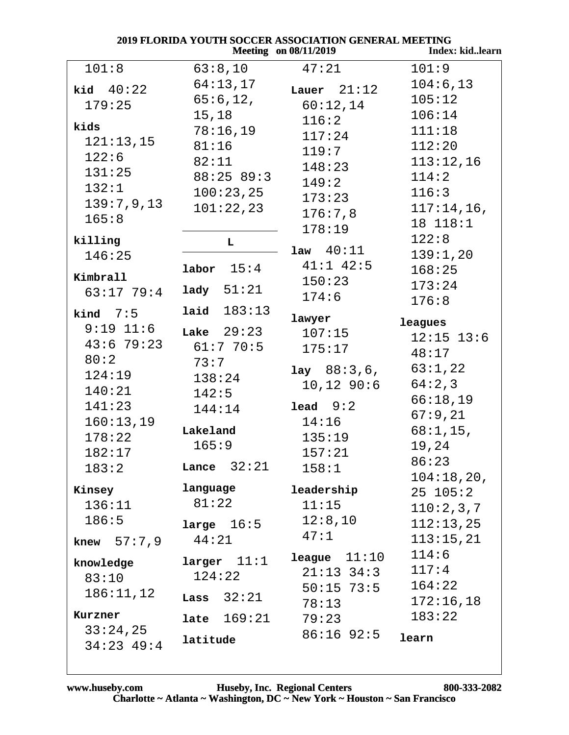| 2019 FLORIDA YOUTH SOCCER ASSOCIATION GENERAL MEETING |                      |                              |                           |
|-------------------------------------------------------|----------------------|------------------------------|---------------------------|
|                                                       |                      | <b>Meeting</b> on 08/11/2019 | Index: kidlearn           |
| 101:8                                                 | 63:8,10              | 47:21                        | 101:9                     |
| kid $40:22$                                           | 64:13,17             | Lauer $21:12$                | 104:6,13                  |
| 179:25                                                | 65:6, 12,            | 60:12,14                     | 105:12                    |
|                                                       | 15,18                | 116:2                        | 106:14                    |
| kids                                                  | 78:16,19             | 117:24                       | 111:18                    |
| 121:13,15                                             | 81:16                | 119:7                        | 112:20                    |
| 122:6                                                 | 82:11                | 148:23                       | 113:12,16                 |
| 131:25                                                | 88:25 89:3           | 149:2                        | 114:2                     |
| 132:1                                                 | 100:23,25            | 173:23                       | 116:3                     |
| 139:7,9,13                                            | 101:22,23            | 176:7,8                      | 117:14,16,                |
| 165:8                                                 |                      | 178:19                       | 18 118:1                  |
| killing                                               | L.                   |                              | 122:8                     |
| 146:25                                                |                      | $1aw \t 40:11$               | 139:1,20                  |
| Kimbrall                                              | 15:4<br>labor        | $41:1$ $42:5$                | 168:25                    |
| $63:17$ 79:4                                          | lady $51:21$         | 150:23                       | 173:24                    |
|                                                       |                      | 174:6                        | 176:8                     |
| kind $7:5$                                            | laid 183:13          | lawyer                       | leagues                   |
| $9:19$ 11:6                                           | Lake $29:23$         | 107:15                       | $12:15$ $13:6$            |
| 43:679:23                                             | 61:770:5             | 175:17                       | 48:17                     |
| 80:2                                                  | 73:7                 |                              | 63:1,22                   |
| 124:19                                                | 138:24               | lay 88:3,6,                  | 64:2,3                    |
| 140:21                                                | 142:5                | $10,12$ $90:6$               | 66:18,19                  |
| 141:23                                                | 144:14               | $lead$ $9:2$                 | 67:9,21                   |
| 160:13,19                                             | Lakeland             | 14:16                        |                           |
| 178:22                                                |                      | 135:19                       | $68:1,15$ ,               |
| 182:17                                                | 165:9                | 157:21                       | 19,24                     |
| 183:2                                                 | Lance $32:21$        | 158:1                        | 86:23                     |
| Kinsey                                                | language             | leadership                   | 104:18,20,                |
| 136:11                                                | 81:22                | 11:15                        | $25 \t105:2$<br>110:2,3,7 |
| 186:5                                                 |                      | 12:8,10                      |                           |
|                                                       | large 16:5           | 47:1                         | 112:13,25                 |
| knew $57:7,9$                                         | 44:21                |                              | 113:15,21                 |
| knowledge                                             | larger 11:1          | league 11:10                 | 114:6                     |
| 83:10                                                 | 124:22               | $21:13$ $34:3$               | 117:4                     |
| 186:11,12                                             | Lass $32:21$         | $50:15$ 73:5                 | 164:22                    |
| Kurzner                                               |                      | 78:13                        | 172:16,18                 |
| 33:24,25                                              | <b>late</b> $169:21$ | 79:23                        | 183:22                    |
| $34:23$ 49:4                                          | latitude             | $86:16$ 92:5                 | learn                     |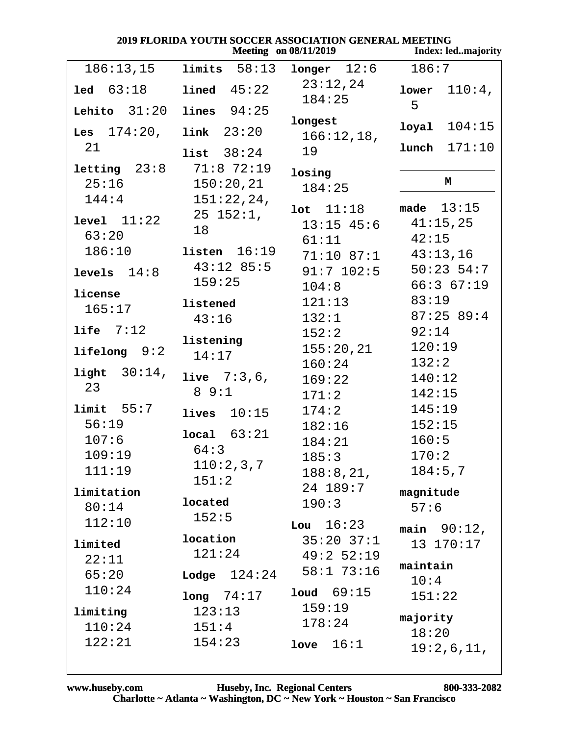|  |                       | 2019 FLORIDA YOUTH SOCCER ASSOCIATION GENERAL MEETING |
|--|-----------------------|-------------------------------------------------------|
|  | Mooting on 08/11/2010 | Indev: led 1                                          |

|                       |                       | <b>Meeting</b> on 08/11/2019 | Index: ledmajority      |
|-----------------------|-----------------------|------------------------------|-------------------------|
| 186:13,15             | limits 58:13          | $longer$ 12:6                | 186:7                   |
| $1ed \t 63:18$        | 45:22<br>lined        | 23:12,24<br>184:25           | $110:4$ ,<br>lower<br>5 |
| Lehito $31:20$        | lines $94:25$         | longest                      |                         |
| <b>Les</b> $174:20$ , | $link$ 23:20          | 166:12,18,                   | 104:15<br>loyal         |
| 21                    | list $38:24$          | 19                           | $lunch$ $171:10$        |
| $letting 23:8$        | 71:8 72:19            | losing                       |                         |
| 25:16                 | 150:20,21             | 184:25                       | $\mathbf M$             |
| 144:4                 | 151:22,24,            | $10t$ $11:18$                | made $13:15$            |
| level 11:22           | $25 \t152:1,$         | $13:15$ $45:6$               | 41:15,25                |
| 63:20                 | 18                    | 61:11                        | 42:15                   |
| 186:10                | $listen$ $16:19$      | $71:10$ $87:1$ $43:13,16$    |                         |
| levels $14:8$         | $43:12$ 85:5          | $91:7$ $102:5$               | $50:23$ 54:7            |
| license               | 159:25                | 104:8                        | 66:367:19               |
| 165:17                | listened              | 121:13                       | 83:19                   |
|                       | 43:16                 | 132:1                        | $87:25$ 89:4            |
| life $7:12$           | listening             | 152:2                        | 92:14                   |
| lifelong 9:2          | 14:17                 | 155:20,21                    | 120:19                  |
| light $30:14$ ,       | <b>live</b> $7:3,6$ , | 160:24                       | 132:2<br>140:12         |
| 23                    | 89:1                  | 169:22<br>171:2              | 142:15                  |
| limit 55:7            |                       | 174:2                        | 145:19                  |
| 56:19                 | lives $10:15$         | 182:16                       | 152:15                  |
| 107:6                 | local 63:21           | 184:21                       | 160:5                   |
| 109:19                | 64:3                  | 185:3                        | 170:2                   |
| 111:19                | 110:2,3,7             | 188:8,21,                    | 184:5,7                 |
| limitation            | 151:2                 | 24 189:7                     | magnitude               |
| 80:14                 | located               | 190:3                        | 57:6                    |
| 112:10                | 152:5                 | Lou $16:23$                  | main $90:12$ ,          |
| limited               | location              | $35:20$ $37:1$               | 13 170:17               |
| 22:11                 | 121:24                | 49:252:19                    |                         |
| 65:20                 | Lodge $124:24$        | $58:1$ 73:16                 | maintain<br>10:4        |
| 110:24                | long 74:17            | $1$ oud $69:15$              | 151:22                  |
| limiting              | 123:13                | 159:19                       |                         |
| 110:24                | 151:4                 | 178:24                       | majority                |
| 122:21                | 154:23                | love $16:1$                  | 18:20<br>19:2,6,11,     |
|                       |                       |                              |                         |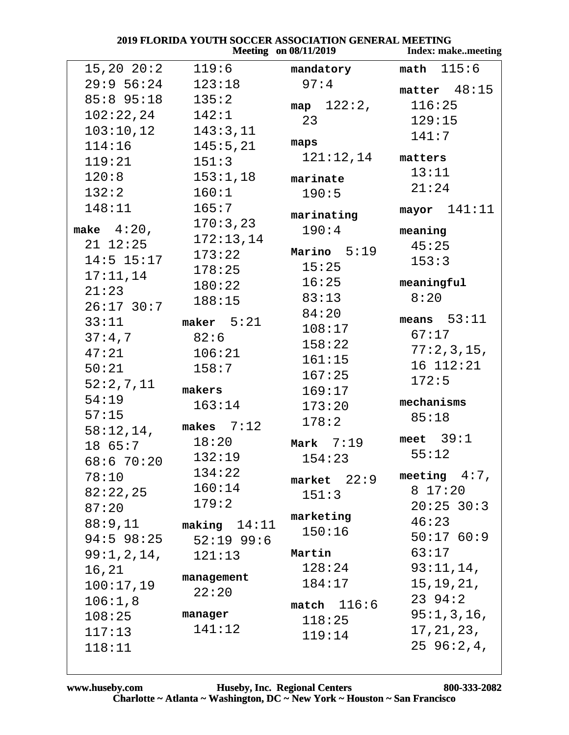## 2019 FLORIDA YOUTH SOCCER ASSOCIATION GENERAL MEETING<br>Meeting on 08/11/2019

|                |                | $Meeung$ on $V\delta /11/2019$ | index: makemeeting  |
|----------------|----------------|--------------------------------|---------------------|
| $15,20\ 20:2$  | 119:6          | mandatory                      | math $115:6$        |
| $29:9$ 56:24   | 123:18         | 97:4                           | matter $48:15$      |
| 85:8 95:18     | 135:2          | $map \ 122:2,$                 | 116:25              |
| 102:22,24      | 142:1          | 23                             | 129:15              |
| 103:10,12      | 143:3,11       |                                | 141:7               |
| 114:16         | 145:5,21       | maps                           |                     |
| 119:21         | 151:3          | 121:12,14                      | matters             |
| 120:8          | 153:1,18       | marinate                       | 13:11               |
| 132:2          | 160:1          | 190:5                          | 21:24               |
| 148:11         | 165:7          | marinating                     | $mayor$ 141:11      |
| make $4:20$ ,  | 170:3,23       | 190:4                          | meaning             |
| $21 \t12:25$   | 172:13,14      |                                | 45:25               |
| $14:5$ $15:17$ | 173:22         | Marino $5:19$                  | 153:3               |
| 17:11,14       | 178:25         | 15:25                          |                     |
| 21:23          | 180:22         | 16:25                          | meaningful          |
| $26:17$ 30:7   | 188:15         | 83:13                          | 8:20                |
| 33:11          | maker $5:21$   | 84:20                          | means $53:11$       |
| 37:4,7         | 82:6           | 108:17                         | 67:17               |
| 47:21          | 106:21         | 158:22                         | 77:2,3,15,          |
| 50:21          | 158:7          | 161:15                         | 16 112:21           |
| 52:2,7,11      |                | 167:25                         | 172:5               |
| 54:19          | makers         | 169:17                         |                     |
| 57:15          | 163:14         | 173:20                         | mechanisms<br>85:18 |
| 58:12,14,      | makes $7:12$   | 178:2                          |                     |
| 18 65:7        | 18:20          | Mark $7:19$                    | meet $39:1$         |
| 68:670:20      | 132:19         | 154:23                         | 55:12               |
| 78:10          | 134:22         | market $22:9$                  | meeting $4:7$ ,     |
| 82:22,25       | 160:14         | 151:3                          | 8 17:20             |
| 87:20          | 179:2          |                                | $20:25$ 30:3        |
| 88:9,11        | making $14:11$ | marketing                      | 46:23               |
| $94:5$ 98:25   | $52:19$ 99:6   | 150:16                         | 50:1760:9           |
| 99:1,2,14,     | 121:13         | Martin                         | 63:17               |
| 16,21          |                | 128:24                         | 93:11,14,           |
| 100:17,19      | management     | 184:17                         | 15, 19, 21,         |
| 106:1,8        | 22:20          | match $116:6$                  | $23 \t94:2$         |
| 108:25         | manager        | 118:25                         | 95:1,3,16,          |
| 117:13         | 141:12         | 119:14                         | 17, 21, 23,         |
| 118:11         |                |                                | 2596:2,4,           |
|                |                |                                |                     |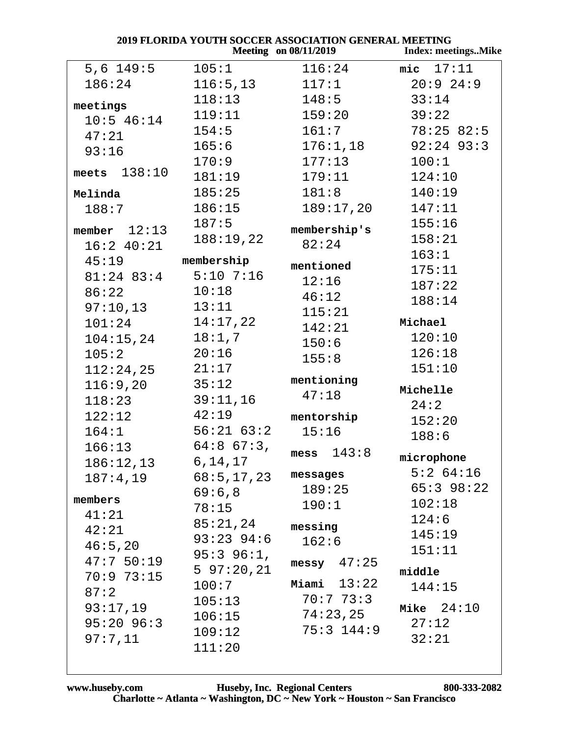| 2019 FLORIDA YOUTH SOCCER ASSOCIATION GENERAL MEETING |                 |                              |                            |
|-------------------------------------------------------|-----------------|------------------------------|----------------------------|
|                                                       |                 | <b>Meeting</b> on 08/11/2019 | <b>Index: meetingsMike</b> |
| $5,6$ 149:5                                           | 105:1           | 116:24                       | mic $17:11$                |
| 186:24                                                | 116:5, 13       |                              | $117:1$ 20:9 24:9          |
| meetings                                              | 118:13          | 148:5                        | 33:14                      |
| $10:5$ 46:14                                          | 119:11          | 159:20                       | 39:22                      |
| 47:21                                                 | 154:5           | 161:7                        | 78:25 82:5                 |
| 93:16                                                 | 165:6           | 176:1,18                     | $92:24$ $93:3$             |
|                                                       | 170:9           | 177:13                       | 100:1                      |
| meets $138:10$                                        | 181:19          | 179:11                       | 124:10                     |
| Melinda                                               | 185:25          | 181:8                        | 140:19                     |
| 188:7                                                 | 186:15          | 189:17,20                    | 147:11                     |
| member $12:13$                                        | 187:5           | membership's                 | 155:16                     |
| 16:2 40:21                                            | 188:19,22       | 82:24                        | 158:21                     |
| 45:19                                                 | membership      |                              | 163:1                      |
| $81:24$ $83:4$                                        | $5:10$ 7:16     | mentioned                    | 175:11                     |
| 86:22                                                 | 10:18           | 12:16                        | 187:22                     |
| 97:10,13                                              | 13:11           | 46:12                        | 188:14                     |
| 101:24                                                | 14:17,22        | 115:21                       | Michael                    |
| 104:15,24                                             | 18:1,7          | 142:21                       | 120:10                     |
| 105:2                                                 | 20:16           | 150:6                        | 126:18                     |
| 112:24,25                                             | 21:17           | 155:8                        | 151:10                     |
| 116:9,20                                              | 35:12           | mentioning                   |                            |
| 118:23                                                | 39:11,16        | 47:18                        | Michelle                   |
| 122:12                                                | 42:19           | mentorship                   | 24:2                       |
| 164:1                                                 | $56:21$ $63:2$  | 15:16                        | 152:20                     |
| 166:13                                                | $64:8$ $67:3$ , |                              | 188:6                      |
| 186:12,13                                             | 6,14,17         | mess $143:8$                 | microphone                 |
| 187:4,19                                              | 68:5, 17, 23    | messages                     | $5:2$ 64:16                |
|                                                       | 69:6,8          | 189:25                       | $65:3$ 98:22               |
| members                                               | 78:15           | 190:1                        | 102:18                     |
| 41:21                                                 | 85:21,24        | messing                      | 124:6                      |
| 42:21                                                 | $93:23$ $94:6$  | 162:6                        | 145:19                     |
| 46:5,20                                               | $95:3$ $96:1$ , |                              | 151:11                     |
| 47:750:19                                             | 597:20,21       | $messy$ 47:25                | middle                     |
| 70:973:15                                             | 100:7           | Miami $13:22$                | 144:15                     |
| 87:2                                                  | 105:13          | 70:773:3                     |                            |
| 93:17,19                                              | 106:15          | 74:23,25                     | Mike $24:10$               |
| $95:20$ $96:3$                                        | 109:12          | $75:3$ 144:9                 | 27:12                      |
| 97:7,11                                               | 111:20          |                              | 32:21                      |
|                                                       |                 |                              |                            |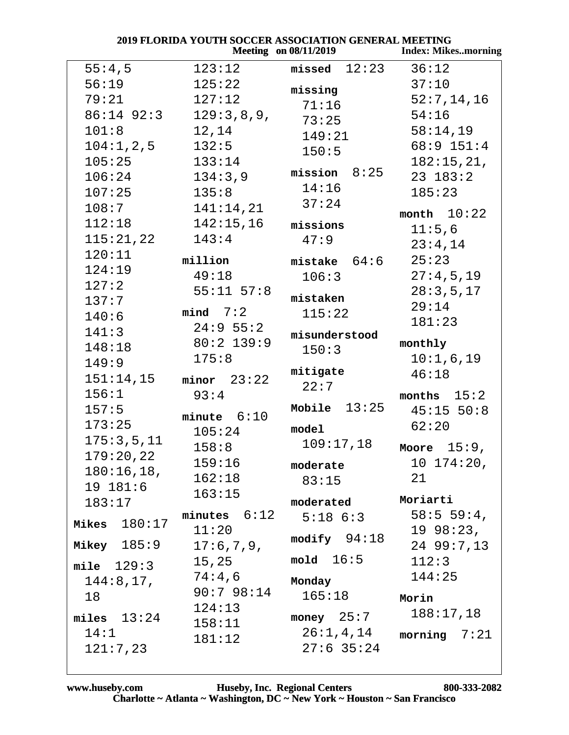|                 | ZUI9 FLOKIDA TOUTH SOCCEK ASSOCIATION GENEKAL MEETING | <b>Meeting</b> on 08/11/2019 | <b>Index: Mikesmorning</b> |
|-----------------|-------------------------------------------------------|------------------------------|----------------------------|
| 55:4,5          | 123:12                                                | missed $12:23$               | 36:12                      |
| 56:19           | 125:22                                                | missing                      | 37:10                      |
| 79:21           | 127:12                                                | 71:16                        | 52:7,14,16                 |
| $86:14$ 92:3    | 129:3,8,9,                                            | 73:25                        | 54:16                      |
| 101:8           | 12,14                                                 | 149:21                       | 58:14,19                   |
| 104:1, 2, 5     | 132:5                                                 | 150:5                        | 68:9 151:4                 |
| 105:25          | 133:14                                                |                              | 182:15,21,                 |
| 106:24          | 134:3,9                                               | mission 8:25                 | $23 \t183:2$               |
| 107:25          | 135:8                                                 | 14:16                        | 185:23                     |
| 108:7           | 141:14,21                                             | 37:24                        | month $10:22$              |
| 112:18          | 142:15,16                                             | missions                     | 11:5,6                     |
| 115:21,22       | 143:4                                                 | 47:9                         | 23:4,14                    |
| 120:11          | million                                               | mistake $64:6$               | 25:23                      |
| 124:19          | 49:18                                                 | 106:3                        | 27:4,5,19                  |
| 127:2           | $55:11$ $57:8$                                        |                              | 28:3,5,17                  |
| 137:7           |                                                       | mistaken                     | 29:14                      |
| 140:6           | mind 7:2                                              | 115:22                       | 181:23                     |
| 141:3           | $24:9$ 55:2                                           | misunderstood                |                            |
| 148:18          | $80:2$ 139:9                                          | 150:3                        | monthly                    |
| 149:9           | 175:8                                                 |                              | 10:1,6,19                  |
| 151:14,15       | minor 23:22                                           | mitigate                     | 46:18                      |
| 156:1           | 93:4                                                  | 22:7                         | months $15:2$              |
| 157:5           | minute $6:10$                                         | Mobile $13:25$               | $45:15$ 50:8               |
| 173:25          | 105:24                                                | model                        | 62:20                      |
| 175:3,5,11      | 158:8                                                 | 109:17,18                    | 15:9,<br>Moore             |
| 179:20,22       | 159:16                                                |                              | 10 174:20,                 |
| 180:16,18,      | 162:18                                                | moderate                     | 21                         |
| 19 181:6        | 163:15                                                | 83:15                        |                            |
| 183:17          |                                                       | moderated                    | Moriarti                   |
| 180:17<br>Mikes | minutes $6:12$                                        | $5:18$ $6:3$                 | 58:5 59:4,                 |
|                 | 11:20                                                 | $\text{modify}$ 94:18        | 1998:23,                   |
| Mikey $185:9$   | $17:6,7,9$ ,                                          |                              | 2499:7,13                  |
| mile $129:3$    | 15,25                                                 | $mold$ 16:5                  | 112:3                      |
| 144:8,17,       | 74:4,6                                                | Monday                       | 144:25                     |
| 18              | 90:798:14                                             | 165:18                       | Morin                      |
| miles $13:24$   | 124:13                                                | money $25:7$                 | 188:17,18                  |
| 14:1            | 158:11                                                | 26:1,4,14                    |                            |
| 121:7,23        | 181:12                                                | $27:6$ 35:24                 | morning $7:21$             |
|                 |                                                       |                              |                            |

 $CCTD$   $\triangle COCTA$ 

AT MEETHING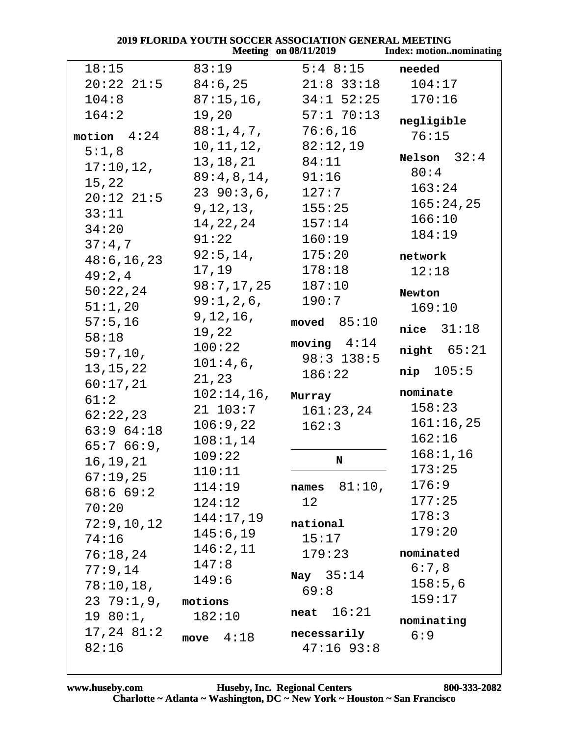| 18:15<br>83:19<br>5:4 8:15<br>needed<br>$20:22$ $21:5$<br>$21:8$ 33:18<br>84:6,25<br>104:17<br>170:16<br>104:8<br>$87:15,16$ ,<br>$34:1$ 52:25<br>164:2<br>$57:1$ $70:13$<br>19,20<br>negligible<br>88:1,4,7,<br>76:6,16<br>motion $4:24$<br>76:15<br>$10, 11, 12,$ $82:12, 19$<br>5:1,8<br>Nelson $32:4$<br>84:11<br>13,18,21<br>17:10,12,<br>80:4<br>89:4,8,14,<br>91:16<br>15,22<br>163:24<br>127:7<br>23 90:3,6,<br>$20:12$ $21:5$<br>165:24,25<br>9, 12, 13,<br>155:25<br>33:11<br>166:10<br>14, 22, 24<br>157:14<br>34:20 |  |
|---------------------------------------------------------------------------------------------------------------------------------------------------------------------------------------------------------------------------------------------------------------------------------------------------------------------------------------------------------------------------------------------------------------------------------------------------------------------------------------------------------------------------------|--|
|                                                                                                                                                                                                                                                                                                                                                                                                                                                                                                                                 |  |
|                                                                                                                                                                                                                                                                                                                                                                                                                                                                                                                                 |  |
|                                                                                                                                                                                                                                                                                                                                                                                                                                                                                                                                 |  |
|                                                                                                                                                                                                                                                                                                                                                                                                                                                                                                                                 |  |
|                                                                                                                                                                                                                                                                                                                                                                                                                                                                                                                                 |  |
|                                                                                                                                                                                                                                                                                                                                                                                                                                                                                                                                 |  |
|                                                                                                                                                                                                                                                                                                                                                                                                                                                                                                                                 |  |
|                                                                                                                                                                                                                                                                                                                                                                                                                                                                                                                                 |  |
|                                                                                                                                                                                                                                                                                                                                                                                                                                                                                                                                 |  |
|                                                                                                                                                                                                                                                                                                                                                                                                                                                                                                                                 |  |
|                                                                                                                                                                                                                                                                                                                                                                                                                                                                                                                                 |  |
| 184:19<br>91:22<br>160:19<br>37:4,7                                                                                                                                                                                                                                                                                                                                                                                                                                                                                             |  |
| 92:5,14,<br>175:20<br>network<br>48:6, 16, 23                                                                                                                                                                                                                                                                                                                                                                                                                                                                                   |  |
| 17,19<br>178:18<br>12:18<br>49:2,4                                                                                                                                                                                                                                                                                                                                                                                                                                                                                              |  |
| 98:7,17,25<br>187:10<br>50:22,24<br>Newton                                                                                                                                                                                                                                                                                                                                                                                                                                                                                      |  |
| 190:7<br>99:1,2,6,<br>51:1,20<br>169:10                                                                                                                                                                                                                                                                                                                                                                                                                                                                                         |  |
| 9, 12, 16,<br>57:5,16<br>moved $85:10$                                                                                                                                                                                                                                                                                                                                                                                                                                                                                          |  |
| nice $31:18$<br>19,22<br>58:18                                                                                                                                                                                                                                                                                                                                                                                                                                                                                                  |  |
| moving $4:14$<br>100:22<br>$night$ $65:21$<br>59:7,10,<br>$98:3$ 138:5                                                                                                                                                                                                                                                                                                                                                                                                                                                          |  |
| 101:4,6,<br>13, 15, 22<br>$nip$ $105:5$<br>186:22                                                                                                                                                                                                                                                                                                                                                                                                                                                                               |  |
| 21,23<br>60:17,21                                                                                                                                                                                                                                                                                                                                                                                                                                                                                                               |  |
| nominate<br>$102:14,16$ ,<br>Murray<br>61:2                                                                                                                                                                                                                                                                                                                                                                                                                                                                                     |  |
| 158:23<br>$21\ \ 103:7$<br>161:23,24<br>62:22,23                                                                                                                                                                                                                                                                                                                                                                                                                                                                                |  |
| 161:16,25<br>106:9,22<br>162:3<br>$63:9$ $64:18$                                                                                                                                                                                                                                                                                                                                                                                                                                                                                |  |
| 162:16<br>108:1,14<br>65:766:9                                                                                                                                                                                                                                                                                                                                                                                                                                                                                                  |  |
| 168:1, 16<br>109:22<br>16,19,21<br>N                                                                                                                                                                                                                                                                                                                                                                                                                                                                                            |  |
| 173:25<br>110:11<br>67:19,25                                                                                                                                                                                                                                                                                                                                                                                                                                                                                                    |  |
| 176:9<br>names $81:10$ ,<br>114:19<br>68:669:2                                                                                                                                                                                                                                                                                                                                                                                                                                                                                  |  |
| 177:25<br>12<br>124:12<br>70:20                                                                                                                                                                                                                                                                                                                                                                                                                                                                                                 |  |
| 178:3<br>144:17,19<br>72:9,10,12<br>national                                                                                                                                                                                                                                                                                                                                                                                                                                                                                    |  |
| 179:20<br>145:6,19<br>15:17<br>74:16                                                                                                                                                                                                                                                                                                                                                                                                                                                                                            |  |
| 146:2,11<br>nominated<br>179:23<br>76:18,24                                                                                                                                                                                                                                                                                                                                                                                                                                                                                     |  |
| 147:8<br>6:7,8<br>77:9,14<br>Nay $35:14$                                                                                                                                                                                                                                                                                                                                                                                                                                                                                        |  |
| 149:6<br>158:5,6<br>78:10,18,<br>69:8                                                                                                                                                                                                                                                                                                                                                                                                                                                                                           |  |
| 159:17<br>23 79:1,9,<br>motions                                                                                                                                                                                                                                                                                                                                                                                                                                                                                                 |  |
| neat $16:21$<br>19 80:1,<br>182:10<br>nominating                                                                                                                                                                                                                                                                                                                                                                                                                                                                                |  |
| $17,24$ 81:2<br>necessarily<br>6:9<br>move $4:18$                                                                                                                                                                                                                                                                                                                                                                                                                                                                               |  |
| 82:16<br>$47:16$ 93:8                                                                                                                                                                                                                                                                                                                                                                                                                                                                                                           |  |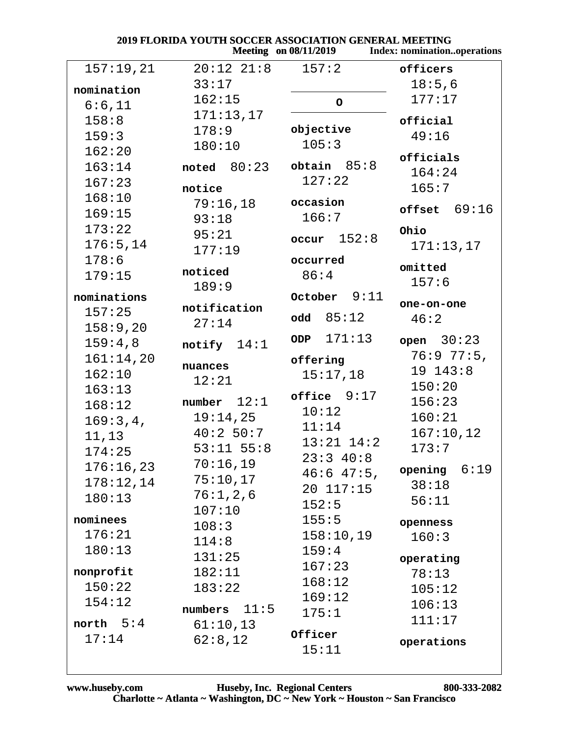2019 FLORIDA YOUTH SOCCER ASSOCIATION GENERAL MEETING

|             |                | <b>Meeting</b> on 08/11/2019 | <b>Index: nominationoperations</b> |
|-------------|----------------|------------------------------|------------------------------------|
| 157:19,21   | $20:12$ $21:8$ | 157:2                        | officers                           |
| nomination  | 33:17          |                              | 18:5,6                             |
| 6:6,11      | 162:15         | $\mathsf O$                  | 177:17                             |
| 158:8       | 171:13,17      |                              | official                           |
| 159:3       | 178:9          | objective                    | 49:16                              |
| 162:20      | 180:10         | 105:3                        |                                    |
| 163:14      | noted $80:23$  | obtain 85:8                  | officials                          |
| 167:23      |                | 127:22                       | 164:24                             |
| 168:10      | notice         | occasion                     | 165:7                              |
| 169:15      | 79:16,18       | 166:7                        | offset 69:16                       |
| 173:22      | 93:18<br>95:21 |                              | Ohio                               |
| 176:5, 14   | 177:19         | $occur$ 152:8                | 171:13,17                          |
| 178:6       |                | occurred                     |                                    |
| 179:15      | noticed        | 86:4                         | omitted                            |
| nominations | 189:9          | October 9:11                 | 157:6                              |
| 157:25      | notification   |                              | one-on-one                         |
| 158:9,20    | 27:14          | $odd$ 85:12                  | 46:2                               |
| 159:4,8     | notify $14:1$  | ODP $171:13$                 | open $30:23$                       |
| 161:14,20   |                | offering                     | 76:977:5,                          |
| 162:10      | nuances        | 15:17,18                     | 19 143:8                           |
| 163:13      | 12:21          |                              | 150:20                             |
| 168:12      | number $12:1$  | $of \texttt{file}$ $9:17$    | 156:23                             |
| 169:3,4,    | 19:14,25       | 10:12                        | 160:21                             |
| 11,13       | 40:2 50:7      | 11:14                        | 167:10,12                          |
| 174:25      | $53:11$ $55:8$ | $13:21$ $14:2$               | 173:7                              |
| 176:16,23   | 70:16,19       | 23:340:8                     | opening $6:19$                     |
| 178:12,14   | 75:10,17       | $46:6$ $47:5$ ,<br>20 117:15 | 38:18                              |
| 180:13      | 76:1,2,6       |                              | 56:11                              |
| nominees    | 107:10         | 152:5<br>155:5               |                                    |
| 176:21      | 108:3          | 158:10,19                    | openness                           |
| 180:13      | 114:8          | 159:4                        | 160:3                              |
|             | 131:25         | 167:23                       | operating                          |
| nonprofit   | 182:11         | 168:12                       | 78:13                              |
| 150:22      | 183:22         | 169:12                       | 105:12                             |
| 154:12      | numbers $11:5$ | 175:1                        | 106:13                             |
| north $5:4$ | 61:10,13       |                              | 111:17                             |
| 17:14       | 62:8,12        | Officer<br>15:11             | operations                         |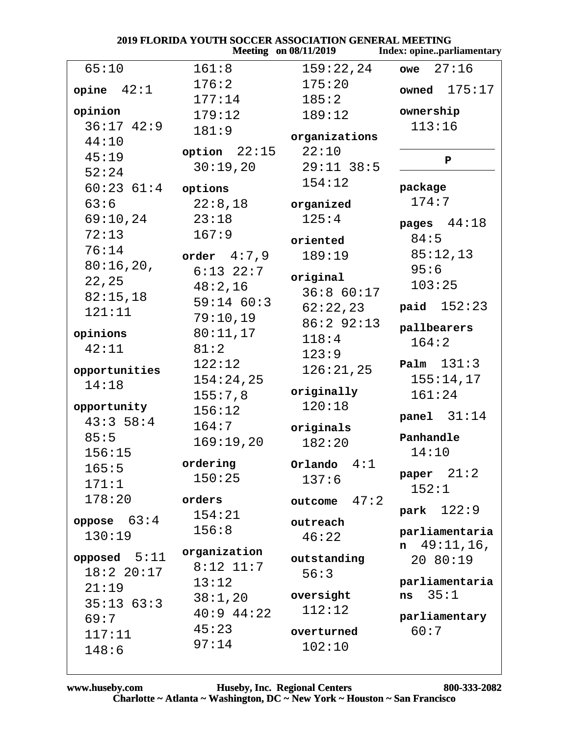|                | <b>2019 FLORIDA YOUTH SOCCER ASSOCIATION GENERAL MEETING</b> | <b>Meeting</b> on 08/11/2019 | Index: opineparliamentary |
|----------------|--------------------------------------------------------------|------------------------------|---------------------------|
| 65:10          | 161:8                                                        | 159:22,24                    | 27:16<br>owe              |
| opine $42:1$   | 176:2                                                        | 175:20                       | 175:17<br>owned           |
| opinion        | 177:14                                                       | 185:2                        | ownership                 |
| $36:17$ 42:9   | 179:12                                                       | 189:12                       | 113:16                    |
| 44:10          | 181:9                                                        | organizations                |                           |
| 45:19          | option $22:15$                                               | 22:10                        |                           |
| 52:24          | 30:19,20                                                     | $29:11$ 38:5                 | $\mathbf P$               |
| $60:23$ $61:4$ | options                                                      | 154:12                       | package                   |
| 63:6           | 22:8,18                                                      | organized                    | 174:7                     |
| 69:10,24       | 23:18                                                        | 125:4                        | pages $44:18$             |
| 72:13          | 167:9                                                        | oriented                     | 84:5                      |
| 76:14          | order $4:7,9$                                                | 189:19                       | 85:12,13                  |
| 80:16,20,      | $6:13$ 22:7                                                  |                              | 95:6                      |
| 22,25          | 48:2,16                                                      | original                     | 103:25                    |
| 82:15,18       | 59:14 60:3                                                   | 36:860:17                    | paid $152:23$             |
| 121:11         | 79:10,19                                                     | 62:22,23                     |                           |
| opinions       | 80:11,17                                                     | 86:292:13                    | pallbearers               |
| 42:11          | 81:2                                                         | 118:4                        | 164:2                     |
|                | 122:12                                                       | 123:9                        | Palm $131:3$              |
| opportunities  | 154:24,25                                                    | 126:21,25                    | 155:14,17                 |
| 14:18          | 155:7,8                                                      | originally                   | 161:24                    |
| opportunity    | 156:12                                                       | 120:18                       |                           |
| 43:358:4       | 164:7                                                        |                              | panel $31:14$             |
| 85:5           | 169:19,20                                                    | originals<br>182:20          | Panhandle                 |
| 156:15         |                                                              |                              | 14:10                     |
| 165:5          | ordering                                                     | 4:1<br>Orlando               | paper $21:2$              |
| 171:1          | 150:25                                                       | 137:6                        | 152:1                     |
| 178:20         | orders                                                       | 47:2<br>outcome              |                           |
|                | 154:21                                                       |                              | park $122:9$              |
| oppose $63:4$  | 156:8                                                        | outreach                     | parliamentaria            |
| 130:19         |                                                              | 46:22                        | $n \quad 49:11,16$ ,      |
| opposed $5:11$ | organization                                                 | outstanding                  | 20 80:19                  |
| 18:2 20:17     | $8:12$ 11:7                                                  | 56:3                         |                           |
| 21:19          | 13:12                                                        |                              | parliamentaria<br>35:1    |
| 35:1363:3      | 38:1,20                                                      | oversight<br>112:12          | ns                        |
| 69:7           | $40:9$ $44:22$                                               |                              | parliamentary             |
| 117:11         | 45:23                                                        | overturned                   | 60:7                      |
| 148:6          | 97:14                                                        | 102:10                       |                           |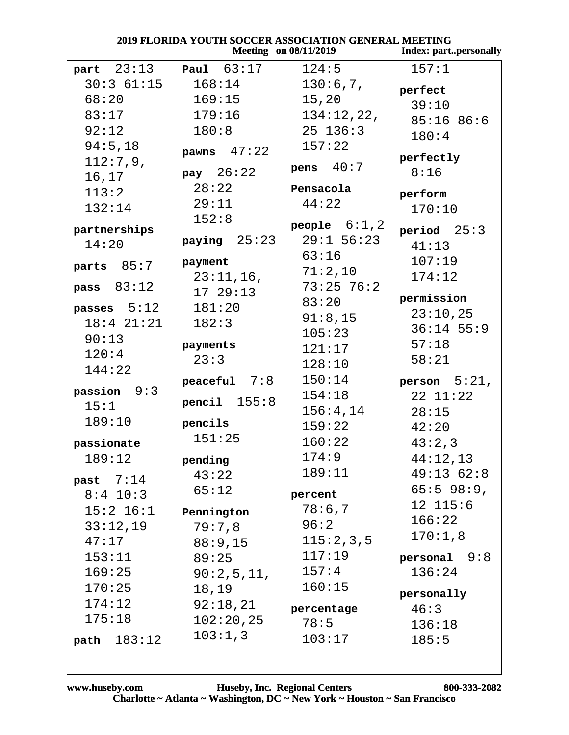|                 | ZUI9 FLORIDA TOUTH SOCCER ASSOCIATION GENERAL MEETING | <b>Meeting</b> on 08/11/2019 | <b>Index: partpersonally</b> |
|-----------------|-------------------------------------------------------|------------------------------|------------------------------|
| part $23:13$    | <b>Paul</b> $63:17$                                   | 124:5                        | 157:1                        |
| 30:361:15       | 168:14                                                | 130:6,7,                     | perfect                      |
| 68:20           | 169:15                                                | 15,20                        | 39:10                        |
| 83:17           | 179:16                                                | 134:12,22,                   | 85:16 86:6                   |
| 92:12           | 180:8                                                 | $25 \t136:3$                 | 180:4                        |
| 94:5,18         | pawns $47:22$                                         | 157:22                       |                              |
| 112:7,9,        |                                                       | pens $40:7$                  | perfectly                    |
| 16,17           | pay $26:22$                                           |                              | 8:16                         |
| 113:2           | 28:22                                                 | Pensacola                    | perform                      |
| 132:14          | 29:11                                                 | 44:22                        | 170:10                       |
| partnerships    | 152:8                                                 | people $6:1,2$               |                              |
| 14:20           | paying $25:23$                                        | $29:1$ 56:23                 | period $25:3$<br>41:13       |
|                 |                                                       | 63:16                        | 107:19                       |
| parts $85:7$    | payment                                               | 71:2,10                      | 174:12                       |
| pass $83:12$    | 23:11,16,<br>1729:13                                  | $73:25 \ 76:2$               |                              |
|                 |                                                       | 83:20                        | permission                   |
| passes $5:12$   | 181:20                                                | 91:8,15                      | 23:10,25                     |
| $18:4$ $21:21$  | 182:3                                                 | 105:23                       | $36:14$ 55:9                 |
| 90:13           | payments                                              | 121:17                       | 57:18                        |
| 120:4<br>144:22 | 23:3                                                  | 128:10                       | 58:21                        |
|                 | peaceful 7:8                                          | 150:14                       | person $5:21$ ,              |
| passion 9:3     |                                                       | 154:18                       | 22 11:22                     |
| 15:1            | pencil $155:8$                                        | 156:4,14                     | 28:15                        |
| 189:10          | pencils                                               | 159:22                       | 42:20                        |
| passionate      | 151:25                                                | 160:22                       | 43:2,3                       |
| 189:12          | pending                                               | 174:9                        | 44:12,13                     |
|                 | 43:22                                                 | 189:11                       | 49:1362:8                    |
| past $7:14$     | 65:12                                                 | percent                      | 65:598:9,                    |
| $8:4$ 10:3      |                                                       | 78:6,7                       | $12$ $115:6$                 |
| $15:2$ $16:1$   | Pennington                                            | 96:2                         | 166:22                       |
| 33:12,19        | 79:7,8                                                | 115:2,3,5                    | 170:1,8                      |
| 47:17           | 88:9,15                                               | 117:19                       |                              |
| 153:11          | 89:25                                                 | 157:4                        | personal $9:8$               |
| 169:25          | 90:2,5,11,                                            | 160:15                       | 136:24                       |
| 170:25          | 18,19                                                 |                              | personally                   |
| 174:12          | 92:18,21                                              | percentage                   | 46:3                         |
| 175:18          | 102:20,25                                             | 78:5                         | 136:18                       |
| path $183:12$   | 103:1,3                                               | 103:17                       | 185:5                        |

 $\sqrt{2}$ 

**MEETHIALO**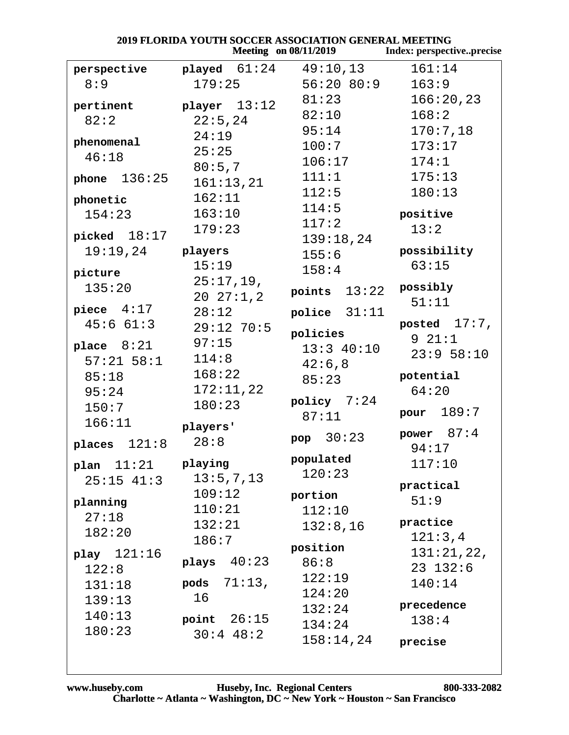|                    |                              | <b>Meeting</b> on 08/11/2019 | <b>Index: perspectiveprecise</b> |
|--------------------|------------------------------|------------------------------|----------------------------------|
| perspective        | played 61:24 49:10,13        |                              | 161:14                           |
| 8:9                | 179:25                       | 56:20 80:9                   | 163:9                            |
| pertinent          | player 13:12                 | 81:23                        | 166:20,23                        |
| 82:2               | 22:5,24                      | 82:10                        | 168:2                            |
|                    | 24:19                        | 95:14                        | 170:7,18                         |
| phenomenal         | 25:25                        | 100:7                        | 173:17                           |
| 46:18              | 80:5,7                       | 106:17                       | 174:1                            |
| phone $136:25$     | 161:13,21                    | 111:1                        | 175:13                           |
| phonetic           | 162:11                       | 112:5                        | 180:13                           |
| 154:23             | 163:10                       | 114:5                        | positive                         |
|                    | 179:23                       | 117:2                        | 13:2                             |
| picked $18:17$     |                              | 139:18,24                    |                                  |
| $19:19,24$ players |                              | 155:6                        | possibility                      |
| picture            | 15:19                        | 158:4                        | 63:15                            |
| 135:20             | 25:17,19,                    | points $13:22$               | possibly                         |
|                    | $20 \t27:1,2$                |                              | 51:11                            |
| piece $4:17$       | 28:12                        | police $31:11$               | posted $17:7$ ,                  |
| 45:661:3           | $29:12$ 70:5                 | policies                     | $9\ 21:1$                        |
| place $8:21$       | 97:15                        | $13:3$ 40:10                 | 23:958:10                        |
| $57:21$ $58:1$     | 114:8                        | 42:6,8                       |                                  |
| 85:18              | 168:22                       | 85:23                        | potential                        |
| 95:24              | 172:11,22                    | policy $7:24$                | 64:20                            |
| 150:7              | 180:23                       | 87:11                        | pour 189:7                       |
| 166:11             | players'                     |                              |                                  |
| 121:8<br>places    | 28:8                         | pop 30:23                    | power $87:4$                     |
|                    | playing                      | populated                    | 94:17<br>117:10                  |
| plan $11:21$       | 13:5,7,13                    | 120:23                       |                                  |
| $25:15$ 41:3       | 109:12                       | portion                      | practical                        |
| planning           | 110:21                       | 112:10                       | 51:9                             |
| 27:18              | 132:21                       | 132:8,16                     | practice                         |
| 182:20             | 186:7                        |                              | 121:3,4                          |
| play $121:16$      |                              | position                     | 131:21,22,                       |
| 122:8              | plays $40:23$                | 86:8                         | $23$ $132:6$                     |
| 131:18             | pods $71:13$ ,               | 122:19                       | 140:14                           |
| 139:13             | 16                           | 124:20                       |                                  |
| 140:13             |                              | 132:24                       | precedence                       |
| 180:23             | point $26:15$<br>$30:4$ 48:2 | 134:24                       | 138:4                            |
|                    |                              | 158:14,24                    | precise                          |
|                    |                              |                              |                                  |

2019 FLORIDA YOUTH SOCCER ASSOCIATION GENERAL MEETING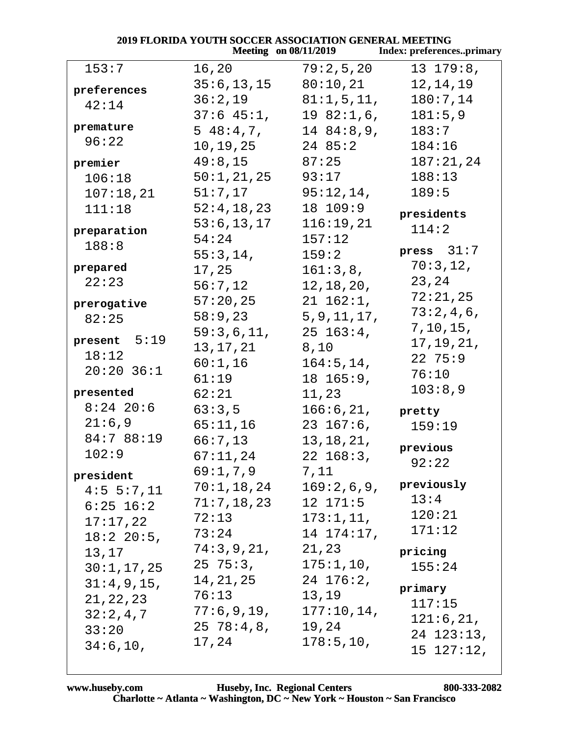| <b>2019 FLORIDA YOUTH SOCCER ASSOCIATION GENERAL MEETING</b> |                      |                                  |                           |  |
|--------------------------------------------------------------|----------------------|----------------------------------|---------------------------|--|
|                                                              |                      | <b>Meeting</b> on 08/11/2019     | Index: preferencesprimary |  |
| 153:7                                                        | 16,20                | 79:2,5,20                        | $13\;\;179:8$ ,           |  |
| preferences                                                  | 35:6, 13, 15         | 80:10,21                         | 12,14,19                  |  |
| 42:14                                                        | 36:2,19              | 81:1,5,11,                       | 180:7,14                  |  |
|                                                              | $37:6$ 45:1,         | 19 82:1,6,                       | 181:5,9                   |  |
| premature                                                    | $5\;48:4,7,$         | 14 84:8,9,                       | 183:7                     |  |
| 96:22                                                        | 10, 19, 25           | 24 85:2                          | 184:16                    |  |
| premier                                                      | 49:8,15              | 87:25                            | 187:21,24                 |  |
| 106:18                                                       | 50:1,21,25           | 93:17                            | 188:13                    |  |
| 107:18,21                                                    | 51:7,17              | 95:12,14,                        | 189:5                     |  |
| 111:18                                                       | 52:4,18,23           | 18 109:9                         |                           |  |
|                                                              | 53:6, 13, 17         | 116:19,21                        | presidents                |  |
| preparation                                                  | 54:24                | 157:12                           | 114:2                     |  |
| 188:8                                                        | 55:3,14,             | 159:2                            | press $31:7$              |  |
| prepared                                                     | 17,25                | 161:3,8,                         | 70:3,12,                  |  |
| 22:23                                                        | 56:7,12              | 12, 18, 20,                      | 23,24                     |  |
|                                                              | 57:20,25             | $21\;162:1$ ,                    | 72:21,25                  |  |
| prerogative                                                  | 58:9,23              | 5, 9, 11, 17,                    | 73:2,4,6,                 |  |
| 82:25                                                        | 59:3,6,11,           | $25\;163:4$ ,                    | 7, 10, 15,                |  |
| present $5:19$                                               | 13, 17, 21           | 8,10                             | 17, 19, 21,               |  |
| 18:12                                                        | 60:1,16              | 164:5, 14,                       | $22\;\;75:9$              |  |
| $20:20$ 36:1                                                 | 61:19                | $18$ $165:9$ ,                   | 76:10                     |  |
| presented                                                    | 62:21                | 11,23                            | 103:8,9                   |  |
| $8:24$ 20:6                                                  | 63:3,5               | $166:6,21,$ pretty               |                           |  |
| 21:6,9                                                       | 65:11,16             | $23\;167:6$ ,                    |                           |  |
| 84:7 88:19                                                   |                      |                                  | 159:19                    |  |
| 102:9                                                        | 66:7,13              | 13, 18, 21,                      | previous                  |  |
|                                                              | 67:11,24             | $22\;168:3$ ,                    | 92:22                     |  |
| president                                                    | 69:1,7,9             | 7,11<br>$169:2,6,9$ , previously |                           |  |
| $4:5 \t5:7,11$                                               | $70:1$ , $18$ , $24$ |                                  | 13:4                      |  |
| $6:25$ 16:2                                                  | 71:7,18,23           | 12 171:5                         | 120:21                    |  |
| 17:17,22                                                     | 72:13                | 173:1,11,                        | 171:12                    |  |
| $18:2$ 20:5,                                                 | 73:24                | 14 174:17,                       |                           |  |
| 13,17                                                        | 74:3,9,21,           | 21,23                            | pricing                   |  |
| 30:1, 17, 25                                                 | 25 75:3,             | 175:1,10,                        | 155:24                    |  |
| 31:4,9,15,                                                   | 14,21,25             | 24 176:2,                        | primary                   |  |
| 21, 22, 23                                                   | 76:13                | 13,19                            | 117:15                    |  |
| 32:2,4,7                                                     | 77:6,9,19,           | $177:10,14$ ,                    | 121:6, 21,                |  |
| 33:20                                                        | 25 78:4,8,           | 19,24                            | $24$ $123:13$ ,           |  |
| 34:6,10,                                                     | 17,24                | 178:5, 10,                       | 15 127:12,                |  |
|                                                              |                      |                                  |                           |  |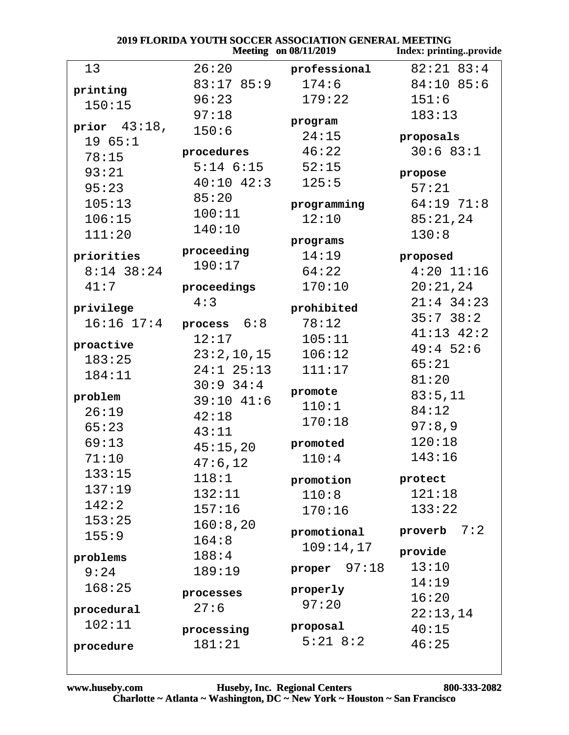| 2019 FLORIDA YOUTH SOCCER ASSOCIATION GENERAL MEETING  |                      |                     |                |  |  |
|--------------------------------------------------------|----------------------|---------------------|----------------|--|--|
| <b>Meeting</b> on 08/11/2019<br>Index: printingprovide |                      |                     |                |  |  |
| 13                                                     | 26:20                | professional        | $82:21$ $83:4$ |  |  |
| printing                                               | 83:17 85:9           | 174:6               | $84:10$ 85:6   |  |  |
| 150:15                                                 | 96:23                | 179:22              | 151:6          |  |  |
|                                                        | 97:18                | program             | 183:13         |  |  |
| prior $43:18$ ,                                        | 150:6                | 24:15               | proposals      |  |  |
| 1965:1                                                 | procedures           | 46:22               | 30:683:1       |  |  |
| 78:15                                                  | $5:14$ $6:15$        | 52:15               |                |  |  |
| 93:21                                                  | $40:10$ $42:3$       | 125:5               | propose        |  |  |
| 95:23                                                  | 85:20                |                     | 57:21          |  |  |
| 105:13                                                 | 100:11               | programming         | $64:19$ 71:8   |  |  |
| 106:15                                                 | 140:10               | 12:10               | 85:21,24       |  |  |
| 111:20                                                 |                      | programs            | 130:8          |  |  |
| priorities                                             | proceeding           | 14:19               | proposed       |  |  |
| $8:14$ 38:24                                           | 190:17               | 64:22               | $4:20$ 11:16   |  |  |
| 41:7                                                   | proceedings          | 170:10              | 20:21,24       |  |  |
|                                                        | 4:3                  |                     | $21:4$ 34:23   |  |  |
| privilege<br>$16:16$ $17:4$                            | process $6:8$        | prohibited<br>78:12 | $35:7$ $38:2$  |  |  |
|                                                        | 12:17                | 105:11              | $41:13$ $42:2$ |  |  |
| proactive                                              |                      | 106:12              | 49:452:6       |  |  |
| 183:25                                                 | 23:2,10,15           | 111:17              | 65:21          |  |  |
| 184:11                                                 | $24:1$ $25:13$       |                     | 81:20          |  |  |
| problem                                                | $30:9$ 34:4          | promote             | 83:5,11        |  |  |
| 26:19                                                  | $39:10$ $41:6$       | 110:1               | 84:12          |  |  |
| 65:23                                                  | 42:18                | 170:18              | 97:8,9         |  |  |
| 69:13                                                  | 43:11                | promoted            | 120:18         |  |  |
| 71:10                                                  | 45:15,20             | 110:4               | 143:16         |  |  |
| 133:15                                                 | 47:6,12              |                     |                |  |  |
| 137:19                                                 | 118:1                | promotion           | protect        |  |  |
| 142:2                                                  | 132:11               | 110:8               | 121:18         |  |  |
| 153:25                                                 | 157:16               | 170:16              | 133:22         |  |  |
| 155:9                                                  | 160:8,20             | promotional         | 7:2<br>proverb |  |  |
|                                                        | 164:8                | 109:14,17           | provide        |  |  |
| problems                                               | 188:4                |                     | 13:10          |  |  |
| 9:24                                                   | 189:19               | proper $97:18$      | 14:19          |  |  |
| 168:25                                                 | processes            | properly            | 16:20          |  |  |
| procedural                                             | 27:6                 | 97:20               | 22:13,14       |  |  |
| 102:11                                                 |                      | proposal            | 40:15          |  |  |
|                                                        | processing<br>181:21 | $5:21$ $8:2$        | 46:25          |  |  |
| procedure                                              |                      |                     |                |  |  |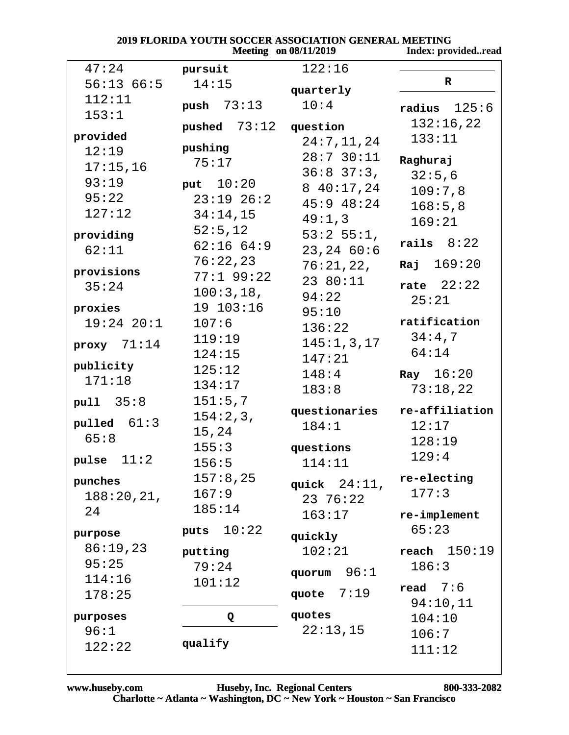## 2019 FLORIDA YOUTH SOCCER ASSOCIATION GENERAL MEETING **Meeting** on 08/11/2019

Index: provided..read

| 47:24          | pursuit        | 122:16          |                     |
|----------------|----------------|-----------------|---------------------|
| 56:1366:5      | 14:15          | quarterly       | $\mathbf R$         |
| 112:11         | push $73:13$   | 10:4            | radius $125:6$      |
| 153:1          | pushed $73:12$ | question        | 132:16,22           |
| provided       |                | 24:7,11,24      | 133:11              |
| 12:19          | pushing        | 28:730:11       |                     |
| 17:15,16       | 75:17          | $36:8$ 37:3,    | Raghuraj            |
| 93:19          | put $10:20$    | 8 40:17,24      | 32:5,6              |
| 95:22          | $23:19$ $26:2$ | $45:9$ $48:24$  | 109:7,8             |
| 127:12         | 34:14,15       | 49:1,3          | 168:5,8             |
| providing      | 52:5,12        | $53:2$ 55:1,    | 169:21              |
| 62:11          | 62:1664:9      | 23, 24, 60:6    | rails $8:22$        |
|                | 76:22,23       | 76:21,22,       | $\text{Raj}$ 169:20 |
| provisions     | $77:1$ 99:22   | 23 80:11        |                     |
| 35:24          | 100:3,18,      | 94:22           | rate $22:22$        |
| proxies        | 19 103:16      | 95:10           | 25:21               |
| $19:24$ $20:1$ | 107:6          | 136:22          | ratification        |
|                | 119:19         | 145:1,3,17      | 34:4,7              |
| proxy $71:14$  | 124:15         | 147:21          | 64:14               |
| publicity      | 125:12         | 148:4           | Ray $16:20$         |
| 171:18         | 134:17         | 183:8           | 73:18,22            |
| pull 35:8      | 151:5,7        |                 |                     |
|                | 154:2,3,       | questionaries   | re-affiliation      |
| pulled $61:3$  | 15,24          | 184:1           | 12:17               |
| 65:8           | 155:3          | questions       | 128:19              |
| pulse $11:2$   | 156:5          | 114:11          | 129:4               |
| punches        | 157:8,25       | quick $24:11$ , | re-electing         |
| 188:20,21,     | 167:9          | 23 76:22        | 177:3               |
| 24             | 185:14         | 163:17          | re-implement        |
|                | 10:22<br>puts  |                 | 65:23               |
| purpose        |                | quickly         |                     |
| 86:19,23       | putting        | 102:21          | 150:19<br>reach     |
| 95:25          | 79:24          | 96:1<br>quorum  | 186:3               |
| 114:16         | 101:12         |                 | read $7:6$          |
| 178:25         |                | 7:19<br>quote   | 94:10,11            |
| purposes       | Q              | quotes          | 104:10              |
| 96:1           |                | 22:13,15        | 106:7               |
| 122:22         | qualify        |                 | 111:12              |
|                |                |                 |                     |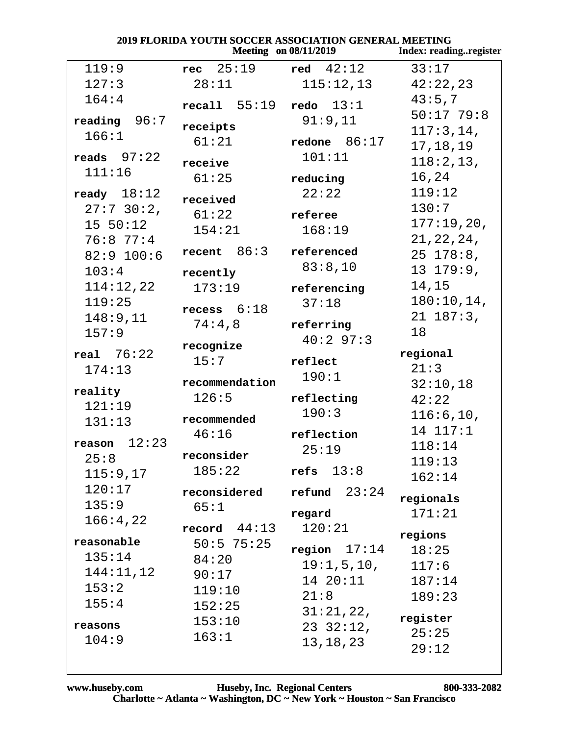| 2019 FLORIDA YOUTH SOCCER ASSOCIATION GENERAL MEETING<br><b>Meeting</b> on 08/11/2019<br>Index: readingregister |                |                           |               |  |  |
|-----------------------------------------------------------------------------------------------------------------|----------------|---------------------------|---------------|--|--|
| 119:9                                                                                                           | 25:19<br>rec   | red $42:12$               | 33:17         |  |  |
| 127:3                                                                                                           | 28:11          | 115:12,13                 | 42:22,23      |  |  |
| 164:4                                                                                                           | recall 55:19   | redo $13:1$               | 43:5,7        |  |  |
| 96:7<br>reading                                                                                                 |                | 91:9,11                   | $50:17$ 79:8  |  |  |
| 166:1                                                                                                           | receipts       |                           | 117:3, 14,    |  |  |
|                                                                                                                 | 61:21          | redone $86:17$            | 17, 18, 19    |  |  |
| reads $97:22$                                                                                                   | receive        | 101:11                    | 118:2,13,     |  |  |
| 111:16                                                                                                          | 61:25          | reducing                  | 16,24         |  |  |
| ready $18:12$                                                                                                   | received       | 22:22                     | 119:12        |  |  |
| $27:730:2$ ,                                                                                                    | 61:22          | referee                   | 130:7         |  |  |
| 15 50:12                                                                                                        | 154:21         | 168:19                    | 177:19,20,    |  |  |
| 76:877:4                                                                                                        |                |                           | 21, 22, 24,   |  |  |
| $82:9$ 100:6                                                                                                    | 86:3<br>recent | referenced                | $25\;178:8$ , |  |  |
| 103:4                                                                                                           | recently       | 83:8,10                   | $13\;179:9$ , |  |  |
| 114:12,22                                                                                                       | 173:19         | referencing               | 14,15         |  |  |
| 119:25                                                                                                          | recess $6:18$  | 37:18                     | 180:10,14,    |  |  |
| 148:9,11                                                                                                        | 74:4,8         |                           | $21\;187:3$ , |  |  |
| 157:9                                                                                                           |                | referring<br>40:297:3     | 18            |  |  |
| real $76:22$                                                                                                    | recognize      |                           | regional      |  |  |
| 174:13                                                                                                          | 15:7           | reflect                   | 21:3          |  |  |
|                                                                                                                 | recommendation | 190:1                     | 32:10,18      |  |  |
| reality                                                                                                         | 126:5          | reflecting                | 42:22         |  |  |
| 121:19                                                                                                          | recommended    | 190:3                     | 116:6, 10,    |  |  |
| 131:13                                                                                                          | 46:16          | reflection                | 14 117:1      |  |  |
| reason $12:23$                                                                                                  |                | 25:19                     | 118:14        |  |  |
| 25:8                                                                                                            | reconsider     |                           | 119:13        |  |  |
| 115:9,17                                                                                                        | 185:22         | refs $13:8$               | 162:14        |  |  |
| 120:17                                                                                                          | reconsidered   | refund 23:24              | regionals     |  |  |
| 135:9                                                                                                           | 65:1           | regard                    | 171:21        |  |  |
| 166:4,22                                                                                                        | record $44:13$ | 120:21                    |               |  |  |
| reasonable                                                                                                      | $50:5$ 75:25   |                           | regions       |  |  |
| 135:14                                                                                                          | 84:20          | $\mathtt{region}$ $17:14$ | 18:25         |  |  |
| 144:11,12                                                                                                       | 90:17          | 19:1,5,10,                | 117:6         |  |  |
| 153:2                                                                                                           | 119:10         | 14 20:11                  | 187:14        |  |  |
| 155:4                                                                                                           | 152:25         | 21:8                      | 189:23        |  |  |
|                                                                                                                 | 153:10         | 31:21,22,                 | register      |  |  |
| reasons<br>104:9                                                                                                | 163:1          | 23332:12,                 | 25:25         |  |  |
|                                                                                                                 |                | 13, 18, 23                | 29:12         |  |  |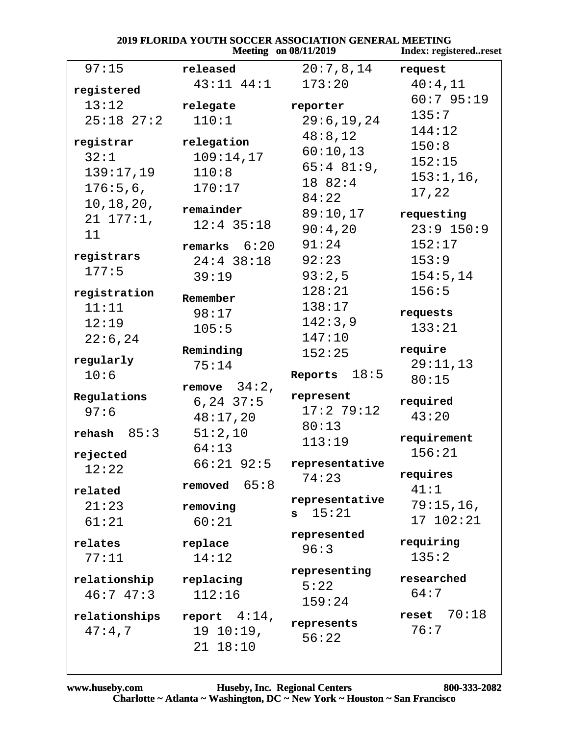|                        |                 | <b>Meeting</b> on 08/11/2019 |                  |  |
|------------------------|-----------------|------------------------------|------------------|--|
| 97:15                  | released        | $20:7$ , $8$ , $14$          | request          |  |
| registered             | $43:11$ $44:1$  | 173:20                       | 40:4,11          |  |
| 13:12                  | relegate        | reporter                     | 60:795:19        |  |
| $25:18$ $27:2$         | 110:1           | 29:6, 19, 24                 | 135:7            |  |
|                        |                 | 48:8,12                      | 144:12           |  |
| registrar              | relegation      | 60:10,13                     | 150:8            |  |
| 32:1                   | 109:14,17       | $65:4$ 81:9,                 | 152:15           |  |
| 139:17,19              | 110:8           | 18 82:4                      | $153:1,16$ ,     |  |
| $176:5,6$ ,            | 170:17          | 84:22                        | 17,22            |  |
| 10, 18, 20,            | remainder       | 89:10,17                     | requesting       |  |
| 21 177:1,              | $12:4$ 35:18    | 90:4,20                      | $23:9$ 150:9     |  |
| 11                     | remarks $6:20$  | 91:24                        | 152:17           |  |
| registrars             |                 | 92:23                        | 153:9            |  |
| 177:5                  | $24:4$ 38:18    | 93:2,5                       | 154:5, 14        |  |
|                        | 39:19           | 128:21                       | 156:5            |  |
| registration           | Remember        | 138:17                       |                  |  |
| 11:11                  | 98:17           |                              | requests         |  |
| 12:19                  | 105:5           | 142:3,9                      | 133:21           |  |
| 22:6,24                | Reminding       | 147:10                       | require          |  |
| regularly              | 75:14           | 152:25                       | 29:11,13         |  |
| 10:6                   |                 | Reports $18:5$               | 80:15            |  |
| Regulations            | remove $34:2$ , | represent                    |                  |  |
| 97:6                   | $6, 24$ $37:5$  | 17:279:12                    | required         |  |
|                        | 48:17,20        | 80:13                        | 43:20            |  |
| $\mathbf{rehash}$ 85:3 | 51:2,10         | 113:19                       | requirement      |  |
| rejected               | 64:13           |                              | 156:21           |  |
| 12:22                  | $66:21$ 92:5    | representative               |                  |  |
|                        | 65:8<br>removed | 74:23                        | requires<br>41:1 |  |
| related                |                 | representative               |                  |  |
| 21:23                  | removing        | 15:21<br>s.                  | 79:15,16,        |  |
| 61:21                  | 60:21           | represented                  | 17 102:21        |  |
| relates                | replace         | 96:3                         | requiring        |  |
| 77:11                  | 14:12           |                              | 135:2            |  |
| relationship           | replacing       | representing                 | researched       |  |
| 46:747:3               | 112:16          | 5:22                         | 64:7             |  |
|                        |                 | 159:24                       |                  |  |
| relationships          | report $4:14$ , | represents                   | reset $70:18$    |  |
| 47:4,7                 | 19 10:19,       | 56:22                        | 76:7             |  |
|                        | 21 18:10        |                              |                  |  |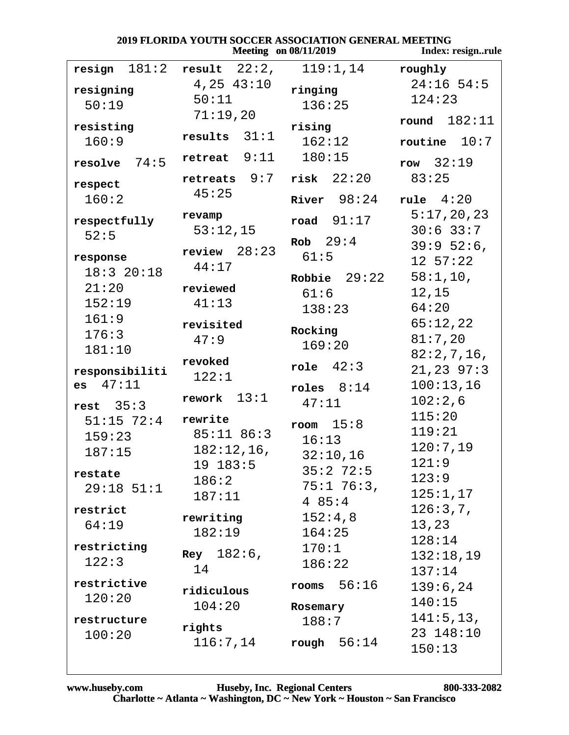## 2019 FLORIDA YOUTH SOCCER ASSOCIATION GENERAL MEETING<br>Meeting on 08/11/2019 Index: 1 Indov. recion rule

|                                | $M$ equal $M$ $M$ $M$ $M$ $M$ $M$ $M$ | muex: resignruie |                   |  |
|--------------------------------|---------------------------------------|------------------|-------------------|--|
| resign $181:2$ result $22:2$ , |                                       | 119:1,14         | roughly           |  |
| resigning                      | $4,25$ $43:10$                        | ringing          | $24:16$ 54:5      |  |
| 50:19                          | 50:11                                 | 136:25           | 124:23            |  |
|                                | 71:19,20                              |                  | 182:11<br>round   |  |
| resisting                      | results $31:1$                        | rising           |                   |  |
| 160:9                          |                                       | 162:12           | 10:7<br>routine   |  |
| resolve $74:5$                 | retrecht 9:11                         | 180:15           | row $32:19$       |  |
| respect                        | retreats 9:7                          | $risk$ $22:20$   | 83:25             |  |
| 160:2                          | 45:25                                 | River $98:24$    | rule $4:20$       |  |
| respectfully                   | revamp                                | $road$ $91:17$   | 5:17,20,23        |  |
| 52:5                           | 53:12,15                              | Rob $29:4$       | $30:6$ 33:7       |  |
|                                | review $28:23$                        | 61:5             | 39:952:6          |  |
| response<br>18:320:18          | 44:17                                 |                  | 12 57:22          |  |
| 21:20                          | reviewed                              | Robbie $29:22$   | 58:1,10,          |  |
| 152:19                         | 41:13                                 | 61:6             | 12,15             |  |
| 161:9                          |                                       | 138:23           | 64:20             |  |
| 176:3                          | revisited                             | Rocking          | 65:12,22          |  |
| 181:10                         | 47:9                                  | 169:20           | 81:7,20           |  |
|                                | revoked                               | role $42:3$      | 82:2,7,16,        |  |
| responsibiliti<br>47:11        | 122:1                                 |                  | 21, 23, 97:3      |  |
| es                             | rework $13:1$                         | roles $8:14$     | 100:13,16         |  |
| rest $35:3$                    |                                       | 47:11            | 102:2,6<br>115:20 |  |
| $51:15$ 72:4                   | rewrite                               | room $15:8$      | 119:21            |  |
| 159:23                         | $85:11$ $86:3$                        | 16:13            | 120:7,19          |  |
| 187:15                         | 182:12,16,                            | 32:10,16         | 121:9             |  |
| restate                        | $19$ $183:5$                          | $35:2$ 72:5      | 123:9             |  |
| $29:18$ 51:1                   | 186:2                                 | $75:1$ 76:3,     | 125:1,17          |  |
| restrict                       | 187:11                                | 485:4            | 126:3,7,          |  |
| 64:19                          | rewriting                             | 152:4,8          | 13,23             |  |
|                                | 182:19                                | 164:25           | 128:14            |  |
| restricting                    | <b>Rey</b> $182:6$ ,                  | 170:1            | 132:18,19         |  |
| 122:3                          | 14                                    | 186:22           | 137:14            |  |
| restrictive                    | ridiculous                            | 56:16<br>rooms   | 139:6,24          |  |
| 120:20                         | 104:20                                | Rosemary         | 140:15            |  |
| restructure                    |                                       | 188:7            | 141:5, 13,        |  |
| 100:20                         | rights                                |                  | 23 148:10         |  |
|                                | 116:7,14                              | rough $56:14$    | 150:13            |  |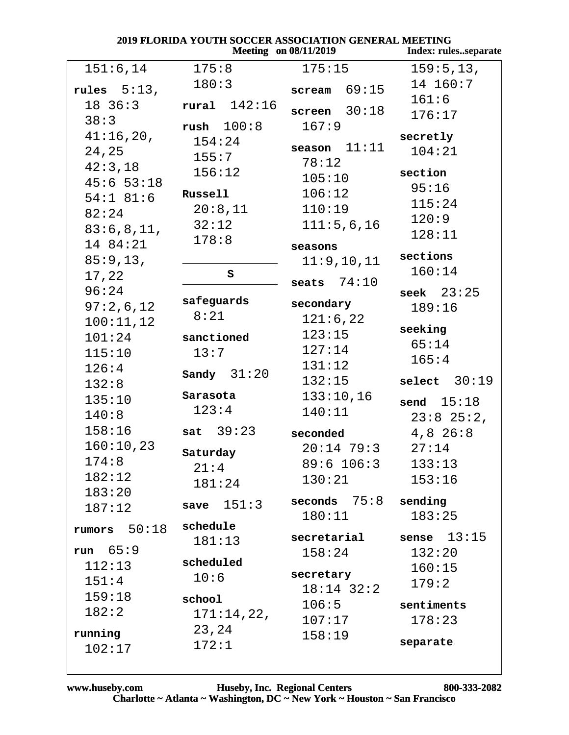| <b>2019 FLORIDA YOUTH SOCCER ASSOCIATION GENERAL MEETING</b><br><b>Meeting</b> on 08/11/2019<br>Index: rulesseparate |                |                           |                      |  |
|----------------------------------------------------------------------------------------------------------------------|----------------|---------------------------|----------------------|--|
| 151:6, 14                                                                                                            | 175:8          | 175:15                    | 159:5, 13,           |  |
| rules $5:13$ ,                                                                                                       | 180:3          | screen 69:15              | 14 160:7             |  |
| 18, 36:3                                                                                                             | rural $142:16$ |                           | 161:6                |  |
| 38:3                                                                                                                 |                | screen $30:18$            | 176:17               |  |
| 41:16,20,                                                                                                            | rush $100:8$   | 167:9                     | secretly             |  |
| 24,25                                                                                                                | 154:24         | season $11:11$            | 104:21               |  |
| 42:3,18                                                                                                              | 155:7          | 78:12                     |                      |  |
| 45:653:18                                                                                                            | 156:12         | 105:10                    | section              |  |
| $54:1$ 81:6                                                                                                          | Russell        | 106:12                    | 95:16                |  |
| 82:24                                                                                                                | 20:8,11        | 110:19                    | 115:24               |  |
| 83:6, 8, 11,                                                                                                         | 32:12          | 111:5,6,16                | 120:9                |  |
| 14 84:21                                                                                                             | 178:8          | seasons                   | 128:11               |  |
| 85:9,13,                                                                                                             |                | 11:9, 10, 11              | sections             |  |
| 17,22                                                                                                                | S              |                           | 160:14               |  |
| 96:24                                                                                                                |                | seats $74:10$             | seek $23:25$         |  |
| 97:2,6,12                                                                                                            | safeguards     | secondary                 | 189:16               |  |
| 100:11,12                                                                                                            | 8:21           | 121:6,22                  |                      |  |
| 101:24                                                                                                               | sanctioned     | 123:15                    | seeking              |  |
| 115:10                                                                                                               | 13:7           | 127:14                    | 65:14                |  |
| 126:4                                                                                                                |                | 131:12                    | 165:4                |  |
| 132:8                                                                                                                | Sandy $31:20$  | 132:15                    | select $30:19$       |  |
| 135:10                                                                                                               | Sarasota       | 133:10,16                 | send $15:18$         |  |
| 140:8                                                                                                                | 123:4          | 140:11                    | $23:8$ $25:2$ ,      |  |
| 158:16                                                                                                               | $sat$ 39:23    | seconded                  | $4,8$ 26:8           |  |
| 160:10,23                                                                                                            |                | $20:14$ 79:3              | 27:14                |  |
| 174:8                                                                                                                | Saturday       | $89:6$ 106:3              | 133:13               |  |
| 182:12                                                                                                               | 21:4           | 130:21                    | 153:16               |  |
| 183:20                                                                                                               | 181:24         |                           |                      |  |
| 187:12                                                                                                               | save $151:3$   | $seconds$ $75:8$          | sending              |  |
|                                                                                                                      | schedule       | 180:11                    | 183:25               |  |
| rumors $50:18$                                                                                                       | 181:13         | secretarial               | sense $13:15$        |  |
| run $65:9$                                                                                                           |                | 158:24                    | 132:20               |  |
| 112:13                                                                                                               | scheduled      |                           | 160:15               |  |
| 151:4                                                                                                                | 10:6           | secretary<br>$18:14$ 32:2 | 179:2                |  |
| 159:18                                                                                                               | school         |                           |                      |  |
| 182:2                                                                                                                | 171:14,22,     | 106:5                     | sentiments<br>178:23 |  |
| running                                                                                                              | 23,24          | 107:17                    |                      |  |
| 102:17                                                                                                               | 172:1          | 158:19                    | separate             |  |
|                                                                                                                      |                |                           |                      |  |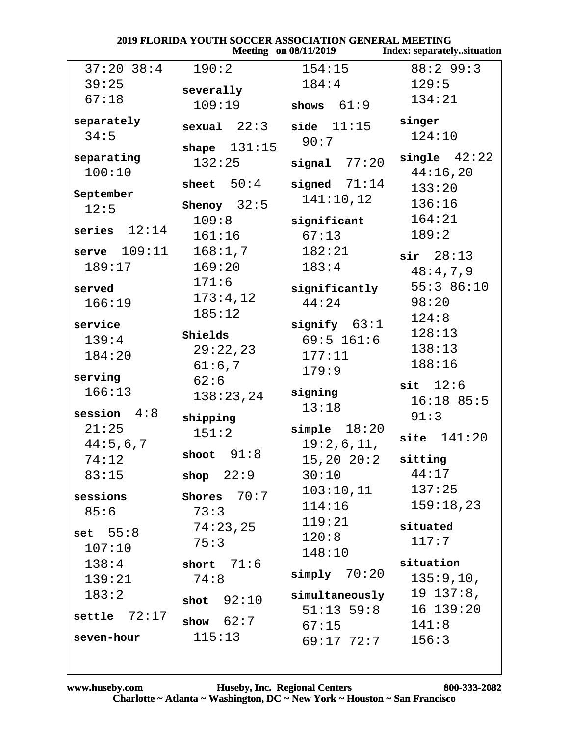|  |                          | 2019 FLORIDA YOUTH SOCCER ASSOCIATION GENERAL MEETING |  |
|--|--------------------------|-------------------------------------------------------|--|
|  | $M = 4$ = $= 00/11/0.10$ | . The January of the complete first state of          |  |

|                      |                | <b>Meeting</b> on 08/11/2019 | <b>Index:</b> separatelysituation |  |
|----------------------|----------------|------------------------------|-----------------------------------|--|
| $37:20$ 38:4         | 190:2          | 154:15                       | 88:299:3                          |  |
| 39:25                | severally      | 184:4                        | 129:5                             |  |
| 67:18                | 109:19         | shows $61:9$                 | 134:21                            |  |
| separately           |                |                              | singer                            |  |
| 34:5                 | secual 22:3    | side $11:15$<br>90:7         | 124:10                            |  |
|                      | shape $131:15$ |                              |                                   |  |
| separating<br>100:10 | 132:25         | signal $77:20$               | single $42:22$                    |  |
|                      | sheet $50:4$   | signed $71:14$               | 44:16,20<br>133:20                |  |
| September            |                | 141:10,12                    | 136:16                            |  |
| 12:5                 | Shenoy $32:5$  |                              | 164:21                            |  |
| series $12:14$       | 109:8          | significant<br>67:13         | 189:2                             |  |
|                      | 161:16         |                              |                                   |  |
| serve 109:11         | 168:1,7        | 182:21                       | $sir$ 28:13                       |  |
| 189:17               | 169:20         | 183:4                        | 48:4,7,9                          |  |
| served               | 171:6          | significantly                | 55:386:10<br>98:20                |  |
| 166:19               | 173:4,12       | 44:24                        |                                   |  |
| service              | 185:12         | signify $63:1$               | 124:8                             |  |
| 139:4                | Shields        | $69:5$ 161:6                 | 128:13                            |  |
| 184:20               | 29:22,23       | 177:11                       | 138:13                            |  |
|                      | 61:6,7         | 179:9                        | 188:16                            |  |
| serving              | 62:6           |                              | $s$ it $12:6$                     |  |
| 166:13               | 138:23,24      | signing                      | $16:18$ 85:5                      |  |
| session $4:8$        | shipping       | 13:18                        | 91:3                              |  |
| 21:25                | 151:2          | $simple$ 18:20               | 141:20<br>site                    |  |
| 44:5,6,7             | shoot $91:8$   | 19:2,6,11,                   |                                   |  |
| 74:12                |                | $15,20$ $20:2$ sitting       |                                   |  |
| 83:15                | shop $22:9$    | 30:10                        | 44:17                             |  |
| sessions             | Shores $70:7$  | $103:10,11$ $137:25$         |                                   |  |
| 85:6                 | 73:3           | 114:16                       | 159:18,23                         |  |
| set 55:8             | 74:23,25       | 119:21                       | situated                          |  |
| 107:10               | 75:3           | 120:8                        | 117:7                             |  |
| 138:4                | short $71:6$   | 148:10                       | situation                         |  |
| 139:21               | 74:8           | $simply$ 70:20               | 135:9,10,                         |  |
| 183:2                |                |                              | simultaneously $19$ 137:8,        |  |
|                      | shot $92:10$   | $51:13$ 59:8                 | 16 139:20                         |  |
| settle $72:17$       | show $62:7$    | 67:15                        | 141:8                             |  |
| seven-hour           | 115:13         | 69:17 72:7                   | 156:3                             |  |
|                      |                |                              |                                   |  |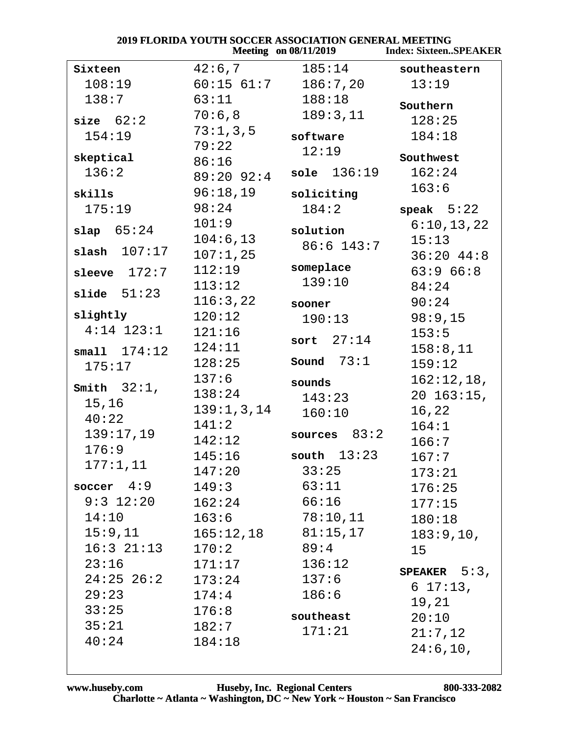| <b>2019 FLORIDA YOUTH SOCCER ASSOCIATION GENERAL MEETING</b><br><b>Index: SixteenSPEAKER</b><br><b>Meeting</b> on 08/11/2019 |                |                        |                 |  |  |
|------------------------------------------------------------------------------------------------------------------------------|----------------|------------------------|-----------------|--|--|
| Sixteen                                                                                                                      | 42:6,7         | 185:14                 | southeastern    |  |  |
| 108:19                                                                                                                       | $60:15$ $61:7$ | 186:7,20               | 13:19           |  |  |
| 138:7                                                                                                                        | 63:11          | 188:18                 | Southern        |  |  |
| size 62:2                                                                                                                    | 70:6,8         | 189:3,11               | 128:25          |  |  |
| 154:19                                                                                                                       | 73:1,3,5       | software               | 184:18          |  |  |
|                                                                                                                              | 79:22          | 12:19                  |                 |  |  |
| skeptical                                                                                                                    | 86:16          |                        | Southwest       |  |  |
| 136:2                                                                                                                        | $89:20$ $92:4$ | $\text{sole}$ 136:19   | 162:24          |  |  |
| skills                                                                                                                       | 96:18,19       | soliciting             | 163:6           |  |  |
| 175:19                                                                                                                       | 98:24          | 184:2                  | speak $5:22$    |  |  |
| slap $65:24$                                                                                                                 | 101:9          | solution               | 6:10,13,22      |  |  |
|                                                                                                                              | 104:6, 13      | $86:6$ 143:7           | 15:13           |  |  |
| slash $107:17$                                                                                                               | 107:1,25       |                        | $36:20$ 44:8    |  |  |
| sleeve $172:7$                                                                                                               | 112:19         | someplace              | 63:966:8        |  |  |
| slide $51:23$                                                                                                                | 113:12         | 139:10                 | 84:24           |  |  |
|                                                                                                                              | 116:3,22       | sooner                 | 90:24           |  |  |
| slightly                                                                                                                     | 120:12         | 190:13                 | 98:9,15         |  |  |
| $4:14$ $123:1$                                                                                                               | 121:16         | sort $27:14$           | 153:5           |  |  |
| $s$ mall $174:12$                                                                                                            | 124:11         |                        | 158:8,11        |  |  |
| 175:17                                                                                                                       | 128:25         | Sound $73:1$           | 159:12          |  |  |
| Smith $32:1$ ,                                                                                                               | 137:6          | sounds                 | 162:12,18,      |  |  |
|                                                                                                                              | 138:24         | 143:23                 | $20\;163:15$ ,  |  |  |
| 15,16<br>40:22                                                                                                               | 139:1,3,14     | 160:10                 | 16,22           |  |  |
| 139:17,19                                                                                                                    | 141:2          | sources $83:2$         | 164:1           |  |  |
| 176:9                                                                                                                        | 142:12         |                        | 166:7           |  |  |
| 177:1,11                                                                                                                     | 145:16         | south $13:23$          | 167:7           |  |  |
|                                                                                                                              | 147:20         | 33:25                  | 173:21          |  |  |
| soccer $4:9$                                                                                                                 | 149:3          | 63:11                  | 176:25          |  |  |
| $9:3$ $12:20$                                                                                                                | 162:24         | 66:16                  | 177:15          |  |  |
| 14:10                                                                                                                        | 163:6          | 78:10,11               | 180:18          |  |  |
| 15:9,11                                                                                                                      |                | $165:12,18$ $81:15,17$ | 183:9,10,       |  |  |
| $16:3$ $21:13$                                                                                                               | 170:2          | 89:4                   | 15              |  |  |
| 23:16                                                                                                                        | 171:17         | 136:12                 | SPEAKER $5:3$ , |  |  |
| $24:25$ $26:2$                                                                                                               | 173:24         | 137:6                  | $6\;17:13$ ,    |  |  |
| 29:23                                                                                                                        | 174:4          | 186:6                  | 19,21           |  |  |
| 33:25                                                                                                                        | 176:8          | southeast              | 20:10           |  |  |
| 35:21                                                                                                                        | 182:7          | 171:21                 | 21:7,12         |  |  |
| 40:24                                                                                                                        | 184:18         |                        | 24:6, 10,       |  |  |
|                                                                                                                              |                |                        |                 |  |  |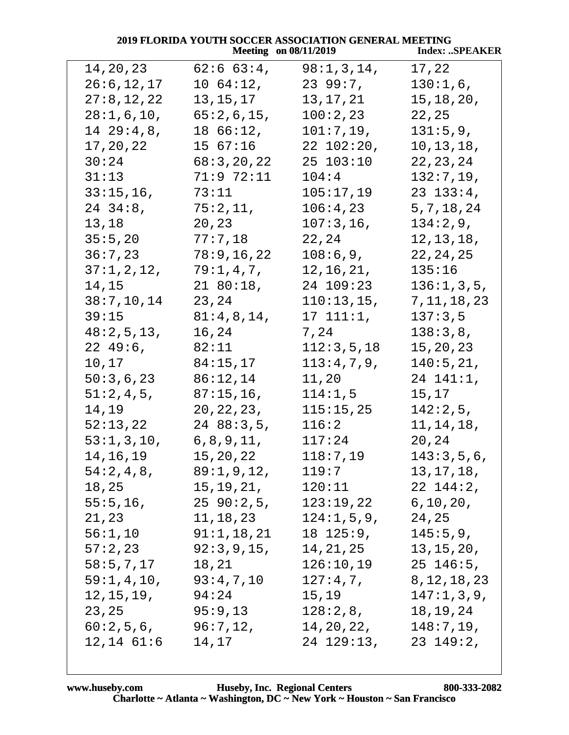| 2019 FLORIDA YOUTH SOCCER ASSOCIATION GENERAL MEETING |                       |            |  |
|-------------------------------------------------------|-----------------------|------------|--|
|                                                       | Mooting on 08/11/2010 | Indov. SPE |  |

|                      | <b>Meeting</b> on 08/11/2019                       |                              | <b>Index: SPEAKER</b> |
|----------------------|----------------------------------------------------|------------------------------|-----------------------|
| 14, 20, 23           | $62:6$ $63:4$ , $98:1,3,14$ ,                      |                              | 17,22                 |
| 26:6, 12, 17         | $10\ \ 64:12$ ,                                    | 23 99:7,                     | $130:1,6$ ,           |
| 27:8,12,22           | 13,15,17                                           | 13,17,21                     | 15, 18, 20,           |
| 28:1,6,10,           | 65:2,6,15,                                         | 100:2,23                     | 22,25                 |
| 1429::4,8,           | 1866:12,                                           | $101:7,19$ ,                 | 131:5,9,              |
| 17,20,22             | 1567:16                                            | $22\;102:20$ ,               | 10, 13, 18,           |
| 30:24                | 68:3,20,22                                         | 25 103:10                    | 22, 23, 24            |
| 31:13                | 71:9 72:11                                         | 104:4                        | 132:7,19,             |
| 33:15,16,            | 73:11                                              | 105:17,19                    | $23 \t133:4,$         |
| $24 \t34:8,$         | 75:2,11,                                           | 106:4,23                     | 5, 7, 18, 24          |
| 13,18                | 20,23                                              | 107:3,16,                    | 134:2,9,              |
| 35:5,20              | 77:7,18                                            | 22,24                        | 12, 13, 18,           |
| 36:7,23              | 78:9,16,22                                         | 108:6,9,                     | 22, 24, 25            |
| 37:1, 2, 12,         | 79:1,4,7,                                          | 12, 16, 21,                  | 135:16                |
| 14,15                | 2180:18,                                           | 24 109:23                    | 136:1,3,5,            |
| 38:7, 10, 14         | 23,24                                              | $110:13,15$ ,                | 7, 11, 18, 23         |
| 39:15                | 81:4,8,14,                                         | 17 111:1,                    | 137:3,5               |
| 48:2,5,13,           | 16,24                                              | 7,24                         | 138:3,8,              |
| $22\;49:6$ ,         | 82:11                                              | 112:3,5,18                   | 15,20,23              |
| 10,17                | $84:15$ , 17                                       | 113:4,7,9,                   | 140:5, 21,            |
| 50:3,6,23            | 86:12,14                                           | 11,20                        | $24$ $141:1$ ,        |
| 51:2,4,5,            | $87:15,16$ ,                                       | 114:1,5                      | 15,17                 |
| 14,19                | 20, 22, 23,                                        | 115:15,25                    | 142:2,5,              |
| 52:13,22             | 2488:3,5,                                          | 116:2                        | 11, 14, 18,           |
| 53:1,3,10,           | 6, 8, 9, 11,                                       | 117:24                       | 20,24                 |
| 14,16,19             | 15, 20, 22                                         | 118:7,19                     | 143:3,5,6,            |
|                      | $54:2,4,8,$ $89:1,9,12,$ $119:7$                   |                              | 13, 17, 18,           |
| 18,25                | $15, 19, 21,$ $120:11$ $22 \t144:2,$               |                              |                       |
|                      | $55:5, 16,$ 25 90:2,5, 123:19,22 6,10,20,          |                              |                       |
| 21,23                | $11, 18, 23$ $124:1, 5, 9,$ $24, 25$               |                              |                       |
|                      | $56:1,10$ $91:1,18,21$                             | $18$ $125:9$ , $145:5,9$ ,   |                       |
|                      | $57:2, 23$ $92:3, 9, 15, 14, 21, 25$ 13, 15, 20,   |                              |                       |
| $58:5, 7, 17$ 18, 21 |                                                    | $126:10,19$ 25 146:5,        |                       |
|                      | $59:1,4,10,$ $93:4,7,10$ $127:4,7,$ $8,12,18,23$   |                              |                       |
| 12, 15, 19, 94: 24   |                                                    | $15, 19$ $147:1, 3, 9,$      |                       |
|                      | 23, 25 95:9, 13                                    | $128:2,8,$ $18,19,24$        |                       |
|                      | $60:2,5,6$ , $96:7,12$ , $14,20,22$ , $148:7,19$ , |                              |                       |
| $12,14$ $61:6$       |                                                    | $14,17$ 24 129:13, 23 149:2, |                       |
|                      |                                                    |                              |                       |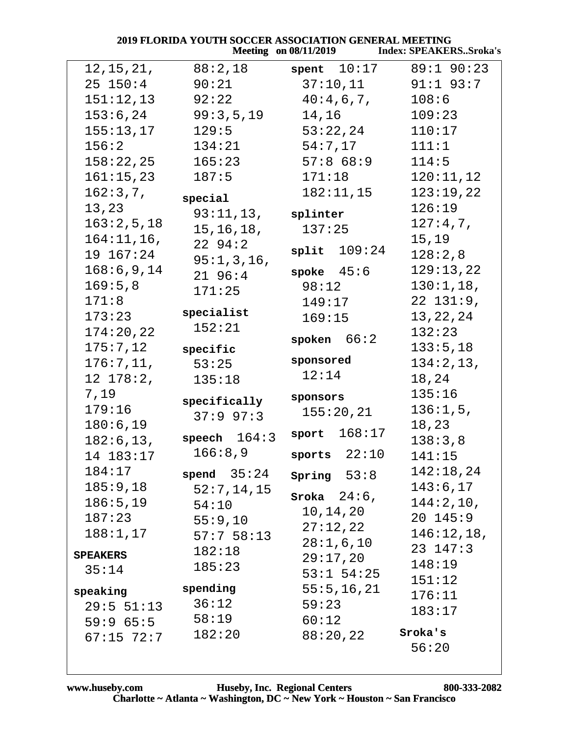|                 | <b>2019 FLORIDA YOUTH SOCCER ASSOCIATION GENERAL MEETING</b> |                       | Meeting on 08/11/2019 Index: SPEAKERSSroka's |
|-----------------|--------------------------------------------------------------|-----------------------|----------------------------------------------|
| 12, 15, 21,     | 88:2,18                                                      | $s$ pent $10:17$      | 89:1 90:23                                   |
| $25 \t150:4$    | 90:21                                                        | 37:10,11              | $91:1$ $93:7$                                |
| 151:12,13       | 92:22                                                        | 40:4,6,7,             | 108:6                                        |
| 153:6,24        | 99:3,5,19                                                    | 14,16                 | 109:23                                       |
| 155:13,17       | 129:5                                                        | 53:22,24              | 110:17                                       |
| 156:2           | 134:21                                                       | 54:7,17               | 111:1                                        |
| 158:22,25       | 165:23                                                       | 57:8 68:9             | 114:5                                        |
| 161:15,23       | 187:5                                                        | 171:18                | 120:11,12                                    |
| 162:3,7,        | special                                                      | 182:11,15             | 123:19,22                                    |
| 13,23           | 93:11,13,                                                    | splinter              | 126:19                                       |
| 163:2,5,18      | 15, 16, 18,                                                  | 137:25                | 127:4,7,                                     |
| 164:11,16,      | 2294:2                                                       |                       | 15,19                                        |
| 19 167:24       | 95:1,3,16,                                                   | split $109:24$        | 128:2,8                                      |
| 168:6,9,14      | $21\ \ 96:4$                                                 | $\texttt{spole}$ 45:6 | 129:13,22                                    |
| 169:5,8         | 171:25                                                       | 98:12                 | 130:1, 18,                                   |
| 171:8           |                                                              | 149:17                | 22 131:9,                                    |
| 173:23          | specialist                                                   | 169:15                | 13, 22, 24                                   |
| 174:20,22       | 152:21                                                       | spoken $66:2$         | 132:23                                       |
| 175:7,12        | specific                                                     |                       | 133:5,18                                     |
| 176:7,11,       | 53:25                                                        | sponsored             | 134:2,13,                                    |
| 12 178:2,       | 135:18                                                       | 12:14                 | 18,24                                        |
| 7,19            | specifically                                                 | sponsors              | 135:16                                       |
| 179:16          | 37:997:3                                                     | 155:20,21             | $136:1,5$ ,                                  |
| 180:6,19        |                                                              | 168:17<br>sport       | 18,23                                        |
| 182:6, 13,      | speech $164:3$                                               |                       | 138:3,8                                      |
| 14 183:17       | 166:8,9                                                      | sports $22:10$        | 141:15                                       |
| 184:17          | spend $35:24$                                                | Spring 53:8           | 142:18,24                                    |
| 185:9,18        | 52:7,14,15                                                   | Sroka $24:6$ ,        | 143:6,17                                     |
| 186:5, 19       | 54:10                                                        | 10,14,20              | 144:2,10,                                    |
| 187:23          | 55:9,10                                                      | 27:12,22              | 20 145:9                                     |
| 188:1,17        | 57:758:13                                                    | 28:1,6,10             | 146:12,18,                                   |
| <b>SPEAKERS</b> | 182:18                                                       | 29:17,20              | 23 147:3                                     |
| 35:14           | 185:23                                                       | $53:1$ $54:25$        | 148:19                                       |
| speaking        | spending                                                     | 55:5, 16, 21          | 151:12                                       |
| 29:5 51:13      | 36:12                                                        | 59:23                 | 176:11                                       |
| $59:9$ 65:5     | 58:19                                                        | 60:12                 | 183:17                                       |
| 67:15 72:7      | 182:20                                                       | 88:20,22              | Sroka's                                      |
|                 |                                                              |                       | 56:20                                        |
|                 |                                                              |                       |                                              |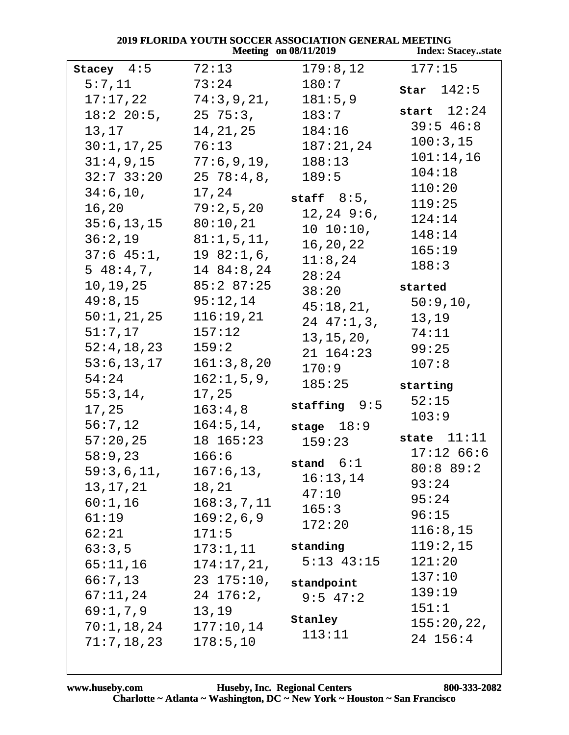| <b>2019 FLORIDA YOUTH SOCCER ASSOCIATION GENERAL MEETING</b> |                             |                              |                           |
|--------------------------------------------------------------|-----------------------------|------------------------------|---------------------------|
|                                                              |                             | <b>Meeting</b> on 08/11/2019 | <b>Index: Staceystate</b> |
| Stacey $4:5$                                                 | 72:13                       | 179:8,12                     | 177:15                    |
| 5:7,11                                                       | 73:24                       | 180:7                        | Star $142:5$              |
| $17:17$ , $22$                                               | 74:3,9,21,                  | 181:5,9                      |                           |
| $18:2$ 20:5,                                                 | $25\ \ 75:3$ ,              | 183:7                        | start $12:24$             |
| 13,17                                                        | 14, 21, 25                  | 184:16                       | 39:546:8                  |
| 30:1, 17, 25                                                 | 76:13                       | 187:21,24                    | 100:3,15                  |
| 31:4,9,15                                                    | 77:6,9,19,                  | 188:13                       | 101:14,16                 |
| $32:7$ $33:20$                                               | $25\ \ 78:4,8,$             | 189:5                        | 104:18                    |
| 34:6,10,                                                     | 17,24                       | staff $8:5$ ,                | 110:20                    |
| 16,20                                                        | 79:2,5,20                   | $12, 24$ 9:6,                | 119:25                    |
| 35:6, 13, 15                                                 | 80:10,21                    | 10 10:10,                    | 124:14                    |
| 36:2,19                                                      | 81:1,5,11,                  |                              | 148:14                    |
| $37:6$ $45:1$ ,                                              | 1982:1,6,                   | 16,20,22                     | 165:19                    |
| $5\;48:4,7,$                                                 | 14 84:8,24                  | 11:8,24<br>28:24             | 188:3                     |
|                                                              | $10, 19, 25$ $85:2$ $87:25$ | 38:20                        | started                   |
| 49:8,15                                                      | 95:12,14                    | 45:18,21,                    | 50:9,10,                  |
| 50:1,21,25                                                   | 116:19,21                   | $24$ 47:1,3,                 | 13,19                     |
| 51:7,17                                                      | 157:12                      |                              | 74:11                     |
| 52:4,18,23                                                   | 159:2                       | 13,15,20,<br>21 164:23       | 99:25                     |
| 53:6, 13, 17                                                 | 161:3,8,20                  | 170:9                        | 107:8                     |
| 54:24                                                        | 162:1,5,9,                  | 185:25                       |                           |
| 55:3,14,                                                     | 17,25                       |                              | starting                  |
| 17,25                                                        | 163:4,8                     | $\texttt{staffing}$ 9:5      | 52:15                     |
| 56:7,12                                                      | 164:5, 14,                  | stage $18:9$                 | 103:9                     |
| 57:20,25                                                     | 18 165:23                   | 159:23                       | state $11:11$             |
| 58:9,23                                                      | 166:6                       |                              | $17:12$ 66:6              |
| 59:3,6,11,                                                   | 167:6, 13,                  | stand $6:1$                  | 80:889:2                  |
| 13,17,21                                                     | 18,21                       | 16:13,14<br>47:10            | 93:24                     |
| 60:1,16                                                      | 168:3,7,11                  | 165:3                        | 95:24                     |
| 61:19                                                        | 169:2,6,9                   | 172:20                       | 96:15                     |
| 62:21                                                        | 171:5                       |                              | 116:8,15                  |
| 63:3,5                                                       | 173:1,11                    | standing                     | 119:2,15                  |
| 65:11,16                                                     | 174:17,21,                  | $5:13$ $43:15$               | 121:20                    |
| 66:7,13                                                      | $23\;175:10,$               | standpoint                   | 137:10                    |
| 67:11,24                                                     | 24 176:2,                   | $9:5$ 47:2                   | 139:19                    |
| 69:1,7,9                                                     | 13,19                       |                              | 151:1                     |
| 70:1,18,24                                                   | 177:10,14                   | Stanley                      | 155:20,22,                |
| 71:7,18,23                                                   | 178:5,10                    | 113:11                       | 24 156:4                  |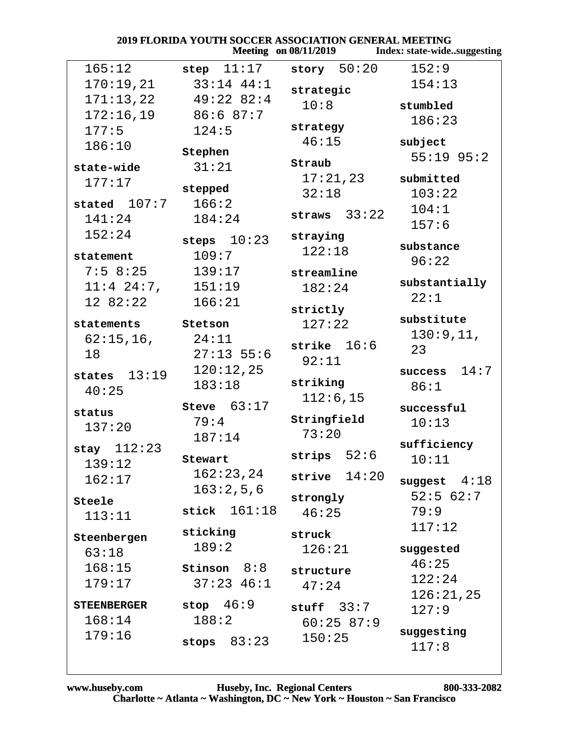|                    | 2019 FLORIDA YOUTH SOCCER ASSOCIATION GENERAL MEETING |                           | Meeting on 08/11/2019 Index: state-widesuggesting |
|--------------------|-------------------------------------------------------|---------------------------|---------------------------------------------------|
| 165:12             | step $11:17$                                          | story $50:20$             | 152:9                                             |
| 170:19,21          | $33:14$ 44:1                                          | strategic                 | 154:13                                            |
| 171:13,22          | 49:2282:4                                             | 10:8                      | stumbled                                          |
| 172:16,19          | 86:687:7                                              |                           | 186:23                                            |
| 177:5              | 124:5                                                 | strategy                  |                                                   |
| 186:10             | Stephen                                               | 46:15                     | subject                                           |
| state-wide         | 31:21                                                 | Straub                    | $55:19$ $95:2$                                    |
| 177:17             | stepped                                               | 17:21,23                  | submitted                                         |
| stated $107:7$     | 166:2                                                 | 32:18                     | 103:22                                            |
| 141:24             | 184:24                                                | straws $33:22$            | 104:1                                             |
| 152:24             |                                                       |                           | 157:6                                             |
|                    | steps $10:23$                                         | straying                  | substance                                         |
| statement          | 109:7                                                 | 122:18                    | 96:22                                             |
| 7:58:25            | 139:17                                                | streamline                |                                                   |
| $11:4$ 24:7,       | 151:19                                                | 182:24                    | substantially                                     |
| 12 82:22           | 166:21                                                | strictly                  | 22:1                                              |
| statements         | Stetson                                               | 127:22                    | substitute                                        |
| $62:15,16$ ,       | 24:11                                                 |                           | 130:9, 11,                                        |
| 18                 | $27:13$ 55:6                                          | strike $16:6$             | 23                                                |
|                    | 120:12,25                                             | 92:11                     | 14:7<br>success                                   |
| states $13:19$     | 183:18                                                | striking                  | 86:1                                              |
| 40:25              |                                                       | 112:6,15                  |                                                   |
| status             | Steve $63:17$                                         | Stringfield               | successful                                        |
| 137:20             | 79:4                                                  | 73:20                     | 10:13                                             |
| stay $112:23$      | 187:14                                                |                           | sufficiency                                       |
| 139:12             | Stewart                                               | strips $52:6$             | 10:11                                             |
| 162:17             | 162:23,24                                             | strive $14:20$            | suggest $4:18$                                    |
|                    | 163:2,5,6                                             | strongly                  | 52:562:7                                          |
| Steele             | stick $161:18$                                        | 46:25                     | 79:9                                              |
| 113:11             |                                                       |                           | 117:12                                            |
| Steenbergen        | sticking                                              | struck                    |                                                   |
| 63:18              | 189:2                                                 | 126:21                    | suggested                                         |
| 168:15             | Stinson 8:8                                           | structure                 | 46:25                                             |
| 179:17             | $37:23$ 46:1                                          | 47:24                     | 122:24                                            |
| <b>STEENBERGER</b> | stop $46:9$                                           |                           | 126:21,25                                         |
| 168:14             | 188:2                                                 | stuff $33:7$<br>60:2587:9 | 127:9                                             |
|                    |                                                       |                           |                                                   |

 $83:23$ 

stops

 $150:25$ 

 $179:16$ 

suggesting

 $117:8$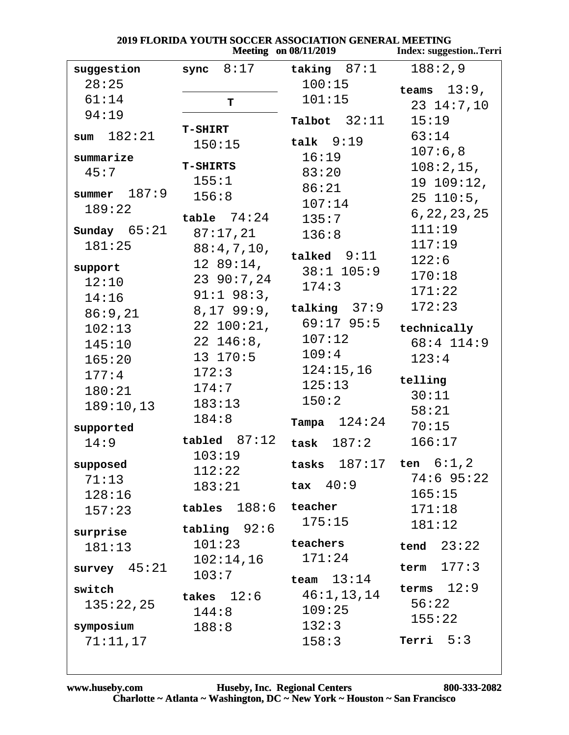| <b>2019 FLORIDA YOUTH SOCCER ASSOCIATION GENERAL MEETING</b> |                        |                              |                        |  |
|--------------------------------------------------------------|------------------------|------------------------------|------------------------|--|
|                                                              |                        | <b>Meeting</b> on 08/11/2019 | Index: suggestionTerri |  |
| suggestion                                                   | 8:17<br>sync           | taking 87:1                  | 188:2,9                |  |
| 28:25                                                        |                        | 100:15                       | teams $13:9$ ,         |  |
| 61:14                                                        | T                      | 101:15                       | $23$ $14:7,10$         |  |
| 94:19                                                        |                        | $\texttt{Table}$ 32:11       | 15:19                  |  |
| 182:21<br>sum                                                | <b>T-SHIRT</b>         |                              | 63:14                  |  |
|                                                              | 150:15                 | talk 9:19                    | 107:6,8                |  |
| summarize                                                    | <b>T-SHIRTS</b>        | 16:19                        | 108:2,15,              |  |
| 45:7                                                         | 155:1                  | 83:20                        | 19 109:12,             |  |
| summer $187:9$                                               | 156:8                  | 86:21                        | $25 \t110:5$ ,         |  |
| 189:22                                                       |                        | 107:14                       | 6, 22, 23, 25          |  |
|                                                              | table $74:24$          | 135:7                        | 111:19                 |  |
| $sunday$ 65:21<br>181:25                                     | 87:17,21               | 136:8                        | 117:19                 |  |
|                                                              | 88:4,7,10,             | talked $9:11$                | 122:6                  |  |
| support                                                      | 1289:14,               | $38:1$ 105:9                 | 170:18                 |  |
| 12:10                                                        | 2390:7,24              | 174:3                        | 171:22                 |  |
| 14:16                                                        | $91:1$ $98:3$ ,        |                              | 172:23                 |  |
| 86:9,21                                                      | $8,17$ 99:9,           | talking 37:9<br>$69:17$ 95:5 |                        |  |
| 102:13                                                       | 22 100:21,             |                              | technically            |  |
| 145:10                                                       | $22\;146:8$ ,          | 107:12                       | 68:4 114:9             |  |
| 165:20                                                       | $13 \t170:5$           | 109:4                        | 123:4                  |  |
| 177:4                                                        | 172:3                  | 124:15,16                    | telling                |  |
| 180:21                                                       | 174:7                  | 125:13                       | 30:11                  |  |
| 189:10,13                                                    | 183:13                 | 150:2                        | 58:21                  |  |
| supported                                                    | 184:8                  | Tampa $124:24$               | 70:15                  |  |
| 14:9                                                         | $tabled$ $87:12$       | 187:2<br>task                | 166:17                 |  |
|                                                              | 103:19                 |                              |                        |  |
| supposed                                                     | 112:22                 | tasks $187:17$ ten $6:1,2$   |                        |  |
| 71:13                                                        | 183:21                 | $\texttt{tax}$ 40:9          | $74:6$ 95:22           |  |
| 128:16                                                       | tables $188:6$ teacher |                              | 165:15                 |  |
| 157:23                                                       |                        | 175:15                       | 171:18                 |  |
| surprise                                                     | tabling $92:6$         |                              | 181:12                 |  |
| 181:13                                                       | 101:23                 | teachers                     | tend $23:22$           |  |
| survey $45:21$                                               | 102:14,16              | 171:24                       | term $177:3$           |  |
|                                                              | 103:7                  | team $13:14$                 |                        |  |
| switch                                                       | takes $12:6$           | 46:1,13,14                   | terms $12:9$           |  |
| 135:22,25                                                    | 144:8                  | 109:25                       | 56:22                  |  |
| symposium                                                    | 188:8                  | 132:3                        | 155:22                 |  |
| 71:11,17                                                     |                        | 158:3                        | Terri $5:3$            |  |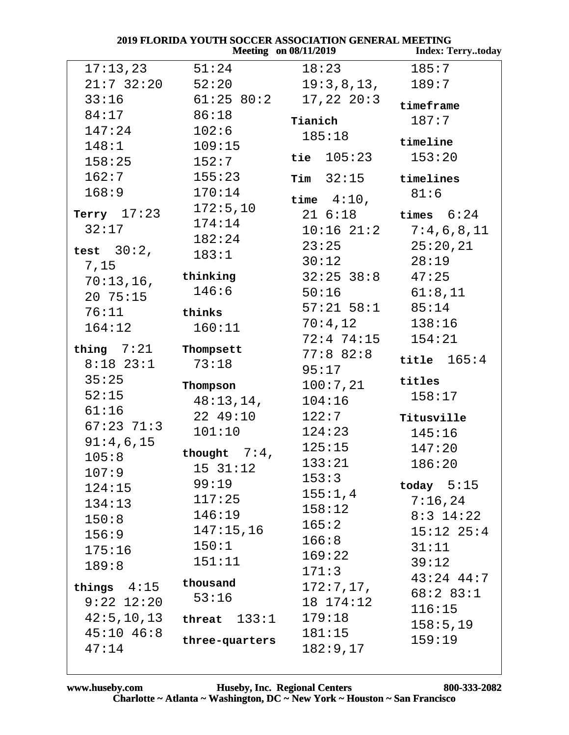|                      | 2019 FLORIDA YOUTH SOCCER ASSOCIATION GENERAL MEETING | <b>Meeting</b> on 08/11/2019  | <b>Index: Terrytoday</b>    |
|----------------------|-------------------------------------------------------|-------------------------------|-----------------------------|
| 17:13,23             | 51:24                                                 | 18:23                         | 185:7                       |
| $21:7$ 32:20         |                                                       | $52:20$ $19:3,8,13,$ $189:7$  |                             |
| 33:16                |                                                       | $61:25$ $80:2$ $17,22$ $20:3$ | timeframe                   |
| 84:17                | 86:18                                                 | Tianich                       | 187:7                       |
| 147:24               | 102:6                                                 | 185:18                        |                             |
| 148:1                | 109:15                                                |                               | timeline                    |
| 158:25               | 152:7                                                 | tie $105:23$                  | 153:20                      |
| 162:7                | 155:23                                                | $rim$ 32:15 timelines         |                             |
| 168:9                | 170:14                                                | time $4:10$ ,                 | 81:6                        |
| Terry $17:23$        | 172:5,10                                              |                               | $21 6:18$ times $6:24$      |
| 32:17                | 174:14                                                |                               | $10:16$ $21:2$ $7:4,6,8,11$ |
|                      | 182:24                                                | $23:25$ $25:20,21$            |                             |
| test $30:2,$         | 183:1                                                 | 30:12                         | 28:19                       |
| 7,15                 | thinking                                              | $32:25$ $38:8$ $47:25$        |                             |
| 70:13,16,<br>2075:15 | 146:6                                                 | $50:16$ 61:8,11               |                             |
| 76:11                | thinks                                                | $57:21$ $58:1$ $85:14$        |                             |
| 164:12               | 160:11                                                | $70:4,12$ $138:16$            |                             |
|                      |                                                       | 72:4 74:15   154:21           |                             |
| thing $7:21$         | Thompsett                                             | 77:882:8                      | title $165:4$               |
| $8:18$ 23:1          | 73:18                                                 | 95:17                         |                             |
| 35:25                | Thompson                                              | 100:7,21                      | titles                      |
| 52:15                | 48:13,14,                                             | 104:16                        | 158:17                      |
| 61:16                | 22 49:10                                              | 122:7                         | Titusville                  |
| $67:23$ $71:3$       | 101:10                                                | 124:23                        | 145:16                      |
| 91:4,6,15            | thought $7:4$ ,                                       | 125:15                        | 147:20                      |
| 105:8                | $15 \t31:12$                                          | 133:21                        | 186:20                      |
| 107:9                | 99:19                                                 | 153:3                         | today $5:15$                |
| 124:15               | 117:25                                                | 155:1,4                       | 7:16,24                     |
| 134:13               | 146:19                                                | 158:12                        | $8:3$ 14:22                 |
| 150:8                | 147:15,16                                             | 165:2                         | $15:12$ $25:4$              |
| 156:9<br>175:16      | 150:1                                                 | 166:8                         | 31:11                       |
| 189:8                | 151:11                                                | 169:22                        | 39:12                       |
|                      |                                                       | 171:3                         | $43:24$ $44:7$              |
| things $4:15$        | thousand<br>53:16                                     | 172:7,17,                     | 68:283:1                    |
| $9:22$ $12:20$       |                                                       | 18 174:12                     | 116:15                      |
| 42:5, 10, 13         | threat $133:1$                                        | 179:18                        | 158:5,19                    |
| $45:10$ $46:8$       | three-quarters                                        | 181:15                        | 159:19                      |
| 47:14                |                                                       | 182:9,17                      |                             |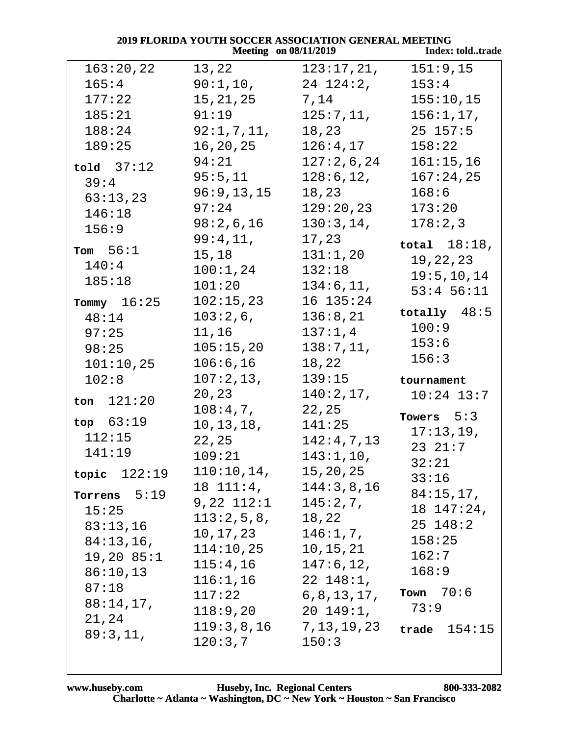| 2019 FLORIDA YOUTH SOCCER ASSOCIATION GENERAL MEETING |                              |                             |                  |  |
|-------------------------------------------------------|------------------------------|-----------------------------|------------------|--|
|                                                       | <b>Meeting</b> on 08/11/2019 |                             | Index: toldtrade |  |
| 163:20,22                                             |                              | $13,22$ $123:17,21,$        | 151:9,15         |  |
| 165:4                                                 |                              | $90:1,10,$ 24 124:2,        | 153:4            |  |
| 177:22                                                | 15, 21, 25                   | 7,14                        | 155:10,15        |  |
| 185:21                                                | 91:19                        | 125:7,11,                   | 156:1, 17,       |  |
| 188:24                                                | 92:1,7,11,                   | 18,23                       | $25\ \ 157:5$    |  |
| 189:25                                                | 16,20,25                     | 126:4,17                    | 158:22           |  |
| $\texttt{told}$ $37:12$                               | 94:21                        | 127:2,6,24                  | 161:15,16        |  |
| 39:4                                                  | 95:5,11                      | 128:6, 12,                  | 167:24,25        |  |
| 63:13,23                                              | 96:9, 13, 15                 | 18,23                       | 168:6            |  |
| 146:18                                                | 97:24                        | 129:20,23                   | 173:20           |  |
| 156:9                                                 | 98:2,6,16                    | 130:3,14,                   | 178:2,3          |  |
|                                                       | 99:4,11,                     | 17,23                       | total $18:18$ ,  |  |
| Tom $56:1$                                            | 15,18                        | 131:1,20                    | 19,22,23         |  |
| 140:4                                                 | 100:1,24                     | 132:18                      | 19:5, 10, 14     |  |
| 185:18                                                | 101:20                       | 134:6, 11,                  | $53:4$ 56:11     |  |
| Tommy 16:25                                           | 102:15,23                    | $16$ $135:24$               |                  |  |
| 48:14                                                 | $103:2,6$ ,                  | 136:8,21                    | totally $48:5$   |  |
| 97:25                                                 | 11,16                        | 137:1,4                     | 100:9            |  |
| 98:25                                                 | 105:15,20                    | 138:7,11,                   | 153:6            |  |
| 101:10,25                                             | 106:6, 16                    | 18,22                       | 156:3            |  |
| 102:8                                                 | 107:2,13,                    | 139:15                      | tournament       |  |
| ton $121:20$                                          | 20,23                        | $140:2,17$ ,                | $10:24$ 13:7     |  |
|                                                       | 108:4,7,                     | 22,25                       | Towers $5:3$     |  |
| top $63:19$                                           | 10, 13, 18,                  | 141:25                      | 17:13,19,        |  |
| 112:15                                                | 22, 25                       | 142:4,7,13                  | 23 21:7          |  |
| 141:19                                                | 109:21                       | 143:1,10,                   | 32:21            |  |
| topic $122:19$                                        | $110:10,14$ ,                | 15,20,25                    | 33:16            |  |
| Torrens $5:19$                                        |                              | $18$ $111:4$ , $144:3,8,16$ | 84:15,17,        |  |
| 15:25                                                 | 9,22 112:1                   | 145:2,7,                    | 18 147:24,       |  |
| 83:13,16                                              | 113:2,5,8, 18,22             |                             | $25 \t148:2$     |  |
| 84:13,16,                                             | 10,17,23                     | 146:1,7,                    | 158:25           |  |
| $19,20$ $85:1$                                        | 114:10,25                    | 10,15,21                    | 162:7            |  |
| 86:10,13                                              | 115:4,16                     | 147:6,12,                   | 168:9            |  |
| 87:18                                                 | 116:1,16                     | 22 148:1,                   |                  |  |
| 88:14,17,                                             | 117:22                       | 6,8,13,17,                  | Town $70:6$      |  |
| 21,24                                                 |                              | $118:9,20$ 20 $149:1,$      | 73:9             |  |
| 89:3,11,                                              |                              | $119:3,8,16$ 7, 13, 19, 23  | trade $154:15$   |  |
|                                                       | 120:3,7                      | 150:3                       |                  |  |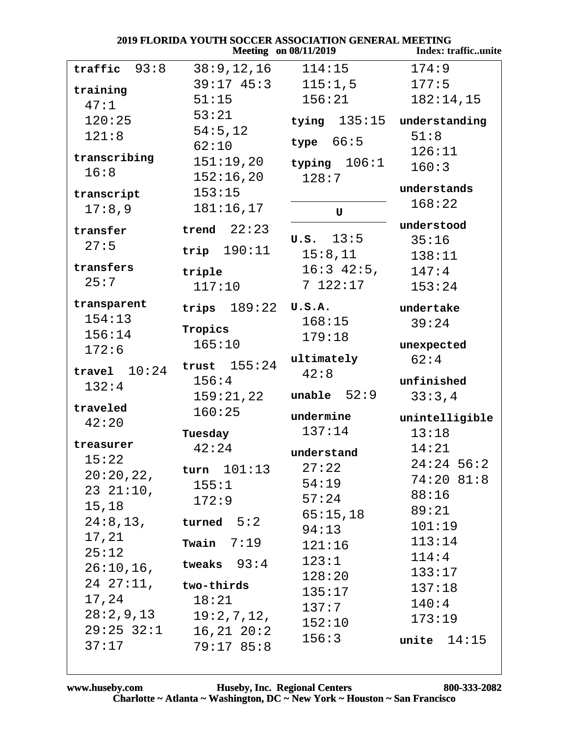| 2019 FLORIDA YOUTH SOCCER ASSOCIATION GENERAL MEETING<br><b>Meeting</b> on 08/11/2019<br>Index: trafficunite |                     |                              |                    |  |  |
|--------------------------------------------------------------------------------------------------------------|---------------------|------------------------------|--------------------|--|--|
| traffic $93:8$                                                                                               | 38:9,12,16          | 114:15                       | 174:9              |  |  |
| training                                                                                                     | $39:17$ $45:3$      | 115:1,5                      | 177:5              |  |  |
| 47:1                                                                                                         | 51:15               | 156:21                       | 182:14,15          |  |  |
| 120:25                                                                                                       | 53:21               | tying $135:15$ understanding |                    |  |  |
| 121:8                                                                                                        | 54:5,12             |                              | 51:8               |  |  |
|                                                                                                              | 62:10               | type 66:5                    | 126:11             |  |  |
| transcribing                                                                                                 | 151:19,20           | typing $106:1$               | 160:3              |  |  |
| 16:8                                                                                                         | 152:16,20           | 128:7                        |                    |  |  |
| transcript                                                                                                   | 153:15              |                              | understands        |  |  |
| 17:8,9                                                                                                       | 181:16,17           | U                            | 168:22             |  |  |
| transfer                                                                                                     | trend $22:23$       |                              | understood         |  |  |
| 27:5                                                                                                         |                     | $\sigma$ .s. 13:5            | 35:16              |  |  |
|                                                                                                              | trip $190:11$       | 15:8,11                      | 138:11             |  |  |
| transfers                                                                                                    | triple              | $16:3$ 42:5,                 | 147:4              |  |  |
| 25:7                                                                                                         | 117:10              | 7122:17                      | 153:24             |  |  |
| transparent                                                                                                  | trips 189:22 U.S.A. |                              | undertake          |  |  |
| 154:13                                                                                                       |                     | 168:15                       | 39:24              |  |  |
| 156:14                                                                                                       | Tropics<br>165:10   | 179:18                       |                    |  |  |
| 172:6                                                                                                        |                     | ultimately                   | unexpected<br>62:4 |  |  |
| travel $10:24$                                                                                               | trust $155:24$      | 42:8                         |                    |  |  |
| 132:4                                                                                                        | 156:4               |                              | unfinished         |  |  |
|                                                                                                              | 159:21,22           | unable $52:9$                | 33:3,4             |  |  |
| traveled<br>42:20                                                                                            | 160:25              | undermine                    | unintelligible     |  |  |
|                                                                                                              | Tuesday             | 137:14                       | 13:18              |  |  |
| treasurer                                                                                                    | 42:24               | understand                   | 14:21              |  |  |
| 15:22                                                                                                        | turn 101:13         | 27:22                        | $24:24$ 56:2       |  |  |
| 20:20,22,                                                                                                    | 155:1               | 54:19                        | $74:20$ 81:8       |  |  |
| 2321:10,                                                                                                     | 172:9               | 57:24                        | 88:16              |  |  |
| 15,18                                                                                                        |                     | 65:15,18                     | 89:21              |  |  |
| 24:8,13,                                                                                                     | turned 5:2          | 94:13                        | 101:19             |  |  |
| 17,21                                                                                                        | Twain $7:19$        | 121:16                       | 113:14             |  |  |
| 25:12                                                                                                        | tweaks $93:4$       | 123:1                        | 114:4              |  |  |
| $26:10,16$ ,                                                                                                 |                     | 128:20                       | 133:17             |  |  |
| $24$ $27:11$ , two-thirds                                                                                    |                     | 135:17                       | 137:18             |  |  |
| 17,24                                                                                                        | 18:21               | 137:7                        | 140:4              |  |  |
| 28:2,9,13                                                                                                    | 19:2,7,12,          | 152:10                       | 173:19             |  |  |
| $29:25$ $32:1$                                                                                               | $16, 21$ $20:2$     | 156:3                        | unite $14:15$      |  |  |
| 37:17                                                                                                        | 79:1785:8           |                              |                    |  |  |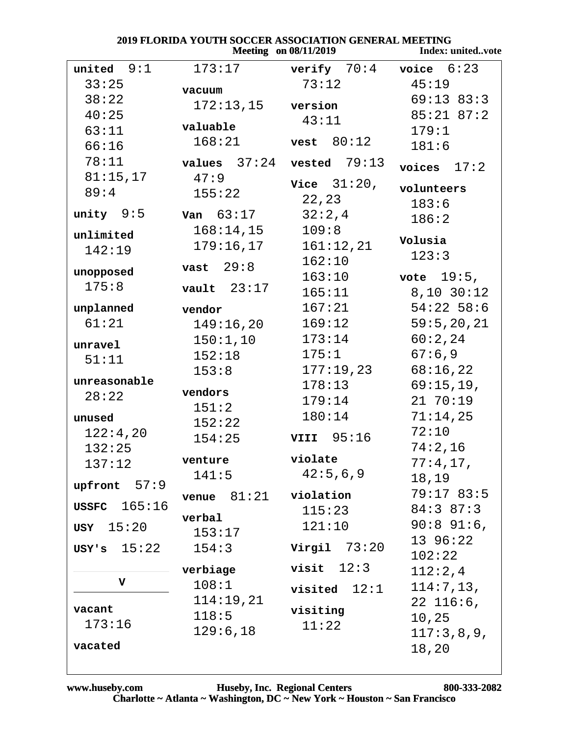|  |                       | 2019 FLORIDA YOUTH SOCCER ASSOCIATION GENERAL MEETING |
|--|-----------------------|-------------------------------------------------------|
|  | Mooting on 08/11/2010 | Indov: unitod                                         |

|                        | <b>Meeting</b> on 08/11/2019 |                   | Index: unitedvote |
|------------------------|------------------------------|-------------------|-------------------|
| united $9:1$           | 173:17                       | verify $70:4$     | voice $6:23$      |
| 33:25                  | vacuum                       | 73:12             | 45:19             |
| 38:22                  | 172:13,15                    | version           | 69:13 83:3        |
| 40:25                  |                              | 43:11             | $85:21$ $87:2$    |
| 63:11                  | valuable                     |                   | 179:1             |
| 66:16                  | 168:21                       | vest $80:12$      | 181:6             |
| 78:11                  | $values 37:24$               | $vested$ $79:13$  | 17:2<br>voices    |
| 81:15,17               | 47:9                         | Vice $31:20$ ,    |                   |
| 89:4                   | 155:22                       | 22,23             | volunteers        |
| unity $9:5$            | van $63:17$                  | 32:2,4            | 183:6             |
|                        | 168:14,15                    | 109:8             | 186:2             |
| unlimited              | 179:16,17                    | 161:12,21         | Volusia           |
| 142:19                 |                              | 162:10            | 123:3             |
| unopposed              | 29:8<br>vast                 | 163:10            | vote $19:5$ ,     |
| 175:8                  | vault $23:17$                | 165:11            | 8,10,30:12        |
| unplanned              | vendor                       | 167:21            | $54:22$ 58:6      |
| 61:21                  | 149:16,20                    | 169:12            | 59:5, 20, 21      |
|                        | 150:1,10                     | 173:14            | 60:2,24           |
| unravel                | 152:18                       | 175:1             | 67:6,9            |
| 51:11                  | 153:8                        | 177:19,23         | 68:16,22          |
| unreasonable           |                              | 178:13            | 69:15,19,         |
| 28:22                  | vendors                      | 179:14            | 21 70:19          |
| unused                 | 151:2                        | 180:14            | 71:14,25          |
| 122:4,20               | 152:22                       |                   | 72:10             |
| 132:25                 | 154:25                       | <b>VIII</b> 95:16 | 74:2,16           |
| 137:12                 | venture                      | violate           | 77:4,17,          |
|                        | 141:5                        | 42:5,6,9          | 18,19             |
| upfront $57:9$         | 81:21<br>venue               | violation         | 79:1783:5         |
| 165:16<br><b>USSFC</b> |                              | 115:23            | $84:3$ $87:3$     |
| 15:20<br>USY           | verbal                       | 121:10            | 90:891:6          |
|                        | 153:17                       |                   | 13 96:22          |
| USY's $15:22$          | 154:3                        | Virgil $73:20$    | 102:22            |
|                        | verbiage                     | 12:3<br>visit     | 112:2,4           |
| $\mathbf v$            | 108:1                        | visited $12:1$    | 114:7,13,         |
| vacant                 | 114:19,21                    |                   | $22\;116:6$ ,     |
| 173:16                 | 118:5                        | visiting<br>11:22 | 10,25             |
|                        | 129:6,18                     |                   | 117:3,8,9,        |
| vacated                |                              |                   | 18,20             |
|                        |                              |                   |                   |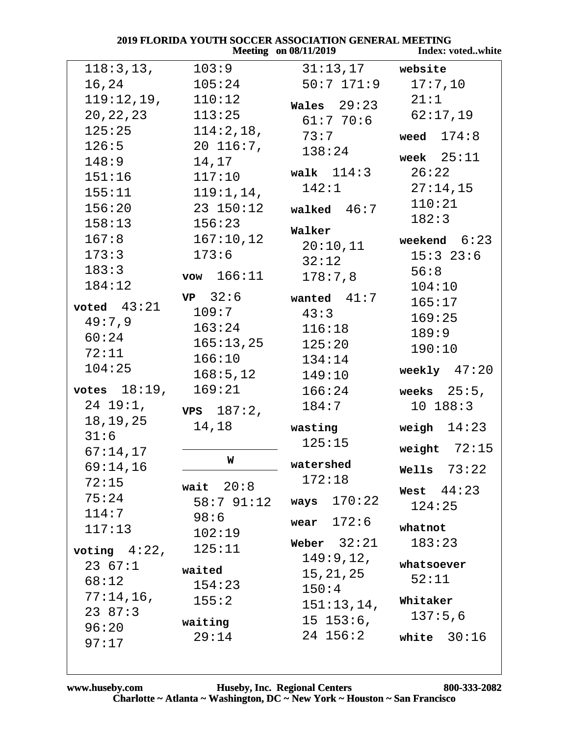| 2019 FLORIDA YOUTH SOCCER ASSOCIATION GENERAL MEETING |                |                              |                   |
|-------------------------------------------------------|----------------|------------------------------|-------------------|
|                                                       |                | <b>Meeting</b> on 08/11/2019 | Index: votedwhite |
| 118:3,13,                                             | 103:9          | $31:13,17$ website           |                   |
| 16,24                                                 | 105:24         | 50:7 171:9                   | 17:7,10           |
| $119:12,19$ ,                                         | 110:12         | Wales $29:23$                | 21:1              |
| 20, 22, 23                                            | 113:25         | $61:7$ $70:6$                | 62:17,19          |
| 125:25                                                | 114:2,18,      | 73:7                         | weed $174:8$      |
| 126:5                                                 | $20\;116:7$ ,  | 138:24                       |                   |
| 148:9                                                 | 14,17          |                              | week $25:11$      |
| 151:16                                                | 117:10         | <b>walk</b> $114:3$ $26:22$  |                   |
| 155:11                                                | 119:1,14,      | 142:1                        | 27:14,15          |
| 156:20                                                | $23$ 150:12    | walked $46:7$                | 110:21            |
| 158:13                                                | 156:23         | Walker                       | 182:3             |
| 167:8                                                 | 167:10,12      | 20:10,11                     | weekend $6:23$    |
| 173:3                                                 | 173:6          | 32:12                        | $15:3$ 23:6       |
| 183:3                                                 | $vow = 166:11$ | 178:7,8                      | 56:8              |
| 184:12                                                |                |                              | 104:10            |
| voted $43:21$                                         | VP 32:6        | wanted $41:7$                | 165:17            |
| 49:7,9                                                | 109:7          | 43:3                         | 169:25            |
| 60:24                                                 | 163:24         | 116:18                       | 189:9             |
| 72:11                                                 | 165:13,25      | 125:20                       | 190:10            |
| 104:25                                                | 166:10         | 134:14                       | weekly $47:20$    |
|                                                       | 168:5, 12      | 149:10                       |                   |
| votes $18:19$ ,                                       | 169:21         | 166:24                       | weeks $25:5$ ,    |
| $24$ 19:1,                                            | $VPS$ 187:2,   | 184:7                        | $10$ $188:3$      |
| 18,19,25                                              | 14,18          | wasting                      | weigh $14:23$     |
| 31:6                                                  |                | 125:15                       |                   |
| 67:14,17                                              | W              |                              | weight $72:15$    |
| 69:14,16                                              |                | watershed<br>172:18          | Wells $73:22$     |
| 72:15                                                 | wait $20:8$    |                              | West $44:23$      |
| 75:24                                                 | 58:7 91:12     | ways $170:22$                | 124:25            |
| 114:7                                                 | 98:6           | wear $172:6$                 |                   |
| 117:13                                                | 102:19         |                              | whatnot           |
| voting $4:22$ ,                                       | 125:11         | Weber $32:21$                | 183:23            |
| 2367:1                                                | waited         | 149:9,12,                    | whatsoever        |
| 68:12                                                 | 154:23         | 15, 21, 25                   | 52:11             |
| 77:14,16,                                             | 155:2          | 150:4                        | Whitaker          |
| 23 87:3                                               |                | 151:13,14,                   | 137:5,6           |
| 96:20                                                 | waiting        | $15\;153:6$ ,                |                   |
| 97:17                                                 | 29:14          | 24 156:2                     | white $30:16$     |
|                                                       |                |                              |                   |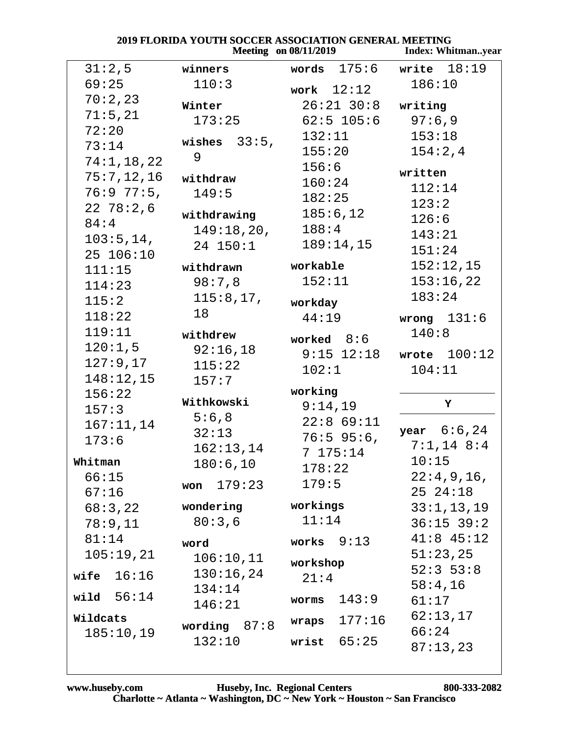|  |                       | 2019 FLORIDA YOUTH SOCCER ASSOCIATION GENERAL MEETING |
|--|-----------------------|-------------------------------------------------------|
|  | Meeting on 08/11/2019 | Index: Whitmar                                        |

|                |                 | <b>Meeting</b> on 08/11/2019 | <b>Index: Whitmanyear</b> |
|----------------|-----------------|------------------------------|---------------------------|
| 31:2,5         | winners         | 175:6<br>words               | write $18:19$             |
| 69:25          | 110:3           | work $12:12$                 | 186:10                    |
| 70:2,23        | Winter          | $26:21$ $30:8$               | writing                   |
| 71:5,21        | 173:25          | $62:5$ 105:6                 | 97:6,9                    |
| 72:20          |                 | 132:11                       | 153:18                    |
| 73:14          | wishes $33:5$ , | 155:20                       | 154:2,4                   |
| 74:1, 18, 22   | 9               | 156:6                        |                           |
| 75:7,12,16     | withdraw        | 160:24                       | written                   |
| 76:977:5,      | 149:5           | 182:25                       | 112:14                    |
| $22\ \ 78:2,6$ | withdrawing     | 185:6, 12                    | 123:2                     |
| 84:4           | 149:18,20,      | 188:4                        | 126:6                     |
| 103:5, 14,     | $24$ 150:1      | 189:14,15                    | 143:21                    |
| 25 106:10      |                 |                              | 151:24                    |
| 111:15         | withdrawn       | workable                     | 152:12,15                 |
| 114:23         | 98:7,8          | 152:11                       | 153:16,22                 |
| 115:2          | 115:8, 17,      | workday                      | 183:24                    |
| 118:22         | 18              | 44:19                        | wrong $131:6$             |
| 119:11         | withdrew        | worked $8:6$                 | 140:8                     |
| 120:1,5        | 92:16,18        | $9:15$ $12:18$               | wrote $100:12$            |
| 127:9,17       | 115:22          |                              |                           |
| 148:12,15      | 157:7           | 102:1                        | 104:11                    |
| 156:22         |                 | working                      |                           |
| 157:3          | Withkowski      | 9:14,19                      | Υ                         |
| 167:11,14      | 5:6,8           | $22:8$ 69:11                 |                           |
| 173:6          | 32:13           | $76:5$ 95:6,                 | <b>year</b> $6:6,24$      |
|                | 162:13,14       | 7175:14                      | $7:1,14$ 8:4              |
| Whitman        | 180:6, 10       | 178:22                       | 10:15                     |
| 66:15          | 179:23<br>won   | 179:5                        | 22:4,9,16,                |
| 67:16          |                 | workings                     | 25 24:18                  |
| 68:3,22        | wondering       | 11:14                        | 33:1, 13, 19              |
| 78:9,11        | 80:3,6          |                              | $36:15$ $39:2$            |
| 81:14          | word            | works $9:13$                 | $41:8$ $45:12$            |
| 105:19,21      | 106:10,11       | workshop                     | 51:23,25                  |
| wife $16:16$   | 130:16,24       | 21:4                         | $52:3$ 53:8               |
| wild $56:14$   | 134:14          |                              | 58:4,16                   |
|                | 146:21          | 143:9<br>worms               | 61:17                     |
| Wildcats       | wording $87:8$  | 177:16<br>wraps              | 62:13,17                  |
| 185:10,19      | 132:10          | 65:25<br>wrist               | 66:24                     |
|                |                 |                              | 87:13,23                  |